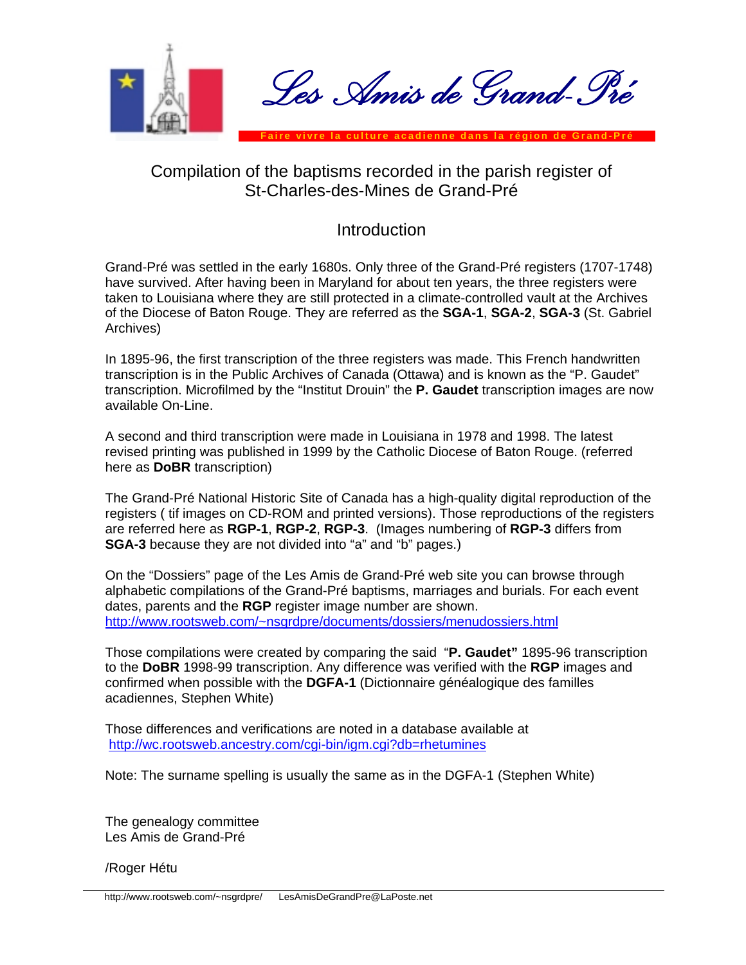

## Compilation of the baptisms recorded in the parish register of St-Charles-des-Mines de Grand-Pré

## **Introduction**

Grand-Pré was settled in the early 1680s. Only three of the Grand-Pré registers (1707-1748) have survived. After having been in Maryland for about ten years, the three registers were taken to Louisiana where they are still protected in a climate-controlled vault at the Archives of the Diocese of Baton Rouge. They are referred as the **SGA-1**, **SGA-2**, **SGA-3** (St. Gabriel Archives)

In 1895-96, the first transcription of the three registers was made. This French handwritten transcription is in the Public Archives of Canada (Ottawa) and is known as the "P. Gaudet" transcription. Microfilmed by the "Institut Drouin" the **P. Gaudet** transcription images are now available On-Line.

A second and third transcription were made in Louisiana in 1978 and 1998. The latest revised printing was published in 1999 by the Catholic Diocese of Baton Rouge. (referred here as **DoBR** transcription)

The Grand-Pré National Historic Site of Canada has a high-quality digital reproduction of the registers ( tif images on CD-ROM and printed versions). Those reproductions of the registers are referred here as **RGP-1**, **RGP-2**, **RGP-3**. (Images numbering of **RGP-3** differs from **SGA-3** because they are not divided into "a" and "b" pages.)

On the "Dossiers" page of the Les Amis de Grand-Pré web site you can browse through alphabetic compilations of the Grand-Pré baptisms, marriages and burials. For each event dates, parents and the **RGP** register image number are shown. [http://www.rootsweb.com/~nsgrdpre/documents/dossiers/menudossiers.html](http://www.rootsweb.com/%7Ensgrdpre/documents/dossiers/menudossiers.html)

Those compilations were created by comparing the said "**P. Gaudet"** 1895-96 transcription to the **DoBR** 1998-99 transcription. Any difference was verified with the **RGP** images and confirmed when possible with the **DGFA-1** (Dictionnaire généalogique des familles acadiennes, Stephen White)

Those differences and verifications are noted in a database available at <http://wc.rootsweb.ancestry.com/cgi-bin/igm.cgi?db=rhetumines>

Note: The surname spelling is usually the same as in the DGFA-1 (Stephen White)

The genealogy committee Les Amis de Grand-Pré

/Roger Hétu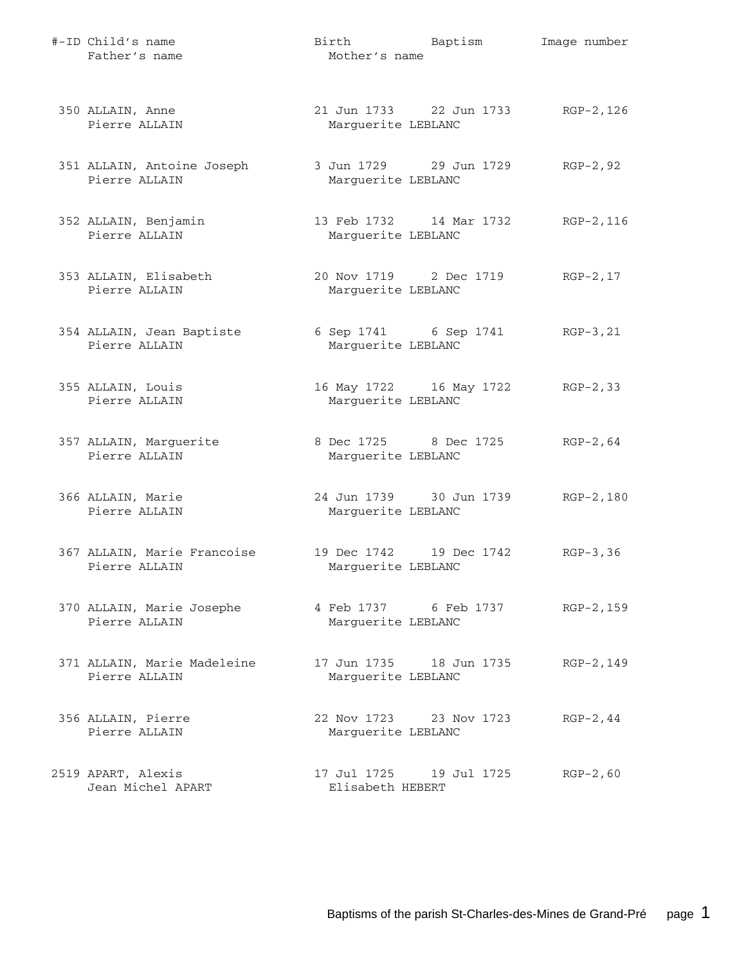| #-ID Child's name<br>Father's name           | Birth<br>Mother's name                        | Baptism                 | Image number |
|----------------------------------------------|-----------------------------------------------|-------------------------|--------------|
| 350 ALLAIN, Anne<br>Pierre ALLAIN            | 21 Jun 1733 22 Jun 1733<br>Marguerite LEBLANC |                         | RGP-2,126    |
| 351 ALLAIN, Antoine Joseph<br>Pierre ALLAIN  | 3 Jun 1729 29 Jun 1729<br>Marguerite LEBLANC  |                         | $RGP-2, 92$  |
| 352 ALLAIN, Benjamin<br>Pierre ALLAIN        | 13 Feb 1732 14 Mar 1732<br>Marguerite LEBLANC |                         | RGP-2,116    |
| 353 ALLAIN, Elisabeth<br>Pierre ALLAIN       | 20 Nov 1719 2 Dec 1719<br>Marguerite LEBLANC  |                         | $RGP-2, 17$  |
| 354 ALLAIN, Jean Baptiste<br>Pierre ALLAIN   | 6 Sep 1741 6 Sep 1741<br>Marguerite LEBLANC   |                         | $RGP-3, 21$  |
| 355 ALLAIN, Louis<br>Pierre ALLAIN           | 16 May 1722 16 May 1722<br>Marguerite LEBLANC |                         | $RGP-2, 33$  |
| 357 ALLAIN, Marguerite<br>Pierre ALLAIN      | 8 Dec 1725 8 Dec 1725<br>Marguerite LEBLANC   |                         | $RGP-2, 64$  |
| 366 ALLAIN, Marie<br>Pierre ALLAIN           | Marguerite LEBLANC                            | 24 Jun 1739 30 Jun 1739 | RGP-2,180    |
| 367 ALLAIN, Marie Francoise<br>Pierre ALLAIN | 19 Dec 1742 19 Dec 1742<br>Marguerite LEBLANC |                         | $RGP-3, 36$  |
| 370 ALLAIN, Marie Josephe<br>Pierre ALLAIN   | 4 Feb 1737 6 Feb 1737<br>Marquerite LEBLANC   |                         | RGP-2,159    |
| 371 ALLAIN, Marie Madeleine<br>Pierre ALLAIN | 17 Jun 1735 18 Jun 1735<br>Marguerite LEBLANC |                         | RGP-2,149    |
| 356 ALLAIN, Pierre<br>Pierre ALLAIN          | 22 Nov 1723<br>Marguerite LEBLANC             | 23 Nov 1723             | $RGP-2, 44$  |
| 2519 APART, Alexis<br>Jean Michel APART      | 17 Jul 1725 19 Jul 1725<br>Elisabeth HEBERT   |                         | $RGP-2, 60$  |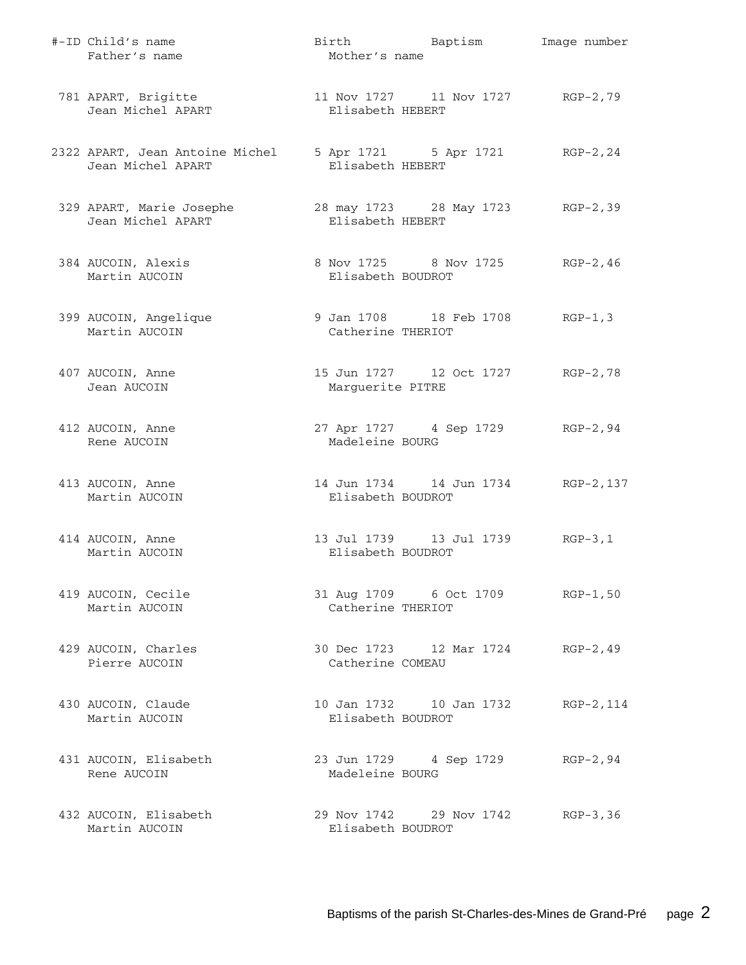| #-ID Child's name<br>Father's name                   | Mother's name     | Birth Baptism                    | Image number |
|------------------------------------------------------|-------------------|----------------------------------|--------------|
| 781 APART, Brigitte<br>Jean Michel APART             | Elisabeth HEBERT  | 11 Nov 1727 11 Nov 1727          | RGP-2,79     |
| 2322 APART, Jean Antoine Michel<br>Jean Michel APART | Elisabeth HEBERT  | 5 Apr 1721 5 Apr 1721            | $RGP-2, 24$  |
| 329 APART, Marie Josephe<br>Jean Michel APART        | Elisabeth HEBERT  | 28 may 1723 28 May 1723 RGP-2,39 |              |
| 384 AUCOIN, Alexis<br>Martin AUCOIN                  | Elisabeth BOUDROT | 8 Nov 1725 8 Nov 1725            | $RGP-2, 46$  |
| 399 AUCOIN, Angelique<br>Martin AUCOIN               | Catherine THERIOT | 9 Jan 1708 18 Feb 1708           | $RGP-1, 3$   |
| 407 AUCOIN, Anne<br>Jean AUCOIN                      | Marguerite PITRE  | 15 Jun 1727 12 Oct 1727          | $RGP-2, 78$  |
| 412 AUCOIN, Anne<br>Rene AUCOIN                      | Madeleine BOURG   | 27 Apr 1727 4 Sep 1729           | RGP-2,94     |
| 413 AUCOIN, Anne<br>Martin AUCOIN                    | Elisabeth BOUDROT | 14 Jun 1734    14 Jun 1734       | RGP-2,137    |
| 414 AUCOIN, Anne<br>Martin AUCOIN                    | Elisabeth BOUDROT | 13 Jul 1739    13 Jul 1739       | $RGP-3, 1$   |
| 419 AUCOIN, Cecile<br>Martin AUCOIN                  | Catherine THERIOT | 31 Aug 1709 6 Oct 1709           | $RGP-1, 50$  |
| 429 AUCOIN, Charles<br>Pierre AUCOIN                 | Catherine COMEAU  | 30 Dec 1723 12 Mar 1724          | $RGP-2, 49$  |
| 430 AUCOIN, Claude<br>Martin AUCOIN                  | Elisabeth BOUDROT | 10 Jan 1732   10 Jan 1732        | RGP-2, 114   |
| 431 AUCOIN, Elisabeth<br>Rene AUCOIN                 | Madeleine BOURG   | 23 Jun 1729 4 Sep 1729           | $RGP-2, 94$  |
| 432 AUCOIN, Elisabeth<br>Martin AUCOIN               | Elisabeth BOUDROT | 29 Nov 1742 29 Nov 1742          | RGP-3,36     |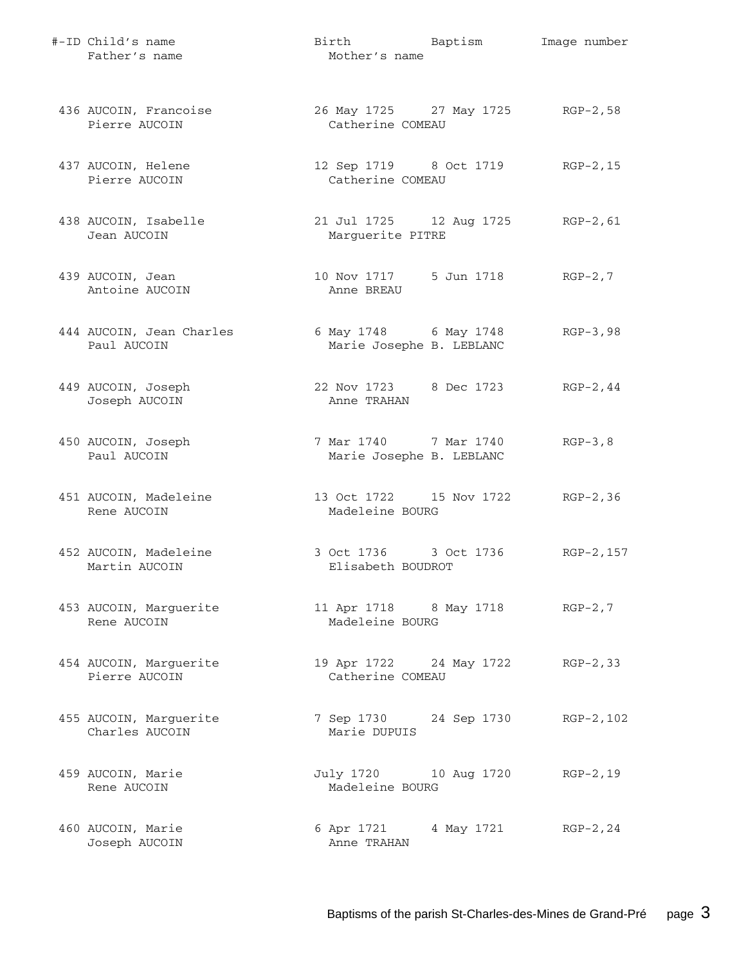| #-ID Child's name<br>Father's name       | Birth Baptism<br>Mother's name                        | Image number |
|------------------------------------------|-------------------------------------------------------|--------------|
| 436 AUCOIN, Francoise<br>Pierre AUCOIN   | 26 May 1725 27 May 1725 RGP-2,58<br>Catherine COMEAU  |              |
| 437 AUCOIN, Helene<br>Pierre AUCOIN      | 12 Sep 1719 8 Oct 1719 RGP-2, 15<br>Catherine COMEAU  |              |
| 438 AUCOIN, Isabelle<br>Jean AUCOIN      | 21 Jul 1725 12 Aug 1725 RGP-2, 61<br>Marguerite PITRE |              |
| 439 AUCOIN, Jean<br>Antoine AUCOIN       | 10 Nov 1717 5 Jun 1718<br>Anne BREAU                  | $RGP-2, 7$   |
| 444 AUCOIN, Jean Charles<br>Paul AUCOIN  | 6 May 1748 6 May 1748<br>Marie Josephe B. LEBLANC     | $RGP-3,98$   |
| 449 AUCOIN, Joseph<br>Joseph AUCOIN      | 22 Nov 1723 8 Dec 1723<br>Anne TRAHAN                 | $RGP-2, 44$  |
| 450 AUCOIN, Joseph<br>Paul AUCOIN        | 7 Mar 1740 7 Mar 1740<br>Marie Josephe B. LEBLANC     | $RGP-3, 8$   |
| 451 AUCOIN, Madeleine<br>Rene AUCOIN     | 13 Oct 1722 15 Nov 1722 RGP-2,36<br>Madeleine BOURG   |              |
| 452 AUCOIN, Madeleine<br>Martin AUCOIN   | 3 Oct 1736 3 Oct 1736<br>Elisabeth BOUDROT            | RGP-2, 157   |
| 453 AUCOIN, Marguerite<br>Rene AUCOIN    | 11 Apr 1718 8 May 1718 RGP-2,7<br>Madeleine BOURG     |              |
| 454 AUCOIN, Marguerite<br>Pierre AUCOIN  | 19 Apr 1722 24 May 1722 RGP-2,33<br>Catherine COMEAU  |              |
| 455 AUCOIN, Marguerite<br>Charles AUCOIN | 7 Sep 1730 24 Sep 1730<br>Marie DUPUIS                | RGP-2,102    |
| 459 AUCOIN, Marie<br>Rene AUCOIN         | July 1720 10 Aug 1720 RGP-2,19<br>Madeleine BOURG     |              |
| 460 AUCOIN, Marie<br>Joseph AUCOIN       | 6 Apr 1721 4 May 1721<br>Anne TRAHAN                  | $RGP-2, 24$  |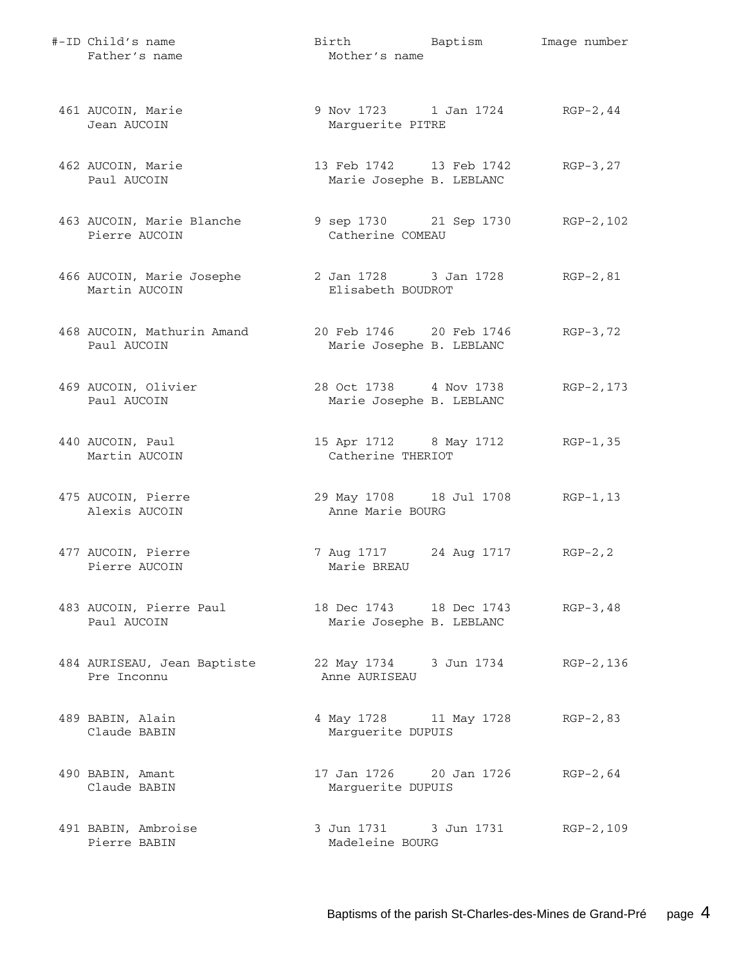| #-ID Child's name<br>Father's name         | Birth Baptism<br>Mother's name                      | Image number |
|--------------------------------------------|-----------------------------------------------------|--------------|
| 461 AUCOIN, Marie<br>Jean AUCOIN           | 9 Nov 1723 1 Jan 1724<br>Marguerite PITRE           | $RGP-2, 44$  |
| 462 AUCOIN, Marie<br>Paul AUCOIN           | 13 Feb 1742 13 Feb 1742<br>Marie Josephe B. LEBLANC | $RGB-3, 27$  |
| 463 AUCOIN, Marie Blanche<br>Pierre AUCOIN | 9 sep 1730 21 Sep 1730<br>Catherine COMEAU          | RGP-2,102    |
| 466 AUCOIN, Marie Josephe<br>Martin AUCOIN | 2 Jan 1728 3 Jan 1728<br>Elisabeth BOUDROT          | $RGP-2, 81$  |
| 468 AUCOIN, Mathurin Amand<br>Paul AUCOIN  | 20 Feb 1746 20 Feb 1746<br>Marie Josephe B. LEBLANC | $RGP-3, 72$  |
| 469 AUCOIN, Olivier<br>Paul AUCOIN         | 28 Oct 1738 4 Nov 1738<br>Marie Josephe B. LEBLANC  | $RGP-2, 173$ |
| 440 AUCOIN, Paul<br>Martin AUCOIN          | 15 Apr 1712 8 May 1712<br>Catherine THERIOT         | $RGP-1, 35$  |
| 475 AUCOIN, Pierre<br>Alexis AUCOIN        | 29 May 1708 18 Jul 1708<br>Anne Marie BOURG         | $RGP-1, 13$  |
| 477 AUCOIN, Pierre<br>Pierre AUCOIN        | 7 Aug 1717 24 Aug 1717<br>Marie BREAU               | $RGP-2, 2$   |
| 483 AUCOIN, Pierre Paul<br>Paul AUCOIN     | 18 Dec 1743 18 Dec 1743<br>Marie Josephe B. LEBLANC | $RGP-3, 48$  |
| 484 AURISEAU, Jean Baptiste<br>Pre Inconnu | 22 May 1734 3 Jun 1734<br>Anne AURISEAU             | RGP-2,136    |
| 489 BABIN, Alain<br>Claude BABIN           | 4 May 1728 11 May 1728<br>Marguerite DUPUIS         | $RGP-2, 83$  |
| 490 BABIN, Amant<br>Claude BABIN           | 17 Jan 1726     20 Jan 1726<br>Marguerite DUPUIS    | $RGP-2, 64$  |
| 491 BABIN, Ambroise<br>Pierre BABIN        | 3 Jun 1731 3 Jun 1731<br>Madeleine BOURG            | RGP-2,109    |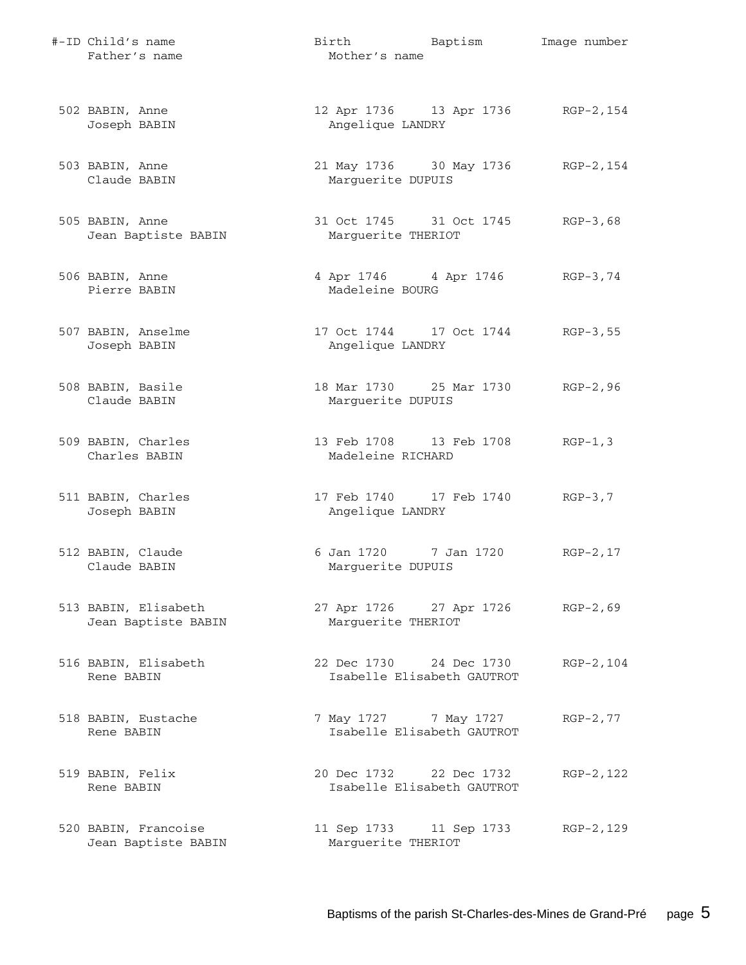| #-ID Child's name<br>Father's name          | Birth Baptism<br>Mother's name                         | Image number |
|---------------------------------------------|--------------------------------------------------------|--------------|
| 502 BABIN, Anne<br>Joseph BABIN             | 12 Apr 1736 13 Apr 1736 RGP-2, 154<br>Angelique LANDRY |              |
| 503 BABIN, Anne<br>Claude BABIN             | 21 May 1736 30 May 1736<br>Marguerite DUPUIS           | RGP-2,154    |
| 505 BABIN, Anne<br>Jean Baptiste BABIN      | 31 Oct 1745 31 Oct 1745<br>Marguerite THERIOT          | $RGB-3,68$   |
| 506 BABIN, Anne<br>Pierre BABIN             | 4 Apr 1746 4 Apr 1746<br>Madeleine BOURG               | $RGP-3, 74$  |
| 507 BABIN, Anselme<br>Joseph BABIN          | 17 Oct 1744 17 Oct 1744<br>Angelique LANDRY            | $RGP-3, 55$  |
| 508 BABIN, Basile<br>Claude BABIN           | 18 Mar 1730 25 Mar 1730<br>Marguerite DUPUIS           | $RGP-2, 96$  |
| 509 BABIN, Charles<br>Charles BABIN         | 13 Feb 1708 13 Feb 1708<br>Madeleine RICHARD           | $RGP-1, 3$   |
| 511 BABIN, Charles<br>Joseph BABIN          | 17 Feb 1740 17 Feb 1740<br>Angelique LANDRY            | $RGP-3, 7$   |
| 512 BABIN, Claude<br>Claude BABIN           | 6 Jan 1720 7 Jan 1720<br>Marguerite DUPUIS             | $RGP-2, 17$  |
| 513 BABIN, Elisabeth<br>Jean Baptiste BABIN | 27 Apr 1726 27 Apr 1726<br>Marquerite THERIOT          | $RGP-2, 69$  |
| 516 BABIN, Elisabeth<br>Rene BABIN          | 22 Dec 1730 24 Dec 1730<br>Isabelle Elisabeth GAUTROT  | RGP-2,104    |
| 518 BABIN, Eustache<br>Rene BABIN           | 7 May 1727 7 May 1727<br>Isabelle Elisabeth GAUTROT    | $RGP-2, 77$  |
| 519 BABIN, Felix<br>Rene BABIN              | 20 Dec 1732 22 Dec 1732<br>Isabelle Elisabeth GAUTROT  | RGP-2, 122   |
| 520 BABIN, Francoise<br>Jean Baptiste BABIN | 11 Sep 1733 11 Sep 1733<br>Marguerite THERIOT          | RGP-2,129    |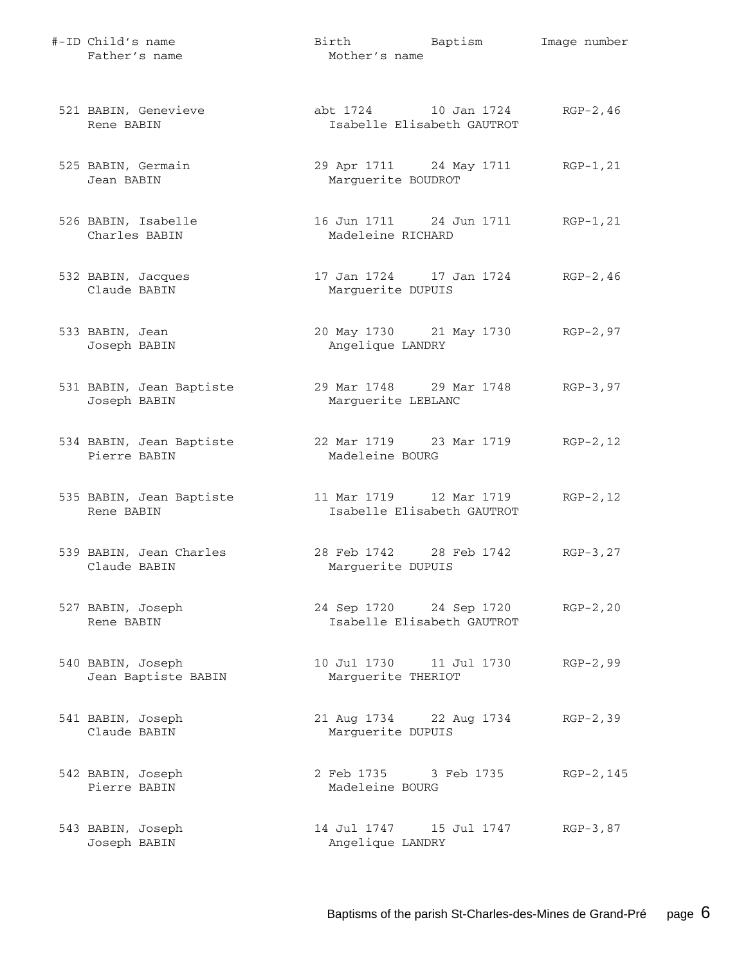| #-ID Child's name<br>Father's name       | Birth Baptism<br>Mother's name                         | Image number |
|------------------------------------------|--------------------------------------------------------|--------------|
| 521 BABIN, Genevieve<br>Rene BABIN       | abt 1724 10 Jan 1724<br>Isabelle Elisabeth GAUTROT     | $RGP-2, 46$  |
| 525 BABIN, Germain<br>Jean BABIN         | 29 Apr 1711 24 May 1711<br>Marquerite BOUDROT          | RGP-1,21     |
| 526 BABIN, Isabelle<br>Charles BABIN     | 16 Jun 1711 24 Jun 1711 RGP-1, 21<br>Madeleine RICHARD |              |
| 532 BABIN, Jacques<br>Claude BABIN       | 17 Jan 1724 17 Jan 1724 RGP-2, 46<br>Marguerite DUPUIS |              |
| 533 BABIN, Jean<br>Joseph BABIN          | 20 May 1730 21 May 1730 RGP-2,97<br>Angelique LANDRY   |              |
| 531 BABIN, Jean Baptiste<br>Joseph BABIN | 29 Mar 1748 29 Mar 1748<br>Marguerite LEBLANC          | $RGP-3, 97$  |
| 534 BABIN, Jean Baptiste<br>Pierre BABIN | 22 Mar 1719 23 Mar 1719 RGP-2, 12<br>Madeleine BOURG   |              |
| 535 BABIN, Jean Baptiste<br>Rene BABIN   | 11 Mar 1719 12 Mar 1719<br>Isabelle Elisabeth GAUTROT  | $RGP-2, 12$  |
| 539 BABIN, Jean Charles<br>Claude BABIN  | 28 Feb 1742 28 Feb 1742<br>Marguerite DUPUIS           | $RGB-3, 27$  |
| 527 BABIN, Joseph<br>Rene BABIN          | 24 Sep 1720 24 Sep 1720<br>Isabelle Elisabeth GAUTROT  | $RGP-2, 20$  |
| 540 BABIN, Joseph<br>Jean Baptiste BABIN | 10 Jul 1730    11 Jul 1730<br>Marguerite THERIOT       | $RGP-2, 99$  |
| 541 BABIN, Joseph<br>Claude BABIN        | 21 Aug 1734 22 Aug 1734<br>Marquerite DUPUIS           | $RGP-2, 39$  |
| 542 BABIN, Joseph<br>Pierre BABIN        | 2 Feb 1735 3 Feb 1735<br>Madeleine BOURG               | RGP-2,145    |
| 543 BABIN, Joseph<br>Joseph BABIN        | 14 Jul 1747    15 Jul 1747<br>Angelique LANDRY         | RGP-3,87     |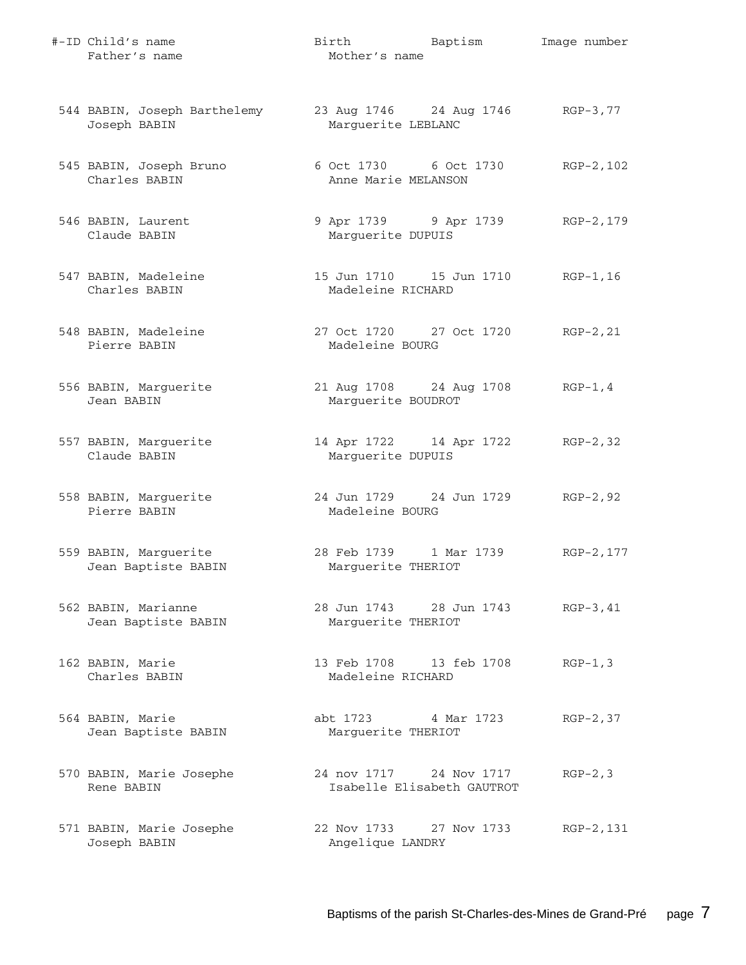| #-ID Child's name<br>Father's name           | Birth Baptism<br>Mother's name                            | Image number |
|----------------------------------------------|-----------------------------------------------------------|--------------|
| 544 BABIN, Joseph Barthelemy<br>Joseph BABIN | 23 Aug 1746 24 Aug 1746 RGP-3,77<br>Marguerite LEBLANC    |              |
| 545 BABIN, Joseph Bruno<br>Charles BABIN     | 6 Oct 1730 6 Oct 1730<br>Anne Marie MELANSON              | RGP-2,102    |
| 546 BABIN, Laurent<br>Claude BABIN           | 9 Apr 1739 9 Apr 1739 RGP-2, 179<br>Marguerite DUPUIS     |              |
| 547 BABIN, Madeleine<br>Charles BABIN        | 15 Jun 1710   15 Jun 1710   RGP-1,16<br>Madeleine RICHARD |              |
| 548 BABIN, Madeleine<br>Pierre BABIN         | 27 Oct 1720 27 Oct 1720 RGP-2, 21<br>Madeleine BOURG      |              |
| 556 BABIN, Marguerite<br>Jean BABIN          | 21 Aug 1708 24 Aug 1708 RGP-1, 4<br>Marguerite BOUDROT    |              |
| 557 BABIN, Marguerite<br>Claude BABIN        | 14 Apr 1722 14 Apr 1722 RGP-2,32<br>Marguerite DUPUIS     |              |
| 558 BABIN, Marguerite<br>Pierre BABIN        | 24 Jun 1729 24 Jun 1729 RGP-2,92<br>Madeleine BOURG       |              |
| 559 BABIN, Marguerite<br>Jean Baptiste BABIN | 28 Feb 1739 1 Mar 1739<br>Marguerite THERIOT              | RGP-2, 177   |
| 562 BABIN, Marianne<br>Jean Baptiste BABIN   | 28 Jun 1743 28 Jun 1743<br>Marquerite THERIOT             | $RGP-3, 41$  |
| 162 BABIN, Marie<br>Charles BABIN            | 13 Feb 1708 13 feb 1708<br>Madeleine RICHARD              | $RGP-1, 3$   |
| 564 BABIN, Marie<br>Jean Baptiste BABIN      | abt 1723 4 Mar 1723<br>Marguerite THERIOT                 | $RGP-2, 37$  |
| 570 BABIN, Marie Josephe<br>Rene BABIN       | 24 nov 1717 24 Nov 1717<br>Isabelle Elisabeth GAUTROT     | $RGP-2, 3$   |
| 571 BABIN, Marie Josephe<br>Joseph BABIN     | 22 Nov 1733 27 Nov 1733<br>Angelique LANDRY               | RGP-2,131    |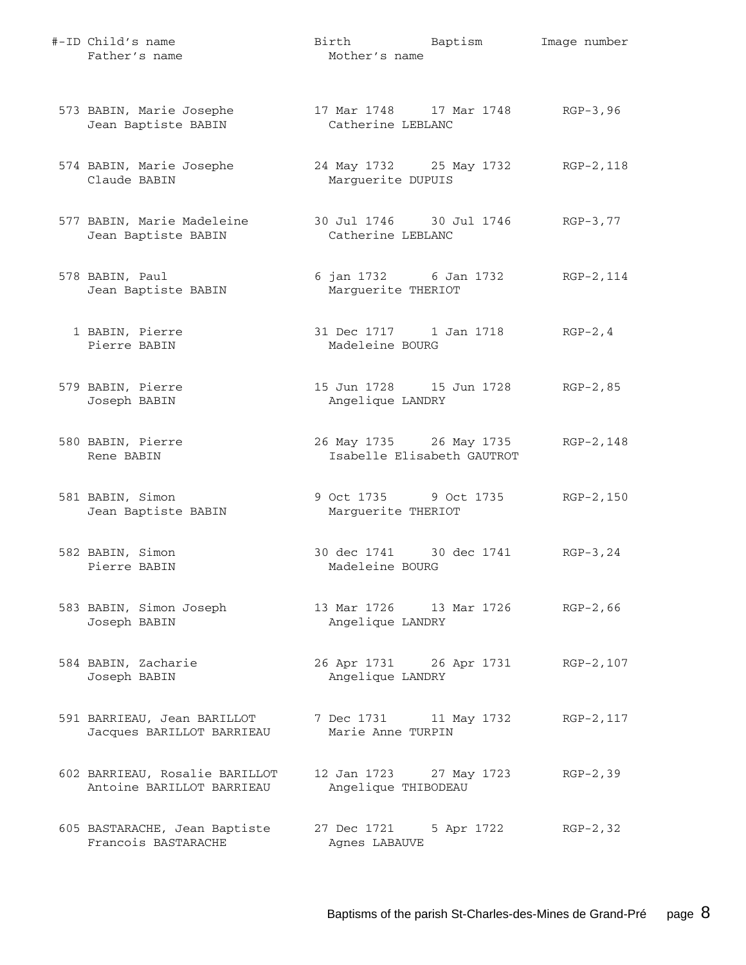| #-ID Child's name<br>Father's name                          | Birth<br>Mother's name                                | Baptism     | Image number |
|-------------------------------------------------------------|-------------------------------------------------------|-------------|--------------|
| 573 BABIN, Marie Josephe<br>Jean Baptiste BABIN             | 17 Mar 1748 17 Mar 1748<br>Catherine LEBLANC          |             | $RGB-3, 96$  |
| 574 BABIN, Marie Josephe<br>Claude BABIN                    | 24 May 1732 25 May 1732<br>Marguerite DUPUIS          |             | RGP-2,118    |
| 577 BABIN, Marie Madeleine<br>Jean Baptiste BABIN           | 30 Jul 1746 30 Jul 1746<br>Catherine LEBLANC          |             | RGP-3,77     |
| 578 BABIN, Paul<br>Jean Baptiste BABIN                      | 6 jan 1732 6 Jan 1732<br>Marguerite THERIOT           |             | RGP-2,114    |
| 1 BABIN, Pierre<br>Pierre BABIN                             | 31 Dec 1717 1 Jan 1718<br>Madeleine BOURG             |             | $RGP-2, 4$   |
| 579 BABIN, Pierre<br>Joseph BABIN                           | 15 Jun 1728    15 Jun 1728<br>Angelique LANDRY        |             | $RGP-2, 85$  |
| 580 BABIN, Pierre<br>Rene BABIN                             | 26 May 1735 26 May 1735<br>Isabelle Elisabeth GAUTROT |             | RGP-2,148    |
| 581 BABIN, Simon<br>Jean Baptiste BABIN                     | 9 Oct 1735 9 Oct 1735<br>Marguerite THERIOT           |             | $RGP-2, 150$ |
| 582 BABIN, Simon<br>Pierre BABIN                            | 30 dec 1741 30 dec 1741<br>Madeleine BOURG            |             | $RGP-3, 24$  |
| 583 BABIN, Simon Joseph<br>Joseph BABIN                     | 13 Mar 1726   13 Mar 1726<br>Angelique LANDRY         |             | $RGP-2, 66$  |
| 584 BABIN, Zacharie<br>Joseph BABIN                         | 26 Apr 1731 26 Apr 1731<br>Angelique LANDRY           |             | RGP-2,107    |
| 591 BARRIEAU, Jean BARILLOT<br>Jacques BARILLOT BARRIEAU    | 7 Dec 1731<br>Marie Anne TURPIN                       | 11 May 1732 | RGP-2, 117   |
| 602 BARRIEAU, Rosalie BARILLOT<br>Antoine BARILLOT BARRIEAU | 12 Jan 1723 27 May 1723<br>Angelique THIBODEAU        |             | $RGP-2, 39$  |
| 605 BASTARACHE, Jean Baptiste<br>Francois BASTARACHE        | 27 Dec 1721<br>Agnes LABAUVE                          | 5 Apr 1722  | $RGP-2, 32$  |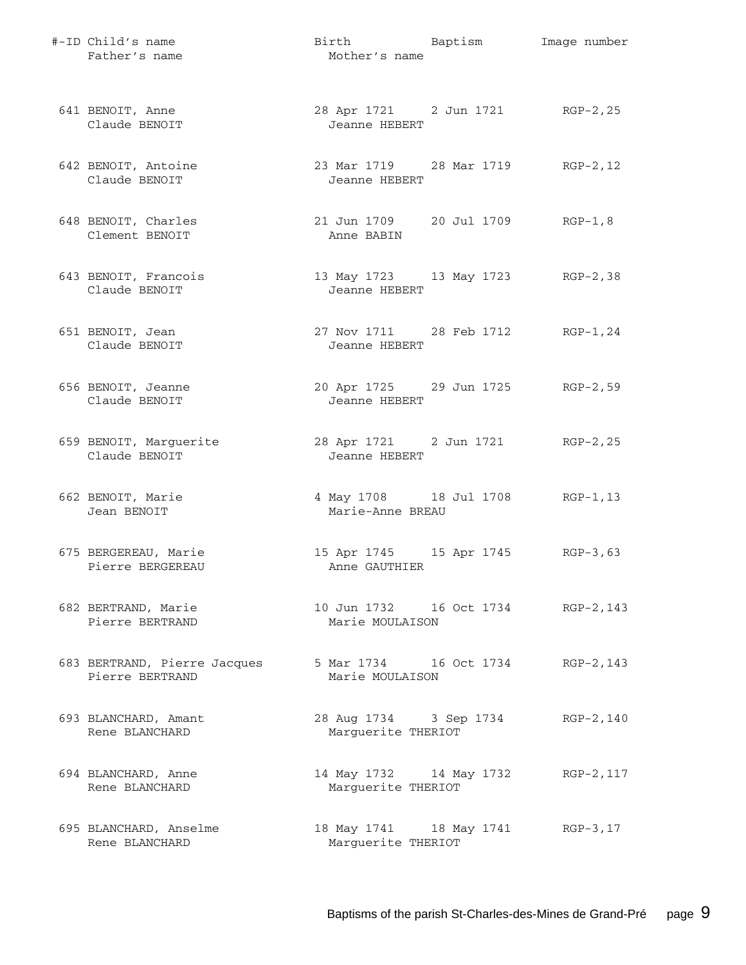| #-ID Child's name<br>Father's name              | Birth Baptism<br>Mother's name                            | Image number |
|-------------------------------------------------|-----------------------------------------------------------|--------------|
| 641 BENOIT, Anne<br>Claude BENOIT               | 28 Apr 1721 2 Jun 1721 RGP-2, 25<br>Jeanne HEBERT         |              |
| 642 BENOIT, Antoine<br>Claude BENOIT            | 23 Mar 1719 28 Mar 1719 RGP-2, 12<br>Jeanne HEBERT        |              |
| 648 BENOIT, Charles<br>Clement BENOIT           | 21 Jun 1709 20 Jul 1709 RGP-1,8<br>Anne BABIN             |              |
| 643 BENOIT, Francois<br>Claude BENOIT           | 13 May 1723 13 May 1723 RGP-2,38<br>Jeanne HEBERT         |              |
| 651 BENOIT, Jean<br>Claude BENOIT               | 27 Nov 1711 28 Feb 1712<br>Jeanne HEBERT                  | $RGP-1, 24$  |
| 656 BENOIT, Jeanne<br>Claude BENOIT             | 20 Apr 1725 29 Jun 1725 RGP-2,59<br>Jeanne HEBERT         |              |
| 659 BENOIT, Marguerite<br>Claude BENOIT         | 28 Apr 1721 2 Jun 1721 RGP-2, 25<br>Jeanne HEBERT         |              |
| 662 BENOIT, Marie<br>Jean BENOIT                | 4 May 1708 18 Jul 1708 RGP-1, 13<br>Marie-Anne BREAU      |              |
| 675 BERGEREAU, Marie<br>Pierre BERGEREAU        | 15 Apr 1745 15 Apr 1745<br>Anne GAUTHIER                  | $RGP-3, 63$  |
| 682 BERTRAND, Marie<br>Pierre BERTRAND          | 10 Jun 1732   16 Oct 1734   RGP-2, 143<br>Marie MOULAISON |              |
| 683 BERTRAND, Pierre Jacques<br>Pierre BERTRAND | 5 Mar 1734 16 Oct 1734 RGP-2, 143<br>Marie MOULAISON      |              |
| 693 BLANCHARD, Amant<br>Rene BLANCHARD          | 28 Aug 1734 3 Sep 1734<br>Marguerite THERIOT              | RGP-2,140    |
| 694 BLANCHARD, Anne<br>Rene BLANCHARD           | 14 May 1732 14 May 1732 RGP-2, 117<br>Marguerite THERIOT  |              |
| 695 BLANCHARD, Anselme<br>Rene BLANCHARD        | 18 May 1741 18 May 1741 RGP-3, 17<br>Marguerite THERIOT   |              |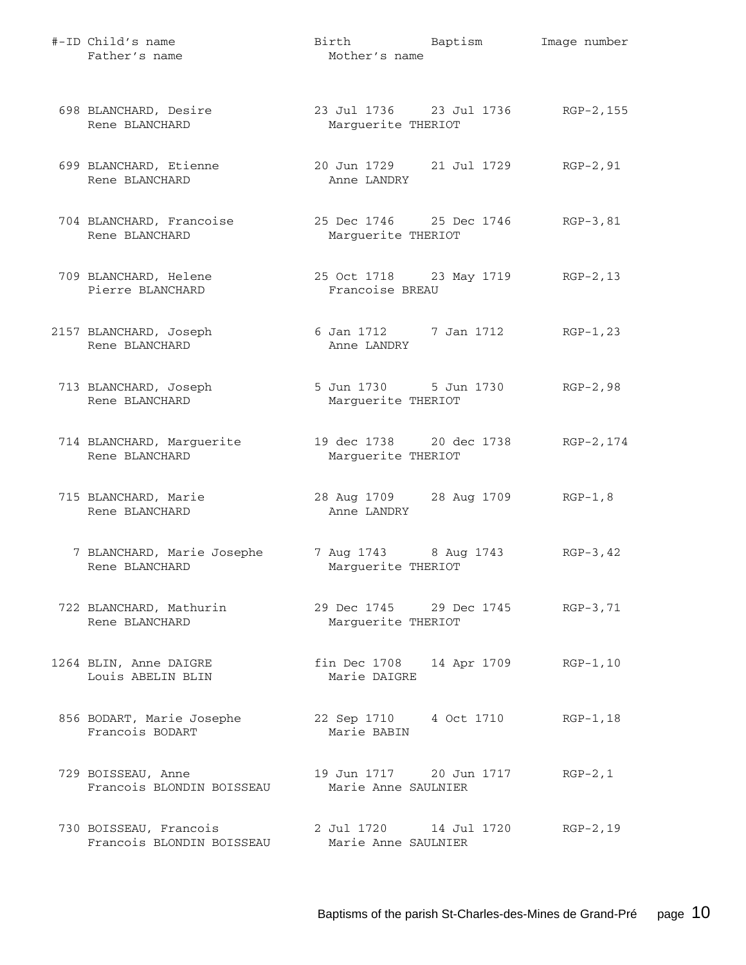| #-ID Child's name<br>Father's name                  | Birth Baptism<br>Mother's name                          | Image number |
|-----------------------------------------------------|---------------------------------------------------------|--------------|
| 698 BLANCHARD, Desire<br>Rene BLANCHARD             | 23 Jul 1736 23 Jul 1736 RGP-2,155<br>Marguerite THERIOT |              |
| 699 BLANCHARD, Etienne<br>Rene BLANCHARD            | 20 Jun 1729 21 Jul 1729<br>Anne LANDRY                  | RGP-2,91     |
| 704 BLANCHARD, Francoise<br>Rene BLANCHARD          | 25 Dec 1746 25 Dec 1746 RGP-3,81<br>Marguerite THERIOT  |              |
| 709 BLANCHARD, Helene<br>Pierre BLANCHARD           | 25 Oct 1718 23 May 1719 RGP-2, 13<br>Francoise BREAU    |              |
| 2157 BLANCHARD, Joseph<br>Rene BLANCHARD            | 6 Jan 1712 7 Jan 1712<br>Anne LANDRY                    | $RGP-1, 23$  |
| 713 BLANCHARD, Joseph<br>Rene BLANCHARD             | 5 Jun 1730 5 Jun 1730 RGP-2,98<br>Marguerite THERIOT    |              |
| 714 BLANCHARD, Marguerite<br>Rene BLANCHARD         | 19 dec 1738 20 dec 1738<br>Marguerite THERIOT           | RGP-2,174    |
| 715 BLANCHARD, Marie<br>Rene BLANCHARD              | 28 Aug 1709 28 Aug 1709 RGP-1,8<br>Anne LANDRY          |              |
| 7 BLANCHARD, Marie Josephe<br>Rene BLANCHARD        | 7 Aug 1743 8 Aug 1743<br>Marguerite THERIOT             | $RGP-3, 42$  |
| 722 BLANCHARD, Mathurin<br>Rene BLANCHARD           | 29 Dec 1745 29 Dec 1745 RGP-3,71<br>Marguerite THERIOT  |              |
| 1264 BLIN, Anne DAIGRE<br>Louis ABELIN BLIN         | fin Dec 1708 14 Apr 1709<br>Marie DAIGRE                | $RGP-1, 10$  |
| 856 BODART, Marie Josephe<br>Francois BODART        | 22 Sep 1710 4 Oct 1710<br>Marie BABIN                   | $RGP-1, 18$  |
| 729 BOISSEAU, Anne<br>Francois BLONDIN BOISSEAU     | 19 Jun 1717 20 Jun 1717<br>Marie Anne SAULNIER          | $RGP-2, 1$   |
| 730 BOISSEAU, Francois<br>Francois BLONDIN BOISSEAU | 2 Jul 1720    14 Jul 1720<br>Marie Anne SAULNIER        | RGP-2,19     |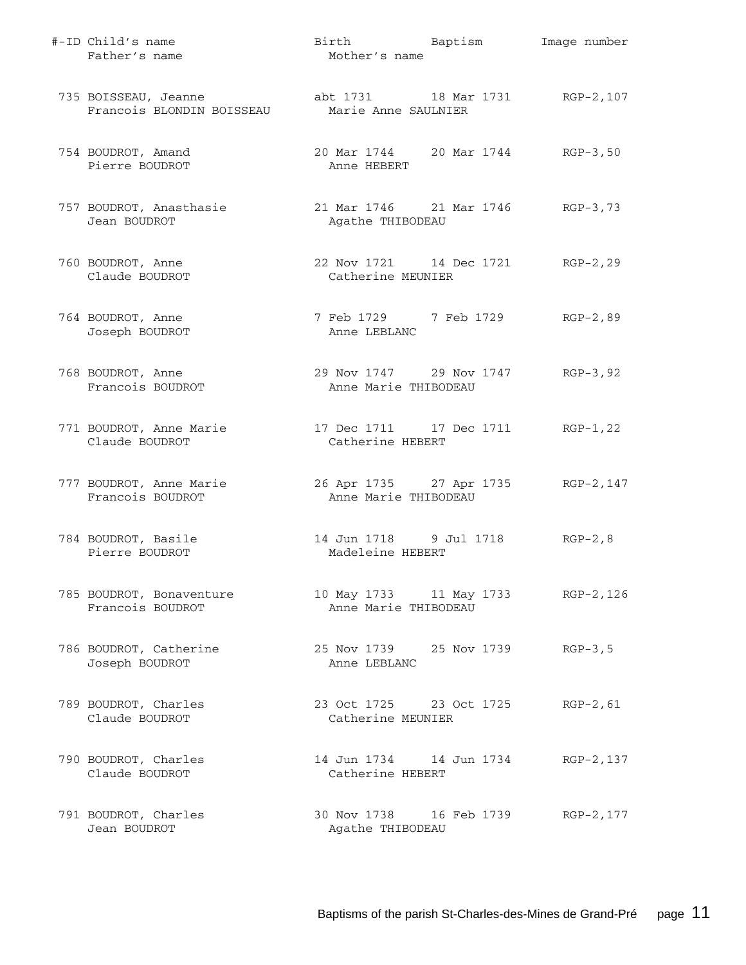| #-ID Child's name<br>Father's name                | Birth Baptism<br>Mother's name                             | Image number |
|---------------------------------------------------|------------------------------------------------------------|--------------|
| 735 BOISSEAU, Jeanne<br>Francois BLONDIN BOISSEAU | abt 1731 18 Mar 1731 RGP-2,107<br>Marie Anne SAULNIER      |              |
| 754 BOUDROT, Amand<br>Pierre BOUDROT              | 20 Mar 1744 20 Mar 1744 RGP-3,50<br>Anne HEBERT            |              |
| 757 BOUDROT, Anasthasie<br>Jean BOUDROT           | 21 Mar 1746 21 Mar 1746 RGP-3,73<br>Agathe THIBODEAU       |              |
| 760 BOUDROT, Anne<br>Claude BOUDROT               | 22 Nov 1721 14 Dec 1721 RGP-2, 29<br>Catherine MEUNIER     |              |
| 764 BOUDROT, Anne<br>Joseph BOUDROT               | 7 Feb 1729 7 Feb 1729<br>Anne LEBLANC                      | $RGP-2, 89$  |
| 768 BOUDROT, Anne<br>Francois BOUDROT             | 29 Nov 1747 29 Nov 1747<br>Anne Marie THIBODEAU            | $RGP-3, 92$  |
| 771 BOUDROT, Anne Marie<br>Claude BOUDROT         | 17 Dec 1711 17 Dec 1711 RGP-1, 22<br>Catherine HEBERT      |              |
| 777 BOUDROT, Anne Marie<br>Francois BOUDROT       | 26 Apr 1735 27 Apr 1735 RGP-2,147<br>Anne Marie THIBODEAU  |              |
| 784 BOUDROT, Basile<br>Pierre BOUDROT             | 14 Jun 1718 9 Jul 1718<br>Madeleine HEBERT                 | $RGP-2, 8$   |
| 785 BOUDROT, Bonaventure<br>Francois BOUDROT      | 10 May 1733 11 May 1733 RGP-2, 126<br>Anne Marie THIBODEAU |              |
| 786 BOUDROT, Catherine<br>Joseph BOUDROT          | 25 Nov 1739 25 Nov 1739<br>Anne LEBLANC                    | $RGP-3, 5$   |
| 789 BOUDROT, Charles<br>Claude BOUDROT            | 23 Oct 1725 23 Oct 1725<br>Catherine MEUNIER               | $RGP-2, 61$  |
| 790 BOUDROT, Charles<br>Claude BOUDROT            | Catherine HEBERT                                           | RGP-2,137    |
| 791 BOUDROT, Charles<br>Jean BOUDROT              | 30 Nov 1738 16 Feb 1739<br>Agathe THIBODEAU                | RGP-2, 177   |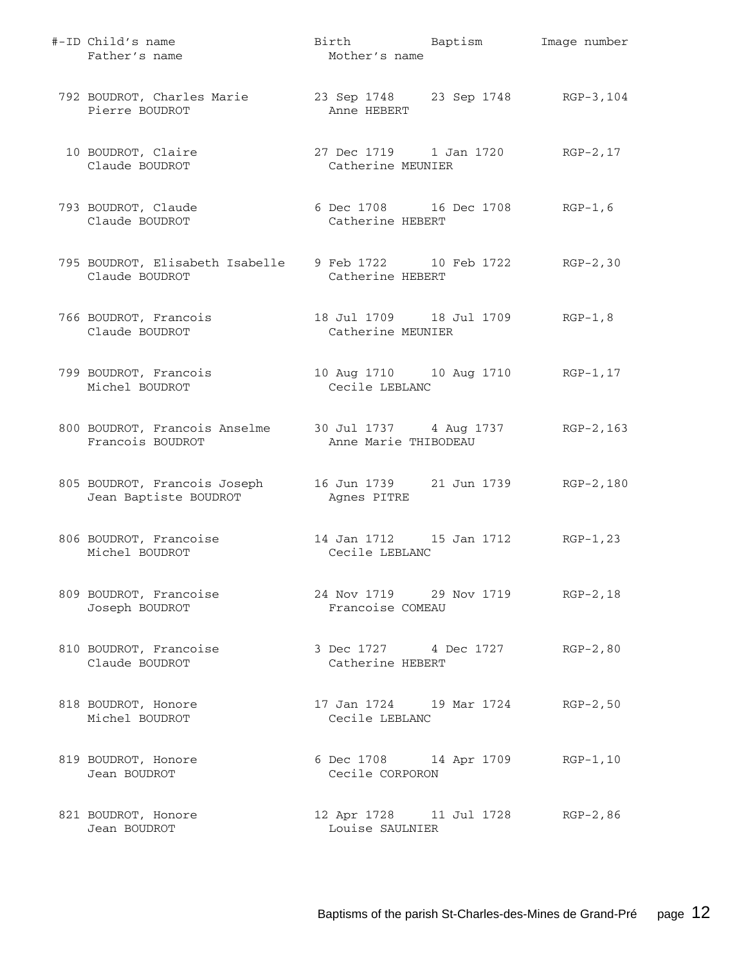| #-ID Child's name<br>Father's name                                                | Birth Baptism<br>Mother's name                          | Image number |
|-----------------------------------------------------------------------------------|---------------------------------------------------------|--------------|
| 792 BOUDROT, Charles Marie<br>Pierre BOUDROT                                      | 23 Sep 1748 23 Sep 1748 RGP-3,104<br>Anne HEBERT        |              |
| 10 BOUDROT, Claire<br>Claude BOUDROT                                              | 27 Dec 1719 1 Jan 1720<br>Catherine MEUNIER             | $RGP-2, 17$  |
| 793 BOUDROT, Claude<br>Claude BOUDROT                                             | 6 Dec 1708 16 Dec 1708 RGP-1, 6<br>Catherine HEBERT     |              |
| 795 BOUDROT, Elisabeth Isabelle 9 Feb 1722 10 Feb 1722 RGP-2,30<br>Claude BOUDROT | Catherine HEBERT                                        |              |
| 766 BOUDROT, Francois<br>Claude BOUDROT                                           | 18 Jul 1709    18 Jul 1709<br>Catherine MEUNIER         | $RGP-1, 8$   |
| 799 BOUDROT, Francois<br>Michel BOUDROT                                           | 10 Aug 1710   10 Aug 1710   RGP-1, 17<br>Cecile LEBLANC |              |
| 800 BOUDROT, Francois Anselme 30 Jul 1737 4 Aug 1737<br>Francois BOUDROT          | Anne Marie THIBODEAU                                    | RGP-2,163    |
| 805 BOUDROT, Francois Joseph<br>Jean Baptiste BOUDROT                             | Agnes PITRE                                             | RGP-2,180    |
| 806 BOUDROT, Francoise<br>Michel BOUDROT                                          | Cecile LEBLANC                                          | $RGP-1, 23$  |
| 809 BOUDROT, Francoise<br>Joseph BOUDROT                                          | 24 Nov 1719 29 Nov 1719<br>Francoise COMEAU             | $RGP-2, 18$  |
| 810 BOUDROT, Francoise<br>Claude BOUDROT                                          | 3 Dec 1727 4 Dec 1727<br>Catherine HEBERT               | $RGP-2, 80$  |
| 818 BOUDROT, Honore<br>Michel BOUDROT                                             | 17 Jan 1724 19 Mar 1724<br>Cecile LEBLANC               | $RGP-2, 50$  |
| 819 BOUDROT, Honore<br>Jean BOUDROT                                               | 6 Dec 1708 14 Apr 1709<br>Cecile CORPORON               | RGP-1,10     |
| 821 BOUDROT, Honore<br>Jean BOUDROT                                               | 12 Apr 1728 11 Jul 1728 RGP-2,86<br>Louise SAULNIER     |              |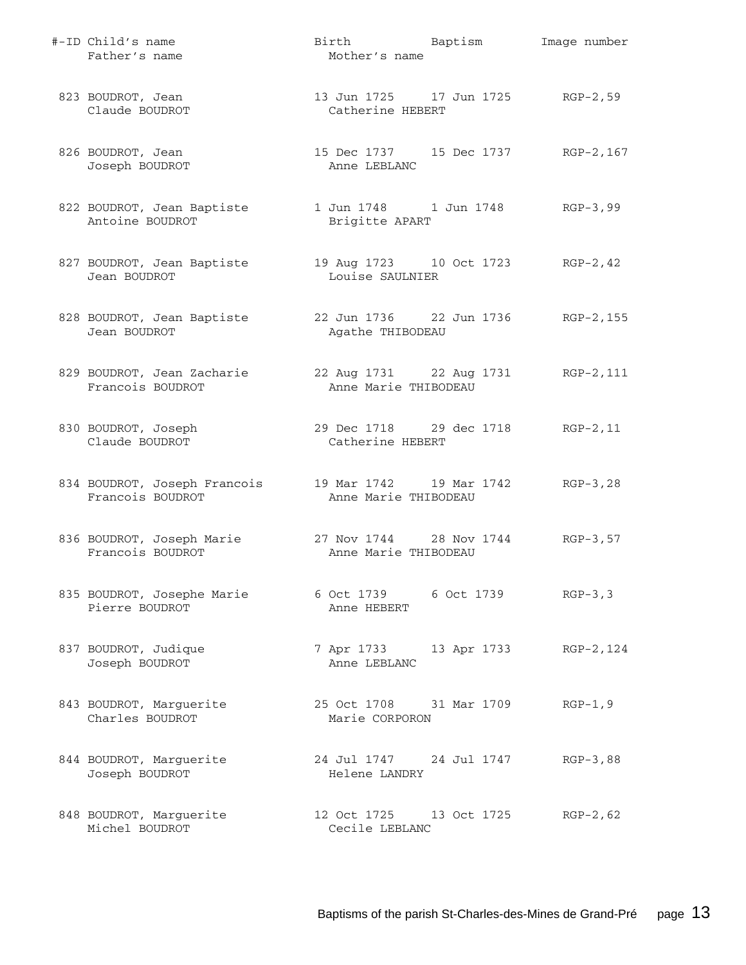| #-ID Child's name<br>Father's name               | Birth Baptism<br>Mother's name                       | Image number |
|--------------------------------------------------|------------------------------------------------------|--------------|
| 823 BOUDROT, Jean<br>Claude BOUDROT              | 13 Jun 1725 17 Jun 1725 RGP-2,59<br>Catherine HEBERT |              |
| 826 BOUDROT, Jean<br>Joseph BOUDROT              | 15 Dec 1737 15 Dec 1737 RGP-2,167<br>Anne LEBLANC    |              |
| 822 BOUDROT, Jean Baptiste<br>Antoine BOUDROT    | 1 Jun 1748 1 Jun 1748 RGP-3,99<br>Brigitte APART     |              |
| 827 BOUDROT, Jean Baptiste<br>Jean BOUDROT       | 19 Aug 1723 10 Oct 1723 RGP-2, 42<br>Louise SAULNIER |              |
| 828 BOUDROT, Jean Baptiste<br>Jean BOUDROT       | 22 Jun 1736 22 Jun 1736<br>Agathe THIBODEAU          | $RGP-2, 155$ |
| 829 BOUDROT, Jean Zacharie<br>Francois BOUDROT   | 22 Aug 1731 22 Aug 1731<br>Anne Marie THIBODEAU      | RGP-2,111    |
| 830 BOUDROT, Joseph<br>Claude BOUDROT            | 29 Dec 1718 29 dec 1718<br>Catherine HEBERT          | RGP-2,11     |
| 834 BOUDROT, Joseph Francois<br>Francois BOUDROT | 19 Mar 1742   19 Mar 1742<br>Anne Marie THIBODEAU    | $RGP-3, 28$  |
| 836 BOUDROT, Joseph Marie<br>Francois BOUDROT    | 27 Nov 1744 28 Nov 1744<br>Anne Marie THIBODEAU      | $RGP-3, 57$  |
| 835 BOUDROT, Josephe Marie<br>Pierre BOUDROT     | 6 Oct 1739 6 Oct 1739<br>Anne HEBERT                 | $RGP-3, 3$   |
| 837 BOUDROT, Judique<br>Joseph BOUDROT           | 7 Apr 1733 13 Apr 1733 RGP-2, 124<br>Anne LEBLANC    |              |
| 843 BOUDROT, Marguerite<br>Charles BOUDROT       | 25 Oct 1708 31 Mar 1709<br>Marie CORPORON            | $RGP-1, 9$   |
| 844 BOUDROT, Marguerite<br>Joseph BOUDROT        | 24 Jul 1747 24 Jul 1747<br>Helene LANDRY             | $RGB-3,88$   |
| 848 BOUDROT, Marguerite<br>Michel BOUDROT        | 12 Oct 1725 13 Oct 1725<br>Cecile LEBLANC            | RGP-2,62     |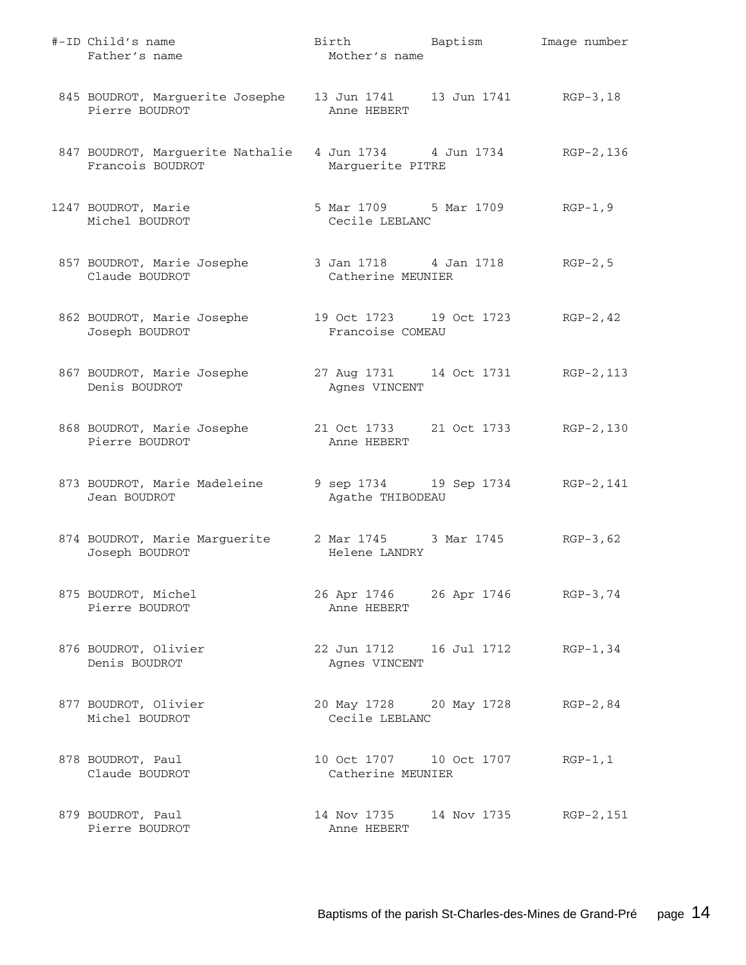| #-ID Child's name<br>Father's name                                                  | Birth Baptism<br>Mother's name                        | Image number |
|-------------------------------------------------------------------------------------|-------------------------------------------------------|--------------|
| 845 BOUDROT, Marguerite Josephe 13 Jun 1741 13 Jun 1741 RGP-3, 18<br>Pierre BOUDROT | Anne HEBERT                                           |              |
| 847 BOUDROT, Marguerite Nathalie 4 Jun 1734 4 Jun 1734<br>Francois BOUDROT          | Marguerite PITRE                                      | RGP-2,136    |
| 1247 BOUDROT, Marie<br>Michel BOUDROT                                               | 5 Mar 1709 5 Mar 1709<br>Cecile LEBLANC               | $RGP-1, 9$   |
| 857 BOUDROT, Marie Josephe 3 Jan 1718 4 Jan 1718 RGP-2,5<br>Claude BOUDROT          | Catherine MEUNIER                                     |              |
| 862 BOUDROT, Marie Josephe<br>Joseph BOUDROT                                        | 19 Oct 1723 19 Oct 1723<br>Francoise COMEAU           | $RGP-2, 42$  |
| 867 BOUDROT, Marie Josephe<br>Denis BOUDROT                                         | 27 Aug 1731 14 Oct 1731 RGP-2, 113<br>Agnes VINCENT   |              |
| 868 BOUDROT, Marie Josephe<br>Pierre BOUDROT                                        | 21 Oct 1733 21 Oct 1733<br>Anne HEBERT                | RGP-2,130    |
| 873 BOUDROT, Marie Madeleine<br>Jean BOUDROT                                        | 9 sep 1734 19 Sep 1734 RGP-2, 141<br>Agathe THIBODEAU |              |
| 874 BOUDROT, Marie Marguerite 2 Mar 1745 3 Mar 1745<br>Joseph BOUDROT               | Helene LANDRY                                         | $RGB-3,62$   |
| 875 BOUDROT, Michel<br>Pierre BOUDROT                                               | 26 Apr 1746 26 Apr 1746 RGP-3,74<br>Anne HEBERT       |              |
| 876 BOUDROT, Olivier<br>Denis BOUDROT                                               | 22 Jun 1712    16 Jul 1712<br>Agnes VINCENT           | $RGP-1, 34$  |
| 877 BOUDROT, Olivier<br>Michel BOUDROT                                              | 20 May 1728 20 May 1728<br>Cecile LEBLANC             | $RGP-2, 84$  |
| 878 BOUDROT, Paul<br>Claude BOUDROT                                                 | 10 Oct 1707    10 Oct 1707<br>Catherine MEUNIER       | $RGP-1, 1$   |
| 879 BOUDROT, Paul<br>Pierre BOUDROT                                                 | 14 Nov 1735 14 Nov 1735<br>Anne HEBERT                | RGP-2,151    |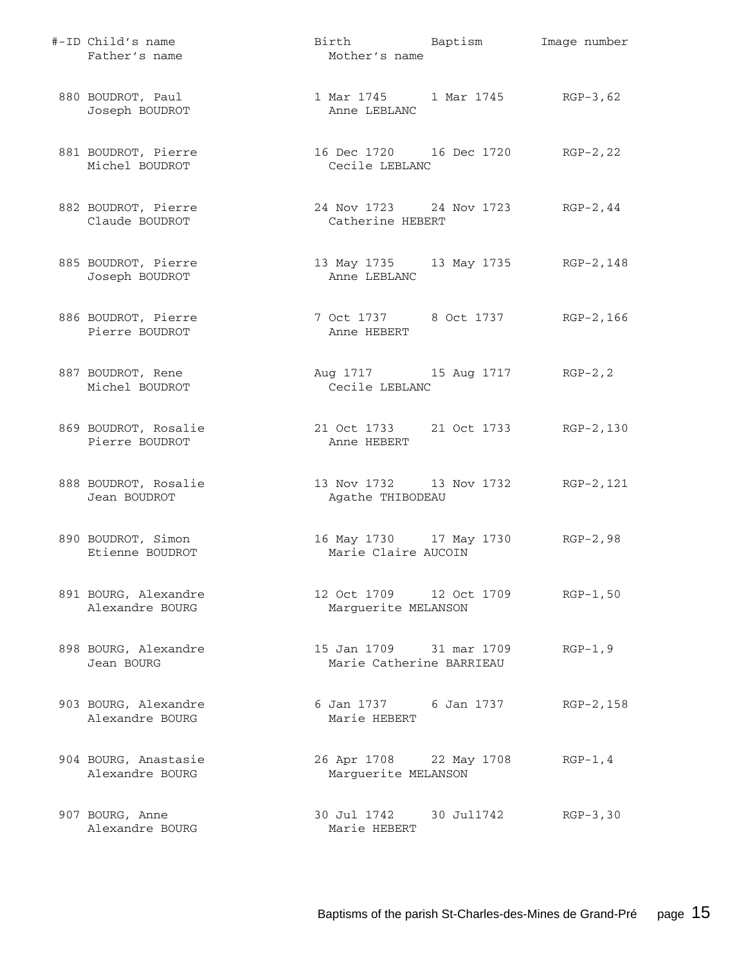| #-ID Child's name<br>Father's name      | Birth Baptism<br>Mother's name                        | Image number |
|-----------------------------------------|-------------------------------------------------------|--------------|
| 880 BOUDROT, Paul<br>Joseph BOUDROT     | 1 Mar 1745 1 Mar 1745 RGP-3,62<br>Anne LEBLANC        |              |
| 881 BOUDROT, Pierre<br>Michel BOUDROT   | 16 Dec 1720 16 Dec 1720<br>Cecile LEBLANC             | $RGP-2, 22$  |
| 882 BOUDROT, Pierre<br>Claude BOUDROT   | 24 Nov 1723 24 Nov 1723 RGP-2, 44<br>Catherine HEBERT |              |
| 885 BOUDROT, Pierre<br>Joseph BOUDROT   | 13 May 1735 13 May 1735 RGP-2,148<br>Anne LEBLANC     |              |
| 886 BOUDROT, Pierre<br>Pierre BOUDROT   | 7 Oct 1737 8 Oct 1737<br>Anne HEBERT                  | RGP-2,166    |
| 887 BOUDROT, Rene<br>Michel BOUDROT     | Aug 1717 15 Aug 1717 RGP-2, 2<br>Cecile LEBLANC       |              |
| 869 BOUDROT, Rosalie<br>Pierre BOUDROT  | 21 Oct 1733 21 Oct 1733 RGP-2,130<br>Anne HEBERT      |              |
| 888 BOUDROT, Rosalie<br>Jean BOUDROT    | 13 Nov 1732 13 Nov 1732<br>Agathe THIBODEAU           | RGP-2,121    |
| 890 BOUDROT, Simon<br>Etienne BOUDROT   | 16 May 1730 17 May 1730<br>Marie Claire AUCOIN        | $RGP-2, 98$  |
| 891 BOURG, Alexandre<br>Alexandre BOURG | 12 Oct 1709 12 Oct 1709<br>Marguerite MELANSON        | $RGP-1, 50$  |
| 898 BOURG, Alexandre<br>Jean BOURG      | 15 Jan 1709 31 mar 1709<br>Marie Catherine BARRIEAU   | $RGP-1, 9$   |
| 903 BOURG, Alexandre<br>Alexandre BOURG | 6 Jan 1737 6 Jan 1737<br>Marie HEBERT                 | RGP-2,158    |
| 904 BOURG, Anastasie<br>Alexandre BOURG | 26 Apr 1708 22 May 1708<br>Marguerite MELANSON        | $RGP-1, 4$   |
| 907 BOURG, Anne<br>Alexandre BOURG      | 30 Jul 1742 30 Jul 1742<br>Marie HEBERT               | $RGB-3, 30$  |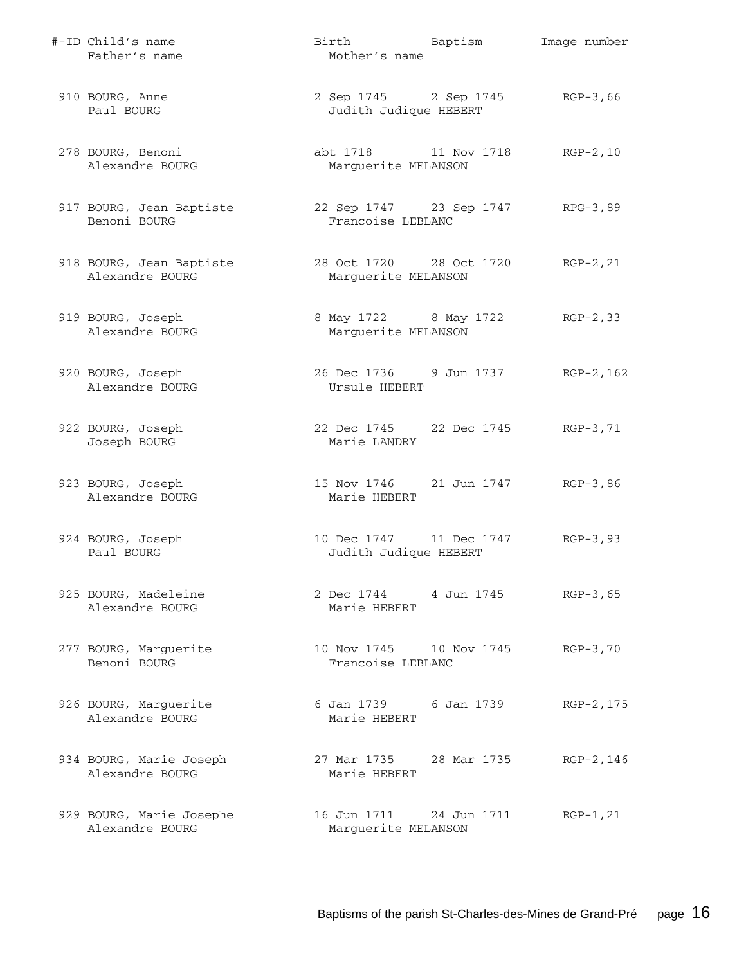| #-ID Child's name<br>Father's name          | Birth<br>Mother's name                           | Baptism                 | Image number |
|---------------------------------------------|--------------------------------------------------|-------------------------|--------------|
| 910 BOURG, Anne<br>Paul BOURG               | Judith Judique HEBERT                            | 2 Sep 1745 2 Sep 1745   | $RGB-3,66$   |
| 278 BOURG, Benoni<br>Alexandre BOURG        | abt 1718 11 Nov 1718<br>Marguerite MELANSON      |                         | $RGP-2, 10$  |
| 917 BOURG, Jean Baptiste<br>Benoni BOURG    | Francoise LEBLANC                                | 22 Sep 1747 23 Sep 1747 | RPG-3,89     |
| 918 BOURG, Jean Baptiste<br>Alexandre BOURG | Marguerite MELANSON                              | 28 Oct 1720 28 Oct 1720 | $RGP-2, 21$  |
| 919 BOURG, Joseph<br>Alexandre BOURG        | 8 May 1722 8 May 1722<br>Marguerite MELANSON     |                         | $RGP-2, 33$  |
| 920 BOURG, Joseph<br>Alexandre BOURG        | 26 Dec 1736 9 Jun 1737<br>Ursule HEBERT          |                         | $RGP-2, 162$ |
| 922 BOURG, Joseph<br>Joseph BOURG           | 22 Dec 1745 22 Dec 1745<br>Marie LANDRY          |                         | RGP-3,71     |
| 923 BOURG, Joseph<br>Alexandre BOURG        | Marie HEBERT                                     | 15 Nov 1746 21 Jun 1747 | $RGB-3,86$   |
| 924 BOURG, Joseph<br>Paul BOURG             | 10 Dec 1747 11 Dec 1747<br>Judith Judique HEBERT |                         | $RGP-3, 93$  |
| 925 BOURG, Madeleine<br>Alexandre BOURG     | 2 Dec 1744<br>Marie HEBERT                       | 4 Jun 1745              | $RGP-3, 65$  |
| 277 BOURG, Marguerite<br>Benoni BOURG       | 10 Nov 1745 10 Nov 1745<br>Francoise LEBLANC     |                         | $RGB-3,70$   |
| 926 BOURG, Marguerite<br>Alexandre BOURG    | 6 Jan 1739 6 Jan 1739<br>Marie HEBERT            |                         | RGP-2, 175   |
| 934 BOURG, Marie Joseph<br>Alexandre BOURG  | 27 Mar 1735<br>Marie HEBERT                      | 28 Mar 1735             | RGP-2,146    |
| 929 BOURG, Marie Josephe<br>Alexandre BOURG | 16 Jun 1711<br>Marguerite MELANSON               | 24 Jun 1711             | $RGP-1, 21$  |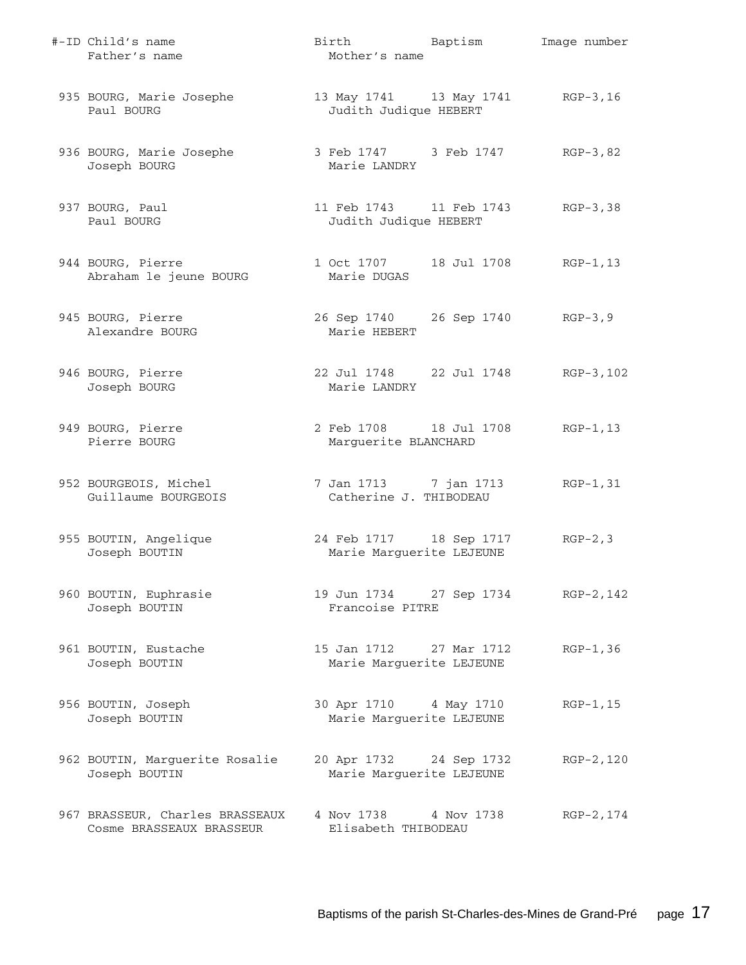| #-ID Child's name<br>Father's name                          | Birth Baptism<br>Mother's name                            |             | Image number |
|-------------------------------------------------------------|-----------------------------------------------------------|-------------|--------------|
| 935 BOURG, Marie Josephe<br>Paul BOURG                      | 13 May 1741 13 May 1741 RGP-3,16<br>Judith Judique HEBERT |             |              |
| 936 BOURG, Marie Josephe<br>Joseph BOURG                    | 3 Feb 1747     3 Feb 1747<br>Marie LANDRY                 |             | RGP-3,82     |
| 937 BOURG, Paul<br>Paul BOURG                               | 11 Feb 1743 11 Feb 1743<br>Judith Judique HEBERT          |             | RGP-3,38     |
| 944 BOURG, Pierre<br>Abraham le jeune BOURG                 | 1 Oct 1707 18 Jul 1708<br>Marie DUGAS                     |             | $RGP-1, 13$  |
| 945 BOURG, Pierre<br>Alexandre BOURG                        | 26 Sep 1740 26 Sep 1740 RGP-3,9<br>Marie HEBERT           |             |              |
| 946 BOURG, Pierre<br>Joseph BOURG                           | 22 Jul 1748 22 Jul 1748<br>Marie LANDRY                   |             | RGP-3,102    |
| 949 BOURG, Pierre<br>Pierre BOURG                           | 2 Feb 1708 18 Jul 1708<br>Marguerite BLANCHARD            |             | $RGP-1, 13$  |
| 952 BOURGEOIS, Michel<br>Guillaume BOURGEOIS                | 7 Jan 1713 7 jan 1713<br>Catherine J. THIBODEAU           |             | $RGP-1, 31$  |
| 955 BOUTIN, Angelique<br>Joseph BOUTIN                      | 24 Feb 1717 18 Sep 1717<br>Marie Marguerite LEJEUNE       |             | $RGP-2, 3$   |
| 960 BOUTIN, Euphrasie<br>Joseph BOUTIN                      | 19 Jun 1734 27 Sep 1734<br>Francoise PITRE                |             | RGP-2, 142   |
| 961 BOUTIN, Eustache<br>Joseph BOUTIN                       | 15 Jan 1712 27 Mar 1712<br>Marie Marguerite LEJEUNE       |             | $RGP-1, 36$  |
| 956 BOUTIN, Joseph<br>Joseph BOUTIN                         | 30 Apr 1710 4 May 1710<br>Marie Marguerite LEJEUNE        |             | $RGP-1, 15$  |
| 962 BOUTIN, Marguerite Rosalie<br>Joseph BOUTIN             | 20 Apr 1732<br>Marie Marguerite LEJEUNE                   | 24 Sep 1732 | RGP-2,120    |
| 967 BRASSEUR, Charles BRASSEAUX<br>Cosme BRASSEAUX BRASSEUR | 4 Nov 1738<br>Elisabeth THIBODEAU                         | 4 Nov 1738  | RGP-2, 174   |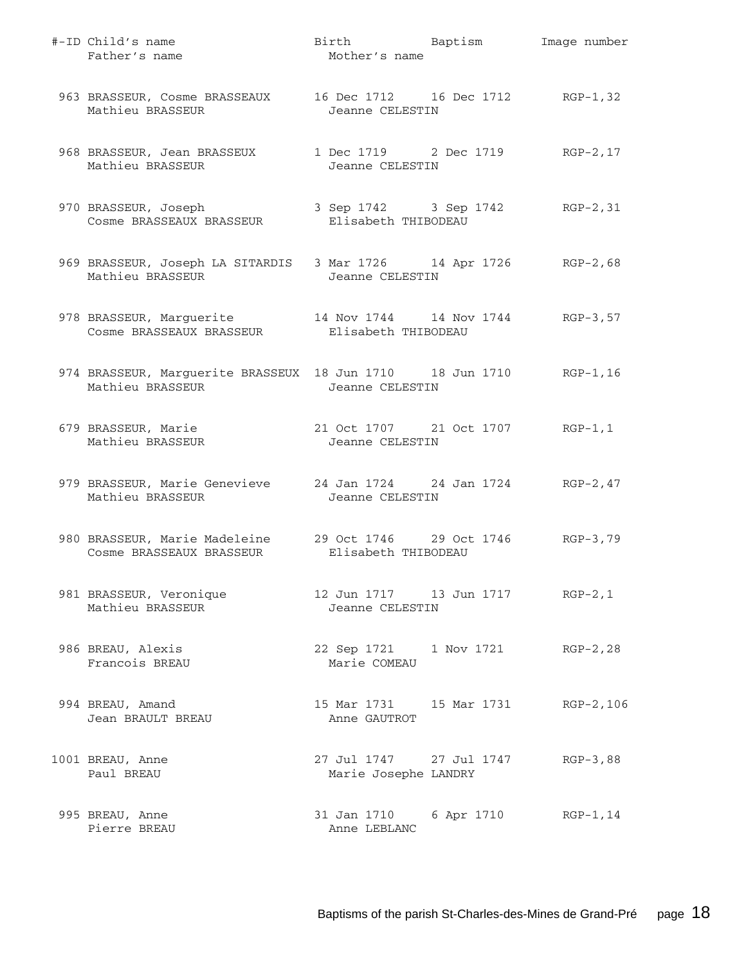| #-ID Child's name<br>Father's name                                                                              | Birth Baptism<br>Mother's name                      |            | Image number |
|-----------------------------------------------------------------------------------------------------------------|-----------------------------------------------------|------------|--------------|
| 963 BRASSEUR, Cosme BRASSEAUX<br>Mathieu BRASSEUR                                                               | 16 Dec 1712 16 Dec 1712 RGP-1,32<br>Jeanne CELESTIN |            |              |
| 968 BRASSEUR, Jean BRASSEUX<br>Mathieu BRASSEUR                                                                 | 1 Dec 1719 2 Dec 1719<br>Jeanne CELESTIN            |            | $RGP-2, 17$  |
| 970 BRASSEUR, Joseph<br>Cosme BRASSEAUX BRASSEUR                                                                | 3 Sep 1742 3 Sep 1742<br>Elisabeth THIBODEAU        |            | $RGP-2, 31$  |
| 969 BRASSEUR, Joseph LA SITARDIS 3 Mar 1726 14 Apr 1726 RGP-2,68<br>Mathieu BRASSEUR                            | Jeanne CELESTIN                                     |            |              |
| 978 BRASSEUR, Marguerite 14 Nov 1744 14 Nov 1744 RGP-3,57<br>Cosme BRASSEAUX BRASSEUR                           | Elisabeth THIBODEAU                                 |            |              |
| 974 BRASSEUR, Marguerite BRASSEUX 18 Jun 1710 18 Jun 1710 RGP-1,16<br>Mathieu BRASSEUR                          | Jeanne CELESTIN                                     |            |              |
| 679 BRASSEUR, Marie<br>Mathieu BRASSEUR                                                                         | 21 Oct 1707 21 Oct 1707<br>Jeanne CELESTIN          |            | $RGP-1, 1$   |
| 979 BRASSEUR, Marie Genevieve 24 Jan 1724 24 Jan 1724 RGP-2, 47<br>Mathieu BRASSEUR                             | Jeanne CELESTIN                                     |            |              |
| 980 BRASSEUR, Marie Madeleine 29 Oct 1746 29 Oct 1746 RGP-3,79<br>Cosme BRASSEAUX BRASSEUR Filisabeth THIBODEAU |                                                     |            |              |
| 981 BRASSEUR, Veronique<br>Mathieu BRASSEUR                                                                     | Jeanne CELESTIN                                     |            | $RGP-2, 1$   |
| 986 BREAU, Alexis<br>Francois BREAU                                                                             | 22 Sep 1721 1 Nov 1721<br>Marie COMEAU              |            | $RGP-2, 28$  |
| 994 BREAU, Amand<br>Jean BRAULT BREAU                                                                           | Anne GAUTROT                                        |            | $RGP-2, 106$ |
| 1001 BREAU, Anne<br>Paul BREAU                                                                                  | 27 Jul 1747 27 Jul 1747<br>Marie Josephe LANDRY     |            | $RGB-3,88$   |
| 995 BREAU, Anne<br>Pierre BREAU                                                                                 | 31 Jan 1710<br>Anne LEBLANC                         | 6 Apr 1710 | $RGP-1, 14$  |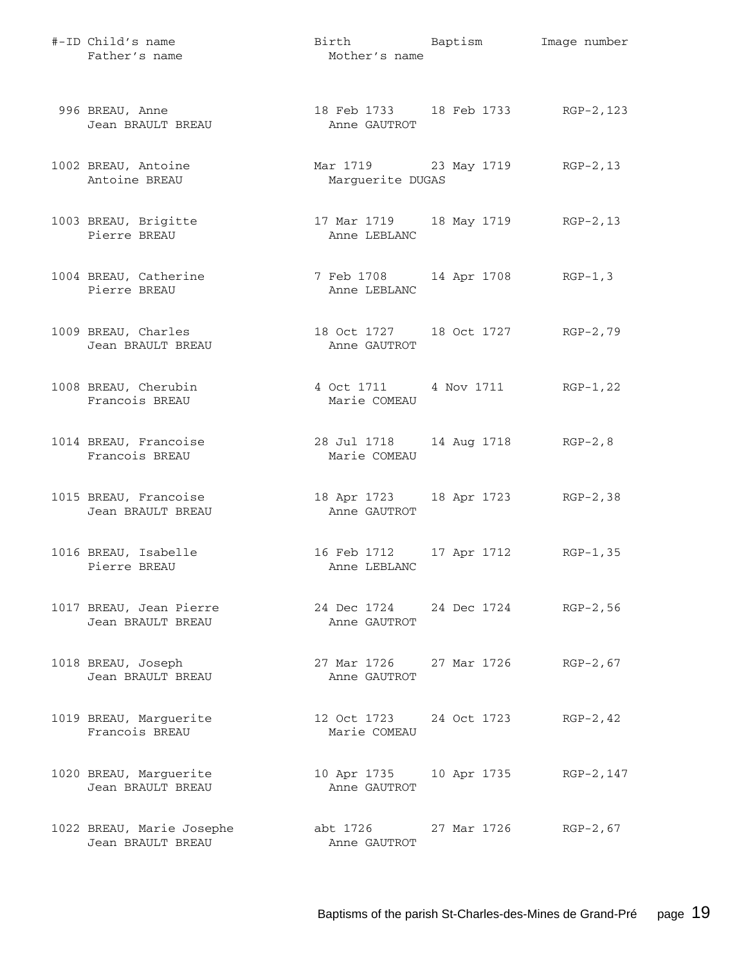| #-ID Child's name<br>Father's name             | Birth Baptism<br>Mother's name                     |                     | Image number |
|------------------------------------------------|----------------------------------------------------|---------------------|--------------|
| 996 BREAU, Anne<br>Jean BRAULT BREAU           | 18 Feb 1733 18 Feb 1733 RGP-2, 123<br>Anne GAUTROT |                     |              |
| 1002 BREAU, Antoine<br>Antoine BREAU           | Mar 1719 23 May 1719 RGP-2, 13<br>Marguerite DUGAS |                     |              |
| 1003 BREAU, Brigitte<br>Pierre BREAU           | 17 Mar 1719 18 May 1719 RGP-2, 13<br>Anne LEBLANC  |                     |              |
| 1004 BREAU, Catherine<br>Pierre BREAU          | 7 Feb 1708 14 Apr 1708 RGP-1,3<br>Anne LEBLANC     |                     |              |
| 1009 BREAU, Charles<br>Jean BRAULT BREAU       | 18 Oct 1727 18 Oct 1727 RGP-2,79<br>Anne GAUTROT   |                     |              |
| 1008 BREAU, Cherubin<br>Francois BREAU         | 4 Oct 1711 4 Nov 1711 RGP-1, 22<br>Marie COMEAU    |                     |              |
| 1014 BREAU, Francoise<br>Francois BREAU        | 28 Jul 1718<br>Marie COMEAU                        | 14 Aug 1718 RGP-2,8 |              |
| 1015 BREAU, Francoise<br>Jean BRAULT BREAU     | 18 Apr 1723 18 Apr 1723 RGP-2,38<br>Anne GAUTROT   |                     |              |
| 1016 BREAU, Isabelle<br>Pierre BREAU           | 16 Feb 1712<br>Anne LEBLANC                        | 17 Apr 1712         | $RGP-1, 35$  |
| 1017 BREAU, Jean Pierre<br>Jean BRAULT BREAU   | 24 Dec 1724 24 Dec 1724 RGP-2,56<br>Anne GAUTROT   |                     |              |
| 1018 BREAU, Joseph<br>Jean BRAULT BREAU        | 27 Mar 1726 27 Mar 1726 RGP-2,67<br>Anne GAUTROT   |                     |              |
| 1019 BREAU, Marguerite<br>Francois BREAU       | 12 Oct 1723 24 Oct 1723<br>Marie COMEAU            |                     | $RGP-2, 42$  |
| 1020 BREAU, Marguerite<br>Jean BRAULT BREAU    | 10 Apr 1735 10 Apr 1735 RGP-2,147<br>Anne GAUTROT  |                     |              |
| 1022 BREAU, Marie Josephe<br>Jean BRAULT BREAU | abt 1726 27 Mar 1726 RGP-2,67<br>Anne GAUTROT      |                     |              |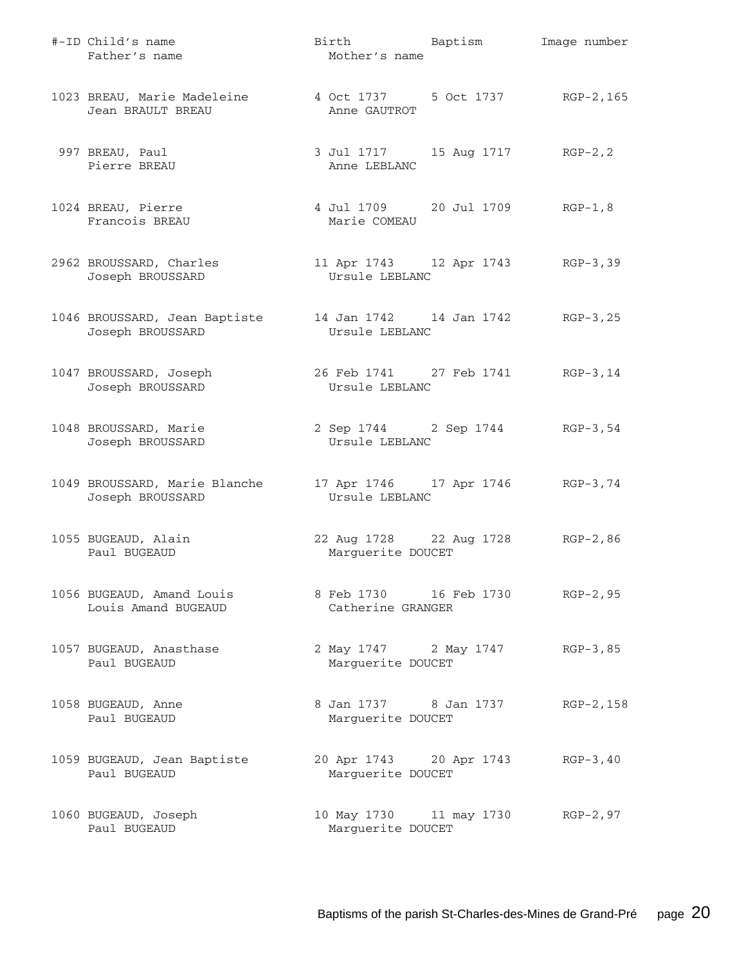| #-ID Child's name<br>Father's name                | Birth Baptism<br>Mother's name                            | Image number |
|---------------------------------------------------|-----------------------------------------------------------|--------------|
| 1023 BREAU, Marie Madeleine<br>Jean BRAULT BREAU  | 4 Oct 1737 5 Oct 1737 RGP-2, 165<br>Anne GAUTROT          |              |
| 997 BREAU, Paul<br>Pierre BREAU                   | 3 Jul 1717 15 Aug 1717<br>Anne LEBLANC                    | $RGP-2, 2$   |
| 1024 BREAU, Pierre<br>Francois BREAU              | 4 Jul 1709 20 Jul 1709 RGP-1,8<br>Marie COMEAU            |              |
| 2962 BROUSSARD, Charles<br>Joseph BROUSSARD       | 11 Apr 1743 12 Apr 1743 RGP-3,39<br>Ursule LEBLANC        |              |
| 1046 BROUSSARD, Jean Baptiste<br>Joseph BROUSSARD | 14 Jan 1742   14 Jan 1742   RGP-3, 25<br>Ursule LEBLANC   |              |
| 1047 BROUSSARD, Joseph<br>Joseph BROUSSARD        | 26 Feb 1741 27 Feb 1741 RGP-3,14<br>Ursule LEBLANC        |              |
| 1048 BROUSSARD, Marie<br>Joseph BROUSSARD         | 2 Sep 1744 2 Sep 1744<br>Ursule LEBLANC                   | RGP-3,54     |
| 1049 BROUSSARD, Marie Blanche<br>Joseph BROUSSARD | 17 Apr 1746 17 Apr 1746 RGP-3,74<br>Ursule LEBLANC        |              |
| 1055 BUGEAUD, Alain<br>Paul BUGEAUD               | 22 Aug 1728 22 Aug 1728<br>Marguerite DOUCET              | $RGP-2, 86$  |
| 1056 BUGEAUD, Amand Louis<br>Louis Amand BUGEAUD  | 8 Feb 1730 16 Feb 1730<br>Catherine GRANGER               | $RGP-2, 95$  |
| 1057 BUGEAUD, Anasthase<br>Paul BUGEAUD           | 2 May 1747 2 May 1747<br>Marguerite DOUCET                | RGP-3,85     |
| 1058 BUGEAUD, Anne<br>Paul BUGEAUD                | 8 Jan 1737 8 Jan 1737<br>Marguerite DOUCET                | RGP-2,158    |
| 1059 BUGEAUD, Jean Baptiste<br>Paul BUGEAUD       | 20 Apr 1743 20 Apr 1743<br>Marguerite DOUCET              | $RGP-3, 40$  |
| 1060 BUGEAUD, Joseph<br>Paul BUGEAUD              | 10 May 1730   11 may 1730   RGP-2,97<br>Marguerite DOUCET |              |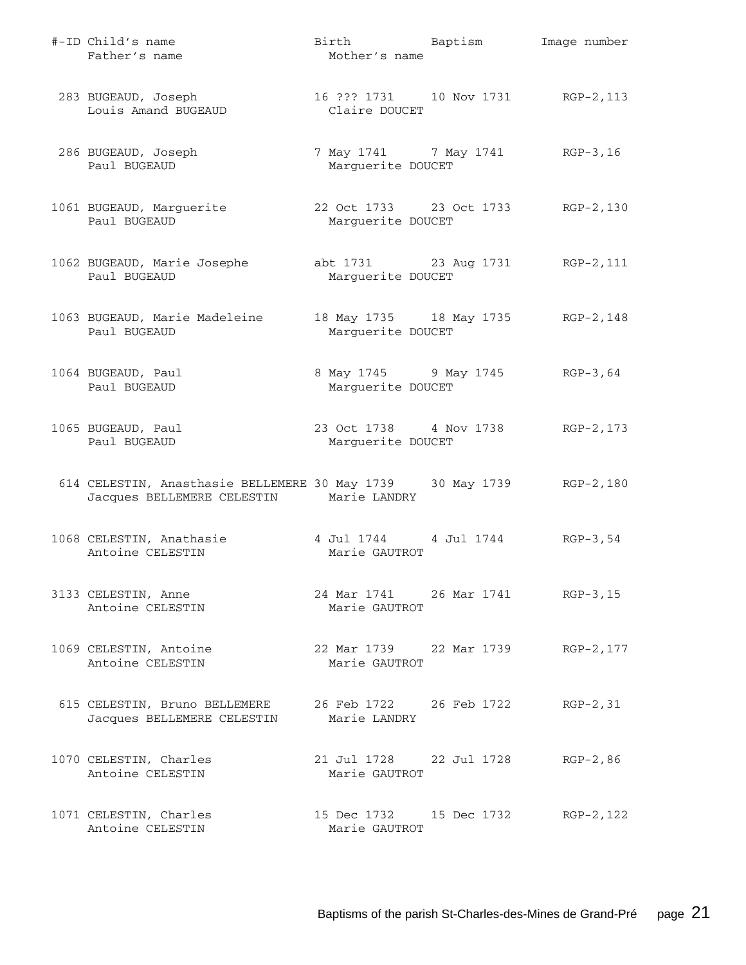| #-ID Child's name<br>Father's name                                                                              | Birth Baptism<br>Mother's name                          | Image number |
|-----------------------------------------------------------------------------------------------------------------|---------------------------------------------------------|--------------|
| 283 BUGEAUD, Joseph<br>Louis Amand BUGEAUD<br>Louis Amand BUGEAUD                                               | 16 ??? 1731   10 Nov 1731   RGP-2, 113<br>Claire DOUCET |              |
| 286 BUGEAUD, Joseph<br>Paul BUGEAUD                                                                             | 7 May 1741 7 May 1741 RGP-3, 16<br>Marguerite DOUCET    |              |
| 1061 BUGEAUD, Marguerite<br>Paul BUGEAUD                                                                        | 22 Oct 1733 23 Oct 1733 RGP-2,130<br>Marguerite DOUCET  |              |
| 1062 BUGEAUD, Marie Josephe<br>Paul BUGEAUD                                                                     | abt 1731 23 Aug 1731 RGP-2, 111<br>Marguerite DOUCET    |              |
| 1063 BUGEAUD, Marie Madeleine<br>Paul BUGEAUD                                                                   | 18 May 1735 18 May 1735 RGP-2,148<br>Marguerite DOUCET  |              |
| 1064 BUGEAUD, Paul<br>Paul BUGEAUD                                                                              | 8 May 1745 9 May 1745 RGP-3,64<br>Marguerite DOUCET     |              |
| 1065 BUGEAUD, Paul<br>Paul BUGEAUD                                                                              | 23 Oct 1738 4 Nov 1738<br>Marguerite DOUCET             | RGP-2,173    |
| 614 CELESTIN, Anasthasie BELLEMERE 30 May 1739 30 May 1739 RGP-2,180<br>Jacques BELLEMERE CELESTIN Marie LANDRY |                                                         |              |
| 1068 CELESTIN, Anathasie<br>Antoine CELESTIN                                                                    | 4 Jul 1744 4 Jul 1744 RGP-3,54<br>Marie GAUTROT         |              |
| 3133 CELESTIN, Anne<br>Antoine CELESTIN                                                                         | 24 Mar 1741 26 Mar 1741 RGP-3, 15<br>Marie GAUTROT      |              |
| 1069 CELESTIN, Antoine<br>Antoine CELESTIN                                                                      | 22 Mar 1739 22 Mar 1739 RGP-2, 177<br>Marie GAUTROT     |              |
| 615 CELESTIN, Bruno BELLEMERE<br>Jacques BELLEMERE CELESTIN                                                     | 26 Feb 1722 26 Feb 1722<br>Marie LANDRY                 | $RGP-2, 31$  |
| 1070 CELESTIN, Charles<br>Antoine CELESTIN                                                                      | 21 Jul 1728 22 Jul 1728<br>Marie GAUTROT                | $RGP-2, 86$  |
| 1071 CELESTIN, Charles<br>Antoine CELESTIN                                                                      | 15 Dec 1732 15 Dec 1732<br>Marie GAUTROT                | RGP-2, 122   |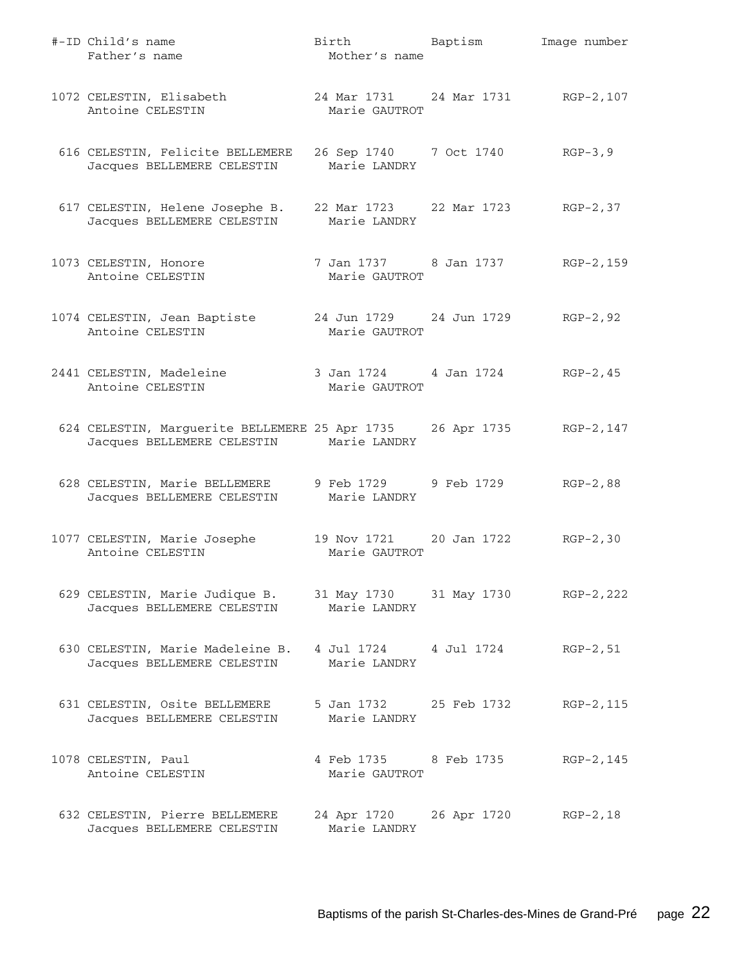| #-ID Child's name<br>Father's name                                                                               | Birth Baptism<br>Mother's name                      | Image number |
|------------------------------------------------------------------------------------------------------------------|-----------------------------------------------------|--------------|
| 1072 CELESTIN, Elisabeth<br>Antoine CELESTIN                                                                     | 24 Mar 1731 24 Mar 1731 RGP-2, 107<br>Marie GAUTROT |              |
| 616 CELESTIN, Felicite BELLEMERE<br>Jacques BELLEMERE CELESTIN Marie LANDRY                                      | 26 Sep 1740 7 Oct 1740 RGP-3,9                      |              |
| 617 CELESTIN, Helene Josephe B.<br>Jacques BELLEMERE CELESTIN                                                    | 22 Mar 1723 22 Mar 1723 RGP-2,37<br>Marie LANDRY    |              |
| 1073 CELESTIN, Honore<br>Antoine CELESTIN                                                                        | 7 Jan 1737 8 Jan 1737 RGP-2, 159<br>Marie GAUTROT   |              |
| 1074 CELESTIN, Jean Baptiste<br>Antoine CELESTIN                                                                 | 24 Jun 1729 24 Jun 1729 RGP-2, 92<br>Marie GAUTROT  |              |
| 2441 CELESTIN, Madeleine<br>Antoine CELESTIN                                                                     | 3 Jan 1724 4 Jan 1724 RGP-2,45<br>Marie GAUTROT     |              |
| 624 CELESTIN, Marguerite BELLEMERE 25 Apr 1735 26 Apr 1735 RGP-2, 147<br>Jacques BELLEMERE CELESTIN Marie LANDRY |                                                     |              |
| 628 CELESTIN, Marie BELLEMERE 9 Feb 1729 9 Feb 1729 RGP-2,88<br>Jacques BELLEMERE CELESTIN Marie LANDRY          |                                                     |              |
| 1077 CELESTIN, Marie Josephe<br>Antoine CELESTIN                                                                 | 19 Nov 1721 20 Jan 1722 RGP-2,30<br>Marie GAUTROT   |              |
| 629 CELESTIN, Marie Judique B.<br>Jacques BELLEMERE CELESTIN                                                     | 31 May 1730 31 May 1730 RGP-2, 222<br>Marie LANDRY  |              |
| 630 CELESTIN, Marie Madeleine B. 4 Jul 1724 4 Jul 1724<br>Jacques BELLEMERE CELESTIN                             | Marie LANDRY                                        | $RGP-2, 51$  |
| 631 CELESTIN, Osite BELLEMERE<br>Jacques BELLEMERE CELESTIN                                                      | 5 Jan 1732 25 Feb 1732<br>Marie LANDRY              | RGP-2, 115   |
| 1078 CELESTIN, Paul<br>Antoine CELESTIN                                                                          | 4 Feb 1735 8 Feb 1735<br>Marie GAUTROT              | RGP-2,145    |
| 632 CELESTIN, Pierre BELLEMERE<br>Jacques BELLEMERE CELESTIN                                                     | 24 Apr 1720 26 Apr 1720<br>Marie LANDRY             | $RGP-2, 18$  |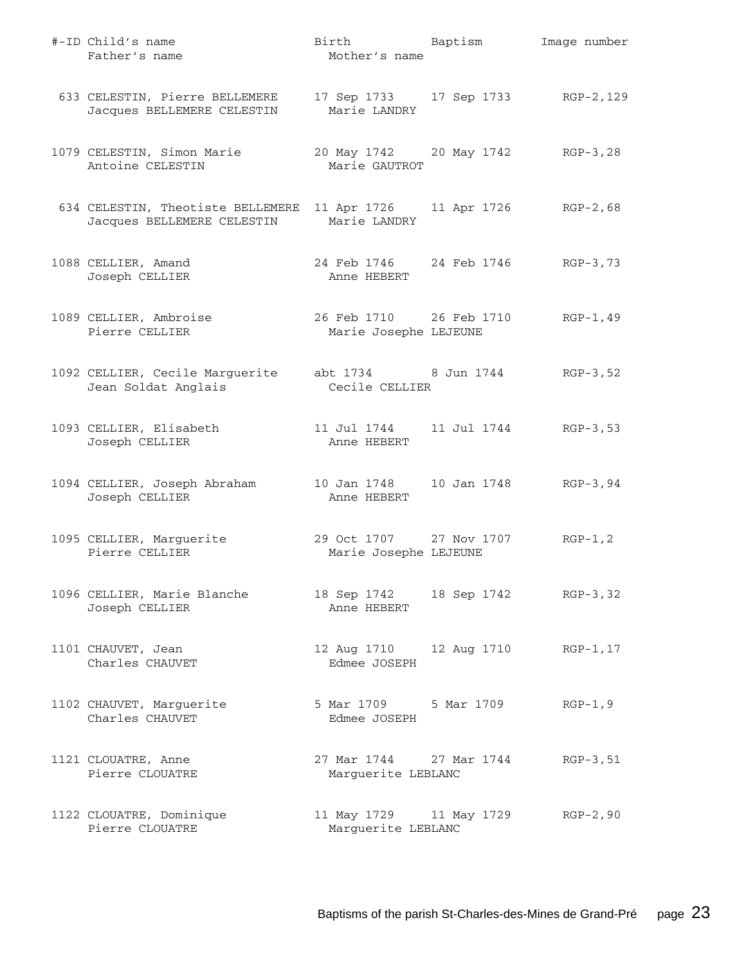| #-ID Child's name<br>Father's name                              | Birth Baptism<br>Mother's name                     |                      | Image number |
|-----------------------------------------------------------------|----------------------------------------------------|----------------------|--------------|
| 633 CELESTIN, Pierre BELLEMERE<br>Jacques BELLEMERE CELESTIN    | 17 Sep 1733 17 Sep 1733 RGP-2, 129<br>Marie LANDRY |                      |              |
| 1079 CELESTIN, Simon Marie<br>Antoine CELESTIN                  | 20 May 1742 20 May 1742 RGP-3,28<br>Marie GAUTROT  |                      |              |
| 634 CELESTIN, Theotiste BELLEMERE<br>Jacques BELLEMERE CELESTIN | 11 Apr 1726<br>Marie LANDRY                        | 11 Apr 1726 RGP-2,68 |              |
| 1088 CELLIER, Amand<br>Joseph CELLIER                           | 24 Feb 1746 24 Feb 1746 RGP-3,73<br>Anne HEBERT    |                      |              |
| 1089 CELLIER, Ambroise<br>Pierre CELLIER                        | 26 Feb 1710 26 Feb 1710<br>Marie Josephe LEJEUNE   |                      | $RGP-1, 49$  |
| 1092 CELLIER, Cecile Marguerite<br>Jean Soldat Anglais          | abt 1734 8 Jun 1744<br>Cecile CELLIER              |                      | $RGB-3,52$   |
| 1093 CELLIER, Elisabeth<br>Joseph CELLIER                       | 11 Jul 1744<br>Anne HEBERT                         | 11 Jul 1744 RGP-3,53 |              |
| 1094 CELLIER, Joseph Abraham<br>Joseph CELLIER                  | 10 Jan 1748<br>Anne HEBERT                         | 10 Jan 1748 RGP-3,94 |              |
| 1095 CELLIER, Marguerite<br>Pierre CELLIER                      | 29 Oct 1707 27 Nov 1707<br>Marie Josephe LEJEUNE   |                      | $RGP-1, 2$   |
| 1096 CELLIER, Marie Blanche<br>Joseph CELLIER                   | 18 Sep 1742<br>Anne HEBERT                         | 18 Sep 1742 RGP-3,32 |              |
| 1101 CHAUVET, Jean<br>Charles CHAUVET                           | 12 Aug 1710<br>Edmee JOSEPH                        | 12 Aug 1710          | RGP-1,17     |
| 1102 CHAUVET, Marguerite<br>Charles CHAUVET                     | 5 Mar 1709 5 Mar 1709<br>Edmee JOSEPH              |                      | $RGP-1, 9$   |
| 1121 CLOUATRE, Anne<br>Pierre CLOUATRE                          | 27 Mar 1744<br>Marguerite LEBLANC                  | 27 Mar 1744          | $RGP-3, 51$  |
| 1122 CLOUATRE, Dominique<br>Pierre CLOUATRE                     | 11 May 1729 11 May 1729<br>Marguerite LEBLANC      |                      | $RGP-2, 90$  |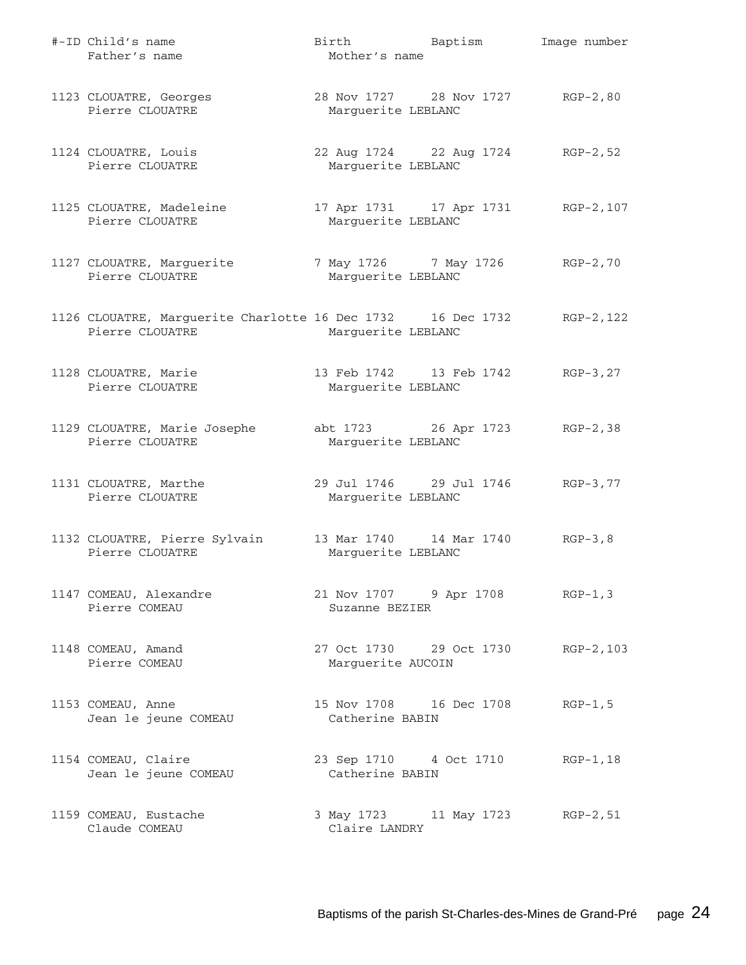| #-ID Child's name<br>Father's name                                             | Birth Baptism<br>Mother's name                         | Image number |
|--------------------------------------------------------------------------------|--------------------------------------------------------|--------------|
| 1123 CLOUATRE, Georges<br>Pierre CLOUATRE                                      | 28 Nov 1727 28 Nov 1727 RGP-2,80<br>Marquerite LEBLANC |              |
| 1124 CLOUATRE, Louis<br>Pierre CLOUATRE                                        | 22 Aug 1724 22 Aug 1724<br>Marquerite LEBLANC          | $RGP-2, 52$  |
| 1125 CLOUATRE, Madeleine<br>Pierre CLOUATRE                                    | 17 Apr 1731 17 Apr 1731<br>Marguerite LEBLANC          | RGP-2,107    |
| 1127 CLOUATRE, Marguerite<br>Pierre CLOUATRE                                   | 7 May 1726 7 May 1726<br>Marguerite LEBLANC            | RGP-2,70     |
| 1126 CLOUATRE, Marguerite Charlotte 16 Dec 1732 16 Dec 1732<br>Pierre CLOUATRE | Marguerite LEBLANC                                     | RGP-2,122    |
| 1128 CLOUATRE, Marie<br>Pierre CLOUATRE                                        | 13 Feb 1742 13 Feb 1742<br>Marguerite LEBLANC          | $RGP-3, 27$  |
| 1129 CLOUATRE, Marie Josephe<br>Pierre CLOUATRE                                | abt 1723 26 Apr 1723<br>Marguerite LEBLANC             | $RGP-2, 38$  |
| 1131 CLOUATRE, Marthe<br>Pierre CLOUATRE                                       | 29 Jul 1746 29 Jul 1746<br>Marguerite LEBLANC          | RGP-3,77     |
| 1132 CLOUATRE, Pierre Sylvain<br>Pierre CLOUATRE                               | 13 Mar 1740   14 Mar 1740<br>Marguerite LEBLANC        | $RGP-3, 8$   |
| 1147 COMEAU, Alexandre<br>Pierre COMEAU                                        | 21 Nov 1707 9 Apr 1708 RGP-1,3<br>Suzanne BEZIER       |              |
| 1148 COMEAU, Amand<br>Pierre COMEAU                                            | 27 Oct 1730 29 Oct 1730<br>Marguerite AUCOIN           | $RGP-2, 103$ |
| 1153 COMEAU, Anne<br>Jean le jeune COMEAU                                      | 15 Nov 1708   16 Dec 1708<br>Catherine BABIN           | $RGP-1, 5$   |
| 1154 COMEAU, Claire<br>Jean le jeune COMEAU                                    | 23 Sep 1710 4 Oct 1710<br>Catherine BABIN              | $RGP-1, 18$  |
| 1159 COMEAU, Eustache<br>Claude COMEAU                                         | 3 May 1723 11 May 1723<br>Claire LANDRY                | $RGP-2, 51$  |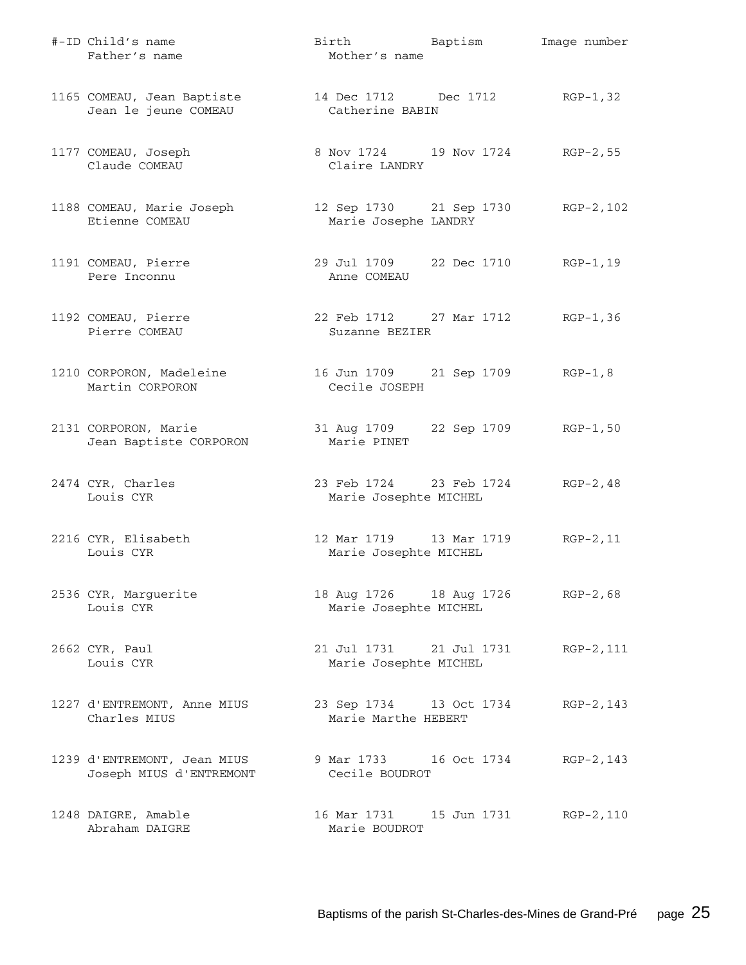| #-ID Child's name<br>Father's name                     | Birth Baptism<br>Mother's name                             | Image number |
|--------------------------------------------------------|------------------------------------------------------------|--------------|
| 1165 COMEAU, Jean Baptiste<br>Jean le jeune COMEAU     | 14 Dec 1712 Dec 1712 RGP-1,32<br>Catherine BABIN           |              |
| 1177 COMEAU, Joseph<br>Claude COMEAU                   | 8 Nov 1724 19 Nov 1724 RGP-2, 55<br>Claire LANDRY          |              |
| 1188 COMEAU, Marie Joseph<br>Etienne COMEAU            | 12 Sep 1730 21 Sep 1730 RGP-2, 102<br>Marie Josephe LANDRY |              |
| 1191 COMEAU, Pierre<br>Pere Inconnu                    | 29 Jul 1709 22 Dec 1710 RGP-1,19<br>Anne COMEAU            |              |
| 1192 COMEAU, Pierre<br>Pierre COMEAU                   | 22 Feb 1712 27 Mar 1712 RGP-1,36<br>Suzanne BEZIER         |              |
| 1210 CORPORON, Madeleine<br>Martin CORPORON            | 16 Jun 1709 21 Sep 1709 RGP-1,8<br>Cecile JOSEPH           |              |
| 2131 CORPORON, Marie<br>Jean Baptiste CORPORON         | 31 Aug 1709 22 Sep 1709 RGP-1,50<br>Marie PINET            |              |
| 2474 CYR, Charles<br>Louis CYR                         | 23 Feb 1724 23 Feb 1724 RGP-2, 48<br>Marie Josephte MICHEL |              |
| 2216 CYR, Elisabeth<br>Louis CYR                       | 12 Mar 1719 13 Mar 1719 RGP-2, 11<br>Marie Josephte MICHEL |              |
| 2536 CYR, Marguerite<br>Louis CYR                      | 18 Aug 1726 18 Aug 1726 RGP-2,68<br>Marie Josephte MICHEL  |              |
| 2662 CYR, Paul<br>Louis CYR                            | 21 Jul 1731 21 Jul 1731<br>Marie Josephte MICHEL           | RGP-2,111    |
| 1227 d'ENTREMONT, Anne MIUS<br>Charles MIUS            | 23 Sep 1734 13 Oct 1734<br>Marie Marthe HEBERT             | RGP-2,143    |
| 1239 d'ENTREMONT, Jean MIUS<br>Joseph MIUS d'ENTREMONT | 9 Mar 1733 16 Oct 1734<br>Cecile BOUDROT                   | RGP-2,143    |
| 1248 DAIGRE, Amable<br>Abraham DAIGRE                  | 16 Mar 1731    15 Jun 1731<br>Marie BOUDROT                | $RGP-2, 110$ |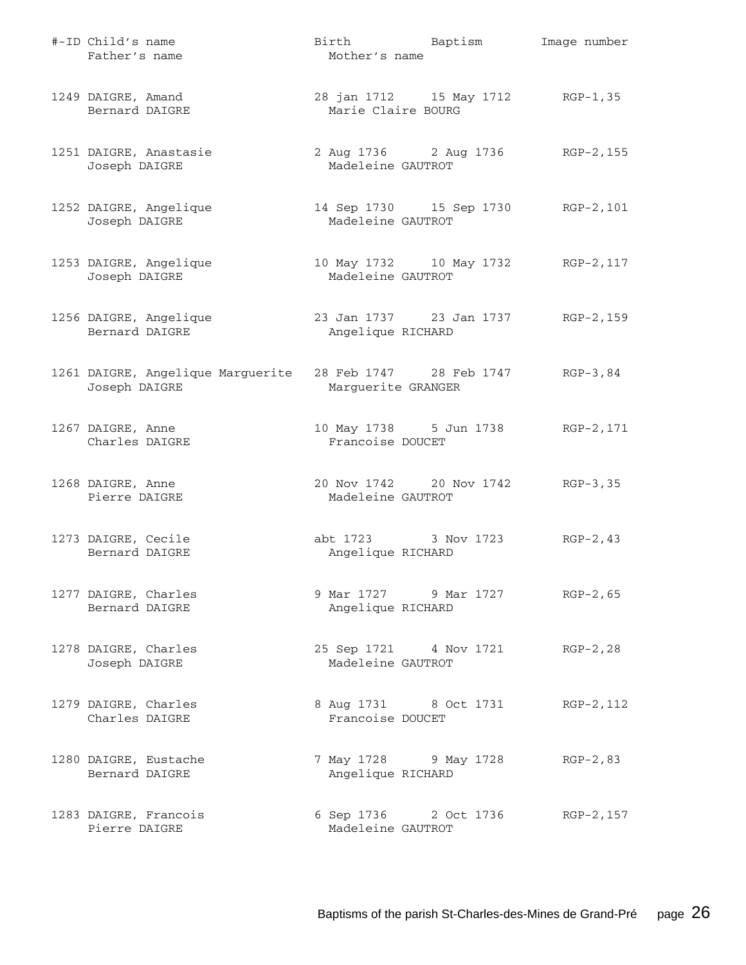| #-ID Child's name<br>Father's name                 | Birth Baptism<br>Mother's name                          | Image number                       |
|----------------------------------------------------|---------------------------------------------------------|------------------------------------|
| 1249 DAIGRE, Amand<br>Bernard DAIGRE               | 28 jan 1712 15 May 1712 RGP-1,35<br>Marie Claire BOURG  |                                    |
| 1251 DAIGRE, Anastasie<br>Joseph DAIGRE            | Madeleine GAUTROT                                       | 2 Aug 1736 2 Aug 1736 RGP-2, 155   |
| 1252 DAIGRE, Angelique<br>Joseph DAIGRE            | Madeleine GAUTROT                                       | 14 Sep 1730 15 Sep 1730 RGP-2, 101 |
| 1253 DAIGRE, Angelique<br>Joseph DAIGRE            | Madeleine GAUTROT                                       | 10 May 1732 10 May 1732 RGP-2, 117 |
| 1256 DAIGRE, Angelique<br>Bernard DAIGRE           | 23 Jan 1737 23 Jan 1737 RGP-2, 159<br>Angelique RICHARD |                                    |
| 1261 DAIGRE, Angelique Marguerite<br>Joseph DAIGRE | 28 Feb 1747 28 Feb 1747<br>Marguerite GRANGER           | RGP-3,84                           |
| 1267 DAIGRE, Anne<br>Charles DAIGRE                | Francoise DOUCET                                        | 10 May 1738 5 Jun 1738 RGP-2, 171  |
| 1268 DAIGRE, Anne<br>Pierre DAIGRE                 | 20 Nov 1742 20 Nov 1742 RGP-3,35<br>Madeleine GAUTROT   |                                    |
| 1273 DAIGRE, Cecile<br>Bernard DAIGRE              | abt 1723 3 Nov 1723<br>Angelique RICHARD                | $RGP-2, 43$                        |
| 1277 DAIGRE, Charles<br>Bernard DAIGRE             | 9 Mar 1727 9 Mar 1727<br>Angelique RICHARD              | $RGP-2, 65$                        |
| 1278 DAIGRE, Charles<br>Joseph DAIGRE              | 25 Sep 1721 4 Nov 1721<br>Madeleine GAUTROT             | $RGP-2, 28$                        |
| 1279 DAIGRE, Charles<br>Charles DAIGRE             | 8 Aug 1731 8 Oct 1731<br>Francoise DOUCET               | RGP-2, 112                         |
| 1280 DAIGRE, Eustache<br>Bernard DAIGRE            | 7 May 1728 9 May 1728<br>Angelique RICHARD              | $RGP-2, 83$                        |
| 1283 DAIGRE, Francois<br>Pierre DAIGRE             | 6 Sep 1736 2 Oct 1736<br>Madeleine GAUTROT              | RGP-2,157                          |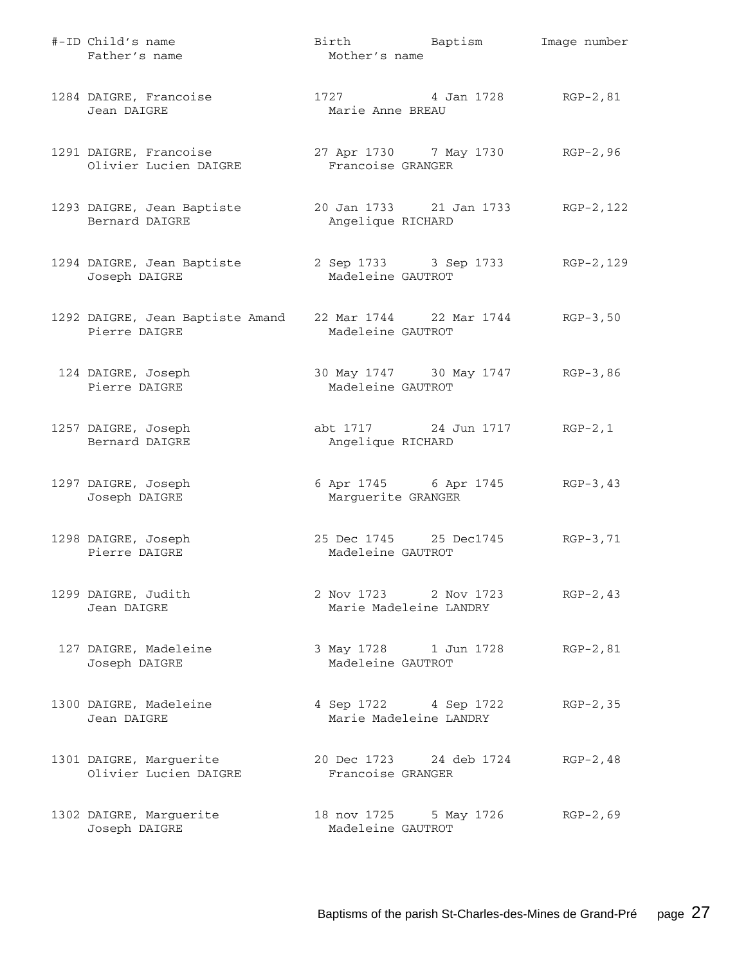| #-ID Child's name<br>Father's name                | Birth Baptism<br>Mother's name                        | Image number |
|---------------------------------------------------|-------------------------------------------------------|--------------|
| 1284 DAIGRE, Francoise<br>Jean DAIGRE             | 1727 4 Jan 1728 RGP-2,81<br>Marie Anne BREAU          |              |
| 1291 DAIGRE, Francoise<br>Olivier Lucien DAIGRE   | 27 Apr 1730 7 May 1730 RGP-2,96<br>Francoise GRANGER  |              |
| 1293 DAIGRE, Jean Baptiste<br>Bernard DAIGRE      | 20 Jan 1733 21 Jan 1733<br>Angelique RICHARD          | RGP-2,122    |
| 1294 DAIGRE, Jean Baptiste<br>Joseph DAIGRE       | 2 Sep 1733 3 Sep 1733<br>Madeleine GAUTROT            | RGP-2,129    |
| 1292 DAIGRE, Jean Baptiste Amand<br>Pierre DAIGRE | 22 Mar 1744 22 Mar 1744 RGP-3,50<br>Madeleine GAUTROT |              |
| 124 DAIGRE, Joseph<br>Pierre DAIGRE               | 30 May 1747 30 May 1747 RGP-3,86<br>Madeleine GAUTROT |              |
| 1257 DAIGRE, Joseph<br>Bernard DAIGRE             | abt 1717 24 Jun 1717<br>Angelique RICHARD             | $RGP-2, 1$   |
| 1297 DAIGRE, Joseph<br>Joseph DAIGRE              | 6 Apr 1745 6 Apr 1745<br>Marguerite GRANGER           | RGP-3,43     |
| 1298 DAIGRE, Joseph<br>Pierre DAIGRE              | 25 Dec 1745 25 Dec1745<br>Madeleine GAUTROT           | $RGB-3, 71$  |
| 1299 DAIGRE, Judith<br>Jean DAIGRE                | 2 Nov 1723 2 Nov 1723<br>Marie Madeleine LANDRY       | $RGP-2, 43$  |
| 127 DAIGRE, Madeleine<br>Joseph DAIGRE            | 3 May 1728 1 Jun 1728<br>Madeleine GAUTROT            | RGP-2,81     |
| 1300 DAIGRE, Madeleine<br>Jean DAIGRE             | 4 Sep 1722 4 Sep 1722<br>Marie Madeleine LANDRY       | $RGP-2, 35$  |
| 1301 DAIGRE, Marguerite<br>Olivier Lucien DAIGRE  | 20 Dec 1723 24 deb 1724<br>Francoise GRANGER          | $RGP-2, 48$  |
| 1302 DAIGRE, Marguerite<br>Joseph DAIGRE          | 18 nov 1725 5 May 1726<br>Madeleine GAUTROT           | $RGP-2, 69$  |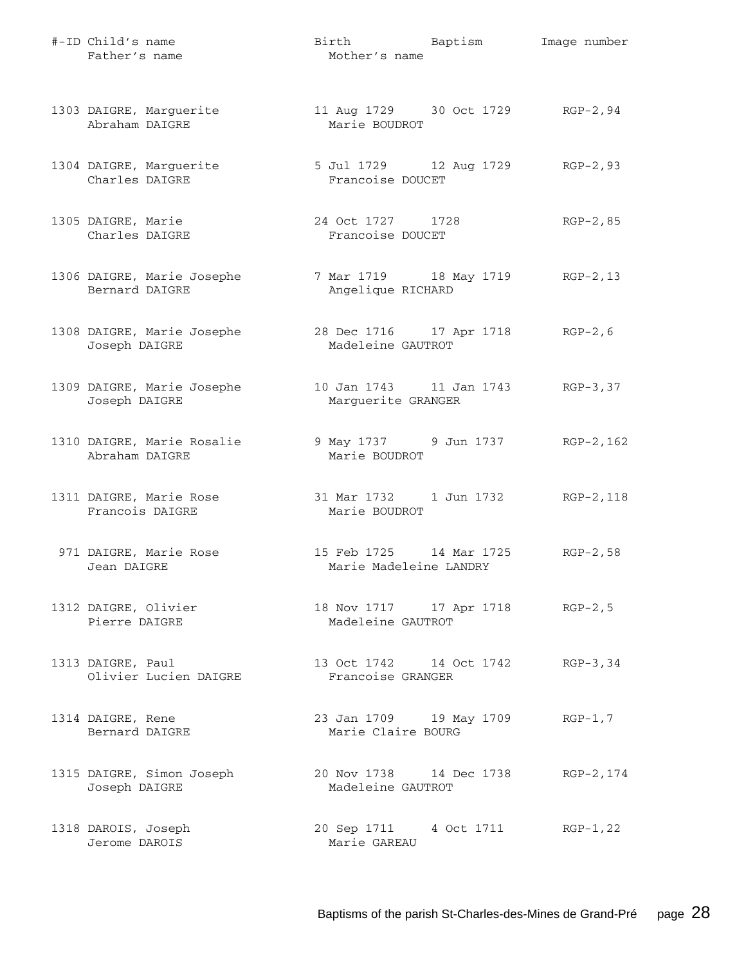| #-ID Child's name<br>Father's name           | Birth Baptism<br>Mother's name                        | Image number |
|----------------------------------------------|-------------------------------------------------------|--------------|
| 1303 DAIGRE, Marguerite<br>Abraham DAIGRE    | 11 Aug 1729 30 Oct 1729 RGP-2,94<br>Marie BOUDROT     |              |
| 1304 DAIGRE, Marguerite<br>Charles DAIGRE    | 5 Jul 1729 12 Aug 1729 RGP-2,93<br>Francoise DOUCET   |              |
| 1305 DAIGRE, Marie<br>Charles DAIGRE         | 24 Oct 1727 1728<br>Francoise DOUCET                  | $RGP-2, 85$  |
| 1306 DAIGRE, Marie Josephe<br>Bernard DAIGRE | 7 Mar 1719 18 May 1719 RGP-2, 13<br>Angelique RICHARD |              |
| 1308 DAIGRE, Marie Josephe<br>Joseph DAIGRE  | 28 Dec 1716 17 Apr 1718 RGP-2, 6<br>Madeleine GAUTROT |              |
| 1309 DAIGRE, Marie Josephe<br>Joseph DAIGRE  | 10 Jan 1743   11 Jan 1743<br>Marguerite GRANGER       | $RGP-3, 37$  |
| 1310 DAIGRE, Marie Rosalie<br>Abraham DAIGRE | 9 May 1737 9 Jun 1737<br>Marie BOUDROT                | RGP-2,162    |
| 1311 DAIGRE, Marie Rose<br>Francois DAIGRE   | 31 Mar 1732    1 Jun 1732<br>Marie BOUDROT            | RGP-2,118    |
| 971 DAIGRE, Marie Rose<br>Jean DAIGRE        | 15 Feb 1725 14 Mar 1725<br>Marie Madeleine LANDRY     | $RGP-2, 58$  |
| 1312 DAIGRE, Olivier<br>Pierre DAIGRE        | 18 Nov 1717 17 Apr 1718 RGP-2,5<br>Madeleine GAUTROT  |              |
| 1313 DAIGRE, Paul<br>Olivier Lucien DAIGRE   | 13 Oct 1742 14 Oct 1742<br>Francoise GRANGER          | $RGP-3, 34$  |
| 1314 DAIGRE, Rene<br>Bernard DAIGRE          | 23 Jan 1709 19 May 1709<br>Marie Claire BOURG         | $RGP-1, 7$   |
| 1315 DAIGRE, Simon Joseph<br>Joseph DAIGRE   | 20 Nov 1738 14 Dec 1738<br>Madeleine GAUTROT          | RGP-2,174    |
| 1318 DAROIS, Joseph<br>Jerome DAROIS         | 20 Sep 1711 4 Oct 1711<br>Marie GAREAU                | RGP-1,22     |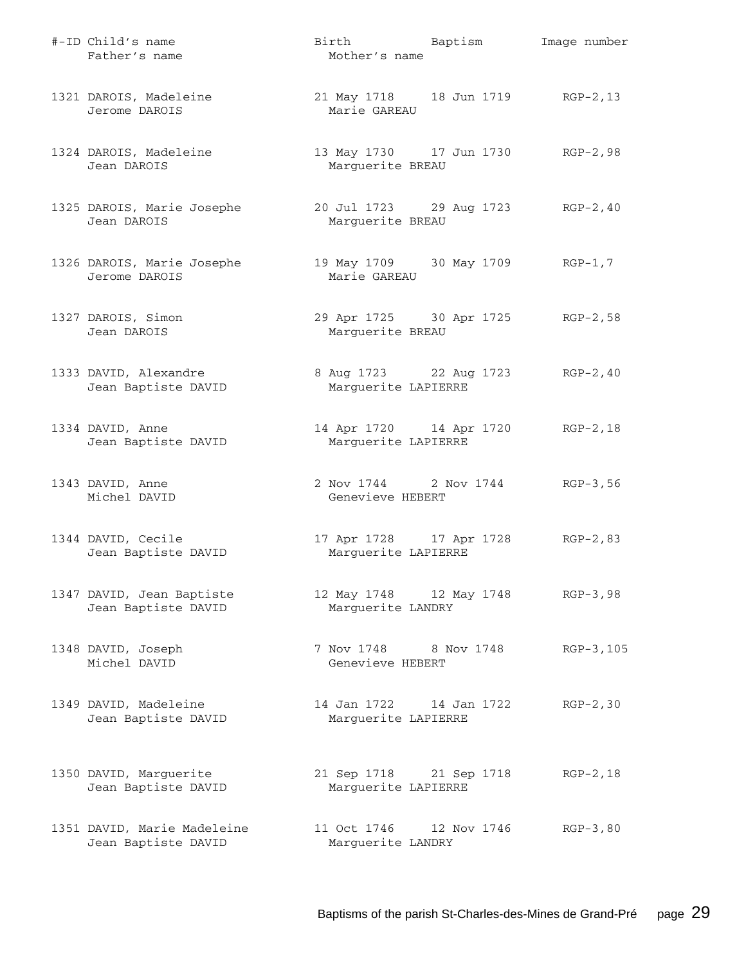| #-ID Child's name<br>Father's name                 | Birth Baptism<br>Mother's name                          |             | Image number |
|----------------------------------------------------|---------------------------------------------------------|-------------|--------------|
| 1321 DAROIS, Madeleine<br>Jerome DAROIS            | 21 May 1718 18 Jun 1719 RGP-2, 13<br>Marie GAREAU       |             |              |
| 1324 DAROIS, Madeleine<br>Jean DAROIS              | 13 May 1730 17 Jun 1730 RGP-2,98<br>Marguerite BREAU    |             |              |
| 1325 DAROIS, Marie Josephe<br>Jean DAROIS          | 20 Jul 1723 29 Aug 1723 RGP-2, 40<br>Marguerite BREAU   |             |              |
| 1326 DAROIS, Marie Josephe<br>Jerome DAROIS        | 19 May 1709 30 May 1709 RGP-1,7<br>Marie GAREAU         |             |              |
| 1327 DAROIS, Simon<br>Jean DAROIS                  | 29 Apr 1725 30 Apr 1725 RGP-2,58<br>Marguerite BREAU    |             |              |
| 1333 DAVID, Alexandre<br>Jean Baptiste DAVID       | 8 Aug 1723 22 Aug 1723<br>Marguerite LAPIERRE           |             | $RGP-2, 40$  |
| 1334 DAVID, Anne<br>Jean Baptiste DAVID            | 14 Apr 1720 14 Apr 1720<br>Marguerite LAPIERRE          |             | $RGP-2, 18$  |
| 1343 DAVID, Anne<br>Michel DAVID                   | 2 Nov 1744 2 Nov 1744 RGP-3,56<br>Genevieve HEBERT      |             |              |
| 1344 DAVID, Cecile<br>Jean Baptiste DAVID          | 17 Apr 1728 17 Apr 1728 RGP-2,83<br>Marguerite LAPIERRE |             |              |
| 1347 DAVID, Jean Baptiste<br>Jean Baptiste DAVID   | 12 May 1748 12 May 1748<br>Marguerite LANDRY            |             | $RGP-3, 98$  |
| 1348 DAVID, Joseph<br>Michel DAVID                 | 7 Nov 1748 8 Nov 1748<br>Genevieve HEBERT               |             | RGP-3,105    |
| 1349 DAVID, Madeleine<br>Jean Baptiste DAVID       | 14 Jan 1722 14 Jan 1722<br>Marguerite LAPIERRE          |             | $RGP-2, 30$  |
| 1350 DAVID, Marguerite<br>Jean Baptiste DAVID      | 21 Sep 1718 21 Sep 1718<br>Marguerite LAPIERRE          |             | $RGP-2, 18$  |
| 1351 DAVID, Marie Madeleine<br>Jean Baptiste DAVID | 11 Oct 1746<br>Marguerite LANDRY                        | 12 Nov 1746 | $RGB-3, 80$  |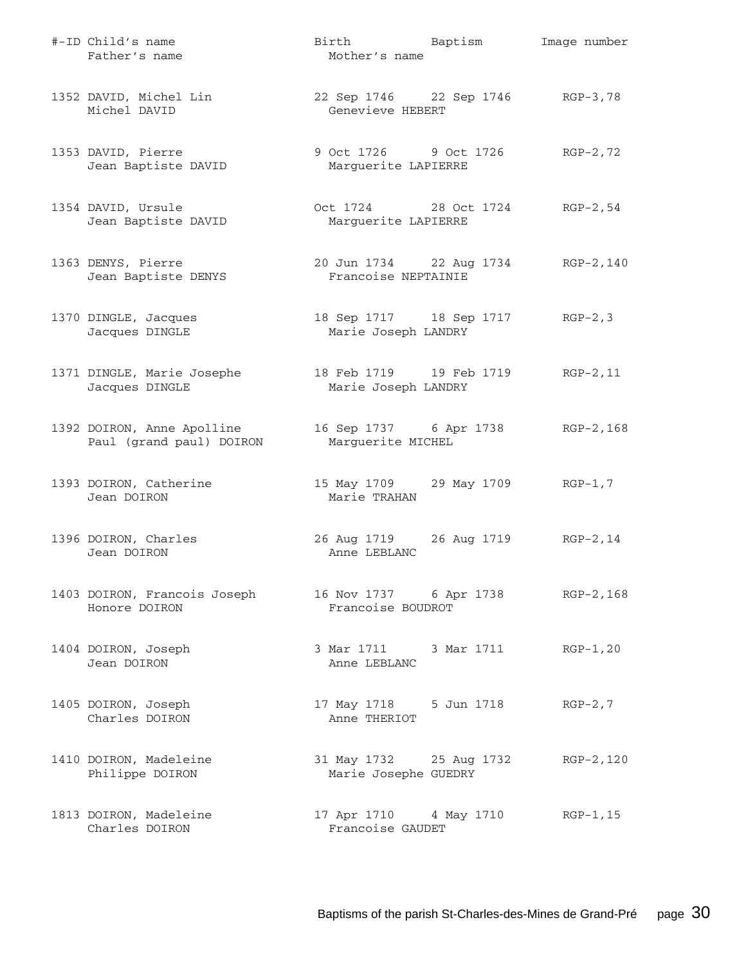| #-ID Child's name<br>Father's name                     | Birth Baptism<br>Mother's name                         | Image number |
|--------------------------------------------------------|--------------------------------------------------------|--------------|
| 1352 DAVID, Michel Lin<br>Michel DAVID                 | 22 Sep 1746 22 Sep 1746 RGP-3,78<br>Genevieve HEBERT   |              |
| 1353 DAVID, Pierre<br>Jean Baptiste DAVID              | 9 Oct 1726 9 Oct 1726<br>Marguerite LAPIERRE           | RGP-2,72     |
| 1354 DAVID, Ursule<br>Jean Baptiste DAVID              | Oct 1724 28 Oct 1724 RGP-2,54<br>Marguerite LAPIERRE   |              |
| 1363 DENYS, Pierre<br>Jean Baptiste DENYS              | 20 Jun 1734 22 Aug 1734<br>Francoise NEPTAINIE         | RGP-2,140    |
| 1370 DINGLE, Jacques<br>Jacques DINGLE                 | 18 Sep 1717 18 Sep 1717 RGP-2,3<br>Marie Joseph LANDRY |              |
| 1371 DINGLE, Marie Josephe<br>Jacques DINGLE           | 18 Feb 1719 19 Feb 1719<br>Marie Joseph LANDRY         | $RGP-2, 11$  |
| 1392 DOIRON, Anne Apolline<br>Paul (grand paul) DOIRON | 16 Sep 1737 6 Apr 1738<br>Marguerite MICHEL            | RGP-2,168    |
| 1393 DOIRON, Catherine<br>Jean DOIRON                  | 15 May 1709 29 May 1709 RGP-1,7<br>Marie TRAHAN        |              |
| 1396 DOIRON, Charles<br>Jean DOIRON                    | 26 Aug 1719 26 Aug 1719 RGP-2, 14<br>Anne LEBLANC      |              |
| 1403 DOIRON, Francois Joseph<br>Honore DOIRON          | 16 Nov 1737 6 Apr 1738 RGP-2,168<br>Francoise BOUDROT  |              |
| 1404 DOIRON, Joseph<br>Jean DOIRON                     | 3 Mar 1711 3 Mar 1711<br>Anne LEBLANC                  | $RGP-1, 20$  |
| 1405 DOIRON, Joseph<br>Charles DOIRON                  | 17 May 1718 5 Jun 1718<br>Anne THERIOT                 | $RGP-2, 7$   |
| 1410 DOIRON, Madeleine<br>Philippe DOIRON              | 31 May 1732 25 Aug 1732<br>Marie Josephe GUEDRY        | RGP-2,120    |
| 1813 DOIRON, Madeleine<br>Charles DOIRON               | 17 Apr 1710 4 May 1710<br>Francoise GAUDET             | RGP-1,15     |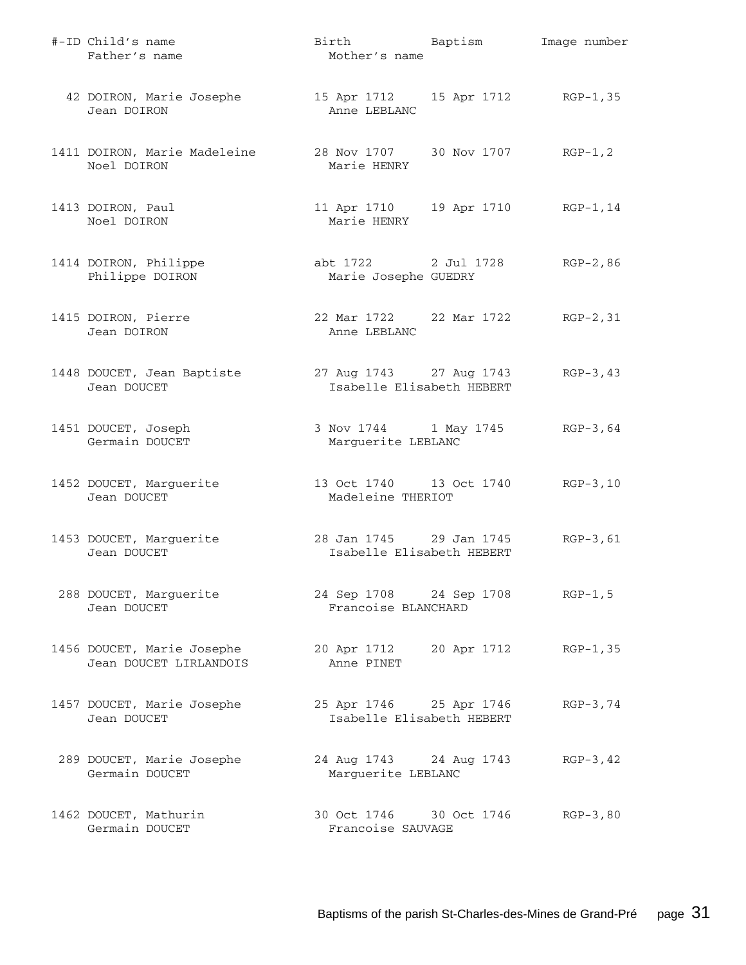| #-ID Child's name<br>Father's name                   | Birth Baptism<br>Mother's name                            | Image number |
|------------------------------------------------------|-----------------------------------------------------------|--------------|
| 42 DOIRON, Marie Josephe<br>Jean DOIRON              | 15 Apr 1712 15 Apr 1712 RGP-1,35<br>Anne LEBLANC          |              |
| 1411 DOIRON, Marie Madeleine<br>Noel DOIRON          | 28 Nov 1707 30 Nov 1707 RGP-1, 2<br>Marie HENRY           |              |
| 1413 DOIRON, Paul<br>Noel DOIRON                     | 11 Apr 1710    19 Apr 1710    RGP-1,14<br>Marie HENRY     |              |
| 1414 DOIRON, Philippe<br>Philippe DOIRON             | abt 1722 2 Jul 1728<br>Marie Josephe GUEDRY               | $RGP-2, 86$  |
| 1415 DOIRON, Pierre<br>Jean DOIRON                   | 22 Mar 1722 22 Mar 1722 RGP-2, 31<br>Anne LEBLANC         |              |
| 1448 DOUCET, Jean Baptiste<br>Jean DOUCET            | 27 Aug 1743 27 Aug 1743<br>Isabelle Elisabeth HEBERT      | $RGP-3, 43$  |
| 1451 DOUCET, Joseph<br>Germain DOUCET                | 3 Nov 1744 1 May 1745 RGP-3,64<br>Marguerite LEBLANC      |              |
| 1452 DOUCET, Marguerite<br>Jean DOUCET               | 13 Oct 1740   13 Oct 1740   RGP-3,10<br>Madeleine THERIOT |              |
| 1453 DOUCET, Marguerite<br>Jean DOUCET               | 28 Jan 1745 29 Jan 1745<br>Isabelle Elisabeth HEBERT      | $RGP-3, 61$  |
| 288 DOUCET, Marguerite<br>Jean DOUCET                | 24 Sep 1708 24 Sep 1708 RGP-1,5<br>Francoise BLANCHARD    |              |
| 1456 DOUCET, Marie Josephe<br>Jean DOUCET LIRLANDOIS | 20 Apr 1712 20 Apr 1712<br>Anne PINET                     | RGP-1,35     |
| 1457 DOUCET, Marie Josephe<br>Jean DOUCET            | 25 Apr 1746 25 Apr 1746<br>Isabelle Elisabeth HEBERT      | $RGP-3, 74$  |
| 289 DOUCET, Marie Josephe<br>Germain DOUCET          | 24 Aug 1743 24 Aug 1743<br>Marguerite LEBLANC             | $RGP-3, 42$  |
| 1462 DOUCET, Mathurin<br>Germain DOUCET              | 30 Oct 1746 30 Oct 1746<br>Francoise SAUVAGE              | $RGP-3, 80$  |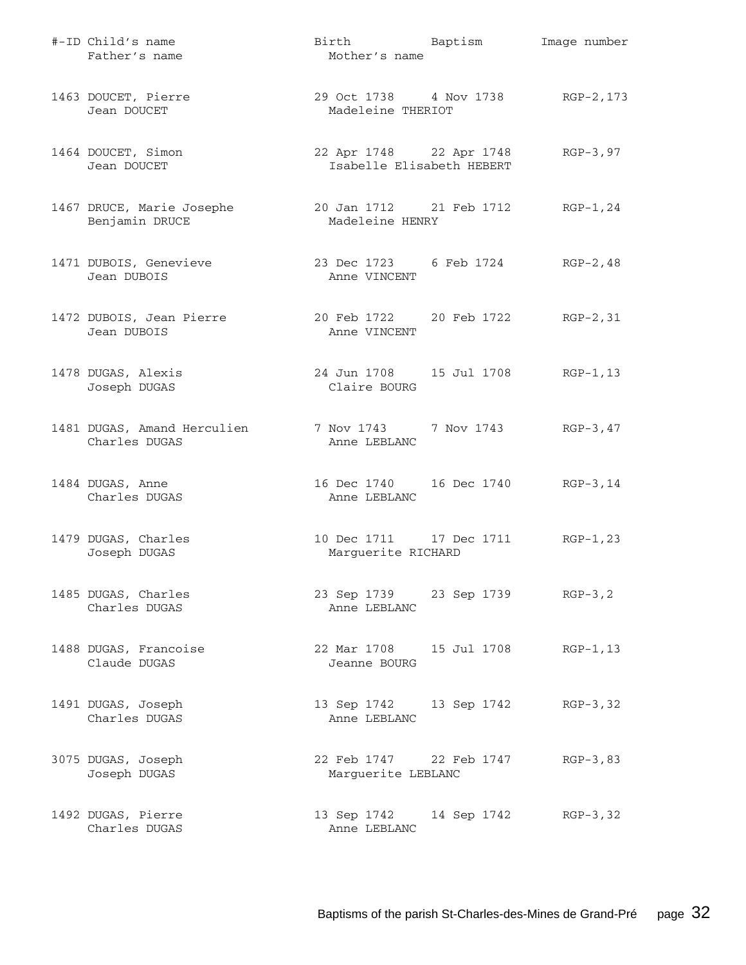| #-ID Child's name<br>Father's name           | Birth Baptism<br>Mother's name                       |             | Image number |
|----------------------------------------------|------------------------------------------------------|-------------|--------------|
| 1463 DOUCET, Pierre<br>Jean DOUCET           | 29 Oct 1738 4 Nov 1738<br>Madeleine THERIOT          |             | RGP-2,173    |
| 1464 DOUCET, Simon<br>Jean DOUCET            | 22 Apr 1748 22 Apr 1748<br>Isabelle Elisabeth HEBERT |             | $RGP-3, 97$  |
| 1467 DRUCE, Marie Josephe<br>Benjamin DRUCE  | 20 Jan 1712 21 Feb 1712<br>Madeleine HENRY           |             | $RGP-1, 24$  |
| 1471 DUBOIS, Genevieve<br>Jean DUBOIS        | 23 Dec 1723 6 Feb 1724<br>Anne VINCENT               |             | RGP-2,48     |
| 1472 DUBOIS, Jean Pierre<br>Jean DUBOIS      | 20 Feb 1722 20 Feb 1722<br>Anne VINCENT              |             | $RGP-2, 31$  |
| 1478 DUGAS, Alexis<br>Joseph DUGAS           | 24 Jun 1708   15 Jul 1708<br>Claire BOURG            |             | $RGP-1, 13$  |
| 1481 DUGAS, Amand Herculien<br>Charles DUGAS | 7 Nov 1743 7 Nov 1743<br>Anne LEBLANC                |             | RGP-3,47     |
| 1484 DUGAS, Anne<br>Charles DUGAS            | 16 Dec 1740    16 Dec 1740<br>Anne LEBLANC           |             | $RGP-3, 14$  |
| 1479 DUGAS, Charles<br>Joseph DUGAS          | 10 Dec 1711 17 Dec 1711<br>Marguerite RICHARD        |             | RGP-1,23     |
| 1485 DUGAS, Charles<br>Charles DUGAS         | 23 Sep 1739 23 Sep 1739<br>Anne LEBLANC              |             | $RGP-3, 2$   |
| 1488 DUGAS, Francoise<br>Claude DUGAS        | 22 Mar 1708    15 Jul 1708<br>Jeanne BOURG           |             | $RGP-1, 13$  |
| 1491 DUGAS, Joseph<br>Charles DUGAS          | 13 Sep 1742<br>Anne LEBLANC                          | 13 Sep 1742 | $RGP-3, 32$  |
| 3075 DUGAS, Joseph<br>Joseph DUGAS           | 22 Feb 1747 22 Feb 1747<br>Marguerite LEBLANC        |             | $RGP-3, 83$  |
| 1492 DUGAS, Pierre<br>Charles DUGAS          | 13 Sep 1742<br>Anne LEBLANC                          | 14 Sep 1742 | $RGP-3, 32$  |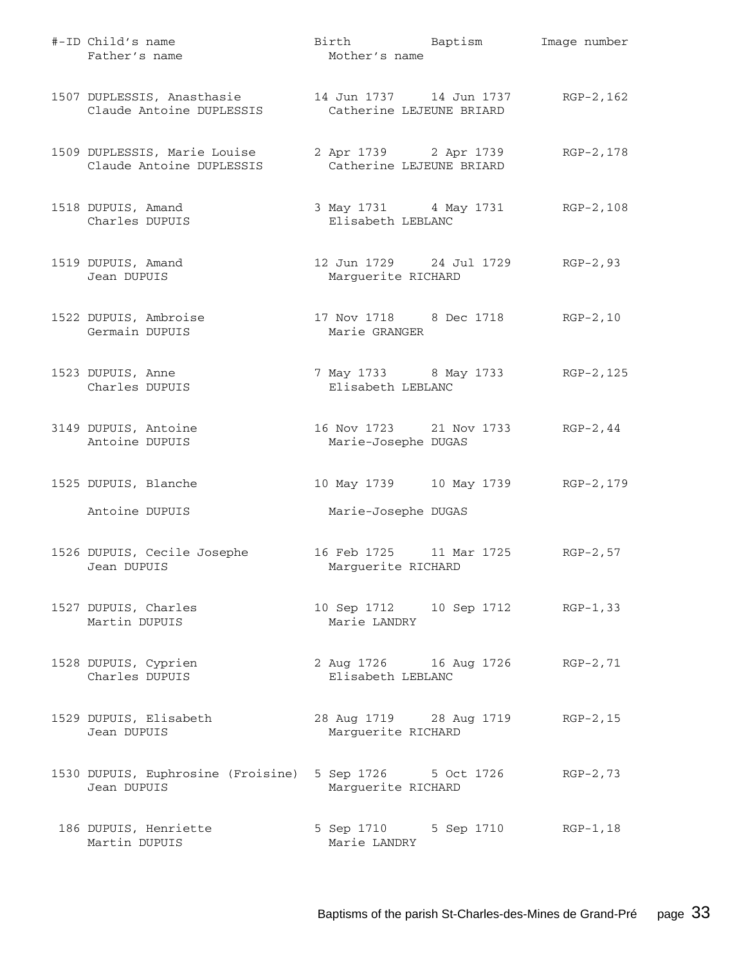| #-ID Child's name<br>Father's name                       | Birth Baptism<br>Mother's name                                 | Image number |
|----------------------------------------------------------|----------------------------------------------------------------|--------------|
| 1507 DUPLESSIS, Anasthasie<br>Claude Antoine DUPLESSIS   | 14 Jun 1737 14 Jun 1737 RGP-2, 162<br>Catherine LEJEUNE BRIARD |              |
| 1509 DUPLESSIS, Marie Louise<br>Claude Antoine DUPLESSIS | 2 Apr 1739 2 Apr 1739<br>Catherine LEJEUNE BRIARD              | RGP-2,178    |
| 1518 DUPUIS, Amand<br>Charles DUPUIS                     | 3 May 1731 4 May 1731 RGP-2, 108<br>Elisabeth LEBLANC          |              |
| 1519 DUPUIS, Amand<br>Jean DUPUIS                        | 12 Jun 1729 24 Jul 1729 RGP-2,93<br>Marguerite RICHARD         |              |
| 1522 DUPUIS, Ambroise<br>Germain DUPUIS                  | 17 Nov 1718 8 Dec 1718 RGP-2, 10<br>Marie GRANGER              |              |
| 1523 DUPUIS, Anne<br>Charles DUPUIS                      | 7 May 1733 8 May 1733 RGP-2, 125<br>Elisabeth LEBLANC          |              |
| 3149 DUPUIS, Antoine<br>Antoine DUPUIS                   | 16 Nov 1723 21 Nov 1733 RGP-2, 44<br>Marie-Josephe DUGAS       |              |
| 1525 DUPUIS, Blanche<br>Antoine DUPUIS                   | 10 May 1739 10 May 1739 RGP-2, 179<br>Marie-Josephe DUGAS      |              |
| 1526 DUPUIS, Cecile Josephe<br>Jean DUPUIS               | 16 Feb 1725 11 Mar 1725 RGP-2,57<br>Marguerite RICHARD         |              |
| 1527 DUPUIS, Charles<br>Martin DUPUIS                    | 10 Sep 1712 10 Sep 1712 RGP-1,33<br>Marie LANDRY               |              |
| 1528 DUPUIS, Cyprien<br>Charles DUPUIS                   | 2 Aug 1726 16 Aug 1726 RGP-2,71<br>Elisabeth LEBLANC           |              |
| 1529 DUPUIS, Elisabeth<br>Jean DUPUIS                    | 28 Aug 1719 28 Aug 1719<br>Marguerite RICHARD                  | $RGP-2, 15$  |
| 1530 DUPUIS, Euphrosine (Froisine)<br>Jean DUPUIS        | 5 Sep 1726 5 Oct 1726<br>Marguerite RICHARD                    | $RGP-2, 73$  |
| 186 DUPUIS, Henriette<br>Martin DUPUIS                   | 5 Sep 1710 5 Sep 1710<br>Marie LANDRY                          | $RGP-1,18$   |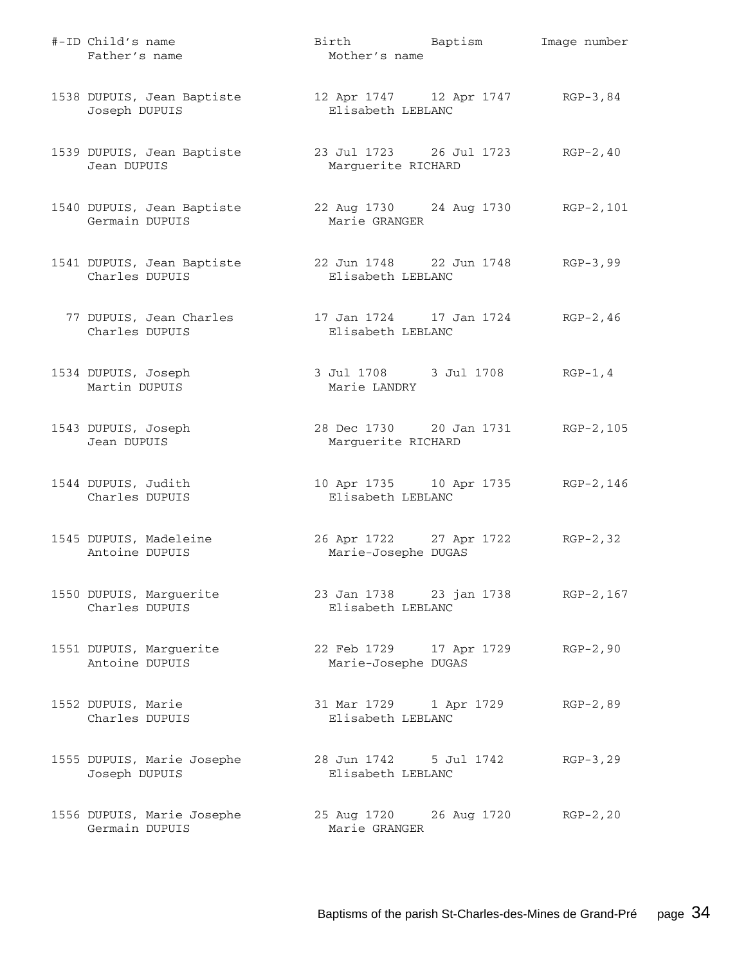| #-ID Child's name<br>Father's name           | Birth Baptism<br>Mother's name                            | Image number |
|----------------------------------------------|-----------------------------------------------------------|--------------|
| 1538 DUPUIS, Jean Baptiste<br>Joseph DUPUIS  | 12 Apr 1747 12 Apr 1747 RGP-3,84<br>Elisabeth LEBLANC     |              |
| 1539 DUPUIS, Jean Baptiste<br>Jean DUPUIS    | 23 Jul 1723 26 Jul 1723<br>Marguerite RICHARD             | $RGP-2, 40$  |
| 1540 DUPUIS, Jean Baptiste<br>Germain DUPUIS | 22 Aug 1730 24 Aug 1730 RGP-2,101<br>Marie GRANGER        |              |
| 1541 DUPUIS, Jean Baptiste<br>Charles DUPUIS | 22 Jun 1748 22 Jun 1748 RGP-3,99<br>Elisabeth LEBLANC     |              |
| 77 DUPUIS, Jean Charles<br>Charles DUPUIS    | 17 Jan 1724   17 Jan 1724   RGP-2,46<br>Elisabeth LEBLANC |              |
| 1534 DUPUIS, Joseph<br>Martin DUPUIS         | 3 Jul 1708 3 Jul 1708<br>Marie LANDRY                     | $RGP-1, 4$   |
| 1543 DUPUIS, Joseph<br>Jean DUPUIS           | 28 Dec 1730 20 Jan 1731<br>Marguerite RICHARD             | RGP-2,105    |
| 1544 DUPUIS, Judith<br>Charles DUPUIS        | 10 Apr 1735 10 Apr 1735 RGP-2,146<br>Elisabeth LEBLANC    |              |
| 1545 DUPUIS, Madeleine<br>Antoine DUPUIS     | 26 Apr 1722 27 Apr 1722<br>Marie-Josephe DUGAS            | $RGP-2, 32$  |
| 1550 DUPUIS, Marguerite<br>Charles DUPUIS    | 23 Jan 1738 23 jan 1738 RGP-2,167<br>Elisabeth LEBLANC    |              |
| 1551 DUPUIS, Marguerite<br>Antoine DUPUIS    | 22 Feb 1729 17 Apr 1729<br>Marie-Josephe DUGAS            | $RGP-2,90$   |
| 1552 DUPUIS, Marie<br>Charles DUPUIS         | 31 Mar 1729 1 Apr 1729<br>Elisabeth LEBLANC               | $RGP-2, 89$  |
| 1555 DUPUIS, Marie Josephe<br>Joseph DUPUIS  | 28 Jun 1742 5 Jul 1742<br>Elisabeth LEBLANC               | $RGP-3, 29$  |
| 1556 DUPUIS, Marie Josephe<br>Germain DUPUIS | 25 Aug 1720 26 Aug 1720<br>Marie GRANGER                  | $RGP-2, 20$  |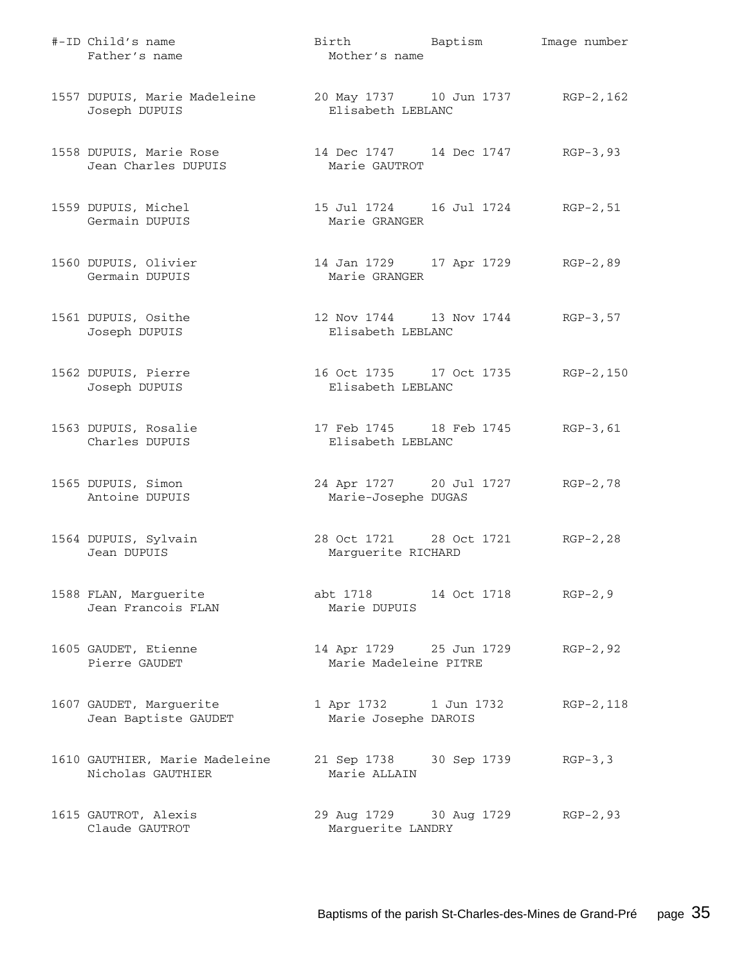| #-ID Child's name<br>Father's name                  | Birth Baptism<br>Mother's name                          | Image number |
|-----------------------------------------------------|---------------------------------------------------------|--------------|
| 1557 DUPUIS, Marie Madeleine<br>Joseph DUPUIS       | 20 May 1737 10 Jun 1737 RGP-2, 162<br>Elisabeth LEBLANC |              |
| 1558 DUPUIS, Marie Rose<br>Jean Charles DUPUIS      | 14 Dec 1747 14 Dec 1747 RGP-3,93<br>Marie GAUTROT       |              |
| 1559 DUPUIS, Michel<br>Germain DUPUIS               | 15 Jul 1724 16 Jul 1724 RGP-2, 51<br>Marie GRANGER      |              |
| 1560 DUPUIS, Olivier<br>Germain DUPUIS              | 14 Jan 1729 17 Apr 1729 RGP-2,89<br>Marie GRANGER       |              |
| 1561 DUPUIS, Osithe<br>Joseph DUPUIS                | 12 Nov 1744 13 Nov 1744 RGP-3, 57<br>Elisabeth LEBLANC  |              |
| 1562 DUPUIS, Pierre<br>Joseph DUPUIS                | 16 Oct 1735 17 Oct 1735<br>Elisabeth LEBLANC            | RGP-2,150    |
| 1563 DUPUIS, Rosalie<br>Charles DUPUIS              | 17 Feb 1745 18 Feb 1745<br>Elisabeth LEBLANC            | $RGB-3,61$   |
| 1565 DUPUIS, Simon<br>Antoine DUPUIS                | 24 Apr 1727 20 Jul 1727<br>Marie-Josephe DUGAS          | RGP-2,78     |
| 1564 DUPUIS, Sylvain<br>Jean DUPUIS                 | 28 Oct 1721 28 Oct 1721<br>Marguerite RICHARD           | $RGP-2, 28$  |
| 1588 FLAN, Marguerite<br>Jean Francois FLAN         | abt 1718 14 Oct 1718<br>Marie DUPUIS                    | $RGP-2, 9$   |
| 1605 GAUDET, Etienne<br>Pierre GAUDET               | 14 Apr 1729 25 Jun 1729<br>Marie Madeleine PITRE        | $RGP-2, 92$  |
| 1607 GAUDET, Marguerite<br>Jean Baptiste GAUDET     | 1 Apr 1732 1 Jun 1732<br>Marie Josephe DAROIS           | RGP-2,118    |
| 1610 GAUTHIER, Marie Madeleine<br>Nicholas GAUTHIER | 21 Sep 1738 30 Sep 1739<br>Marie ALLAIN                 | $RGP-3, 3$   |
| 1615 GAUTROT, Alexis<br>Claude GAUTROT              | 29 Aug 1729 30 Aug 1729<br>Marguerite LANDRY            | $RGP-2, 93$  |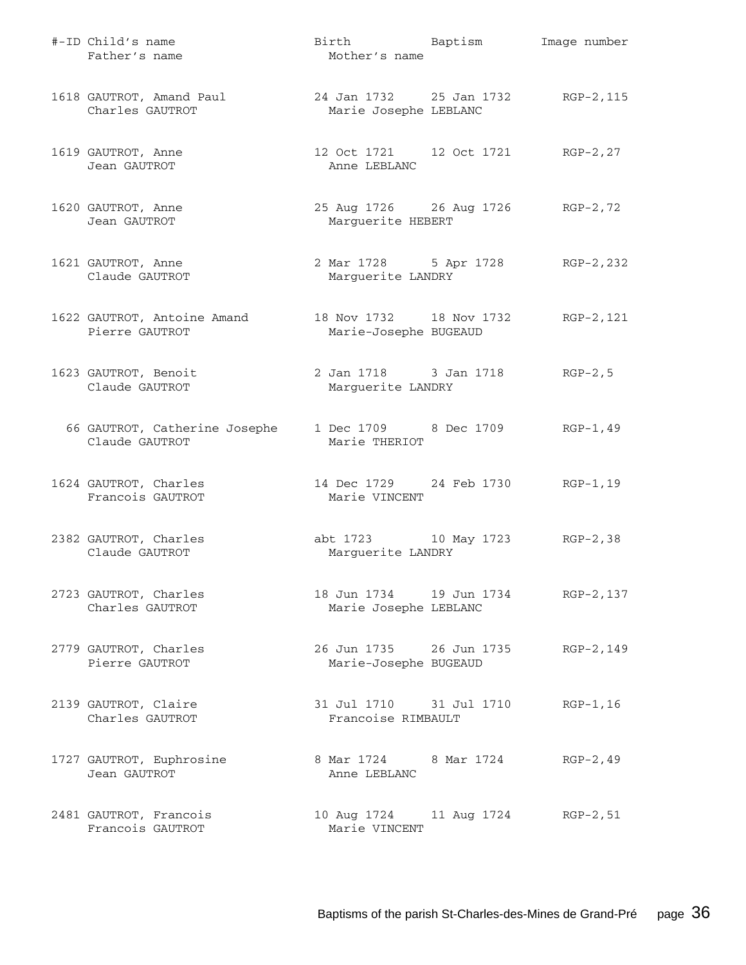| #-ID Child's name<br>Father's name              | Birth Baptism<br>Mother's name                              |             | Image number |
|-------------------------------------------------|-------------------------------------------------------------|-------------|--------------|
| 1618 GAUTROT, Amand Paul<br>Charles GAUTROT     | 24 Jan 1732 25 Jan 1732 RGP-2, 115<br>Marie Josephe LEBLANC |             |              |
| 1619 GAUTROT, Anne<br>Jean GAUTROT              | 12 Oct 1721 12 Oct 1721 RGP-2,27<br>Anne LEBLANC            |             |              |
| 1620 GAUTROT, Anne<br>Jean GAUTROT              | 25 Aug 1726 26 Aug 1726 RGP-2,72<br>Marguerite HEBERT       |             |              |
| 1621 GAUTROT, Anne<br>Claude GAUTROT            | 2 Mar 1728 5 Apr 1728 RGP-2, 232<br>Marguerite LANDRY       |             |              |
| 1622 GAUTROT, Antoine Amand<br>Pierre GAUTROT   | 18 Nov 1732 18 Nov 1732<br>Marie-Josephe BUGEAUD            |             | RGP-2,121    |
| 1623 GAUTROT, Benoit<br>Claude GAUTROT          | 2 Jan 1718 3 Jan 1718<br>Marguerite LANDRY                  |             | $RGP-2, 5$   |
| 66 GAUTROT, Catherine Josephe<br>Claude GAUTROT | 1 Dec 1709 8 Dec 1709<br>Marie THERIOT                      |             | $RGP-1, 49$  |
| 1624 GAUTROT, Charles<br>Francois GAUTROT       | 14 Dec 1729 24 Feb 1730 RGP-1,19<br>Marie VINCENT           |             |              |
| 2382 GAUTROT, Charles<br>Claude GAUTROT         | abt 1723 10 May 1723 RGP-2,38<br>Marguerite LANDRY          |             |              |
| 2723 GAUTROT, Charles<br>Charles GAUTROT        | 18 Jun 1734    19 Jun 1734<br>Marie Josephe LEBLANC         |             | RGP-2,137    |
| 2779 GAUTROT, Charles<br>Pierre GAUTROT         | 26 Jun 1735 26 Jun 1735<br>Marie-Josephe BUGEAUD            |             | RGP-2,149    |
| 2139 GAUTROT, Claire<br>Charles GAUTROT         | 31 Jul 1710 31 Jul 1710<br>Francoise RIMBAULT               |             | $RGP-1, 16$  |
| 1727 GAUTROT, Euphrosine<br>Jean GAUTROT        | 8 Mar 1724 8 Mar 1724<br>Anne LEBLANC                       |             | $RGP-2, 49$  |
| 2481 GAUTROT, Francois<br>Francois GAUTROT      | 10 Aug 1724<br>Marie VINCENT                                | 11 Aug 1724 | $RGP-2, 51$  |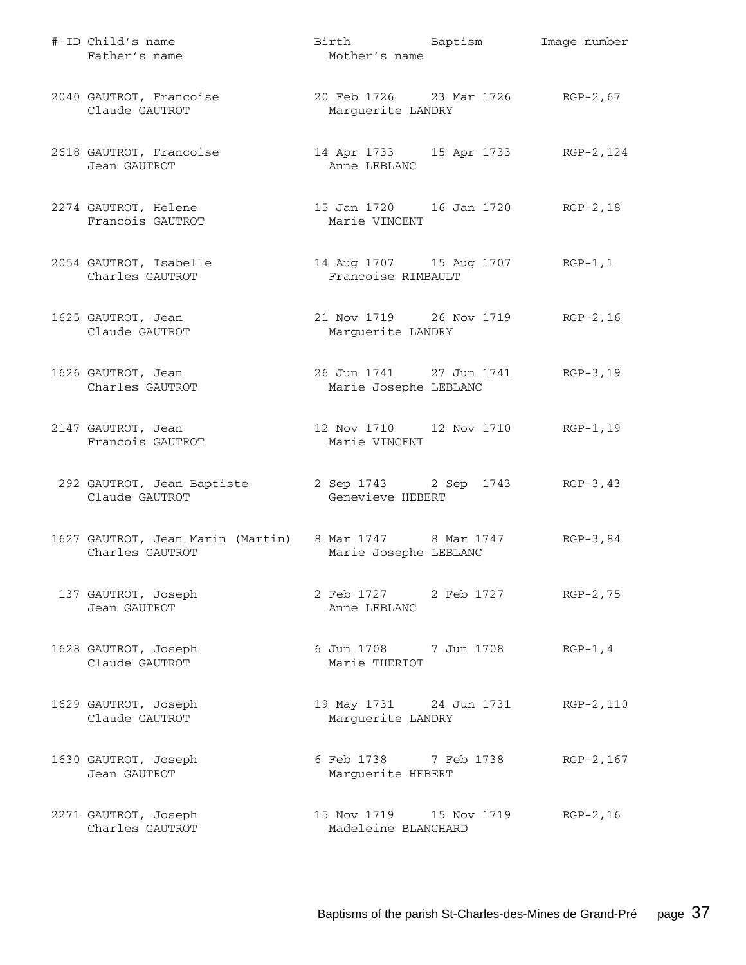| #-ID Child's name<br>Father's name                                         | Birth Baptism<br>Mother's name                            | Image number |
|----------------------------------------------------------------------------|-----------------------------------------------------------|--------------|
| 2040 GAUTROT, Francoise<br>Claude GAUTROT                                  | 20 Feb 1726 23 Mar 1726 RGP-2,67<br>Marguerite LANDRY     |              |
| 2618 GAUTROT, Francoise<br>Jean GAUTROT                                    | 14 Apr 1733 15 Apr 1733 RGP-2, 124<br>Anne LEBLANC        |              |
| 2274 GAUTROT, Helene<br>Francois GAUTROT                                   | 15 Jan 1720   16 Jan 1720   RGP-2,18<br>Marie VINCENT     |              |
| 2054 GAUTROT, Isabelle<br>Charles GAUTROT                                  | 14 Aug 1707   15 Aug 1707   RGP-1,1<br>Francoise RIMBAULT |              |
| 1625 GAUTROT, Jean<br>Claude GAUTROT                                       | 21 Nov 1719 26 Nov 1719 RGP-2, 16<br>Marguerite LANDRY    |              |
| 1626 GAUTROT, Jean<br>Charles GAUTROT                                      | 26 Jun 1741 27 Jun 1741<br>Marie Josephe LEBLANC          | $RGP-3, 19$  |
| 2147 GAUTROT, Jean<br>Francois GAUTROT                                     | 12 Nov 1710 12 Nov 1710 RGP-1, 19<br>Marie VINCENT        |              |
| 292 GAUTROT, Jean Baptiste<br>Claude GAUTROT                               | 2 Sep 1743 2 Sep 1743 RGP-3, 43<br>Genevieve HEBERT       |              |
| 1627 GAUTROT, Jean Marin (Martin) 8 Mar 1747 8 Mar 1747<br>Charles GAUTROT | Marie Josephe LEBLANC                                     | $RGP-3, 84$  |
| 137 GAUTROT, Joseph<br>Jean GAUTROT                                        | 2 Feb 1727 2 Feb 1727 RGP-2,75<br>Anne LEBLANC            |              |
| 1628 GAUTROT, Joseph<br>Claude GAUTROT                                     | 6 Jun 1708 7 Jun 1708<br>Marie THERIOT                    | $RGP-1, 4$   |
| 1629 GAUTROT, Joseph<br>Claude GAUTROT                                     | 19 May 1731 24 Jun 1731<br>Marguerite LANDRY              | RGP-2,110    |
| 1630 GAUTROT, Joseph<br>Jean GAUTROT                                       | 6 Feb 1738 7 Feb 1738<br>Marguerite HEBERT                | RGP-2, 167   |
| 2271 GAUTROT, Joseph<br>Charles GAUTROT                                    | 15 Nov 1719    15 Nov 1719<br>Madeleine BLANCHARD         | $RGP-2, 16$  |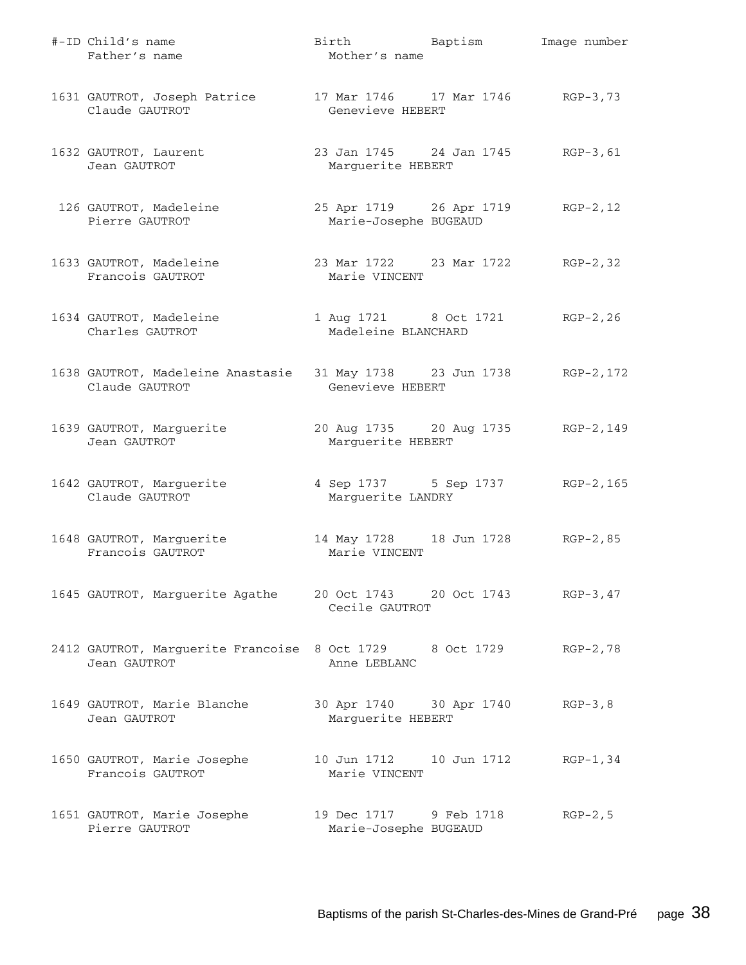| #-ID Child's name<br>Father's name                                       | Birth Baptism<br>Mother's name                         | Image number |
|--------------------------------------------------------------------------|--------------------------------------------------------|--------------|
| 1631 GAUTROT, Joseph Patrice<br>Claude GAUTROT                           | 17 Mar 1746 17 Mar 1746 RGP-3,73<br>Genevieve HEBERT   |              |
| 1632 GAUTROT, Laurent<br>Jean GAUTROT                                    | 23 Jan 1745 24 Jan 1745 RGP-3, 61<br>Marguerite HEBERT |              |
| 126 GAUTROT, Madeleine<br>Pierre GAUTROT                                 | 25 Apr 1719 26 Apr 1719<br>Marie-Josephe BUGEAUD       | $RGP-2, 12$  |
| 1633 GAUTROT, Madeleine<br>Francois GAUTROT                              | 23 Mar 1722 23 Mar 1722 RGP-2,32<br>Marie VINCENT      |              |
| 1634 GAUTROT, Madeleine<br>Charles GAUTROT                               | 1 Aug 1721 8 Oct 1721 RGP-2, 26<br>Madeleine BLANCHARD |              |
| 1638 GAUTROT, Madeleine Anastasie<br>Claude GAUTROT                      | 31 May 1738 23 Jun 1738 RGP-2, 172<br>Genevieve HEBERT |              |
| 1639 GAUTROT, Marguerite<br>Jean GAUTROT                                 | 20 Aug 1735 20 Aug 1735<br>Marguerite HEBERT           | RGP-2,149    |
| 1642 GAUTROT, Marguerite<br>Claude GAUTROT                               | 4 Sep 1737 5 Sep 1737 RGP-2, 165<br>Marguerite LANDRY  |              |
| 1648 GAUTROT, Marguerite<br>Francois GAUTROT                             | 14 May 1728 18 Jun 1728 RGP-2,85<br>Marie VINCENT      |              |
| 1645 GAUTROT, Marguerite Agathe                                          | 20 Oct 1743 20 Oct 1743<br>Cecile GAUTROT              | $RGP-3, 47$  |
| 2412 GAUTROT, Marguerite Francoise 8 Oct 1729 8 Oct 1729<br>Jean GAUTROT | Anne LEBLANC                                           | $RGP-2, 78$  |
| 1649 GAUTROT, Marie Blanche<br>Jean GAUTROT                              | 30 Apr 1740 30 Apr 1740<br>Marguerite HEBERT           | $RGP-3, 8$   |
| 1650 GAUTROT, Marie Josephe<br>Francois GAUTROT                          | 10 Jun 1712    10 Jun 1712<br>Marie VINCENT            | $RGP-1, 34$  |
| 1651 GAUTROT, Marie Josephe<br>Pierre GAUTROT                            | 19 Dec 1717 9 Feb 1718<br>Marie-Josephe BUGEAUD        | $RGP-2, 5$   |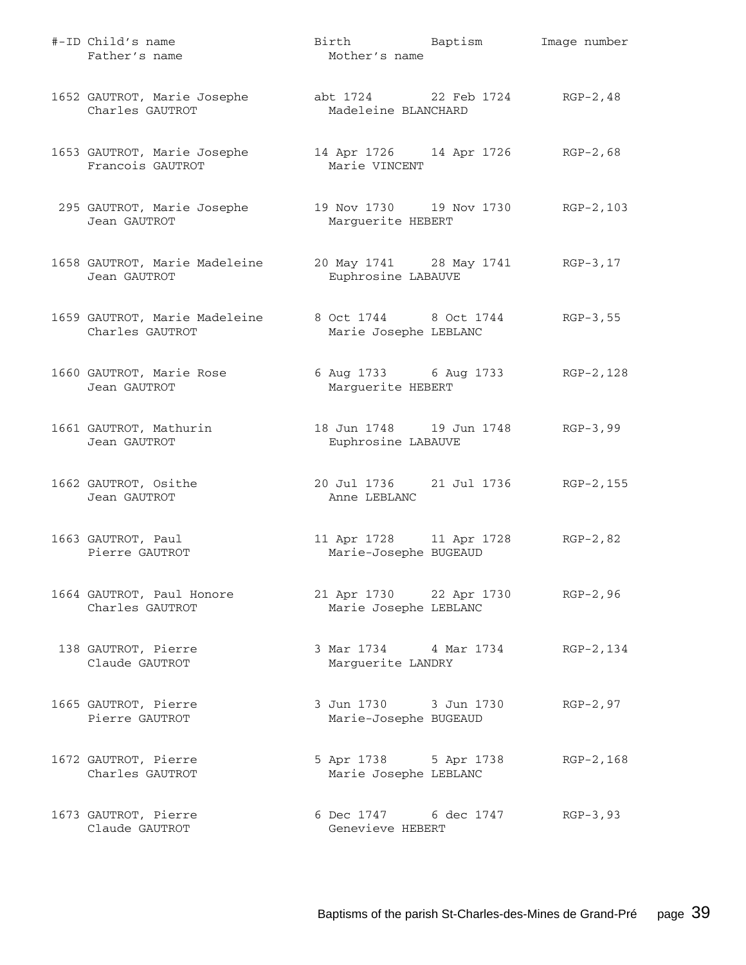| #-ID Child's name<br>Father's name                                           | Birth Baptism<br>Mother's name                              | Image number |
|------------------------------------------------------------------------------|-------------------------------------------------------------|--------------|
| 1652 GAUTROT, Marie Josephe abt 1724 22 Feb 1724 RGP-2,48<br>Charles GAUTROT | Madeleine BLANCHARD                                         |              |
| 1653 GAUTROT, Marie Josephe<br>Francois GAUTROT                              | 14 Apr 1726 14 Apr 1726 RGP-2,68<br>Marie VINCENT           |              |
| 295 GAUTROT, Marie Josephe<br>Jean GAUTROT                                   | 19 Nov 1730   19 Nov 1730   RGP-2, 103<br>Marguerite HEBERT |              |
| 1658 GAUTROT, Marie Madeleine<br>Jean GAUTROT                                | 20 May 1741 28 May 1741 RGP-3, 17<br>Euphrosine LABAUVE     |              |
| 1659 GAUTROT, Marie Madeleine<br>Charles GAUTROT                             | 8 Oct 1744 8 Oct 1744<br>Marie Josephe LEBLANC              | $RGP-3, 55$  |
| 1660 GAUTROT, Marie Rose<br>Jean GAUTROT                                     | 6 Aug 1733 6 Aug 1733 RGP-2, 128<br>Marguerite HEBERT       |              |
| 1661 GAUTROT, Mathurin<br>Jean GAUTROT                                       | 18 Jun 1748   19 Jun 1748   RGP-3,99<br>Euphrosine LABAUVE  |              |
| 1662 GAUTROT, Osithe<br>Jean GAUTROT                                         | 20 Jul 1736 21 Jul 1736 RGP-2, 155<br>Anne LEBLANC          |              |
| 1663 GAUTROT, Paul<br>Pierre GAUTROT                                         | 11 Apr 1728 11 Apr 1728<br>Marie-Josephe BUGEAUD            | $RGP-2, 82$  |
| 1664 GAUTROT, Paul Honore<br>Charles GAUTROT                                 | 21 Apr 1730 22 Apr 1730<br>Marie Josephe LEBLANC            | RGP-2,96     |
| 138 GAUTROT, Pierre<br>Claude GAUTROT                                        | 3 Mar 1734 4 Mar 1734<br>Marguerite LANDRY                  | RGP-2,134    |
| 1665 GAUTROT, Pierre<br>Pierre GAUTROT                                       | 3 Jun 1730 3 Jun 1730<br>Marie-Josephe BUGEAUD              | $RGP-2, 97$  |
| 1672 GAUTROT, Pierre<br>Charles GAUTROT                                      | 5 Apr 1738 5 Apr 1738<br>Marie Josephe LEBLANC              | RGP-2,168    |
| 1673 GAUTROT, Pierre<br>Claude GAUTROT                                       | 6 Dec 1747 6 dec 1747<br>Genevieve HEBERT                   | $RGP-3, 93$  |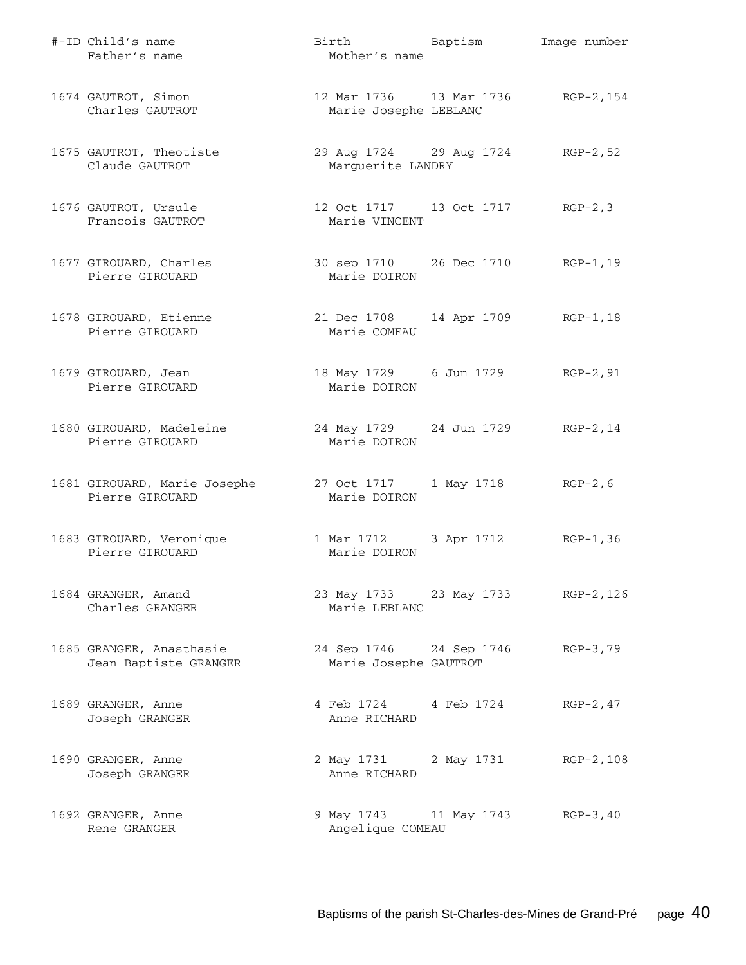| #-ID Child's name<br>Father's name                | Birth Baptism<br>Mother's name                                  |                    | Image number |
|---------------------------------------------------|-----------------------------------------------------------------|--------------------|--------------|
| 1674 GAUTROT, Simon<br>Charles GAUTROT            | 12 Mar 1736   13 Mar 1736   RGP-2, 154<br>Marie Josephe LEBLANC |                    |              |
| 1675 GAUTROT, Theotiste<br>Claude GAUTROT         | 29 Aug 1724 29 Aug 1724 RGP-2,52<br>Marguerite LANDRY           |                    |              |
| 1676 GAUTROT, Ursule<br>Francois GAUTROT          | Marie VINCENT                                                   |                    | $RGP-2, 3$   |
| 1677 GIROUARD, Charles<br>Pierre GIROUARD         | 30 sep 1710 26 Dec 1710 RGP-1,19<br>Marie DOIRON                |                    |              |
| 1678 GIROUARD, Etienne<br>Pierre GIROUARD         | 21 Dec 1708 14 Apr 1709<br>Marie COMEAU                         |                    | RGP-1,18     |
| 1679 GIROUARD, Jean<br>Pierre GIROUARD            | 18 May 1729 6 Jun 1729<br>Marie DOIRON                          |                    | RGP-2,91     |
| 1680 GIROUARD, Madeleine<br>Pierre GIROUARD       | 24 May 1729 24 Jun 1729 RGP-2, 14<br>Marie DOIRON               |                    |              |
| 1681 GIROUARD, Marie Josephe<br>Pierre GIROUARD   | 27 Oct 1717<br>Marie DOIRON                                     | 1 May 1718 RGP-2,6 |              |
| 1683 GIROUARD, Veronique<br>Pierre GIROUARD       | 1 Mar 1712 3 Apr 1712<br>Marie DOIRON                           |                    | $RGP-1, 36$  |
| 1684 GRANGER, Amand<br>Charles GRANGER            | 23 May 1733 23 May 1733 RGP-2, 126<br>Marie LEBLANC             |                    |              |
| 1685 GRANGER, Anasthasie<br>Jean Baptiste GRANGER | 24 Sep 1746 24 Sep 1746<br>Marie Josephe GAUTROT                |                    | $RGB-3,79$   |
| 1689 GRANGER, Anne<br>Joseph GRANGER              | 4 Feb 1724 4 Feb 1724<br>Anne RICHARD                           |                    | $RGP-2, 47$  |
| 1690 GRANGER, Anne<br>Joseph GRANGER              | 2 May 1731 2 May 1731<br>Anne RICHARD                           |                    | RGP-2,108    |
| 1692 GRANGER, Anne<br>Rene GRANGER                | 9 May 1743 11 May 1743<br>Angelique COMEAU                      |                    | $RGP-3, 40$  |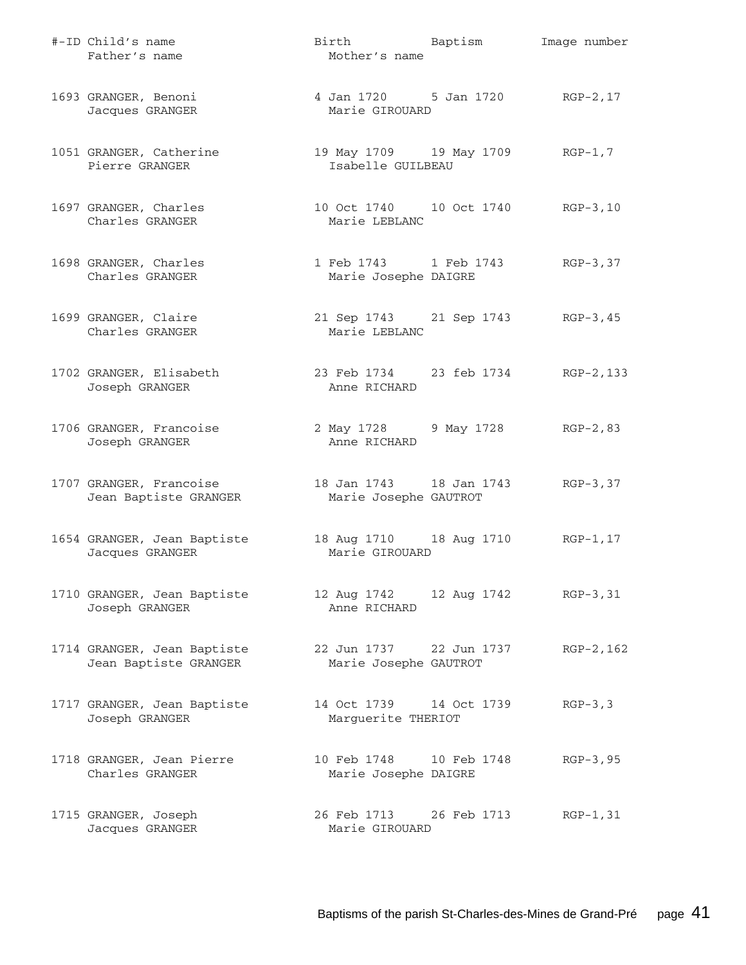| #-ID Child's name<br>Father's name                   | Birth Baptism<br>Mother's name                          |             | Image number |
|------------------------------------------------------|---------------------------------------------------------|-------------|--------------|
| 1693 GRANGER, Benoni<br>Jacques GRANGER              | 4 Jan 1720 5 Jan 1720 RGP-2,17<br>Marie GIROUARD        |             |              |
| 1051 GRANGER, Catherine<br>Pierre GRANGER            | 19 May 1709 19 May 1709 RGP-1,7<br>Isabelle GUILBEAU    |             |              |
| 1697 GRANGER, Charles<br>Charles GRANGER             | 10 Oct 1740   10 Oct 1740   RGP-3,10<br>Marie LEBLANC   |             |              |
| 1698 GRANGER, Charles<br>Charles GRANGER             | 1 Feb 1743 1 Feb 1743 RGP-3,37<br>Marie Josephe DAIGRE  |             |              |
| 1699 GRANGER, Claire<br>Charles GRANGER              | 21 Sep 1743 21 Sep 1743 RGP-3,45<br>Marie LEBLANC       |             |              |
| 1702 GRANGER, Elisabeth<br>Joseph GRANGER            | 23 Feb 1734 23 feb 1734 RGP-2,133<br>Anne RICHARD       |             |              |
| 1706 GRANGER, Francoise<br>Joseph GRANGER            | 2 May 1728 9 May 1728 RGP-2,83<br>Anne RICHARD          |             |              |
| 1707 GRANGER, Francoise<br>Jean Baptiste GRANGER     | 18 Jan 1743   18 Jan 1743<br>Marie Josephe GAUTROT      |             | $RGB-3, 37$  |
| 1654 GRANGER, Jean Baptiste<br>Jacques GRANGER       | 18 Aug 1710   18 Aug 1710   RGP-1, 17<br>Marie GIROUARD |             |              |
| 1710 GRANGER, Jean Baptiste<br>Joseph GRANGER        | 12 Aug 1742 12 Aug 1742 RGP-3,31<br>Anne RICHARD        |             |              |
| 1714 GRANGER, Jean Baptiste<br>Jean Baptiste GRANGER | 22 Jun 1737 22 Jun 1737<br>Marie Josephe GAUTROT        |             | RGP-2,162    |
| 1717 GRANGER, Jean Baptiste<br>Joseph GRANGER        | 14 Oct 1739 14 Oct 1739<br>Marguerite THERIOT           |             | $RGP-3, 3$   |
| 1718 GRANGER, Jean Pierre<br>Charles GRANGER         | 10 Feb 1748 10 Feb 1748<br>Marie Josephe DAIGRE         |             | $RGP-3, 95$  |
| 1715 GRANGER, Joseph<br>Jacques GRANGER              | 26 Feb 1713<br>Marie GIROUARD                           | 26 Feb 1713 | $RGP-1, 31$  |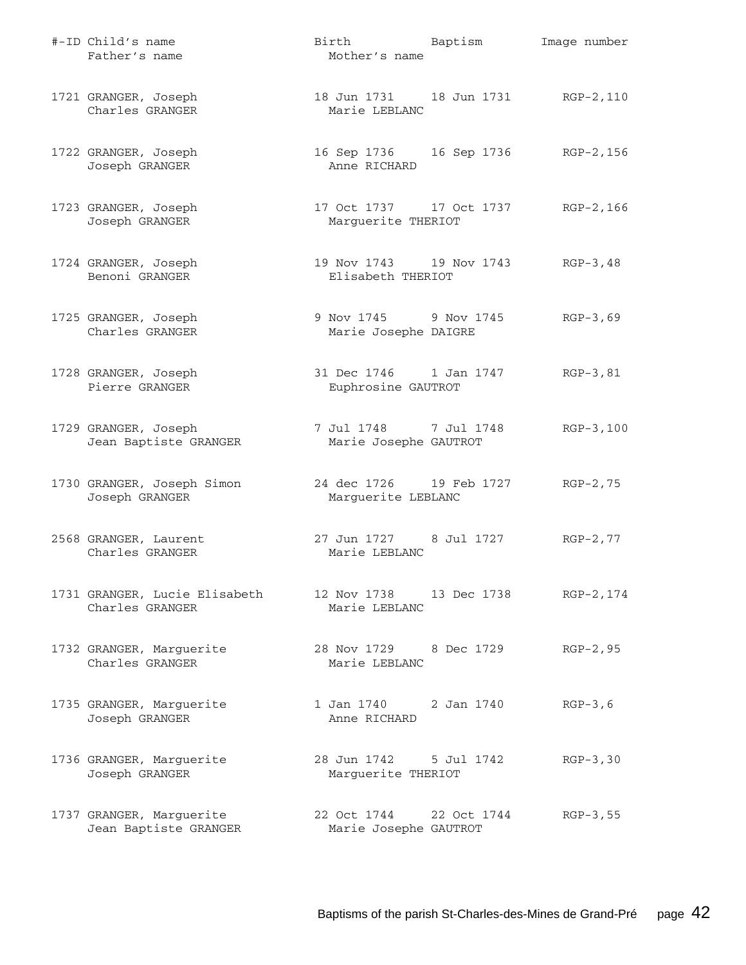| #-ID Child's name<br>Father's name                | Birth Baptism<br>Mother's name                        |             | Image number |
|---------------------------------------------------|-------------------------------------------------------|-------------|--------------|
| 1721 GRANGER, Joseph<br>Charles GRANGER           | 18 Jun 1731 18 Jun 1731 RGP-2, 110<br>Marie LEBLANC   |             |              |
| 1722 GRANGER, Joseph<br>Joseph GRANGER            | 16 Sep 1736   16 Sep 1736   RGP-2,156<br>Anne RICHARD |             |              |
| 1723 GRANGER, Joseph<br>Joseph GRANGER            | 17 Oct 1737 17 Oct 1737<br>Marguerite THERIOT         |             | RGP-2,166    |
| 1724 GRANGER, Joseph<br>Benoni GRANGER            | 19 Nov 1743 19 Nov 1743<br>Elisabeth THERIOT          |             | $RGB-3,48$   |
| 1725 GRANGER, Joseph<br>Charles GRANGER           | 9 Nov 1745 9 Nov 1745<br>Marie Josephe DAIGRE         |             | $RGP-3, 69$  |
| 1728 GRANGER, Joseph<br>Pierre GRANGER            | 31 Dec 1746 1 Jan 1747<br>Euphrosine GAUTROT          |             | $RGP-3, 81$  |
| 1729 GRANGER, Joseph<br>Jean Baptiste GRANGER     | 7 Jul 1748 7 Jul 1748<br>Marie Josephe GAUTROT        |             | RGP-3,100    |
| 1730 GRANGER, Joseph Simon<br>Joseph GRANGER      | 24 dec 1726 19 Feb 1727<br>Marguerite LEBLANC         |             | $RGP-2, 75$  |
| 2568 GRANGER, Laurent<br>Charles GRANGER          | 27 Jun 1727 8 Jul 1727<br>Marie LEBLANC               |             | $RGP-2, 77$  |
| 1731 GRANGER, Lucie Elisabeth<br>Charles GRANGER  | 12 Nov 1738 13 Dec 1738<br>Marie LEBLANC              |             | RGP-2,174    |
| 1732 GRANGER, Marguerite<br>Charles GRANGER       | 28 Nov 1729 8 Dec 1729<br>Marie LEBLANC               |             | $RGP-2, 95$  |
| 1735 GRANGER, Marguerite<br>Joseph GRANGER        | 1 Jan 1740 2 Jan 1740<br>Anne RICHARD                 |             | $RGP-3, 6$   |
| 1736 GRANGER, Marguerite<br>Joseph GRANGER        | 28 Jun 1742<br>Marguerite THERIOT                     | 5 Jul 1742  | $RGP-3, 30$  |
| 1737 GRANGER, Marguerite<br>Jean Baptiste GRANGER | 22 Oct 1744<br>Marie Josephe GAUTROT                  | 22 Oct 1744 | $RGP-3, 55$  |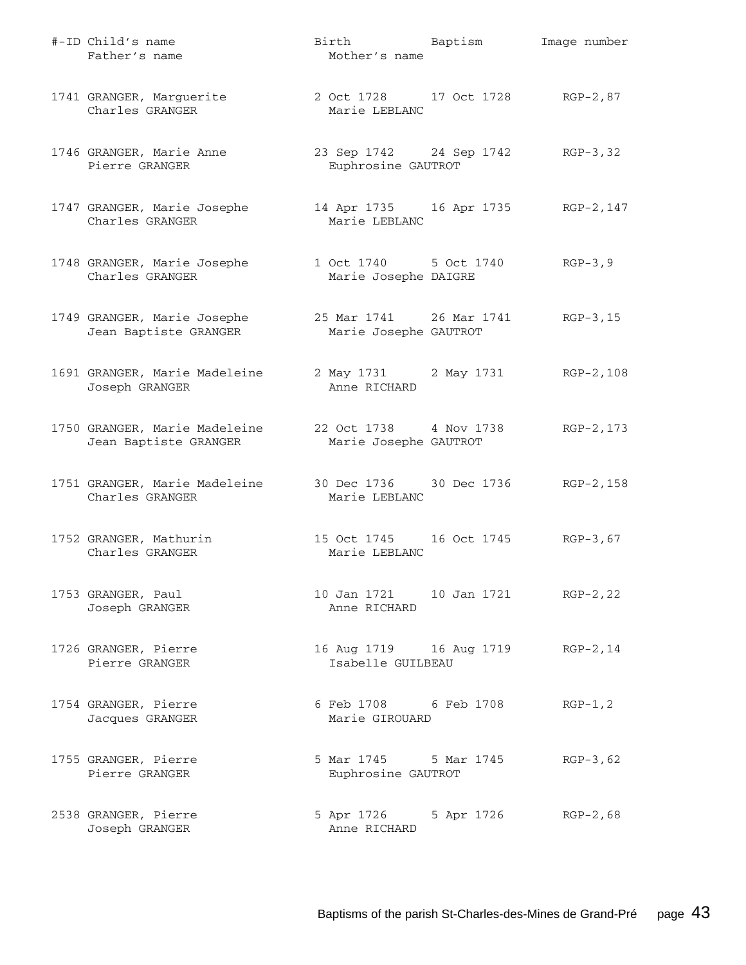| #-ID Child's name<br>Father's name                     | Birth Baptism<br>Mother's name                   |                                    | Image number |
|--------------------------------------------------------|--------------------------------------------------|------------------------------------|--------------|
| 1741 GRANGER, Marguerite<br>Charles GRANGER            | 2 Oct 1728 17 Oct 1728<br>Marie LEBLANC          |                                    | RGP-2,87     |
| 1746 GRANGER, Marie Anne<br>Pierre GRANGER             | 23 Sep 1742 24 Sep 1742<br>Euphrosine GAUTROT    |                                    | $RGP-3, 32$  |
| 1747 GRANGER, Marie Josephe<br>Charles GRANGER         | Marie LEBLANC                                    | 14 Apr 1735 16 Apr 1735 RGP-2, 147 |              |
| 1748 GRANGER, Marie Josephe<br>Charles GRANGER         | 1 Oct 1740 5 Oct 1740<br>Marie Josephe DAIGRE    |                                    | $RGP-3, 9$   |
| 1749 GRANGER, Marie Josephe<br>Jean Baptiste GRANGER   | 25 Mar 1741 26 Mar 1741<br>Marie Josephe GAUTROT |                                    | $RGP-3, 15$  |
| 1691 GRANGER, Marie Madeleine<br>Joseph GRANGER        | Anne RICHARD                                     | 2 May 1731 2 May 1731 RGP-2, 108   |              |
| 1750 GRANGER, Marie Madeleine<br>Jean Baptiste GRANGER | 22 Oct 1738 4 Nov 1738<br>Marie Josephe GAUTROT  |                                    | RGP-2,173    |
| 1751 GRANGER, Marie Madeleine<br>Charles GRANGER       | 30 Dec 1736 30 Dec 1736<br>Marie LEBLANC         |                                    | RGP-2,158    |
| 1752 GRANGER, Mathurin<br>Charles GRANGER              | 15 Oct 1745    16 Oct 1745<br>Marie LEBLANC      |                                    | $RGB-3,67$   |
| 1753 GRANGER, Paul<br>Joseph GRANGER                   | Anne RICHARD                                     |                                    | $RGP-2, 22$  |
| 1726 GRANGER, Pierre<br>Pierre GRANGER                 | Isabelle GUILBEAU                                | 16 Aug 1719 16 Aug 1719            | $RGP-2, 14$  |
| 1754 GRANGER, Pierre<br>Jacques GRANGER                | 6 Feb 1708 6 Feb 1708<br>Marie GIROUARD          |                                    | $RGP-1, 2$   |
| 1755 GRANGER, Pierre<br>Pierre GRANGER                 | 5 Mar 1745 5 Mar 1745<br>Euphrosine GAUTROT      |                                    | $RGP-3, 62$  |
| 2538 GRANGER, Pierre<br>Joseph GRANGER                 | 5 Apr 1726<br>Anne RICHARD                       | 5 Apr 1726                         | $RGP-2,68$   |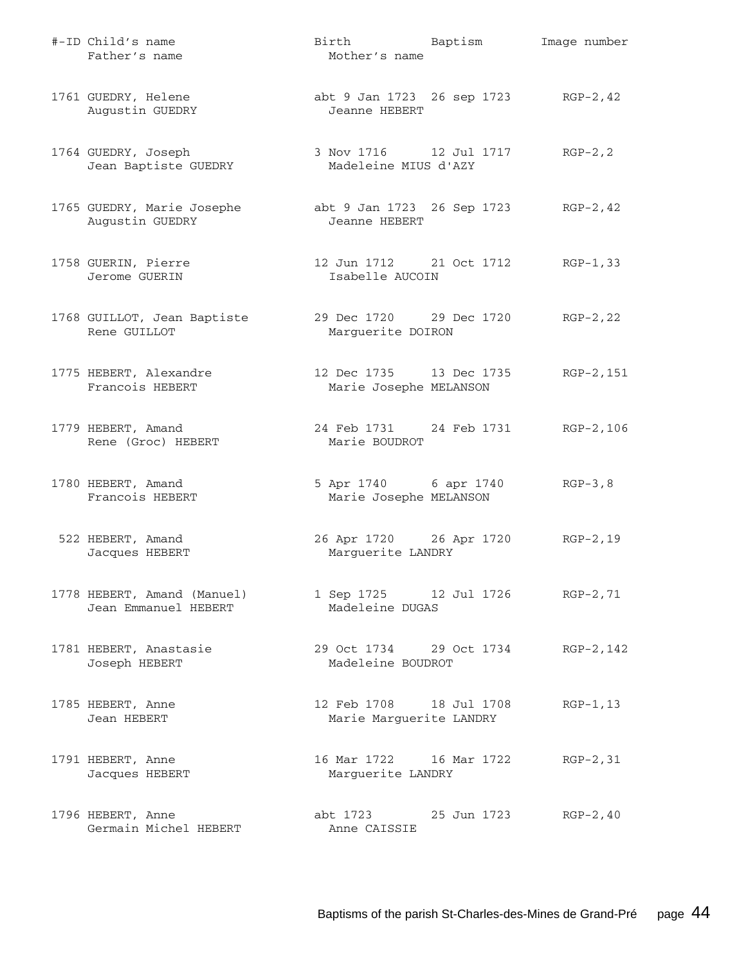| #-ID Child's name<br>Father's name                  | Birth Baptism<br>Mother's name                        |             | Image number |
|-----------------------------------------------------|-------------------------------------------------------|-------------|--------------|
| 1761 GUEDRY, Helene<br>Augustin GUEDRY              | abt 9 Jan 1723 26 sep 1723 RGP-2, 42<br>Jeanne HEBERT |             |              |
| 1764 GUEDRY, Joseph<br>Jean Baptiste GUEDRY         | Madeleine MIUS d'AZY                                  |             | $RGP-2, 2$   |
| 1765 GUEDRY, Marie Josephe<br>Augustin GUEDRY       | abt 9 Jan 1723 26 Sep 1723 RGP-2, 42<br>Jeanne HEBERT |             |              |
| 1758 GUERIN, Pierre<br>Jerome GUERIN                | 12 Jun 1712 21 Oct 1712<br>Isabelle AUCOIN            |             | RGP-1,33     |
| 1768 GUILLOT, Jean Baptiste<br>Rene GUILLOT         | 29 Dec 1720 29 Dec 1720<br>Marguerite DOIRON          |             | $RGP-2, 22$  |
| 1775 HEBERT, Alexandre<br>Francois HEBERT           | 12 Dec 1735 13 Dec 1735<br>Marie Josephe MELANSON     |             | RGP-2,151    |
| 1779 HEBERT, Amand<br>Rene (Groc) HEBERT            | 24 Feb 1731 24 Feb 1731<br>Marie BOUDROT              |             | RGP-2,106    |
| 1780 HEBERT, Amand<br>Francois HEBERT               | 5 Apr 1740 6 apr 1740<br>Marie Josephe MELANSON       |             | $RGB-3, 8$   |
| 522 HEBERT, Amand<br>Jacques HEBERT                 | 26 Apr 1720 26 Apr 1720<br>Marguerite LANDRY          |             | $RGP-2, 19$  |
| 1778 HEBERT, Amand (Manuel)<br>Jean Emmanuel HEBERT | 1 Sep 1725 12 Jul 1726<br>Madeleine DUGAS             |             | $RGP-2, 71$  |
| 1781 HEBERT, Anastasie<br>Joseph HEBERT             | 29 Oct 1734 29 Oct 1734<br>Madeleine BOUDROT          |             | RGP-2, 142   |
| 1785 HEBERT, Anne<br>Jean HEBERT                    | 12 Feb 1708 18 Jul 1708<br>Marie Marguerite LANDRY    |             | $RGP-1, 13$  |
| 1791 HEBERT, Anne<br>Jacques HEBERT                 | 16 Mar 1722 16 Mar 1722<br>Marguerite LANDRY          |             | $RGP-2, 31$  |
| 1796 HEBERT, Anne<br>Germain Michel HEBERT          | abt 1723<br>Anne CAISSIE                              | 25 Jun 1723 | $RGP-2, 40$  |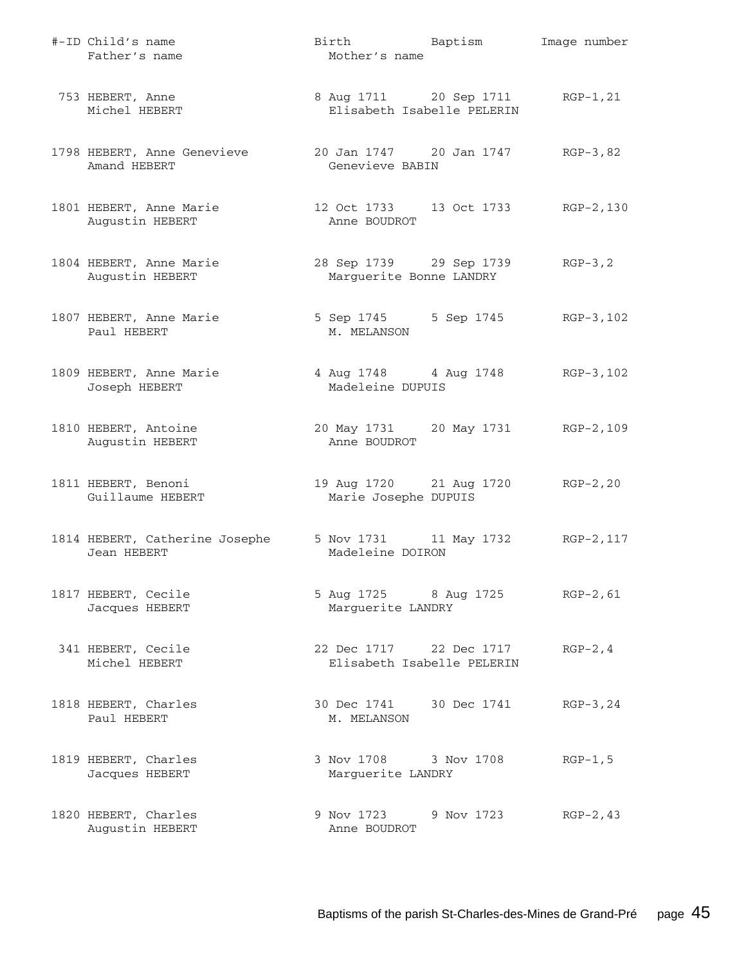| #-ID Child's name<br>Father's name            | Birth Baptism<br>Mother's name                                 |            | Image number |
|-----------------------------------------------|----------------------------------------------------------------|------------|--------------|
| 753 HEBERT, Anne<br>Michel HEBERT             | 8 Aug 1711 20 Sep 1711 RGP-1, 21<br>Elisabeth Isabelle PELERIN |            |              |
| 1798 HEBERT, Anne Genevieve<br>Amand HEBERT   | 20 Jan 1747 20 Jan 1747 RGP-3,82<br>Genevieve BABIN            |            |              |
| 1801 HEBERT, Anne Marie<br>Augustin HEBERT    | 12 Oct 1733 13 Oct 1733 RGP-2,130<br>Anne BOUDROT              |            |              |
| 1804 HEBERT, Anne Marie<br>Augustin HEBERT    | 28 Sep 1739 29 Sep 1739<br>Marguerite Bonne LANDRY             |            | $RGB-3, 2$   |
| 1807 HEBERT, Anne Marie<br>Paul HEBERT        | 5 Sep 1745 5 Sep 1745 RGP-3, 102<br>M. MELANSON                |            |              |
| 1809 HEBERT, Anne Marie<br>Joseph HEBERT      | 4 Aug 1748 4 Aug 1748 RGP-3, 102<br>Madeleine DUPUIS           |            |              |
| 1810 HEBERT, Antoine<br>Augustin HEBERT       | 20 May 1731 20 May 1731 RGP-2,109<br>Anne BOUDROT              |            |              |
| 1811 HEBERT, Benoni<br>Guillaume HEBERT       | 19 Aug 1720 21 Aug 1720 RGP-2, 20<br>Marie Josephe DUPUIS      |            |              |
| 1814 HEBERT, Catherine Josephe<br>Jean HEBERT | 5 Nov 1731 11 May 1732 RGP-2, 117<br>Madeleine DOIRON          |            |              |
| 1817 HEBERT, Cecile<br>Jacques HEBERT         | 5 Aug 1725 8 Aug 1725<br>Marguerite LANDRY                     |            | $RGP-2, 61$  |
| 341 HEBERT, Cecile<br>Michel HEBERT           | 22 Dec 1717 22 Dec 1717<br>Elisabeth Isabelle PELERIN          |            | $RGP-2, 4$   |
| 1818 HEBERT, Charles<br>Paul HEBERT           | 30 Dec 1741 30 Dec 1741<br>M. MELANSON                         |            | $RGP-3, 24$  |
| 1819 HEBERT, Charles<br>Jacques HEBERT        | 3 Nov 1708 3 Nov 1708<br>Marguerite LANDRY                     |            | $RGP-1, 5$   |
| 1820 HEBERT, Charles<br>Augustin HEBERT       | 9 Nov 1723<br>Anne BOUDROT                                     | 9 Nov 1723 | $RGP-2, 43$  |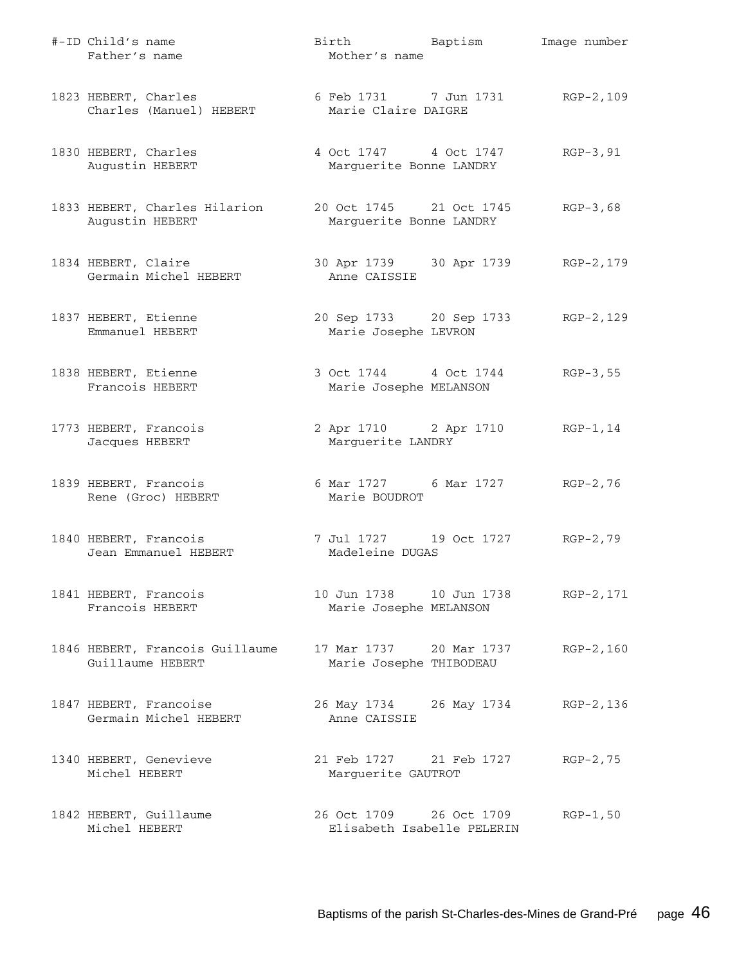| #-ID Child's name<br>Father's name                  | Birth Baptism<br>Mother's name                          | Image number |
|-----------------------------------------------------|---------------------------------------------------------|--------------|
| 1823 HEBERT, Charles<br>Charles (Manuel) HEBERT     | 6 Feb 1731 7 Jun 1731 RGP-2, 109<br>Marie Claire DAIGRE |              |
| 1830 HEBERT, Charles<br>Augustin HEBERT             | 4 Oct 1747 4 Oct 1747<br>Marguerite Bonne LANDRY        | $RGP-3, 91$  |
| 1833 HEBERT, Charles Hilarion<br>Augustin HEBERT    | 20 Oct 1745 21 Oct 1745<br>Marguerite Bonne LANDRY      | $RGP-3,68$   |
| 1834 HEBERT, Claire<br>Germain Michel HEBERT        | 30 Apr 1739 30 Apr 1739<br>Anne CAISSIE                 | RGP-2,179    |
| 1837 HEBERT, Etienne<br>Emmanuel HEBERT             | 20 Sep 1733 20 Sep 1733<br>Marie Josephe LEVRON         | RGP-2,129    |
| 1838 HEBERT, Etienne<br>Francois HEBERT             | 3 Oct 1744 4 Oct 1744<br>Marie Josephe MELANSON         | $RGB-3,55$   |
| 1773 HEBERT, Francois<br>Jacques HEBERT             | 2 Apr 1710 2 Apr 1710<br>Marguerite LANDRY              | $RGP-1, 14$  |
| 1839 HEBERT, Francois<br>Rene (Groc) HEBERT         | 6 Mar 1727 6 Mar 1727<br>Marie BOUDROT                  | $RGP-2, 76$  |
| 1840 HEBERT, Francois<br>Jean Emmanuel HEBERT       | 7 Jul 1727 19 Oct 1727<br>Madeleine DUGAS               | $RGP-2, 79$  |
| 1841 HEBERT, Francois<br>Francois HEBERT            | 10 Jun 1738    10 Jun 1738<br>Marie Josephe MELANSON    | RGP-2,171    |
| 1846 HEBERT, Francois Guillaume<br>Guillaume HEBERT | 17 Mar 1737 20 Mar 1737<br>Marie Josephe THIBODEAU      | $RGP-2, 160$ |
| 1847 HEBERT, Francoise<br>Germain Michel HEBERT     | 26 May 1734 26 May 1734<br>Anne CAISSIE                 | RGP-2,136    |
| 1340 HEBERT, Genevieve<br>Michel HEBERT             | 21 Feb 1727 21 Feb 1727<br>Marguerite GAUTROT           | $RGP-2, 75$  |
| 1842 HEBERT, Guillaume<br>Michel HEBERT             | 26 Oct 1709 26 Oct 1709<br>Elisabeth Isabelle PELERIN   | $RGP-1, 50$  |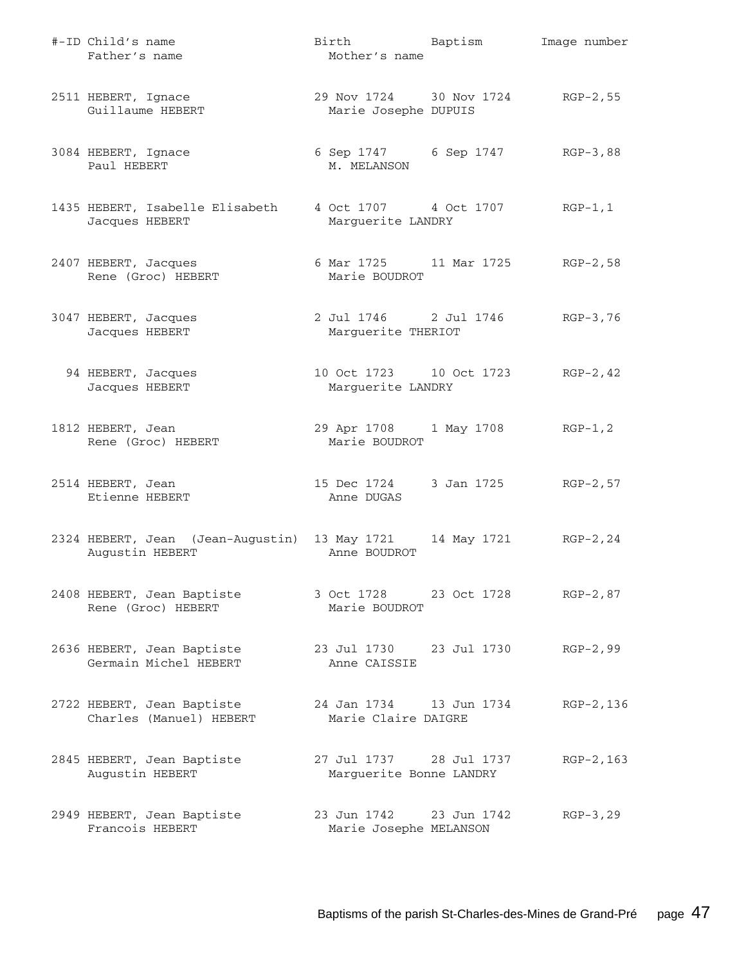| #-ID Child's name<br>Father's name                    | Birth Baptism<br>Mother's name                            |             | Image number |
|-------------------------------------------------------|-----------------------------------------------------------|-------------|--------------|
| 2511 HEBERT, Ignace<br>Guillaume HEBERT               | 29 Nov 1724 30 Nov 1724 RGP-2, 55<br>Marie Josephe DUPUIS |             |              |
| 3084 HEBERT, Ignace<br>Paul HEBERT                    | 6 Sep 1747 6 Sep 1747<br>M. MELANSON                      |             | RGP-3,88     |
| 1435 HEBERT, Isabelle Elisabeth<br>Jacques HEBERT     | 4 Oct 1707 4 Oct 1707<br>Marguerite LANDRY                |             | $RGP-1, 1$   |
| 2407 HEBERT, Jacques<br>Rene (Groc) HEBERT            | 6 Mar 1725 11 Mar 1725<br>Marie BOUDROT                   |             | RGP-2,58     |
| 3047 HEBERT, Jacques<br>Jacques HEBERT                | 2 Jul 1746 2 Jul 1746 RGP-3,76<br>Marguerite THERIOT      |             |              |
| 94 HEBERT, Jacques<br>Jacques HEBERT                  | 10 Oct 1723 10 Oct 1723<br>Marguerite LANDRY              |             | $RGP-2, 42$  |
| 1812 HEBERT, Jean<br>Rene (Groc) HEBERT               | 29 Apr 1708 1 May 1708<br>Marie BOUDROT                   |             | $RGP-1, 2$   |
| 2514 HEBERT, Jean<br>Etienne HEBERT                   | 15 Dec 1724 3 Jan 1725<br>Anne DUGAS                      |             | $RGP-2, 57$  |
| 2324 HEBERT, Jean (Jean-Augustin)<br>Augustin HEBERT  | 13 May 1721<br>Anne BOUDROT                               | 14 May 1721 | $RGP-2, 24$  |
| 2408 HEBERT, Jean Baptiste<br>Rene (Groc) HEBERT      | 3 Oct 1728 23 Oct 1728 RGP-2,87<br>Marie BOUDROT          |             |              |
| 2636 HEBERT, Jean Baptiste<br>Germain Michel HEBERT   | 23 Jul 1730 23 Jul 1730<br>Anne CAISSIE                   |             | $RGP-2, 99$  |
| 2722 HEBERT, Jean Baptiste<br>Charles (Manuel) HEBERT | 24 Jan 1734 13 Jun 1734<br>Marie Claire DAIGRE            |             | RGP-2,136    |
| 2845 HEBERT, Jean Baptiste<br>Augustin HEBERT         | 27 Jul 1737 28 Jul 1737<br>Marguerite Bonne LANDRY        |             | $RGP-2, 163$ |
| 2949 HEBERT, Jean Baptiste<br>Francois HEBERT         | 23 Jun 1742 23 Jun 1742<br>Marie Josephe MELANSON         |             | $RGP-3, 29$  |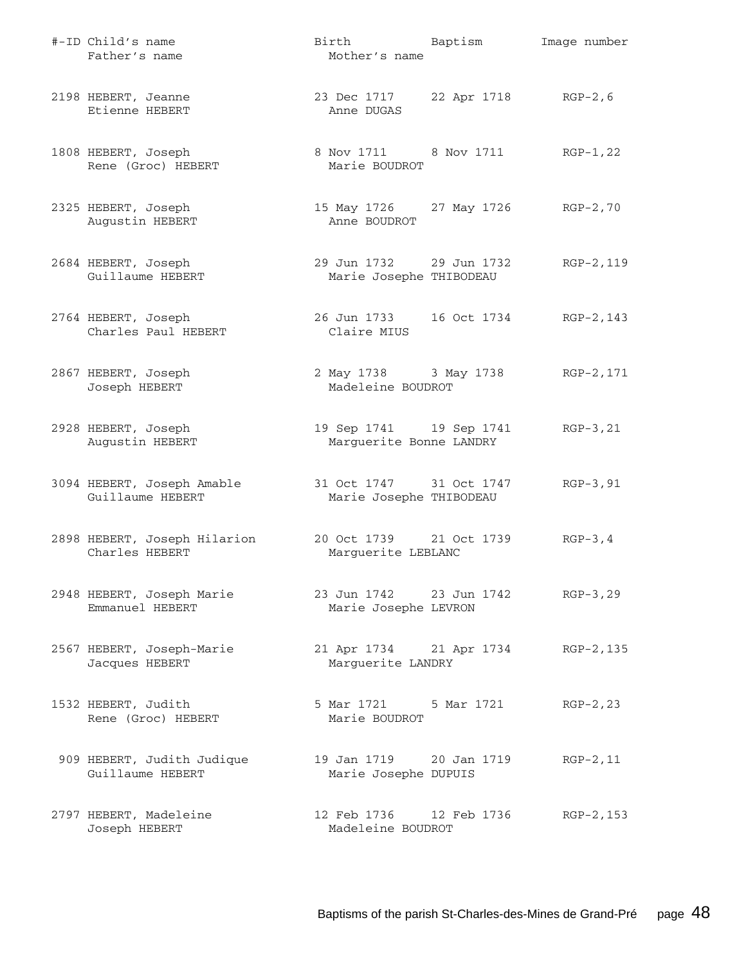| #-ID Child's name<br>Father's name             | Birth Baptism<br>Mother's name                     |                     | Image number |
|------------------------------------------------|----------------------------------------------------|---------------------|--------------|
| 2198 HEBERT, Jeanne<br>Etienne HEBERT          | 23 Dec 1717<br>Anne DUGAS                          | 22 Apr 1718 RGP-2,6 |              |
| 1808 HEBERT, Joseph<br>Rene (Groc) HEBERT      | 8 Nov 1711 8 Nov 1711<br>Marie BOUDROT             |                     | RGP-1,22     |
| 2325 HEBERT, Joseph<br>Augustin HEBERT         | 15 May 1726 27 May 1726<br>Anne BOUDROT            |                     | $RGP-2, 70$  |
| 2684 HEBERT, Joseph<br>Guillaume HEBERT        | 29 Jun 1732 29 Jun 1732<br>Marie Josephe THIBODEAU |                     | RGP-2,119    |
| 2764 HEBERT, Joseph<br>Charles Paul HEBERT     | 26 Jun 1733 16 Oct 1734<br>Claire MIUS             |                     | RGP-2,143    |
| 2867 HEBERT, Joseph<br>Joseph HEBERT           | 2 May 1738 3 May 1738<br>Madeleine BOUDROT         |                     | RGP-2,171    |
| 2928 HEBERT, Joseph<br>Augustin HEBERT         | 19 Sep 1741 19 Sep 1741<br>Marguerite Bonne LANDRY |                     | $RGP-3, 21$  |
| 3094 HEBERT, Joseph Amable<br>Guillaume HEBERT | 31 Oct 1747 31 Oct 1747<br>Marie Josephe THIBODEAU |                     | $RGP-3, 91$  |
| 2898 HEBERT, Joseph Hilarion<br>Charles HEBERT | 20 Oct 1739 21 Oct 1739<br>Marguerite LEBLANC      |                     | $RGP-3, 4$   |
| 2948 HEBERT, Joseph Marie<br>Emmanuel HEBERT   | 23 Jun 1742 23 Jun 1742<br>Marie Josephe LEVRON    |                     | $RGP-3, 29$  |
| 2567 HEBERT, Joseph-Marie<br>Jacques HEBERT    | 21 Apr 1734 21 Apr 1734<br>Marguerite LANDRY       |                     | RGP-2,135    |
| 1532 HEBERT, Judith<br>Rene (Groc) HEBERT      | 5 Mar 1721 5 Mar 1721<br>Marie BOUDROT             |                     | $RGP-2, 23$  |
| 909 HEBERT, Judith Judique<br>Guillaume HEBERT | 19 Jan 1719 20 Jan 1719<br>Marie Josephe DUPUIS    |                     | $RGP-2, 11$  |
| 2797 HEBERT, Madeleine<br>Joseph HEBERT        | 12 Feb 1736 12 Feb 1736<br>Madeleine BOUDROT       |                     | RGP-2, 153   |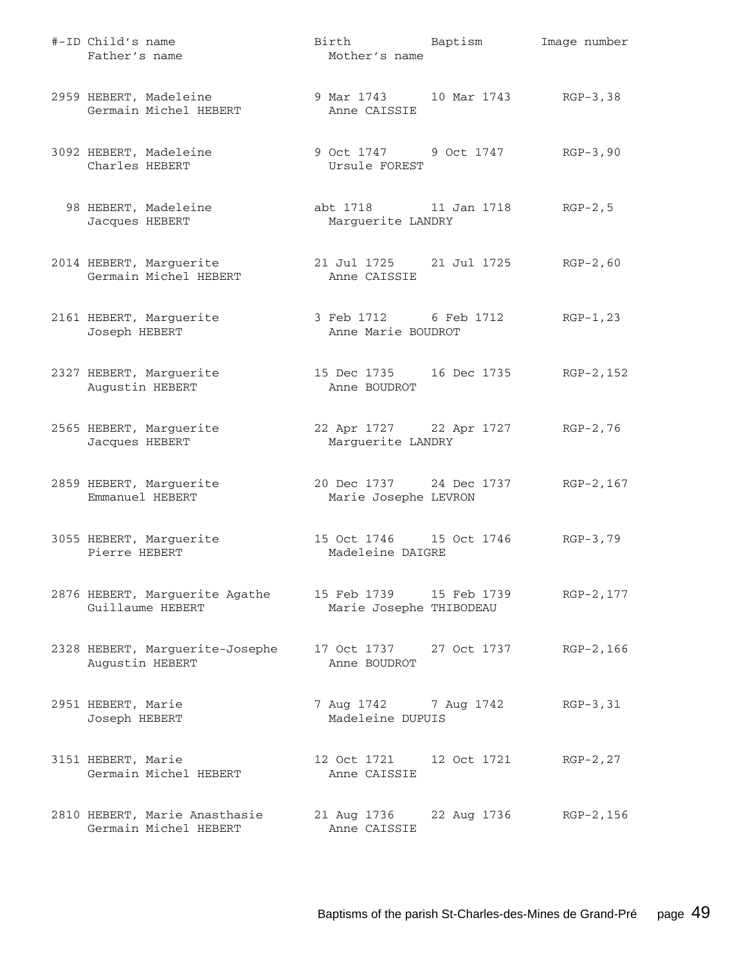| #-ID Child's name<br>Father's name                     | Birth Baptism<br>Mother's name                        |             | Image number |
|--------------------------------------------------------|-------------------------------------------------------|-------------|--------------|
| 2959 HEBERT, Madeleine<br>Germain Michel HEBERT        | 9 Mar 1743 10 Mar 1743 RGP-3,38<br>Anne CAISSIE       |             |              |
| 3092 HEBERT, Madeleine<br>Charles HEBERT               | 9 Oct 1747 9 Oct 1747 RGP-3,90<br>Ursule FOREST       |             |              |
| 98 HEBERT, Madeleine<br>Jacques HEBERT                 | abt 1718 11 Jan 1718<br>Marguerite LANDRY             |             | $RGP-2, 5$   |
| 2014 HEBERT, Marguerite<br>Germain Michel HEBERT       | 21 Jul 1725 21 Jul 1725<br>Anne CAISSIE               |             | $RGP-2, 60$  |
| 2161 HEBERT, Marguerite<br>Joseph HEBERT               | 3 Feb 1712 6 Feb 1712<br>Anne Marie BOUDROT           |             | $RGP-1, 23$  |
| 2327 HEBERT, Marguerite<br>Augustin HEBERT             | 15 Dec 1735 16 Dec 1735 RGP-2,152<br>Anne BOUDROT     |             |              |
| 2565 HEBERT, Marguerite<br>Jacques HEBERT              | 22 Apr 1727 22 Apr 1727 RGP-2,76<br>Marguerite LANDRY |             |              |
| 2859 HEBERT, Marguerite<br>Emmanuel HEBERT             | 20 Dec 1737 24 Dec 1737<br>Marie Josephe LEVRON       |             | RGP-2,167    |
| 3055 HEBERT, Marguerite<br>Pierre HEBERT               | 15 Oct 1746   15 Oct 1746<br>Madeleine DAIGRE         |             | RGP-3,79     |
| 2876 HEBERT, Marguerite Agathe<br>Guillaume HEBERT     | 15 Feb 1739 15 Feb 1739<br>Marie Josephe THIBODEAU    |             | RGP-2, 177   |
| 2328 HEBERT, Marguerite-Josephe<br>Augustin HEBERT     | 17 Oct 1737 27 Oct 1737<br>Anne BOUDROT               |             | $RGP-2, 166$ |
| 2951 HEBERT, Marie<br>Joseph HEBERT                    | 7 Aug 1742 7 Aug 1742<br>Madeleine DUPUIS             |             | $RGP-3, 31$  |
| 3151 HEBERT, Marie<br>Germain Michel HEBERT            | 12 Oct 1721<br>Anne CAISSIE                           | 12 Oct 1721 | $RGP-2, 27$  |
| 2810 HEBERT, Marie Anasthasie<br>Germain Michel HEBERT | 21 Aug 1736<br>Anne CAISSIE                           | 22 Aug 1736 | RGP-2,156    |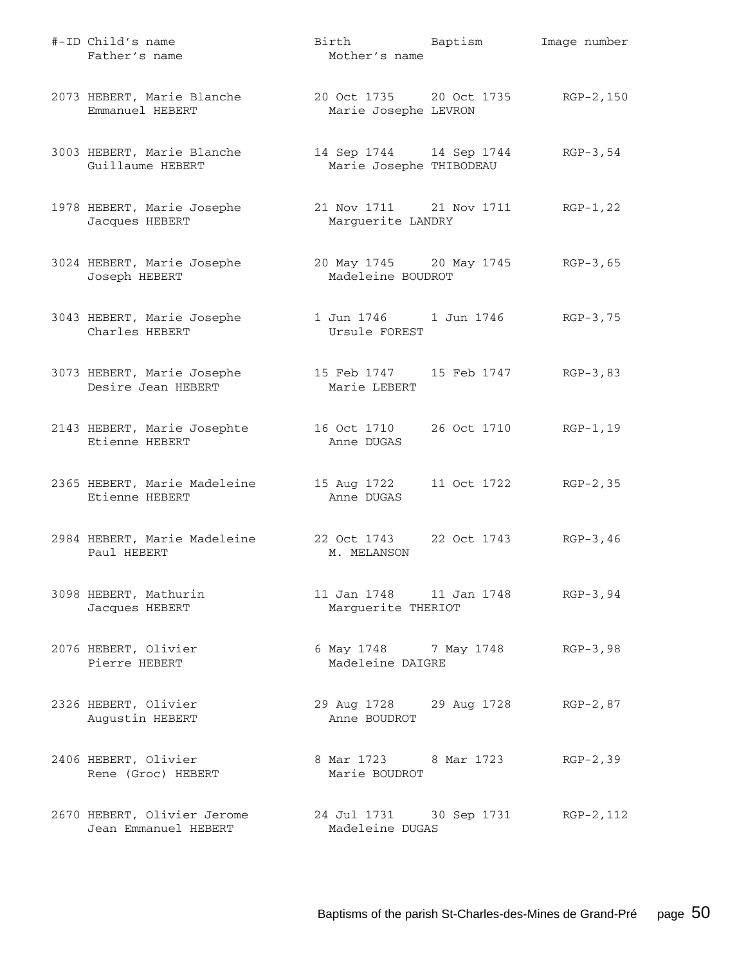| #-ID Child's name<br>Father's name                  | Birth Baptism<br>Mother's name                     |             | Image number |
|-----------------------------------------------------|----------------------------------------------------|-------------|--------------|
| 2073 HEBERT, Marie Blanche<br>Emmanuel HEBERT       | 20 Oct 1735 20 Oct 1735<br>Marie Josephe LEVRON    |             | RGP-2,150    |
| 3003 HEBERT, Marie Blanche<br>Guillaume HEBERT      | 14 Sep 1744 14 Sep 1744<br>Marie Josephe THIBODEAU |             | $RGP-3, 54$  |
| 1978 HEBERT, Marie Josephe<br>Jacques HEBERT        | 21 Nov 1711 21 Nov 1711<br>Marguerite LANDRY       |             | $RGP-1, 22$  |
| 3024 HEBERT, Marie Josephe<br>Joseph HEBERT         | 20 May 1745 20 May 1745<br>Madeleine BOUDROT       |             | $RGB-3,65$   |
| 3043 HEBERT, Marie Josephe<br>Charles HEBERT        | 1 Jun 1746    1 Jun 1746<br>Ursule FOREST          |             | $RGB-3,75$   |
| 3073 HEBERT, Marie Josephe<br>Desire Jean HEBERT    | 15 Feb 1747 15 Feb 1747<br>Marie LEBERT            |             | $RGP-3, 83$  |
| 2143 HEBERT, Marie Josephte<br>Etienne HEBERT       | 16 Oct 1710<br>Anne DUGAS                          | 26 Oct 1710 | $RGP-1, 19$  |
| 2365 HEBERT, Marie Madeleine<br>Etienne HEBERT      | 15 Aug 1722<br>Anne DUGAS                          | 11 Oct 1722 | $RGP-2, 35$  |
| 2984 HEBERT, Marie Madeleine<br>Paul HEBERT         | 22 Oct 1743<br>M. MELANSON                         | 22 Oct 1743 | $RGP-3, 46$  |
| 3098 HEBERT, Mathurin<br>Jacques HEBERT             | 11 Jan 1748    11 Jan 1748<br>Marguerite THERIOT   |             | $RGP-3, 94$  |
| 2076 HEBERT, Olivier<br>Pierre HEBERT               | 6 May 1748 7 May 1748<br>Madeleine DAIGRE          |             | $RGP-3, 98$  |
| 2326 HEBERT, Olivier<br>Augustin HEBERT             | 29 Aug 1728 29 Aug 1728<br>Anne BOUDROT            |             | $RGP-2, 87$  |
| 2406 HEBERT, Olivier<br>Rene (Groc) HEBERT          | 8 Mar 1723 8 Mar 1723<br>Marie BOUDROT             |             | $RGP-2, 39$  |
| 2670 HEBERT, Olivier Jerome<br>Jean Emmanuel HEBERT | 24 Jul 1731 30 Sep 1731<br>Madeleine DUGAS         |             | $RGP-2, 112$ |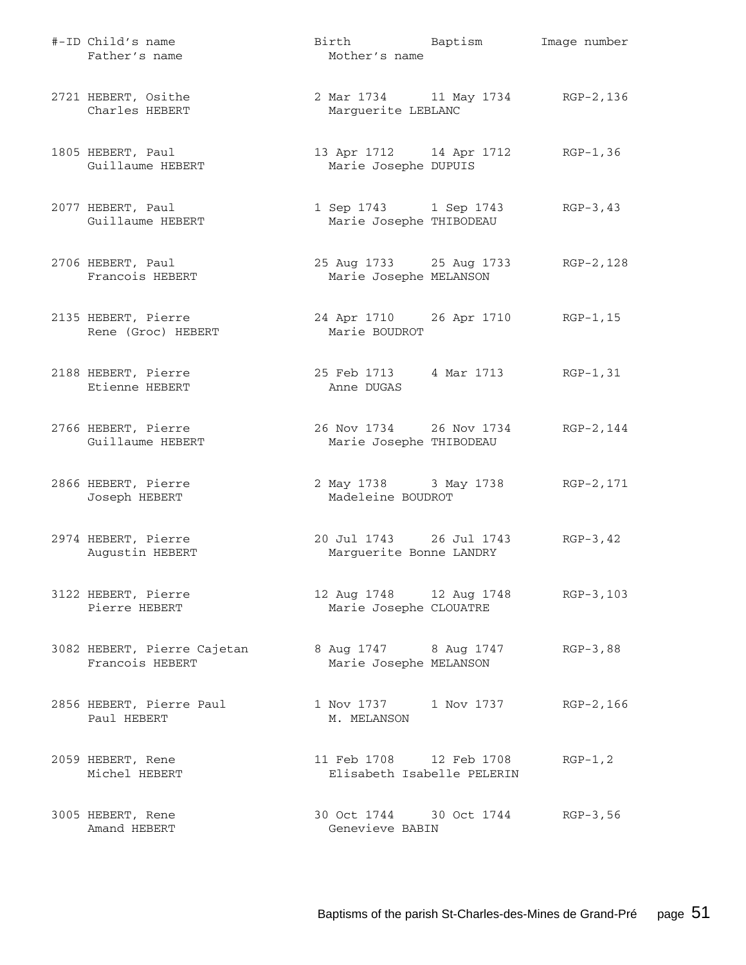| #-ID Child's name<br>Father's name             | Birth Baptism<br>Mother's name                     |                         | Image number |
|------------------------------------------------|----------------------------------------------------|-------------------------|--------------|
| 2721 HEBERT, Osithe<br>Charles HEBERT          | 2 Mar 1734 11 May 1734<br>Marguerite LEBLANC       |                         | RGP-2,136    |
| 1805 HEBERT, Paul<br>Guillaume HEBERT          | 13 Apr 1712 14 Apr 1712<br>Marie Josephe DUPUIS    |                         | $RGP-1, 36$  |
| 2077 HEBERT, Paul<br>Guillaume HEBERT          | 1 Sep 1743 1 Sep 1743<br>Marie Josephe THIBODEAU   |                         | $RGP-3, 43$  |
| 2706 HEBERT, Paul<br>Francois HEBERT           | 25 Aug 1733 25 Aug 1733<br>Marie Josephe MELANSON  |                         | RGP-2,128    |
| 2135 HEBERT, Pierre<br>Rene (Groc) HEBERT      | 24 Apr 1710 26 Apr 1710<br>Marie BOUDROT           |                         | $RGP-1, 15$  |
| 2188 HEBERT, Pierre<br>Etienne HEBERT          | 25 Feb 1713 4 Mar 1713<br>Anne DUGAS               |                         | $RGP-1, 31$  |
| 2766 HEBERT, Pierre<br>Guillaume HEBERT        | 26 Nov 1734 26 Nov 1734<br>Marie Josephe THIBODEAU |                         | RGP-2,144    |
| 2866 HEBERT, Pierre<br>Joseph HEBERT           | Madeleine BOUDROT                                  | 2 May 1738 3 May 1738   | RGP-2,171    |
| 2974 HEBERT, Pierre<br>Augustin HEBERT         | 20 Jul 1743 26 Jul 1743<br>Marguerite Bonne LANDRY |                         | $RGP-3, 42$  |
| 3122 HEBERT, Pierre<br>Pierre HEBERT           | Marie Josephe CLOUATRE                             | 12 Aug 1748 12 Aug 1748 | $RGP-3, 103$ |
| 3082 HEBERT, Pierre Cajetan<br>Francois HEBERT | 8 Aug 1747 8 Aug 1747<br>Marie Josephe MELANSON    |                         | $RGB-3,88$   |
| 2856 HEBERT, Pierre Paul<br>Paul HEBERT        | 1 Nov 1737 1 Nov 1737<br>M. MELANSON               |                         | $RGP-2, 166$ |
| 2059 HEBERT, Rene<br>Michel HEBERT             | Elisabeth Isabelle PELERIN                         | 11 Feb 1708 12 Feb 1708 | $RGP-1, 2$   |
| 3005 HEBERT, Rene<br>Amand HEBERT              | Genevieve BABIN                                    | 30 Oct 1744 30 Oct 1744 | $RGB-3,56$   |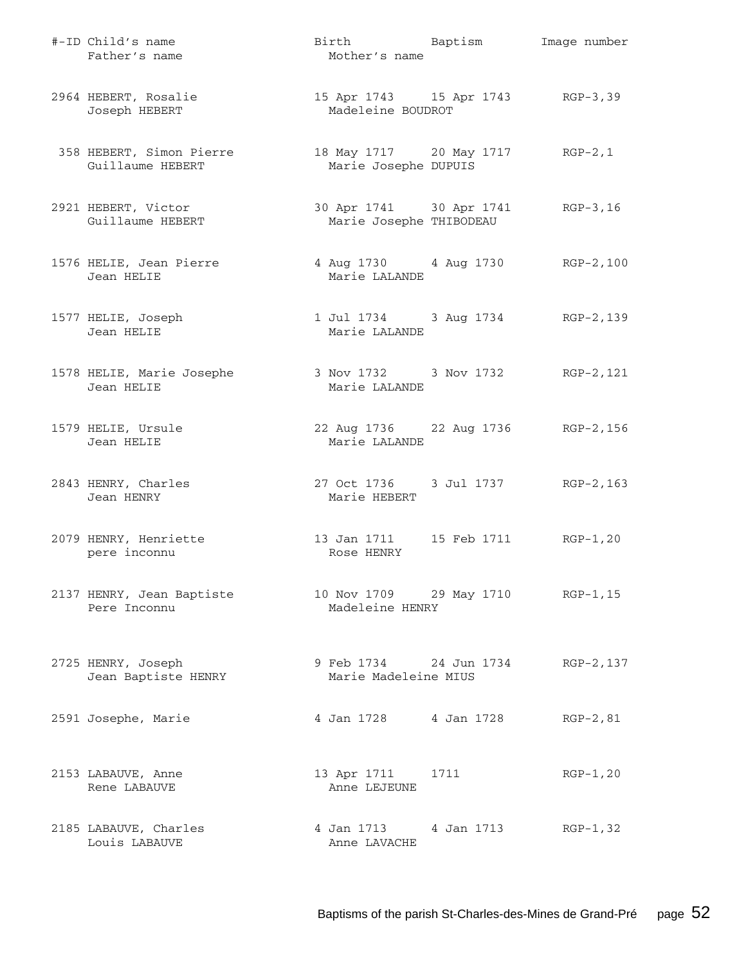| #-ID Child's name<br>Father's name           | Birth Baptism<br>Mother's name                          |      | Image number |
|----------------------------------------------|---------------------------------------------------------|------|--------------|
| 2964 HEBERT, Rosalie<br>Joseph HEBERT        | 15 Apr 1743 15 Apr 1743 RGP-3,39<br>Madeleine BOUDROT   |      |              |
| 358 HEBERT, Simon Pierre<br>Guillaume HEBERT | 18 May 1717 20 May 1717 RGP-2,1<br>Marie Josephe DUPUIS |      |              |
| 2921 HEBERT, Victor<br>Guillaume HEBERT      | 30 Apr 1741 30 Apr 1741<br>Marie Josephe THIBODEAU      |      | RGP-3,16     |
| 1576 HELIE, Jean Pierre<br>Jean HELIE        | 4 Aug 1730 4 Aug 1730 RGP-2,100<br>Marie LALANDE        |      |              |
| 1577 HELIE, Joseph<br>Jean HELIE             | 1 Jul 1734 3 Aug 1734 RGP-2, 139<br>Marie LALANDE       |      |              |
| 1578 HELIE, Marie Josephe<br>Jean HELIE      | 3 Nov 1732     3 Nov 1732<br>Marie LALANDE              |      | RGP-2,121    |
| 1579 HELIE, Ursule<br>Jean HELIE             | 22 Aug 1736 22 Aug 1736 RGP-2, 156<br>Marie LALANDE     |      |              |
| 2843 HENRY, Charles<br>Jean HENRY            | 27 Oct 1736 3 Jul 1737 RGP-2, 163<br>Marie HEBERT       |      |              |
| 2079 HENRY, Henriette<br>pere inconnu        | 13 Jan 1711   15 Feb 1711   RGP-1,20<br>Rose HENRY      |      |              |
| 2137 HENRY, Jean Baptiste<br>Pere Inconnu    | 10 Nov 1709 29 May 1710 RGP-1, 15<br>Madeleine HENRY    |      |              |
| 2725 HENRY, Joseph<br>Jean Baptiste HENRY    | 9 Feb 1734 24 Jun 1734<br>Marie Madeleine MIUS          |      | RGP-2, 137   |
| 2591 Josephe, Marie                          | 4 Jan 1728 4 Jan 1728                                   |      | $RGP-2, 81$  |
| 2153 LABAUVE, Anne<br>Rene LABAUVE           | 13 Apr 1711<br>Anne LEJEUNE                             | 1711 | $RGP-1, 20$  |
| 2185 LABAUVE, Charles<br>Louis LABAUVE       | 4 Jan 1713 4 Jan 1713<br>Anne LAVACHE                   |      | $RGP-1, 32$  |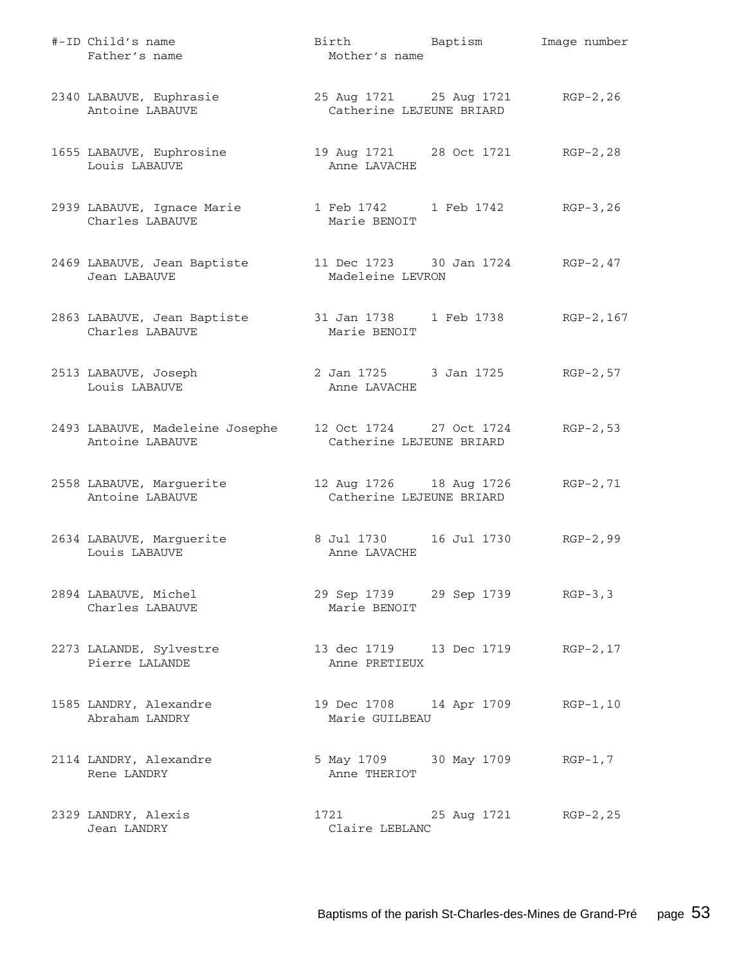| #-ID Child's name<br>Father's name                                               | Birth Baptism<br>Mother's name                                |             | Image number |
|----------------------------------------------------------------------------------|---------------------------------------------------------------|-------------|--------------|
| 2340 LABAUVE, Euphrasie<br>Antoine LABAUVE                                       | 25 Aug 1721 25 Aug 1721 RGP-2, 26<br>Catherine LEJEUNE BRIARD |             |              |
| 1655 LABAUVE, Euphrosine<br>Louis LABAUVE                                        | 19 Aug 1721 28 Oct 1721 RGP-2,28<br>Anne LAVACHE              |             |              |
| 2939 LABAUVE, Ignace Marie<br>Charles LABAUVE                                    | 1 Feb 1742 1 Feb 1742 RGP-3,26<br>Marie BENOIT                |             |              |
| 2469 LABAUVE, Jean Baptiste<br>Jean LABAUVE                                      | 11 Dec 1723 30 Jan 1724 RGP-2, 47<br>Madeleine LEVRON         |             |              |
| 2863 LABAUVE, Jean Baptiste 31 Jan 1738 1 Feb 1738 RGP-2, 167<br>Charles LABAUVE | Marie BENOIT                                                  |             |              |
| 2513 LABAUVE, Joseph<br>Louis LABAUVE                                            | 2 Jan 1725 3 Jan 1725 RGP-2,57<br>Anne LAVACHE                |             |              |
| 2493 LABAUVE, Madeleine Josephe<br>Antoine LABAUVE                               | 12 Oct 1724 27 Oct 1724<br>Catherine LEJEUNE BRIARD           |             | $RGP-2, 53$  |
| 2558 LABAUVE, Marguerite<br>Antoine LABAUVE                                      | 12 Aug 1726 18 Aug 1726<br>Catherine LEJEUNE BRIARD           |             | $RGP-2, 71$  |
| 2634 LABAUVE, Marguerite<br>Louis LABAUVE                                        | 8 Jul 1730    16 Jul 1730<br>Anne LAVACHE                     |             | RGP-2,99     |
| 2894 LABAUVE, Michel<br>Charles LABAUVE                                          | 29 Sep 1739 29 Sep 1739 RGP-3,3<br>Marie BENOIT               |             |              |
| 2273 LALANDE, Sylvestre<br>Pierre LALANDE                                        | 13 dec 1719 13 Dec 1719<br>Anne PRETIEUX                      |             | $RGP-2, 17$  |
| 1585 LANDRY, Alexandre<br>Abraham LANDRY                                         | 19 Dec 1708 14 Apr 1709<br>Marie GUILBEAU                     |             | $RGP-1, 10$  |
| 2114 LANDRY, Alexandre<br>Rene LANDRY                                            | 5 May 1709 30 May 1709<br>Anne THERIOT                        |             | $RGP-1, 7$   |
| 2329 LANDRY, Alexis<br>Jean LANDRY                                               | 1721<br>Claire LEBLANC                                        | 25 Aug 1721 | RGP-2,25     |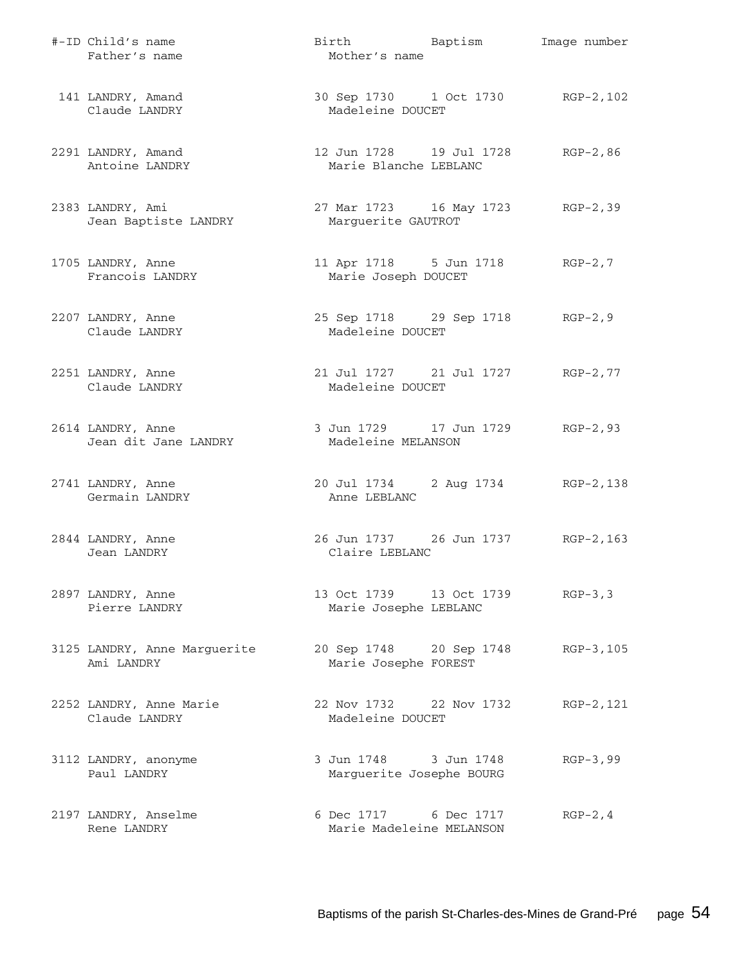| #-ID Child's name<br>Father's name         | Birth Baptism<br>Mother's name                         | Image number |
|--------------------------------------------|--------------------------------------------------------|--------------|
| 141 LANDRY, Amand<br>Claude LANDRY         | 30 Sep 1730 1 Oct 1730 RGP-2, 102<br>Madeleine DOUCET  |              |
| 2291 LANDRY, Amand<br>Antoine LANDRY       | 12 Jun 1728 19 Jul 1728<br>Marie Blanche LEBLANC       | $RGP-2, 86$  |
| 2383 LANDRY, Ami<br>Jean Baptiste LANDRY   | 27 Mar 1723 16 May 1723 RGP-2,39<br>Marguerite GAUTROT |              |
| 1705 LANDRY, Anne<br>Francois LANDRY       | 11 Apr 1718 5 Jun 1718<br>Marie Joseph DOUCET          | $RGP-2, 7$   |
| 2207 LANDRY, Anne<br>Claude LANDRY         | 25 Sep 1718 29 Sep 1718<br>Madeleine DOUCET            | $RGP-2, 9$   |
| 2251 LANDRY, Anne<br>Claude LANDRY         | 21 Jul 1727 21 Jul 1727<br>Madeleine DOUCET            | $RGP-2, 77$  |
| 2614 LANDRY, Anne<br>Jean dit Jane LANDRY  | 3 Jun 1729 17 Jun 1729<br>Madeleine MELANSON           | RGP-2,93     |
| 2741 LANDRY, Anne<br>Germain LANDRY        | 20 Jul 1734 2 Aug 1734<br>Anne LEBLANC                 | RGP-2,138    |
| 2844 LANDRY, Anne<br>Jean LANDRY           | 26 Jun 1737 26 Jun 1737<br>Claire LEBLANC              | $RGP-2, 163$ |
| 2897 LANDRY, Anne<br>Pierre LANDRY         | 13 Oct 1739 13 Oct 1739<br>Marie Josephe LEBLANC       | $RGP-3, 3$   |
| 3125 LANDRY, Anne Marguerite<br>Ami LANDRY | 20 Sep 1748 20 Sep 1748<br>Marie Josephe FOREST        | RGP-3,105    |
| 2252 LANDRY, Anne Marie<br>Claude LANDRY   | 22 Nov 1732 22 Nov 1732<br>Madeleine DOUCET            | RGP-2,121    |
| 3112 LANDRY, anonyme<br>Paul LANDRY        | 3 Jun 1748 3 Jun 1748<br>Marguerite Josephe BOURG      | $RGP-3, 99$  |
| 2197 LANDRY, Anselme<br>Rene LANDRY        | 6 Dec 1717 6 Dec 1717<br>Marie Madeleine MELANSON      | $RGP-2, 4$   |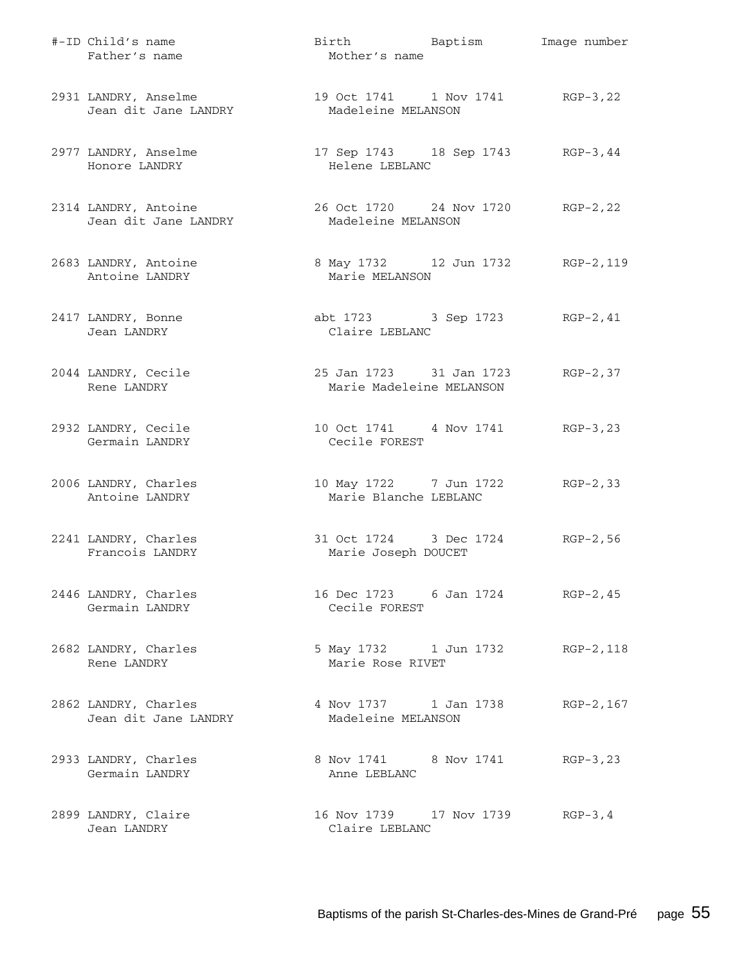| #-ID Child's name<br>Father's name           | Birth Baptism<br>Mother's name                          | Image number |
|----------------------------------------------|---------------------------------------------------------|--------------|
| 2931 LANDRY, Anselme<br>Jean dit Jane LANDRY | 19 Oct 1741 1 Nov 1741 RGP-3,22<br>Madeleine MELANSON   |              |
| 2977 LANDRY, Anselme<br>Honore LANDRY        | 17 Sep 1743 18 Sep 1743 RGP-3, 44<br>Helene LEBLANC     |              |
| 2314 LANDRY, Antoine<br>Jean dit Jane LANDRY | 26 Oct 1720 24 Nov 1720 RGP-2, 22<br>Madeleine MELANSON |              |
| 2683 LANDRY, Antoine<br>Antoine LANDRY       | 8 May 1732 12 Jun 1732 RGP-2, 119<br>Marie MELANSON     |              |
| 2417 LANDRY, Bonne<br>Jean LANDRY            | abt 1723 3 Sep 1723 RGP-2, 41<br>Claire LEBLANC         |              |
| 2044 LANDRY, Cecile<br>Rene LANDRY           | 25 Jan 1723 31 Jan 1723<br>Marie Madeleine MELANSON     | $RGP-2, 37$  |
| 2932 LANDRY, Cecile<br>Germain LANDRY        | 10 Oct 1741 4 Nov 1741 RGP-3, 23<br>Cecile FOREST       |              |
| 2006 LANDRY, Charles<br>Antoine LANDRY       | 10 May 1722 7 Jun 1722<br>Marie Blanche LEBLANC         | $RGP-2, 33$  |
| 2241 LANDRY, Charles<br>Francois LANDRY      | 31 Oct 1724 3 Dec 1724<br>Marie Joseph DOUCET           | $RGP-2, 56$  |
| 2446 LANDRY, Charles<br>Germain LANDRY       | 16 Dec 1723 6 Jan 1724<br>Cecile FOREST                 | $RGP-2, 45$  |
| 2682 LANDRY, Charles<br>Rene LANDRY          | 5 May 1732 1 Jun 1732<br>Marie Rose RIVET               | RGP-2,118    |
| 2862 LANDRY, Charles<br>Jean dit Jane LANDRY | 4 Nov 1737 1 Jan 1738<br>Madeleine MELANSON             | RGP-2, 167   |
| 2933 LANDRY, Charles<br>Germain LANDRY       | 8 Nov 1741 8 Nov 1741<br>Anne LEBLANC                   | $RGP-3, 23$  |
| 2899 LANDRY, Claire<br>Jean LANDRY           | 16 Nov 1739    17 Nov 1739<br>Claire LEBLANC            | $RGP-3, 4$   |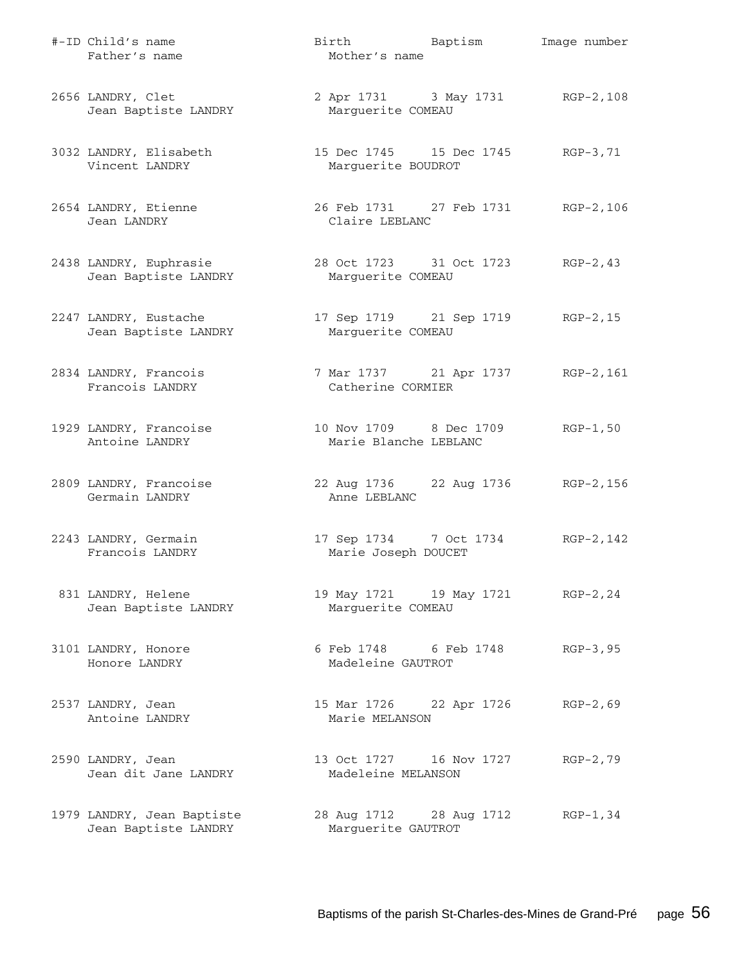| #-ID Child's name<br>Father's name                 | Mother's name                                          | Birth Baptism                      | Image number |
|----------------------------------------------------|--------------------------------------------------------|------------------------------------|--------------|
| 2656 LANDRY, Clet<br>Jean Baptiste LANDRY          | Marguerite COMEAU                                      | 2 Apr 1731 3 May 1731 RGP-2,108    |              |
| 3032 LANDRY, Elisabeth<br>Vincent LANDRY           | Marguerite BOUDROT                                     | 15 Dec 1745 15 Dec 1745 RGP-3,71   |              |
| 2654 LANDRY, Etienne<br>Jean LANDRY                | Claire LEBLANC                                         | 26 Feb 1731 27 Feb 1731 RGP-2, 106 |              |
| 2438 LANDRY, Euphrasie<br>Jean Baptiste LANDRY     | Marguerite COMEAU                                      | 28 Oct 1723 31 Oct 1723 RGP-2, 43  |              |
| 2247 LANDRY, Eustache<br>Jean Baptiste LANDRY      | Marguerite COMEAU                                      | 17 Sep 1719 21 Sep 1719 RGP-2, 15  |              |
| 2834 LANDRY, Francois<br>Francois LANDRY           | 7 Mar 1737 21 Apr 1737 RGP-2, 161<br>Catherine CORMIER |                                    |              |
| 1929 LANDRY, Francoise<br>Antoine LANDRY           | 10 Nov 1709 8 Dec 1709<br>Marie Blanche LEBLANC        |                                    | $RGP-1, 50$  |
| 2809 LANDRY, Francoise<br>Germain LANDRY           | Anne LEBLANC                                           | 22 Aug 1736 22 Aug 1736 RGP-2, 156 |              |
| 2243 LANDRY, Germain<br>Francois LANDRY            | Marie Joseph DOUCET                                    | 17 Sep 1734 7 Oct 1734 RGP-2, 142  |              |
| 831 LANDRY, Helene<br>Jean Baptiste LANDRY         | Marguerite COMEAU                                      | 19 May 1721 19 May 1721 RGP-2, 24  |              |
| 3101 LANDRY, Honore<br>Honore LANDRY               | 6 Feb 1748 6 Feb 1748<br>Madeleine GAUTROT             |                                    | $RGP-3, 95$  |
| 2537 LANDRY, Jean<br>Antoine LANDRY                | 15 Mar 1726 22 Apr 1726<br>Marie MELANSON              |                                    | $RGP-2, 69$  |
| 2590 LANDRY, Jean<br>Jean dit Jane LANDRY          | 13 Oct 1727 16 Nov 1727<br>Madeleine MELANSON          |                                    | $RGP-2, 79$  |
| 1979 LANDRY, Jean Baptiste<br>Jean Baptiste LANDRY | 28 Aug 1712 28 Aug 1712<br>Marguerite GAUTROT          |                                    | $RGP-1, 34$  |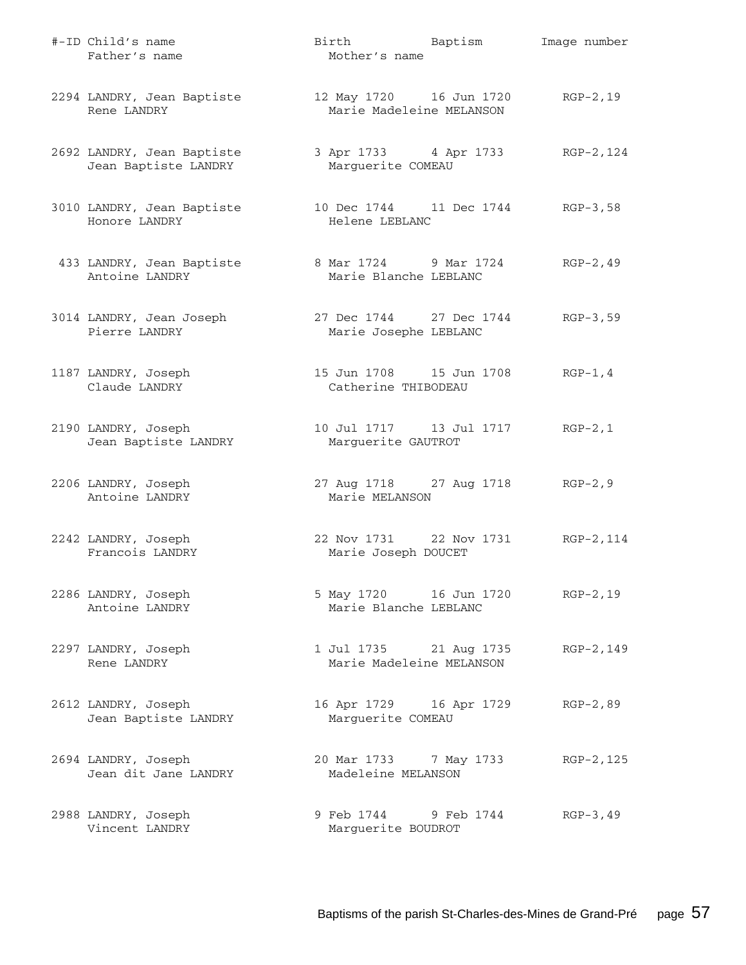| #-ID Child's name<br>Father's name                 | Birth Baptism<br>Mother's name                                   | Image number |
|----------------------------------------------------|------------------------------------------------------------------|--------------|
| 2294 LANDRY, Jean Baptiste<br>Rene LANDRY          | 12 May 1720   16 Jun 1720   RGP-2,19<br>Marie Madeleine MELANSON |              |
| 2692 LANDRY, Jean Baptiste<br>Jean Baptiste LANDRY | 3 Apr 1733 4 Apr 1733 RGP-2, 124<br>Marguerite COMEAU            |              |
| 3010 LANDRY, Jean Baptiste<br>Honore LANDRY        | 10 Dec 1744 11 Dec 1744 RGP-3,58<br>Helene LEBLANC               |              |
| 433 LANDRY, Jean Baptiste<br>Antoine LANDRY        | 8 Mar 1724 9 Mar 1724<br>Marie Blanche LEBLANC                   | $RGP-2, 49$  |
| 3014 LANDRY, Jean Joseph<br>Pierre LANDRY          | 27 Dec 1744 27 Dec 1744<br>Marie Josephe LEBLANC                 | $RGB-3,59$   |
| 1187 LANDRY, Joseph<br>Claude LANDRY               | 15 Jun 1708    15 Jun 1708<br>Catherine THIBODEAU                | $RGP-1, 4$   |
| 2190 LANDRY, Joseph<br>Jean Baptiste LANDRY        | Marguerite GAUTROT                                               | $RGP-2, 1$   |
| 2206 LANDRY, Joseph<br>Antoine LANDRY              | 27 Aug 1718 27 Aug 1718 RGP-2, 9<br>Marie MELANSON               |              |
| 2242 LANDRY, Joseph<br>Francois LANDRY             | 22 Nov 1731 22 Nov 1731 RGP-2, 114<br>Marie Joseph DOUCET        |              |
| 2286 LANDRY, Joseph<br>Antoine LANDRY              | 5 May 1720 16 Jun 1720<br>Marie Blanche LEBLANC                  | $RGP-2, 19$  |
| 2297 LANDRY, Joseph<br>Rene LANDRY                 | 1 Jul 1735 21 Aug 1735<br>Marie Madeleine MELANSON               | RGP-2,149    |
| 2612 LANDRY, Joseph<br>Jean Baptiste LANDRY        | 16 Apr 1729 16 Apr 1729<br>Marguerite COMEAU                     | $RGP-2, 89$  |
| 2694 LANDRY, Joseph<br>Jean dit Jane LANDRY        | 20 Mar 1733 7 May 1733<br>Madeleine MELANSON                     | RGP-2,125    |
| 2988 LANDRY, Joseph<br>Vincent LANDRY              | 9 Feb 1744 9 Feb 1744<br>Marguerite BOUDROT                      | $RGP-3, 49$  |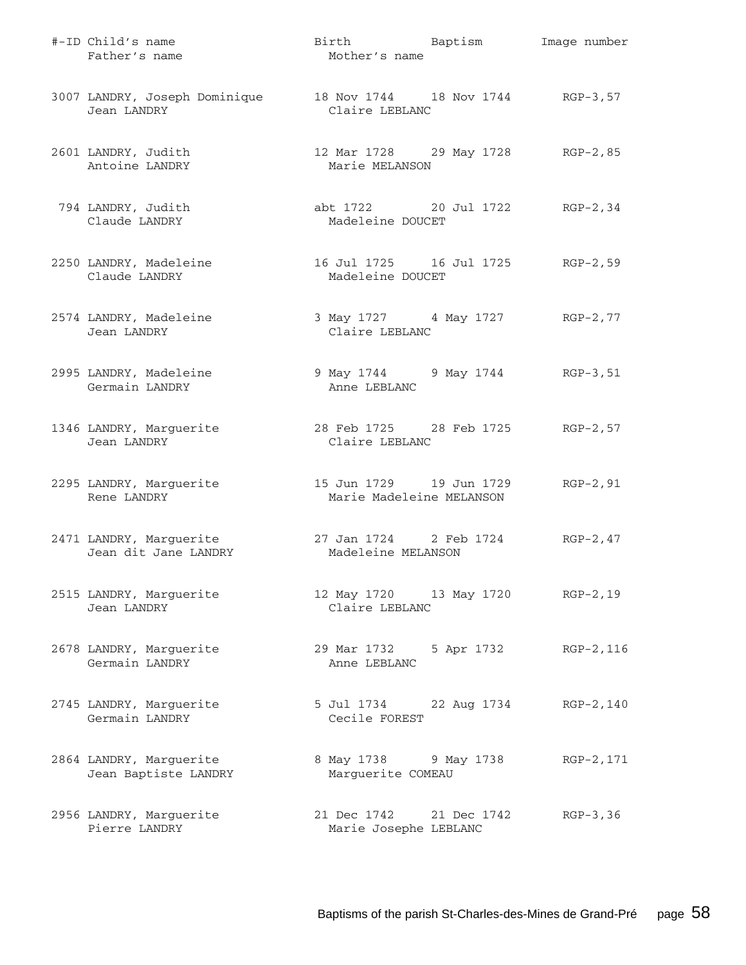| #-ID Child's name<br>Father's name                                            | Birth Baptism<br>Mother's name                         |            | Image number |
|-------------------------------------------------------------------------------|--------------------------------------------------------|------------|--------------|
| 3007 LANDRY, Joseph Dominique 18 Nov 1744 18 Nov 1744 RGP-3,57<br>Jean LANDRY | Claire LEBLANC                                         |            |              |
| 2601 LANDRY, Judith<br>Antoine LANDRY                                         | 12 Mar 1728 29 May 1728 RGP-2,85<br>Marie MELANSON     |            |              |
| 794 LANDRY, Judith<br>Claude LANDRY                                           | abt 1722 20 Jul 1722 RGP-2,34<br>Madeleine DOUCET      |            |              |
| 2250 LANDRY, Madeleine<br>Claude LANDRY                                       | 16 Jul 1725 16 Jul 1725 RGP-2,59<br>Madeleine DOUCET   |            |              |
| 2574 LANDRY, Madeleine<br>Jean LANDRY                                         | 3 May 1727 4 May 1727 RGP-2,77<br>Claire LEBLANC       |            |              |
| 2995 LANDRY, Madeleine<br>Germain LANDRY                                      | 9 May 1744 9 May 1744 RGP-3, 51<br>Anne LEBLANC        |            |              |
| 1346 LANDRY, Marguerite<br>Jean LANDRY                                        | 28 Feb 1725 28 Feb 1725 RGP-2,57<br>Claire LEBLANC     |            |              |
| 2295 LANDRY, Marguerite<br>Rene LANDRY                                        | 15 Jun 1729    19 Jun 1729<br>Marie Madeleine MELANSON |            | $RGP-2, 91$  |
| 2471 LANDRY, Marguerite<br>Jean dit Jane LANDRY                               | 27 Jan 1724 2 Feb 1724<br>Madeleine MELANSON           |            | $RGP-2, 47$  |
| 2515 LANDRY, Marguerite<br>Jean LANDRY                                        | 12 May 1720 13 May 1720 RGP-2,19<br>Claire LEBLANC     |            |              |
| 2678 LANDRY, Marquerite<br>Germain LANDRY                                     | 29 Mar 1732<br>Anne LEBLANC                            | 5 Apr 1732 | RGP-2,116    |
| 2745 LANDRY, Marguerite<br>Germain LANDRY                                     | 5 Jul 1734 22 Aug 1734<br>Cecile FOREST                |            | RGP-2,140    |
| 2864 LANDRY, Marguerite<br>Jean Baptiste LANDRY                               | 8 May 1738<br>Marguerite COMEAU                        | 9 May 1738 | RGP-2,171    |
| 2956 LANDRY, Marguerite<br>Pierre LANDRY                                      | 21 Dec 1742 21 Dec 1742<br>Marie Josephe LEBLANC       |            | $RGP-3, 36$  |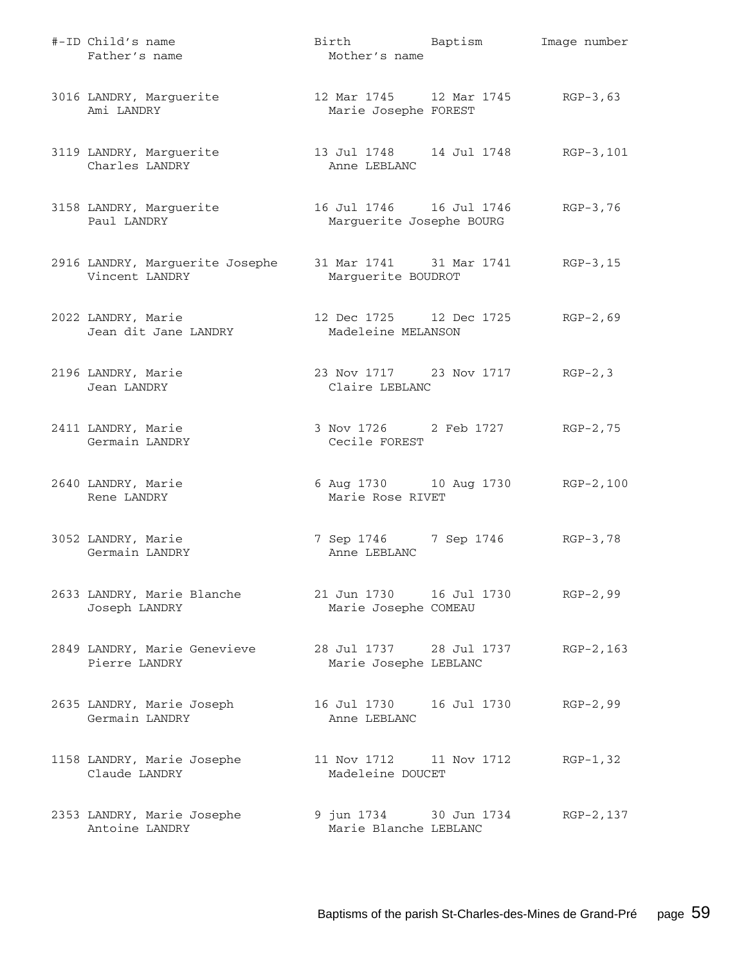| #-ID Child's name<br>Father's name                | Birth Baptism<br>Mother's name                           | Image number |
|---------------------------------------------------|----------------------------------------------------------|--------------|
| 3016 LANDRY, Marguerite<br>Ami LANDRY             | 12 Mar 1745 12 Mar 1745 RGP-3,63<br>Marie Josephe FOREST |              |
| 3119 LANDRY, Marguerite<br>Charles LANDRY         | 13 Jul 1748 14 Jul 1748 RGP-3,101<br>Anne LEBLANC        |              |
| 3158 LANDRY, Marguerite<br>Paul LANDRY            | 16 Jul 1746    16 Jul 1746<br>Marguerite Josephe BOURG   | $RGP-3, 76$  |
| 2916 LANDRY, Marguerite Josephe<br>Vincent LANDRY | 31 Mar 1741 31 Mar 1741 RGP-3, 15<br>Marguerite BOUDROT  |              |
| 2022 LANDRY, Marie<br>Jean dit Jane LANDRY        | 12 Dec 1725 12 Dec 1725<br>Madeleine MELANSON            | RGP-2,69     |
| 2196 LANDRY, Marie<br>Jean LANDRY                 | 23 Nov 1717 23 Nov 1717 RGP-2, 3<br>Claire LEBLANC       |              |
| 2411 LANDRY, Marie<br>Germain LANDRY              | 3 Nov 1726 2 Feb 1727 RGP-2,75<br>Cecile FOREST          |              |
| 2640 LANDRY, Marie<br>Rene LANDRY                 | 6 Aug 1730 10 Aug 1730 RGP-2,100<br>Marie Rose RIVET     |              |
| 3052 LANDRY, Marie<br>Germain LANDRY              | 7 Sep 1746 7 Sep 1746 RGP-3,78<br>Anne LEBLANC           |              |
| 2633 LANDRY, Marie Blanche<br>Joseph LANDRY       | 21 Jun 1730    16 Jul 1730<br>Marie Josephe COMEAU       | $RGP-2, 99$  |
| 2849 LANDRY, Marie Genevieve<br>Pierre LANDRY     | 28 Jul 1737 28 Jul 1737<br>Marie Josephe LEBLANC         | $RGP-2, 163$ |
| 2635 LANDRY, Marie Joseph<br>Germain LANDRY       | 16 Jul 1730    16 Jul 1730<br>Anne LEBLANC               | $RGP-2, 99$  |
| 1158 LANDRY, Marie Josephe<br>Claude LANDRY       | 11 Nov 1712 11 Nov 1712<br>Madeleine DOUCET              | $RGP-1, 32$  |
| 2353 LANDRY, Marie Josephe<br>Antoine LANDRY      | 9 jun 1734 30 Jun 1734<br>Marie Blanche LEBLANC          | RGP-2,137    |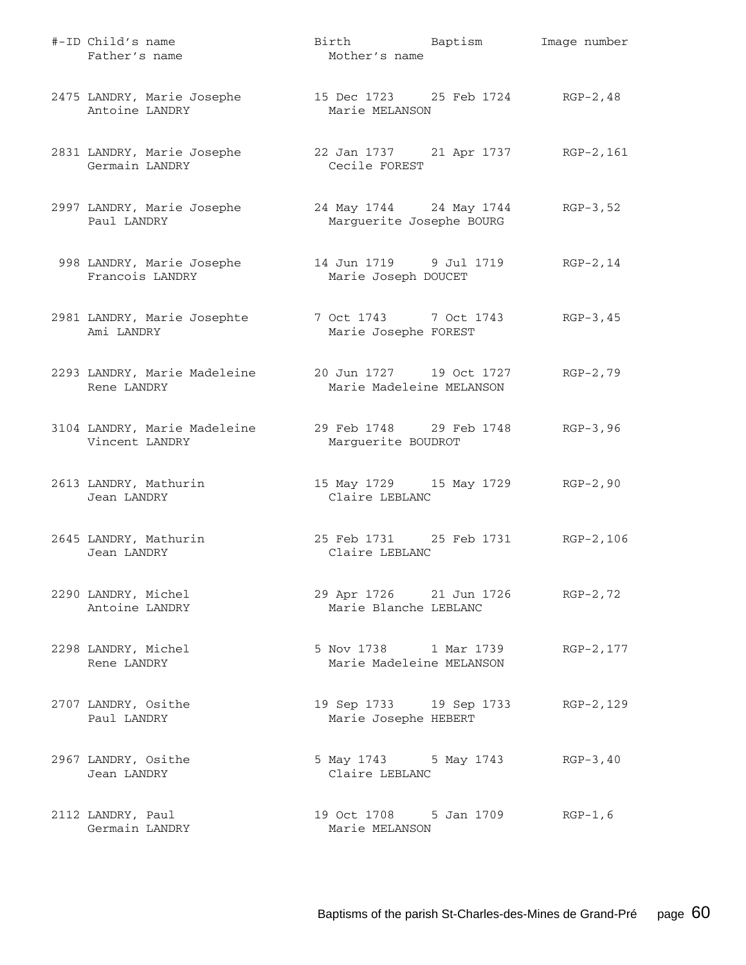| #-ID Child's name<br>Father's name                                             | Birth Baptism<br>Mother's name                            | Image number |
|--------------------------------------------------------------------------------|-----------------------------------------------------------|--------------|
| 2475 LANDRY, Marie Josephe<br>Antoine LANDRY                                   | 15 Dec 1723 25 Feb 1724 RGP-2,48<br>Marie MELANSON        |              |
| 2831 LANDRY, Marie Josephe 22 Jan 1737 21 Apr 1737 RGP-2,161<br>Germain LANDRY | Cecile FOREST                                             |              |
| 2997 LANDRY, Marie Josephe<br>Paul LANDRY                                      | 24 May 1744 24 May 1744<br>Marguerite Josephe BOURG       | RGP-3,52     |
| 998 LANDRY, Marie Josephe<br>Francois LANDRY                                   | 14 Jun 1719 9 Jul 1719<br>Marie Joseph DOUCET             | $RGP-2, 14$  |
| 2981 LANDRY, Marie Josephte<br>Ami LANDRY                                      | 7 Oct 1743 7 Oct 1743 RGP-3,45<br>Marie Josephe FOREST    |              |
| 2293 LANDRY, Marie Madeleine<br>Rene LANDRY                                    | 20 Jun 1727 19 Oct 1727<br>Marie Madeleine MELANSON       | $RGP-2, 79$  |
| 3104 LANDRY, Marie Madeleine<br>Vincent LANDRY                                 | 29 Feb 1748 29 Feb 1748<br>Marguerite BOUDROT             | $RGB-3, 96$  |
| 2613 LANDRY, Mathurin<br>Jean LANDRY                                           | 15 May 1729 15 May 1729 RGP-2,90<br>Claire LEBLANC        |              |
| 2645 LANDRY, Mathurin<br>Jean LANDRY                                           | 25 Feb 1731 25 Feb 1731 RGP-2,106<br>Claire LEBLANC       |              |
| 2290 LANDRY, Michel<br>Antoine LANDRY                                          | 29 Apr 1726 21 Jun 1726 RGP-2,72<br>Marie Blanche LEBLANC |              |
| 2298 LANDRY, Michel<br>Rene LANDRY                                             | 5 Nov 1738 1 Mar 1739<br>Marie Madeleine MELANSON         | RGP-2, 177   |
| 2707 LANDRY, Osithe<br>Paul LANDRY                                             | 19 Sep 1733 19 Sep 1733<br>Marie Josephe HEBERT           | RGP-2,129    |
| 2967 LANDRY, Osithe<br>Jean LANDRY                                             | 5 May 1743 5 May 1743<br>Claire LEBLANC                   | $RGP-3, 40$  |
| 2112 LANDRY, Paul<br>Germain LANDRY                                            | 19 Oct 1708 5 Jan 1709<br>Marie MELANSON                  | $RGP-1, 6$   |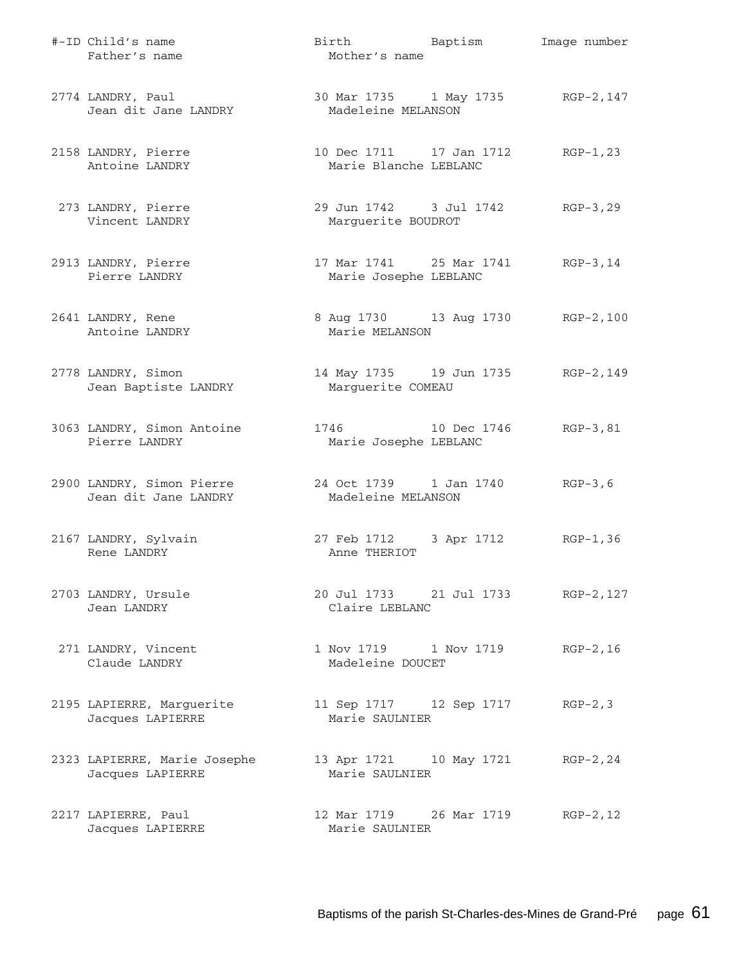| #-ID Child's name<br>Father's name                | Birth Baptism<br>Mother's name                          | Image number |
|---------------------------------------------------|---------------------------------------------------------|--------------|
| 2774 LANDRY, Paul<br>Jean dit Jane LANDRY         | 30 Mar 1735 1 May 1735 RGP-2, 147<br>Madeleine MELANSON |              |
| 2158 LANDRY, Pierre<br>Antoine LANDRY             | 10 Dec 1711 17 Jan 1712<br>Marie Blanche LEBLANC        | $RGP-1, 23$  |
| 273 LANDRY, Pierre<br>Vincent LANDRY              | 29 Jun 1742 3 Jul 1742<br>Marguerite BOUDROT            | $RGP-3, 29$  |
| 2913 LANDRY, Pierre<br>Pierre LANDRY              | 17 Mar 1741 25 Mar 1741<br>Marie Josephe LEBLANC        | RGP-3,14     |
| 2641 LANDRY, Rene<br>Antoine LANDRY               | 8 Aug 1730 13 Aug 1730 RGP-2,100<br>Marie MELANSON      |              |
| 2778 LANDRY, Simon<br>Jean Baptiste LANDRY        | 14 May 1735 19 Jun 1735<br>Marguerite COMEAU            | RGP-2,149    |
| 3063 LANDRY, Simon Antoine<br>Pierre LANDRY       | 1746 10 Dec 1746<br>Marie Josephe LEBLANC               | $RGP-3, 81$  |
| 2900 LANDRY, Simon Pierre<br>Jean dit Jane LANDRY | 24 Oct 1739 1 Jan 1740<br>Madeleine MELANSON            | $RGP-3, 6$   |
| 2167 LANDRY, Sylvain<br>Rene LANDRY               | 27 Feb 1712 3 Apr 1712<br>Anne THERIOT                  | RGP-1,36     |
| 2703 LANDRY, Ursule<br>Jean LANDRY                | 20 Jul 1733 21 Jul 1733 RGP-2, 127<br>Claire LEBLANC    |              |
| 271 LANDRY, Vincent<br>Claude LANDRY              | 1 Nov 1719 1 Nov 1719<br>Madeleine DOUCET               | $RGP-2, 16$  |
| 2195 LAPIERRE, Marguerite<br>Jacques LAPIERRE     | 11 Sep 1717 12 Sep 1717<br>Marie SAULNIER               | $RGP-2, 3$   |
| 2323 LAPIERRE, Marie Josephe<br>Jacques LAPIERRE  | 13 Apr 1721 10 May 1721 RGP-2, 24<br>Marie SAULNIER     |              |
| 2217 LAPIERRE, Paul<br>Jacques LAPIERRE           | 12 Mar 1719 26 Mar 1719<br>Marie SAULNIER               | $RGP-2, 12$  |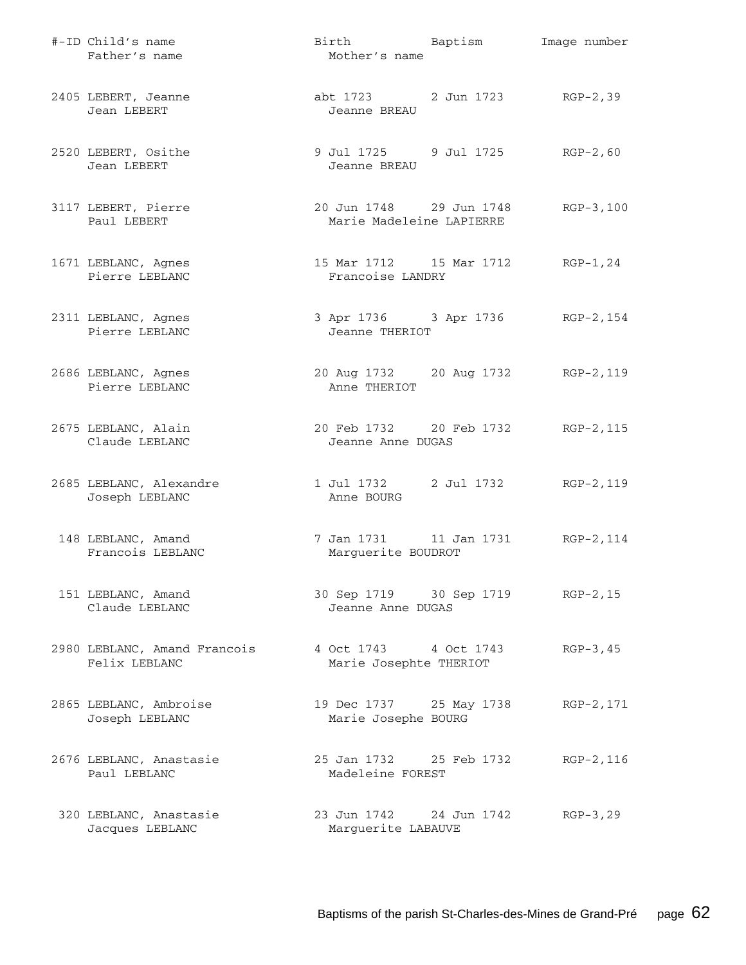| #-ID Child's name<br>Father's name            | Birth Baptism<br>Mother's name                         | Image number |
|-----------------------------------------------|--------------------------------------------------------|--------------|
| 2405 LEBERT, Jeanne<br>Jean LEBERT            | abt 1723 2 Jun 1723 RGP-2,39<br>Jeanne BREAU           |              |
| 2520 LEBERT, Osithe<br>Jean LEBERT            | 9 Jul 1725 9 Jul 1725<br>Jeanne BREAU                  | $RGP-2, 60$  |
| 3117 LEBERT, Pierre<br>Paul LEBERT            | 20 Jun 1748 29 Jun 1748<br>Marie Madeleine LAPIERRE    | $RGB-3,100$  |
| 1671 LEBLANC, Agnes<br>Pierre LEBLANC         | 15 Mar 1712    15 Mar 1712<br>Francoise LANDRY         | RGP-1,24     |
| 2311 LEBLANC, Agnes<br>Pierre LEBLANC         | 3 Apr 1736 3 Apr 1736 RGP-2, 154<br>Jeanne THERIOT     |              |
| 2686 LEBLANC, Agnes<br>Pierre LEBLANC         | 20 Aug 1732 20 Aug 1732<br>Anne THERIOT                | RGP-2,119    |
| 2675 LEBLANC, Alain<br>Claude LEBLANC         | 20 Feb 1732 20 Feb 1732<br>Jeanne Anne DUGAS           | RGP-2,115    |
| 2685 LEBLANC, Alexandre<br>Joseph LEBLANC     | 1 Jul 1732 2 Jul 1732<br>Anne BOURG                    | RGP-2,119    |
| 148 LEBLANC, Amand<br>Francois LEBLANC        | 7 Jan 1731 11 Jan 1731<br>Marguerite BOUDROT           | RGP-2,114    |
| 151 LEBLANC, Amand<br>Claude LEBLANC          | 30 Sep 1719 30 Sep 1719 RGP-2, 15<br>Jeanne Anne DUGAS |              |
| 2980 LEBLANC, Amand Francois<br>Felix LEBLANC | 4 Oct 1743 4 Oct 1743<br>Marie Josephte THERIOT        | $RGP-3, 45$  |
| 2865 LEBLANC, Ambroise<br>Joseph LEBLANC      | 19 Dec 1737 25 May 1738<br>Marie Josephe BOURG         | RGP-2,171    |
| 2676 LEBLANC, Anastasie<br>Paul LEBLANC       | 25 Jan 1732 25 Feb 1732<br>Madeleine FOREST            | RGP-2,116    |
| 320 LEBLANC, Anastasie<br>Jacques LEBLANC     | 23 Jun 1742 24 Jun 1742<br>Marguerite LABAUVE          | $RGP-3, 29$  |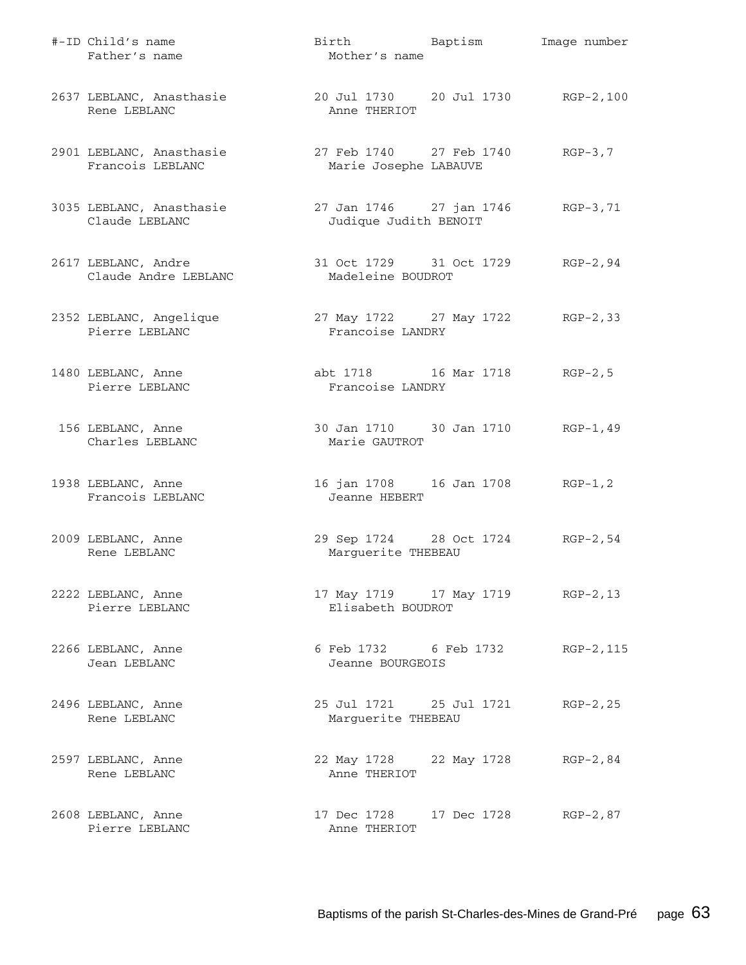| #-ID Child's name<br>Father's name           | Birth Baptism<br>Mother's name                       | Image number |
|----------------------------------------------|------------------------------------------------------|--------------|
| 2637 LEBLANC, Anasthasie<br>Rene LEBLANC     | 20 Jul 1730 20 Jul 1730 RGP-2,100<br>Anne THERIOT    |              |
| 2901 LEBLANC, Anasthasie<br>Francois LEBLANC | 27 Feb 1740 27 Feb 1740<br>Marie Josephe LABAUVE     | $RGP-3, 7$   |
| 3035 LEBLANC, Anasthasie<br>Claude LEBLANC   | 27 Jan 1746 27 jan 1746<br>Judique Judith BENOIT     | $RGB-3, 71$  |
| 2617 LEBLANC, Andre<br>Claude Andre LEBLANC  | 31 Oct 1729 31 Oct 1729<br>Madeleine BOUDROT         | RGP-2,94     |
| 2352 LEBLANC, Angelique<br>Pierre LEBLANC    | 27 May 1722 27 May 1722 RGP-2,33<br>Francoise LANDRY |              |
| 1480 LEBLANC, Anne<br>Pierre LEBLANC         | abt 1718 16 Mar 1718<br>Francoise LANDRY             | $RGP-2, 5$   |
| 156 LEBLANC, Anne<br>Charles LEBLANC         | 30 Jan 1710 30 Jan 1710<br>Marie GAUTROT             | RGP-1,49     |
| 1938 LEBLANC, Anne<br>Francois LEBLANC       | 16 jan 1708 16 Jan 1708<br>Jeanne HEBERT             | $RGP-1, 2$   |
| 2009 LEBLANC, Anne<br>Rene LEBLANC           | 29 Sep 1724 28 Oct 1724<br>Marguerite THEBEAU        | $RGP-2, 54$  |
| 2222 LEBLANC, Anne<br>Pierre LEBLANC         | 17 May 1719 17 May 1719<br>Elisabeth BOUDROT         | $RGP-2, 13$  |
| 2266 LEBLANC, Anne<br>Jean LEBLANC           | 6 Feb 1732 6 Feb 1732<br>Jeanne BOURGEOIS            | RGP-2, 115   |
| 2496 LEBLANC, Anne<br>Rene LEBLANC           | 25 Jul 1721 25 Jul 1721<br>Marguerite THEBEAU        | $RGP-2, 25$  |
| 2597 LEBLANC, Anne<br>Rene LEBLANC           | 22 May 1728 22 May 1728<br>Anne THERIOT              | RGP-2,84     |
| 2608 LEBLANC, Anne<br>Pierre LEBLANC         | 17 Dec 1728 17 Dec 1728 RGP-2,87<br>Anne THERIOT     |              |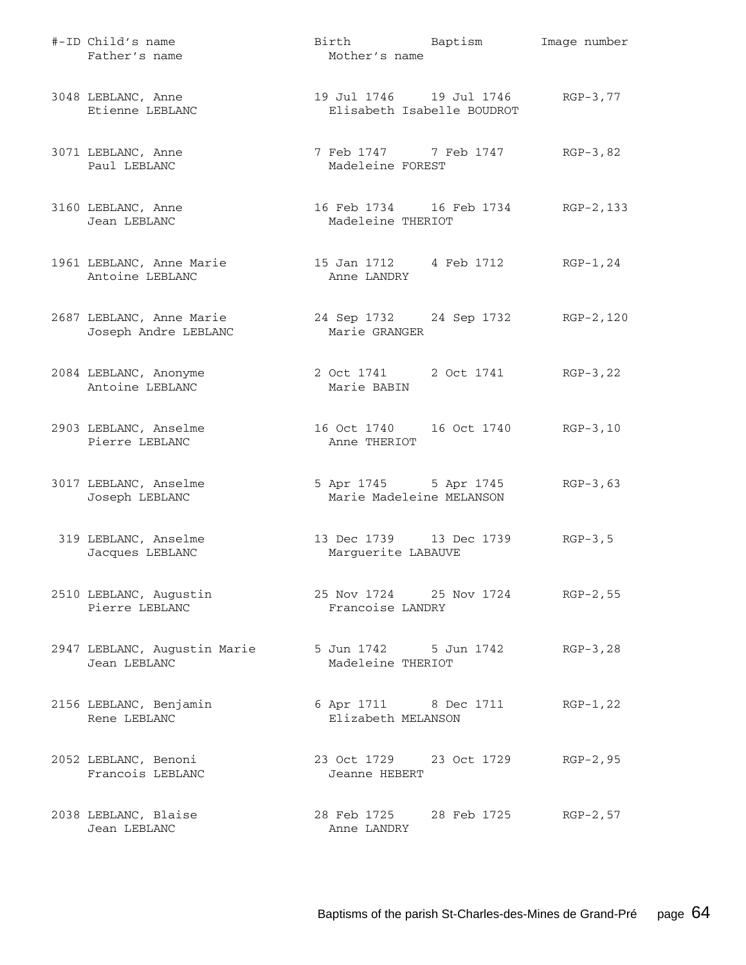| #-ID Child's name<br>Father's name               | Birth Baptism<br>Mother's name                           | Image number |
|--------------------------------------------------|----------------------------------------------------------|--------------|
| 3048 LEBLANC, Anne<br>Etienne LEBLANC            | 19 Jul 1746    19 Jul 1746<br>Elisabeth Isabelle BOUDROT | RGP-3,77     |
| 3071 LEBLANC, Anne<br>Paul LEBLANC               | 7 Feb 1747 7 Feb 1747<br>Madeleine FOREST                | $RGP-3, 82$  |
| 3160 LEBLANC, Anne<br>Jean LEBLANC               | 16 Feb 1734 16 Feb 1734 RGP-2, 133<br>Madeleine THERIOT  |              |
| 1961 LEBLANC, Anne Marie<br>Antoine LEBLANC      | 15 Jan 1712 4 Feb 1712<br>Anne LANDRY                    | RGP-1,24     |
| 2687 LEBLANC, Anne Marie<br>Joseph Andre LEBLANC | 24 Sep 1732 24 Sep 1732 RGP-2,120<br>Marie GRANGER       |              |
| 2084 LEBLANC, Anonyme<br>Antoine LEBLANC         | 2 Oct 1741 2 Oct 1741<br>Marie BABIN                     | RGP-3,22     |
| 2903 LEBLANC, Anselme<br>Pierre LEBLANC          | 16 Oct 1740   16 Oct 1740<br>Anne THERIOT                | $RGB-3,10$   |
| 3017 LEBLANC, Anselme<br>Joseph LEBLANC          | 5 Apr 1745 5 Apr 1745<br>Marie Madeleine MELANSON        | $RGB-3,63$   |
| 319 LEBLANC, Anselme<br>Jacques LEBLANC          | 13 Dec 1739 13 Dec 1739<br>Marguerite LABAUVE            | $RGP-3, 5$   |
| 2510 LEBLANC, Augustin<br>Pierre LEBLANC         | 25 Nov 1724 25 Nov 1724 RGP-2, 55<br>Francoise LANDRY    |              |
| 2947 LEBLANC, Augustin Marie<br>Jean LEBLANC     | 5 Jun 1742 5 Jun 1742<br>Madeleine THERIOT               | $RGP-3, 28$  |
| 2156 LEBLANC, Benjamin<br>Rene LEBLANC           | 6 Apr 1711 8 Dec 1711<br>Elizabeth MELANSON              | $RGP-1, 22$  |
| 2052 LEBLANC, Benoni<br>Francois LEBLANC         | 23 Oct 1729 23 Oct 1729<br>Jeanne HEBERT                 | $RGP-2, 95$  |
| 2038 LEBLANC, Blaise<br>Jean LEBLANC             | 28 Feb 1725 28 Feb 1725<br>Anne LANDRY                   | $RGP-2, 57$  |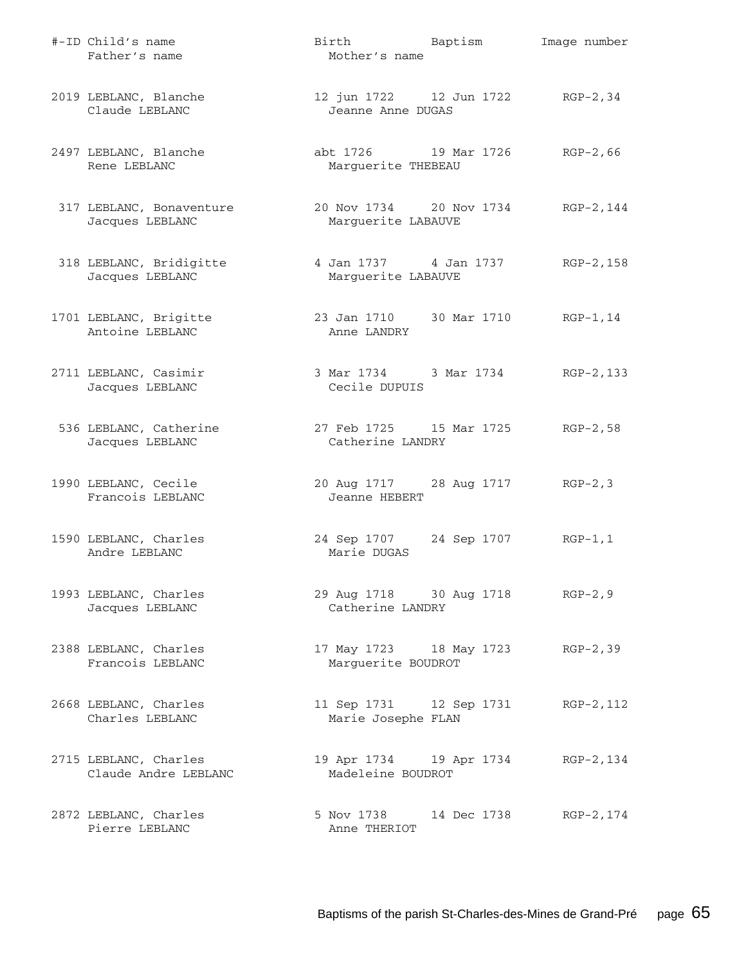| #-ID Child's name<br>Father's name            | Birth Baptism<br>Mother's name                         |             | Image number |
|-----------------------------------------------|--------------------------------------------------------|-------------|--------------|
| 2019 LEBLANC, Blanche<br>Claude LEBLANC       | 12 jun 1722 12 Jun 1722<br>Jeanne Anne DUGAS           |             | $RGP-2, 34$  |
| 2497 LEBLANC, Blanche<br>Rene LEBLANC         | abt 1726 19 Mar 1726<br>Marguerite THEBEAU             |             | $RGP-2, 66$  |
| 317 LEBLANC, Bonaventure<br>Jacques LEBLANC   | 20 Nov 1734 20 Nov 1734<br>Marguerite LABAUVE          |             | RGP-2,144    |
| 318 LEBLANC, Bridigitte<br>Jacques LEBLANC    | 4 Jan 1737   4 Jan 1737<br>Marguerite LABAUVE          |             | RGP-2,158    |
| 1701 LEBLANC, Brigitte<br>Antoine LEBLANC     | 23 Jan 1710 30 Mar 1710<br>Anne LANDRY                 |             | $RGP-1, 14$  |
| 2711 LEBLANC, Casimir<br>Jacques LEBLANC      | 3 Mar 1734 3 Mar 1734<br>Cecile DUPUIS                 |             | RGP-2,133    |
| 536 LEBLANC, Catherine<br>Jacques LEBLANC     | 27 Feb 1725 15 Mar 1725<br>Catherine LANDRY            |             | $RGP-2, 58$  |
| 1990 LEBLANC, Cecile<br>Francois LEBLANC      | 20 Aug 1717 28 Aug 1717<br>Jeanne HEBERT               |             | $RGP-2, 3$   |
| 1590 LEBLANC, Charles<br>Andre LEBLANC        | 24 Sep 1707<br>Marie DUGAS                             | 24 Sep 1707 | $RGP-1, 1$   |
| 1993 LEBLANC, Charles<br>Jacques LEBLANC      | 29 Aug 1718 30 Aug 1718<br>Catherine LANDRY            |             | $RGP-2, 9$   |
| 2388 LEBLANC, Charles<br>Francois LEBLANC     | 17 May 1723 18 May 1723 RGP-2,39<br>Marguerite BOUDROT |             |              |
| 2668 LEBLANC, Charles<br>Charles LEBLANC      | 11 Sep 1731 12 Sep 1731<br>Marie Josephe FLAN          |             | RGP-2, 112   |
| 2715 LEBLANC, Charles<br>Claude Andre LEBLANC | 19 Apr 1734 19 Apr 1734<br>Madeleine BOUDROT           |             | RGP-2,134    |
| 2872 LEBLANC, Charles<br>Pierre LEBLANC       | 5 Nov 1738 14 Dec 1738 RGP-2, 174<br>Anne THERIOT      |             |              |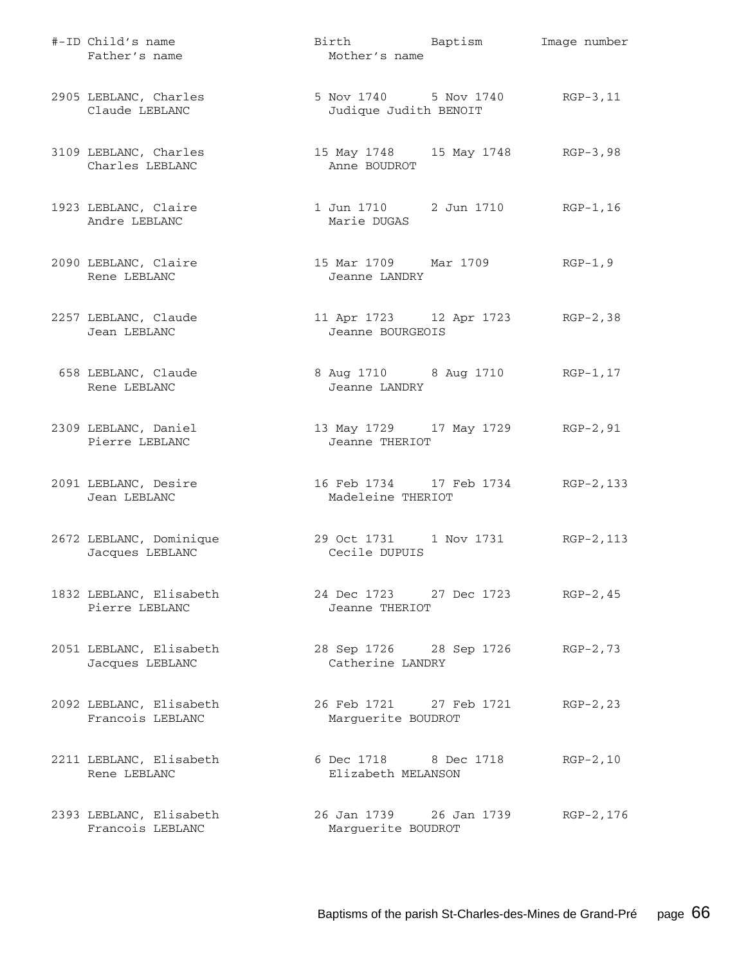| #-ID Child's name<br>Father's name          | Birth Baptism<br>Mother's name                           | Image number |
|---------------------------------------------|----------------------------------------------------------|--------------|
| 2905 LEBLANC, Charles<br>Claude LEBLANC     | 5 Nov 1740 5 Nov 1740 RGP-3, 11<br>Judique Judith BENOIT |              |
| 3109 LEBLANC, Charles<br>Charles LEBLANC    | 15 May 1748 15 May 1748 RGP-3,98<br>Anne BOUDROT         |              |
| 1923 LEBLANC, Claire<br>Andre LEBLANC       | 1 Jun 1710 2 Jun 1710 RGP-1, 16<br>Marie DUGAS           |              |
| 2090 LEBLANC, Claire<br>Rene LEBLANC        | 15 Mar 1709 Mar 1709<br>Jeanne LANDRY                    | $RGP-1, 9$   |
| 2257 LEBLANC, Claude<br>Jean LEBLANC        | 11 Apr 1723 12 Apr 1723 RGP-2,38<br>Jeanne BOURGEOIS     |              |
| 658 LEBLANC, Claude<br>Rene LEBLANC         | 8 Aug 1710 8 Aug 1710 RGP-1, 17<br>Jeanne LANDRY         |              |
| 2309 LEBLANC, Daniel<br>Pierre LEBLANC      | 13 May 1729 17 May 1729 RGP-2, 91<br>Jeanne THERIOT      |              |
| 2091 LEBLANC, Desire<br>Jean LEBLANC        | 16 Feb 1734 17 Feb 1734 RGP-2, 133<br>Madeleine THERIOT  |              |
| 2672 LEBLANC, Dominique<br>Jacques LEBLANC  | 29 Oct 1731 1 Nov 1731<br>Cecile DUPUIS                  | RGP-2,113    |
| 1832 LEBLANC, Elisabeth<br>Pierre LEBLANC   | 24 Dec 1723 27 Dec 1723<br>Jeanne THERIOT                | $RGP-2, 45$  |
| 2051 LEBLANC, Elisabeth<br>Jacques LEBLANC  | 28 Sep 1726 28 Sep 1726<br>Catherine LANDRY              | $RGP-2, 73$  |
| 2092 LEBLANC, Elisabeth<br>Francois LEBLANC | 26 Feb 1721 27 Feb 1721<br>Marguerite BOUDROT            | $RGP-2, 23$  |
| 2211 LEBLANC, Elisabeth<br>Rene LEBLANC     | 6 Dec 1718 8 Dec 1718<br>Elizabeth MELANSON              | $RGP-2, 10$  |
| 2393 LEBLANC, Elisabeth<br>Francois LEBLANC | 26 Jan 1739 26 Jan 1739<br>Marguerite BOUDROT            | RGP-2,176    |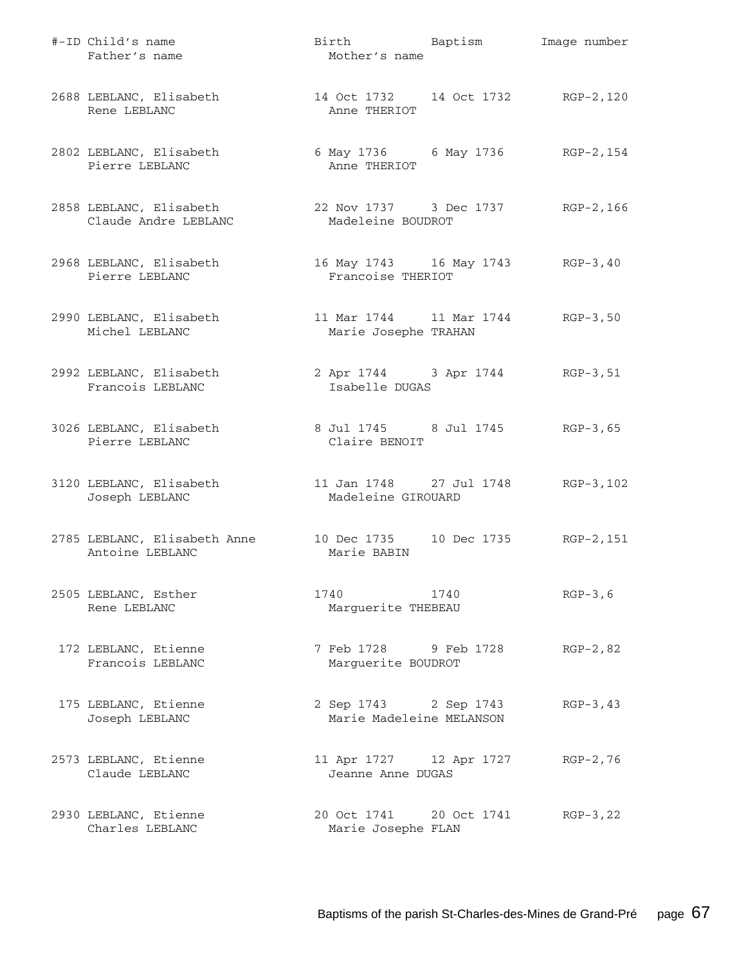| #-ID Child's name<br>Father's name              | Birth Baptism<br>Mother's name                         |      | Image number |
|-------------------------------------------------|--------------------------------------------------------|------|--------------|
| 2688 LEBLANC, Elisabeth<br>Rene LEBLANC         | 14 Oct 1732 14 Oct 1732 RGP-2,120<br>Anne THERIOT      |      |              |
| 2802 LEBLANC, Elisabeth<br>Pierre LEBLANC       | 6 May 1736 6 May 1736 RGP-2, 154<br>Anne THERIOT       |      |              |
| 2858 LEBLANC, Elisabeth<br>Claude Andre LEBLANC | 22 Nov 1737 3 Dec 1737<br>Madeleine BOUDROT            |      | RGP-2,166    |
| 2968 LEBLANC, Elisabeth<br>Pierre LEBLANC       | 16 May 1743 16 May 1743 RGP-3, 40<br>Francoise THERIOT |      |              |
| 2990 LEBLANC, Elisabeth<br>Michel LEBLANC       | 11 Mar 1744   11 Mar 1744<br>Marie Josephe TRAHAN      |      | $RGB-3,50$   |
| 2992 LEBLANC, Elisabeth<br>Francois LEBLANC     | 2 Apr 1744 3 Apr 1744<br>Isabelle DUGAS                |      | RGP-3,51     |
| 3026 LEBLANC, Elisabeth<br>Pierre LEBLANC       | 8 Jul 1745 8 Jul 1745<br>Claire BENOIT                 |      | $RGB-3,65$   |
| 3120 LEBLANC, Elisabeth<br>Joseph LEBLANC       | 11 Jan 1748 27 Jul 1748<br>Madeleine GIROUARD          |      | RGP-3,102    |
| 2785 LEBLANC, Elisabeth Anne<br>Antoine LEBLANC | 10 Dec 1735 10 Dec 1735<br>Marie BABIN                 |      | RGP-2,151    |
| 2505 LEBLANC, Esther<br>Rene LEBLANC            | 1740<br>Marguerite THEBEAU                             | 1740 | $RGP-3, 6$   |
| 172 LEBLANC, Etienne<br>Francois LEBLANC        | 7 Feb 1728 9 Feb 1728<br>Marguerite BOUDROT            |      | $RGP-2, 82$  |
| 175 LEBLANC, Etienne<br>Joseph LEBLANC          | 2 Sep 1743 2 Sep 1743<br>Marie Madeleine MELANSON      |      | $RGP-3, 43$  |
| 2573 LEBLANC, Etienne<br>Claude LEBLANC         | 11 Apr 1727 12 Apr 1727<br>Jeanne Anne DUGAS           |      | $RGP-2, 76$  |
| 2930 LEBLANC, Etienne<br>Charles LEBLANC        | 20 Oct 1741 20 Oct 1741<br>Marie Josephe FLAN          |      | $RGP-3, 22$  |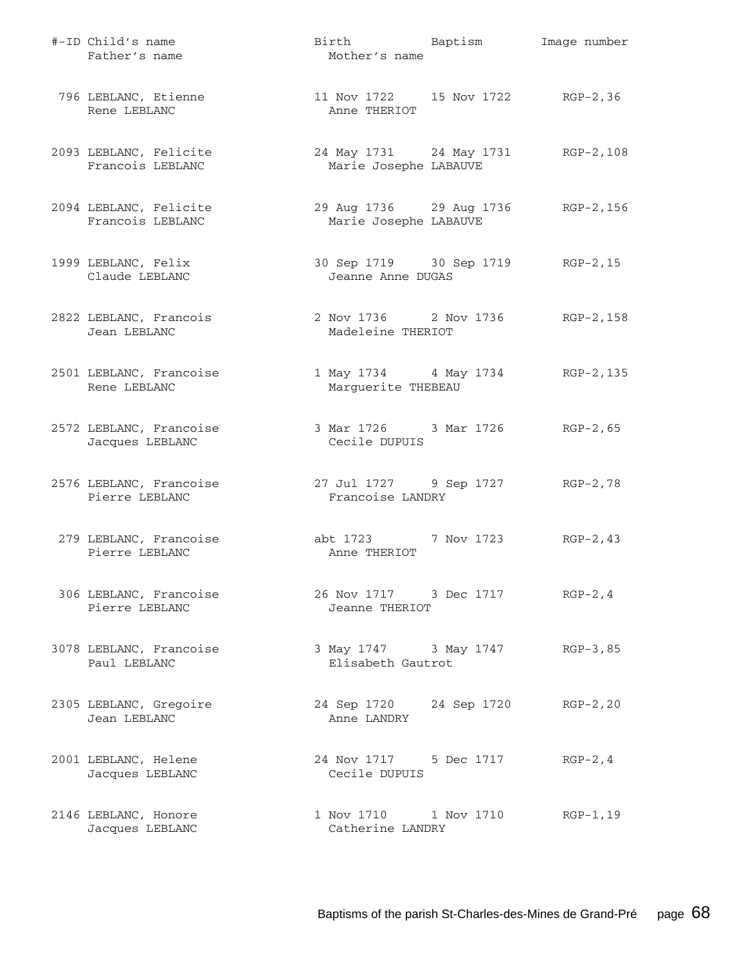| #-ID Child's name<br>Father's name         | Birth Baptism<br>Mother's name                         | Image number |
|--------------------------------------------|--------------------------------------------------------|--------------|
| 796 LEBLANC, Etienne<br>Rene LEBLANC       | 11 Nov 1722 15 Nov 1722 RGP-2,36<br>Anne THERIOT       |              |
| 2093 LEBLANC, Felicite<br>Francois LEBLANC | 24 May 1731 24 May 1731<br>Marie Josephe LABAUVE       | RGP-2,108    |
| 2094 LEBLANC, Felicite<br>Francois LEBLANC | 29 Aug 1736 29 Aug 1736<br>Marie Josephe LABAUVE       | RGP-2,156    |
| 1999 LEBLANC, Felix<br>Claude LEBLANC      | 30 Sep 1719 30 Sep 1719 RGP-2, 15<br>Jeanne Anne DUGAS |              |
| 2822 LEBLANC, Francois<br>Jean LEBLANC     | 2 Nov 1736 2 Nov 1736<br>Madeleine THERIOT             | RGP-2,158    |
| 2501 LEBLANC, Francoise<br>Rene LEBLANC    | 1 May 1734 4 May 1734<br>Marguerite THEBEAU            | RGP-2,135    |
| 2572 LEBLANC, Francoise<br>Jacques LEBLANC | 3 Mar 1726 3 Mar 1726 RGP-2,65<br>Cecile DUPUIS        |              |
| 2576 LEBLANC, Francoise<br>Pierre LEBLANC  | 27 Jul 1727 9 Sep 1727 RGP-2,78<br>Francoise LANDRY    |              |
| 279 LEBLANC, Francoise<br>Pierre LEBLANC   | abt 1723 7 Nov 1723<br>Anne THERIOT                    | $RGP-2, 43$  |
| 306 LEBLANC, Francoise<br>Pierre LEBLANC   | 26 Nov 1717 3 Dec 1717<br>Jeanne THERIOT               | $RGP-2, 4$   |
| 3078 LEBLANC, Francoise<br>Paul LEBLANC    | 3 May 1747 3 May 1747<br>Elisabeth Gautrot             | RGP-3,85     |
| 2305 LEBLANC, Gregoire<br>Jean LEBLANC     | 24 Sep 1720 24 Sep 1720<br>Anne LANDRY                 | $RGP-2, 20$  |
| 2001 LEBLANC, Helene<br>Jacques LEBLANC    | 24 Nov 1717 5 Dec 1717<br>Cecile DUPUIS                | $RGP-2, 4$   |
| 2146 LEBLANC, Honore<br>Jacques LEBLANC    | 1 Nov 1710 1 Nov 1710<br>Catherine LANDRY              | RGP-1,19     |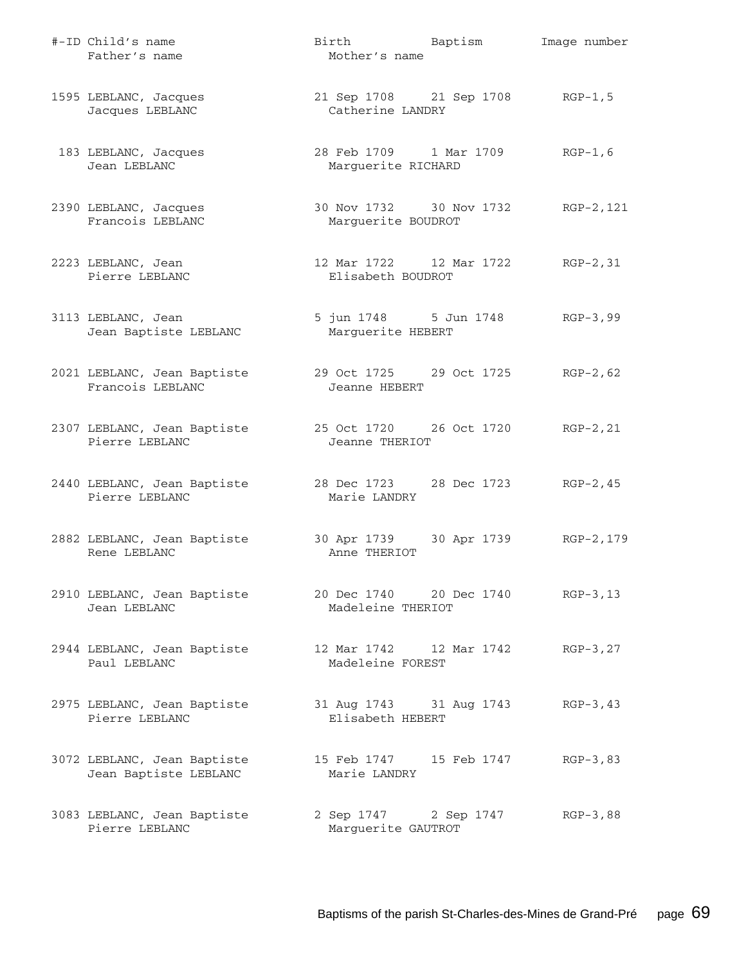| #-ID Child's name<br>Father's name                   | Birth Baptism<br>Mother's name                           | Image number |
|------------------------------------------------------|----------------------------------------------------------|--------------|
| 1595 LEBLANC, Jacques<br>Jacques LEBLANC             | 21 Sep 1708 21 Sep 1708 RGP-1,5<br>Catherine LANDRY      |              |
| 183 LEBLANC, Jacques<br>Jean LEBLANC                 | 28 Feb 1709 1 Mar 1709<br>Marguerite RICHARD             | $RGP-1, 6$   |
| 2390 LEBLANC, Jacques<br>Francois LEBLANC            | 30 Nov 1732 30 Nov 1732 RGP-2, 121<br>Marguerite BOUDROT |              |
| 2223 LEBLANC, Jean<br>Pierre LEBLANC                 | 12 Mar 1722 12 Mar 1722 RGP-2,31<br>Elisabeth BOUDROT    |              |
| 3113 LEBLANC, Jean<br>Jean Baptiste LEBLANC          | 5 jun 1748 5 Jun 1748 RGP-3,99<br>Marguerite HEBERT      |              |
| 2021 LEBLANC, Jean Baptiste<br>Francois LEBLANC      | 29 Oct 1725 29 Oct 1725 RGP-2,62<br>Jeanne HEBERT        |              |
| 2307 LEBLANC, Jean Baptiste<br>Pierre LEBLANC        | 25 Oct 1720 26 Oct 1720 RGP-2, 21<br>Jeanne THERIOT      |              |
| 2440 LEBLANC, Jean Baptiste<br>Pierre LEBLANC        | 28 Dec 1723 28 Dec 1723 RGP-2,45<br>Marie LANDRY         |              |
| 2882 LEBLANC, Jean Baptiste<br>Rene LEBLANC          | 30 Apr 1739 30 Apr 1739<br>Anne THERIOT                  | RGP-2,179    |
| 2910 LEBLANC, Jean Baptiste<br>Jean LEBLANC          | 20 Dec 1740 20 Dec 1740 RGP-3,13<br>Madeleine THERIOT    |              |
| 2944 LEBLANC, Jean Baptiste<br>Paul LEBLANC          | 12 Mar 1742 12 Mar 1742<br>Madeleine FOREST              | $RGP-3, 27$  |
| 2975 LEBLANC, Jean Baptiste<br>Pierre LEBLANC        | 31 Aug 1743 31 Aug 1743<br>Elisabeth HEBERT              | $RGP-3, 43$  |
| 3072 LEBLANC, Jean Baptiste<br>Jean Baptiste LEBLANC | Marie LANDRY                                             | $RGP-3, 83$  |
| 3083 LEBLANC, Jean Baptiste<br>Pierre LEBLANC        | 2 Sep 1747 2 Sep 1747<br>Marguerite GAUTROT              | $RGB-3,88$   |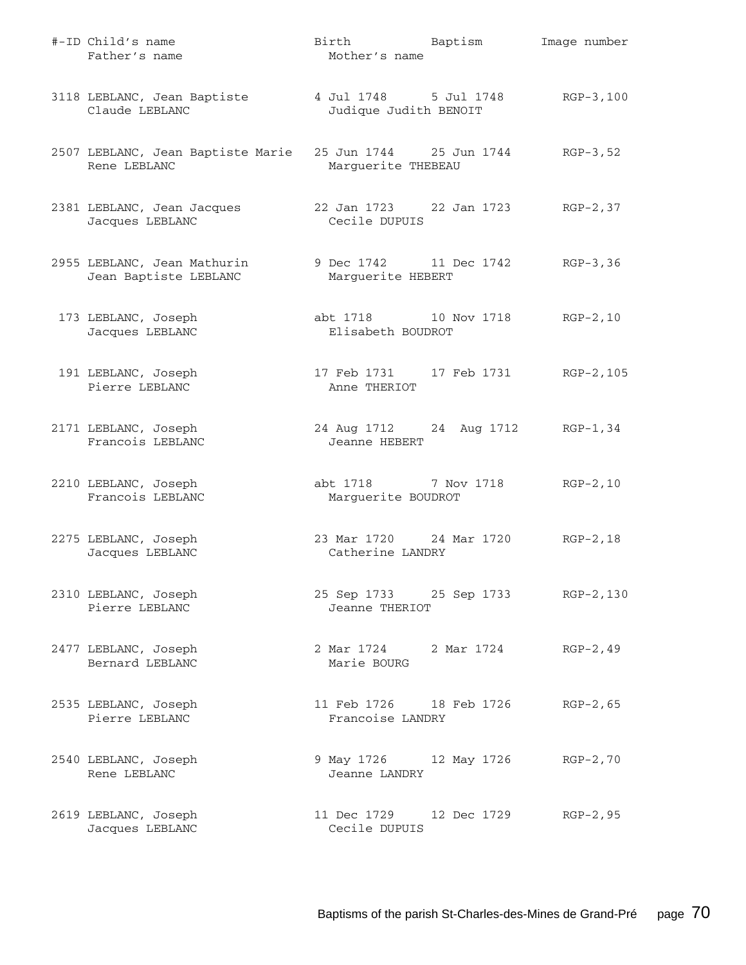| #-ID Child's name<br>Father's name                   | Birth<br>Mother's name                         | Baptism                           | Image number |
|------------------------------------------------------|------------------------------------------------|-----------------------------------|--------------|
| 3118 LEBLANC, Jean Baptiste<br>Claude LEBLANC        | 4 Jul 1748 5 Jul 1748<br>Judique Judith BENOIT |                                   | $RGP-3, 100$ |
| 2507 LEBLANC, Jean Baptiste Marie<br>Rene LEBLANC    | 25 Jun 1744 25 Jun 1744<br>Marguerite THEBEAU  |                                   | $RGP-3, 52$  |
| 2381 LEBLANC, Jean Jacques<br>Jacques LEBLANC        | Cecile DUPUIS                                  |                                   | $RGP-2, 37$  |
| 2955 LEBLANC, Jean Mathurin<br>Jean Baptiste LEBLANC | 9 Dec 1742 11 Dec 1742<br>Marguerite HEBERT    |                                   | $RGB-3, 36$  |
| 173 LEBLANC, Joseph<br>Jacques LEBLANC               | abt 1718 10 Nov 1718<br>Elisabeth BOUDROT      |                                   | $RGP-2, 10$  |
| 191 LEBLANC, Joseph<br>Pierre LEBLANC                | 17 Feb 1731    17 Feb 1731<br>Anne THERIOT     |                                   | RGP-2,105    |
| 2171 LEBLANC, Joseph<br>Francois LEBLANC             | Jeanne HEBERT                                  | 24 Aug 1712 24 Aug 1712           | RGP-1,34     |
| 2210 LEBLANC, Joseph<br>Francois LEBLANC             | abt 1718 7 Nov 1718<br>Marguerite BOUDROT      |                                   | $RGP-2, 10$  |
| 2275 LEBLANC, Joseph<br>Jacques LEBLANC              | 23 Mar 1720 24 Mar 1720<br>Catherine LANDRY    |                                   | $RGP-2, 18$  |
| 2310 LEBLANC, Joseph<br>Pierre LEBLANC               | Jeanne THERIOT                                 | 25 Sep 1733 25 Sep 1733 RGP-2,130 |              |
| 2477 LEBLANC, Joseph<br>Bernard LEBLANC              | 2 Mar 1724 2 Mar 1724<br>Marie BOURG           |                                   | $RGP-2, 49$  |
| 2535 LEBLANC, Joseph<br>Pierre LEBLANC               | 11 Feb 1726 18 Feb 1726<br>Francoise LANDRY    |                                   | $RGP-2, 65$  |
| 2540 LEBLANC, Joseph<br>Rene LEBLANC                 | Jeanne LANDRY                                  | 9 May 1726 12 May 1726            | $RGP-2, 70$  |
| 2619 LEBLANC, Joseph<br>Jacques LEBLANC              | Cecile DUPUIS                                  | 11 Dec 1729 12 Dec 1729           | RGP-2,95     |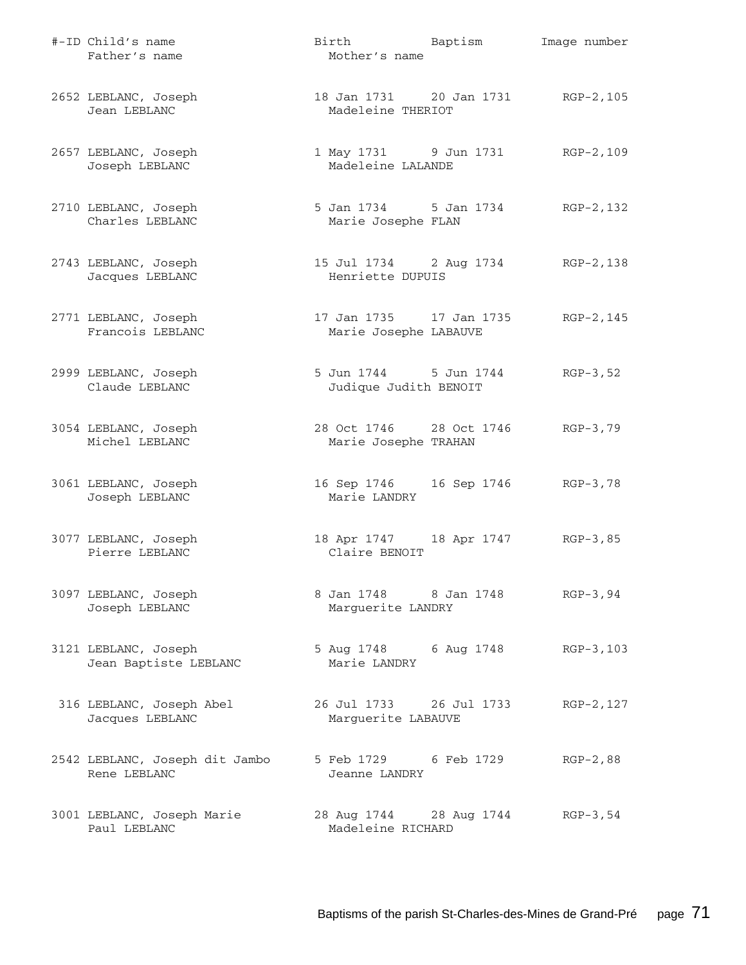| #-ID Child's name<br>Father's name             | Birth Baptism<br>Mother's name                          | Image number |
|------------------------------------------------|---------------------------------------------------------|--------------|
| 2652 LEBLANC, Joseph<br>Jean LEBLANC           | 18 Jan 1731 20 Jan 1731 RGP-2, 105<br>Madeleine THERIOT |              |
| 2657 LEBLANC, Joseph<br>Joseph LEBLANC         | 1 May 1731 9 Jun 1731<br>Madeleine LALANDE              | RGP-2,109    |
| 2710 LEBLANC, Joseph<br>Charles LEBLANC        | 5 Jan 1734 5 Jan 1734<br>Marie Josephe FLAN             | RGP-2,132    |
| 2743 LEBLANC, Joseph<br>Jacques LEBLANC        | 15 Jul 1734 2 Aug 1734 RGP-2, 138<br>Henriette DUPUIS   |              |
| 2771 LEBLANC, Joseph<br>Francois LEBLANC       | 17 Jan 1735     17 Jan 1735<br>Marie Josephe LABAUVE    | RGP-2,145    |
| 2999 LEBLANC, Joseph<br>Claude LEBLANC         | 5 Jun 1744 5 Jun 1744<br>Judique Judith BENOIT          | $RGP-3, 52$  |
| 3054 LEBLANC, Joseph<br>Michel LEBLANC         | 28 Oct 1746 28 Oct 1746<br>Marie Josephe TRAHAN         | $RGB-3,79$   |
| 3061 LEBLANC, Joseph<br>Joseph LEBLANC         | 16 Sep 1746   16 Sep 1746   RGP-3,78<br>Marie LANDRY    |              |
| 3077 LEBLANC, Joseph<br>Pierre LEBLANC         | 18 Apr 1747 18 Apr 1747<br>Claire BENOIT                | $RGB-3,85$   |
| 3097 LEBLANC, Joseph<br>Joseph LEBLANC         | 8 Jan 1748 8 Jan 1748<br>Marguerite LANDRY              | $RGP-3, 94$  |
| 3121 LEBLANC, Joseph<br>Jean Baptiste LEBLANC  | 5 Aug 1748 6 Aug 1748<br>Marie LANDRY                   | RGP-3,103    |
| 316 LEBLANC, Joseph Abel<br>Jacques LEBLANC    | 26 Jul 1733 26 Jul 1733<br>Marguerite LABAUVE           | RGP-2, 127   |
| 2542 LEBLANC, Joseph dit Jambo<br>Rene LEBLANC | 5 Feb 1729 6 Feb 1729<br>Jeanne LANDRY                  | $RGP-2, 88$  |
| 3001 LEBLANC, Joseph Marie<br>Paul LEBLANC     | 28 Aug 1744 28 Aug 1744<br>Madeleine RICHARD            | RGP-3,54     |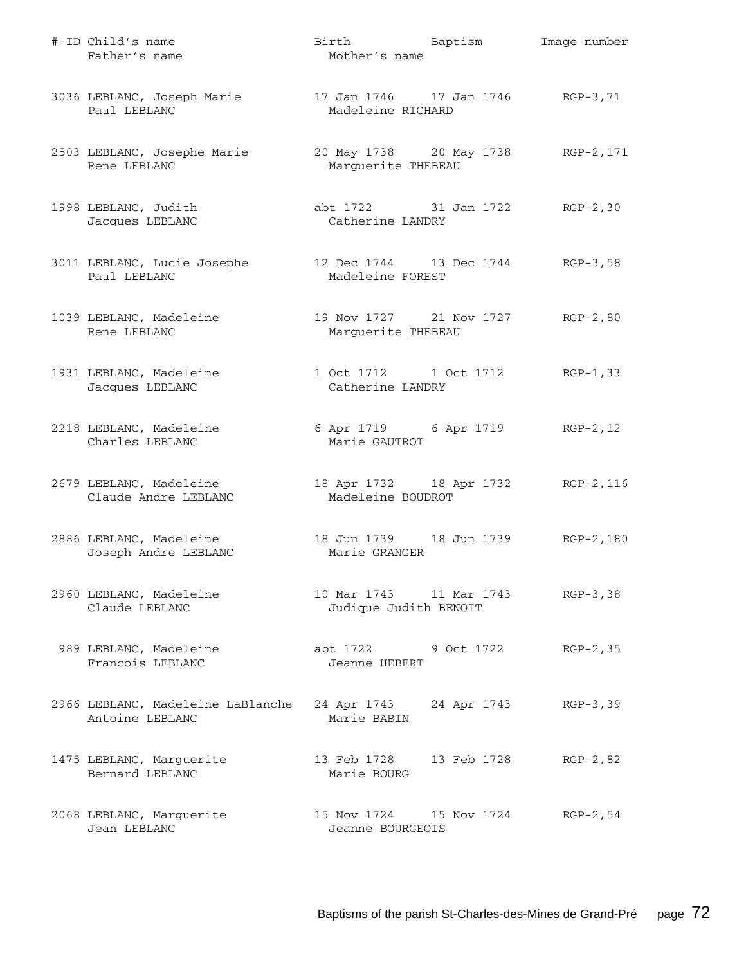| #-ID Child's name<br>Father's name                   | Birth Baptism<br>Mother's name                              |             | Image number |
|------------------------------------------------------|-------------------------------------------------------------|-------------|--------------|
| 3036 LEBLANC, Joseph Marie<br>Paul LEBLANC           | 17 Jan 1746    17 Jan 1746    RGP-3,71<br>Madeleine RICHARD |             |              |
| 2503 LEBLANC, Josephe Marie<br>Rene LEBLANC          | 20 May 1738 20 May 1738 RGP-2, 171<br>Marquerite THEBEAU    |             |              |
| 1998 LEBLANC, Judith<br>Jacques LEBLANC              | abt 1722 31 Jan 1722 RGP-2,30<br>Catherine LANDRY           |             |              |
| 3011 LEBLANC, Lucie Josephe<br>Paul LEBLANC          | 12 Dec 1744 13 Dec 1744 RGP-3,58<br>Madeleine FOREST        |             |              |
| 1039 LEBLANC, Madeleine<br>Rene LEBLANC              | 19 Nov 1727 21 Nov 1727 RGP-2,80<br>Marguerite THEBEAU      |             |              |
| 1931 LEBLANC, Madeleine<br>Jacques LEBLANC           | 1 Oct 1712 1 Oct 1712 RGP-1,33<br>Catherine LANDRY          |             |              |
| 2218 LEBLANC, Madeleine<br>Charles LEBLANC           | 6 Apr 1719 6 Apr 1719 RGP-2, 12<br>Marie GAUTROT            |             |              |
| 2679 LEBLANC, Madeleine<br>Claude Andre LEBLANC      | 18 Apr 1732 18 Apr 1732 RGP-2, 116<br>Madeleine BOUDROT     |             |              |
| 2886 LEBLANC, Madeleine<br>Joseph Andre LEBLANC      | 18 Jun 1739 18 Jun 1739 RGP-2,180<br>Marie GRANGER          |             |              |
| 2960 LEBLANC, Madeleine<br>Claude LEBLANC            | 10 Mar 1743 11 Mar 1743<br>Judique Judith BENOIT            |             | $RGB-3, 38$  |
| 989 LEBLANC, Madeleine<br>Francois LEBLANC           | abt 1722<br>Jeanne HEBERT                                   | 9 Oct 1722  | $RGP-2, 35$  |
| 2966 LEBLANC, Madeleine LaBlanche<br>Antoine LEBLANC | 24 Apr 1743<br>Marie BABIN                                  | 24 Apr 1743 | $RGP-3, 39$  |
| 1475 LEBLANC, Marguerite<br>Bernard LEBLANC          | 13 Feb 1728<br>Marie BOURG                                  | 13 Feb 1728 | $RGP-2, 82$  |
| 2068 LEBLANC, Marguerite<br>Jean LEBLANC             | 15 Nov 1724<br>Jeanne BOURGEOIS                             | 15 Nov 1724 | $RGP-2, 54$  |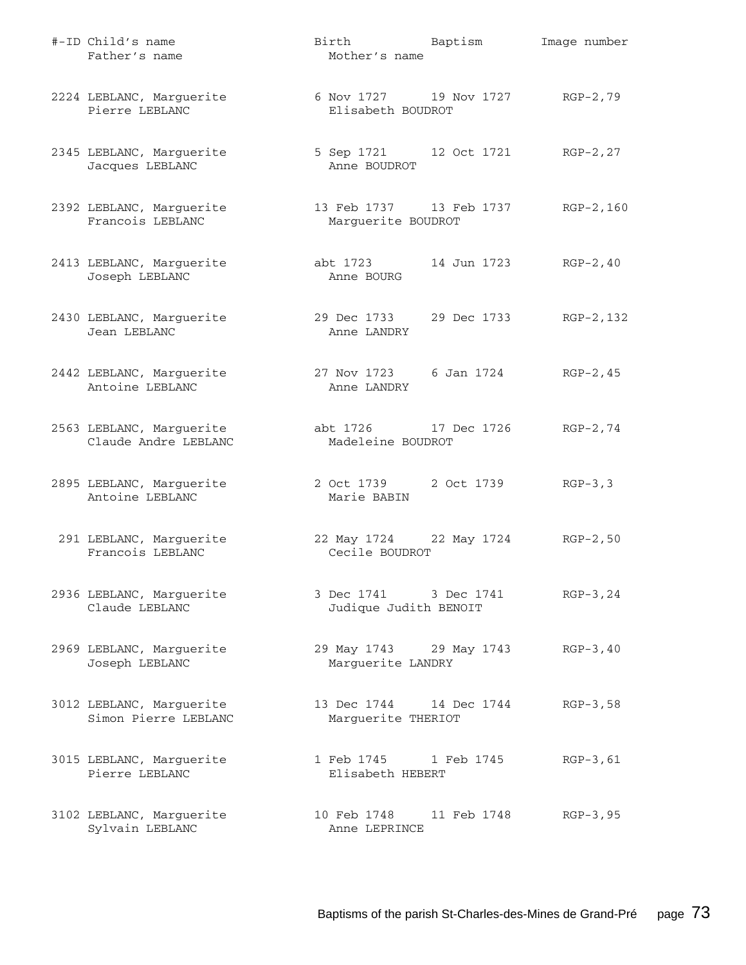| #-ID Child's name<br>Father's name               | Birth Baptism<br>Mother's name                       |             | Image number |
|--------------------------------------------------|------------------------------------------------------|-------------|--------------|
| 2224 LEBLANC, Marguerite<br>Pierre LEBLANC       | 6 Nov 1727 19 Nov 1727 RGP-2,79<br>Elisabeth BOUDROT |             |              |
| 2345 LEBLANC, Marguerite<br>Jacques LEBLANC      | 5 Sep 1721 12 Oct 1721<br>Anne BOUDROT               |             | $RGP-2, 27$  |
| 2392 LEBLANC, Marguerite<br>Francois LEBLANC     | 13 Feb 1737 13 Feb 1737<br>Marguerite BOUDROT        |             | $RGP-2, 160$ |
| 2413 LEBLANC, Marguerite<br>Joseph LEBLANC       | abt 1723<br>Anne BOURG                               | 14 Jun 1723 | $RGP-2, 40$  |
| 2430 LEBLANC, Marguerite<br>Jean LEBLANC         | 29 Dec 1733 29 Dec 1733<br>Anne LANDRY               |             | RGP-2,132    |
| 2442 LEBLANC, Marguerite<br>Antoine LEBLANC      | 27 Nov 1723 6 Jan 1724<br>Anne LANDRY                |             | $RGP-2, 45$  |
| 2563 LEBLANC, Marguerite<br>Claude Andre LEBLANC | abt 1726 17 Dec 1726<br>Madeleine BOUDROT            |             | $RGP-2, 74$  |
| 2895 LEBLANC, Marguerite<br>Antoine LEBLANC      | 2 Oct 1739 2 Oct 1739<br>Marie BABIN                 |             | $RGP-3, 3$   |
| 291 LEBLANC, Marguerite<br>Francois LEBLANC      | 22 May 1724 22 May 1724<br>Cecile BOUDROT            |             | $RGP-2, 50$  |
| 2936 LEBLANC, Marguerite<br>Claude LEBLANC       | 3 Dec 1741 3 Dec 1741<br>Judique Judith BENOIT       |             | $RGP-3, 24$  |
| 2969 LEBLANC, Marguerite<br>Joseph LEBLANC       | 29 May 1743 29 May 1743<br>Marguerite LANDRY         |             | $RGP-3, 40$  |
| 3012 LEBLANC, Marguerite<br>Simon Pierre LEBLANC | 13 Dec 1744 14 Dec 1744<br>Marguerite THERIOT        |             | $RGP-3, 58$  |
| 3015 LEBLANC, Marguerite<br>Pierre LEBLANC       | 1 Feb 1745 1 Feb 1745<br>Elisabeth HEBERT            |             | $RGP-3, 61$  |
| 3102 LEBLANC, Marguerite<br>Sylvain LEBLANC      | 10 Feb 1748<br>Anne LEPRINCE                         | 11 Feb 1748 | $RGP-3, 95$  |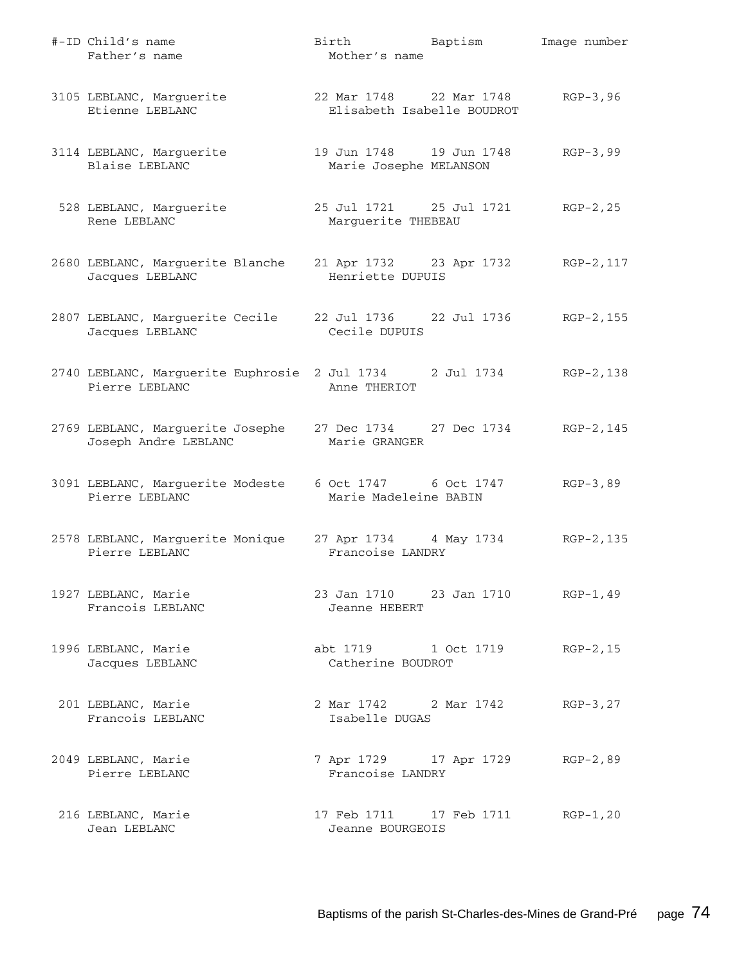| #-ID Child's name<br>Father's name                                               | Birth Baptism<br>Mother's name                        | Image number |
|----------------------------------------------------------------------------------|-------------------------------------------------------|--------------|
| 3105 LEBLANC, Marguerite<br>Etienne LEBLANC                                      | 22 Mar 1748 22 Mar 1748<br>Elisabeth Isabelle BOUDROT | $RGP-3, 96$  |
| 3114 LEBLANC, Marguerite<br>Blaise LEBLANC                                       | 19 Jun 1748    19 Jun 1748<br>Marie Josephe MELANSON  | $RGB-3,99$   |
| 528 LEBLANC, Marguerite<br>Rene LEBLANC                                          | 25 Jul 1721 25 Jul 1721<br>Marguerite THEBEAU         | $RGP-2, 25$  |
| 2680 LEBLANC, Marguerite Blanche<br>Jacques LEBLANC                              | 21 Apr 1732 23 Apr 1732<br>Henriette DUPUIS           | RGP-2,117    |
| 2807 LEBLANC, Marguerite Cecile<br>Jacques LEBLANC                               | Cecile DUPUIS                                         | RGP-2,155    |
| 2740 LEBLANC, Marguerite Euphrosie 2 Jul 1734 2 Jul 1734<br>Pierre LEBLANC       | Anne THERIOT                                          | RGP-2,138    |
| 2769 LEBLANC, Marguerite Josephe 27 Dec 1734 27 Dec 1734<br>Joseph Andre LEBLANC | Marie GRANGER                                         | RGP-2,145    |
| 3091 LEBLANC, Marguerite Modeste<br>Pierre LEBLANC                               | 6 Oct 1747 6 Oct 1747<br>Marie Madeleine BABIN        | $RGP-3, 89$  |
| 2578 LEBLANC, Marguerite Monique<br>Pierre LEBLANC                               | 27 Apr 1734 4 May 1734<br>Francoise LANDRY            | RGP-2,135    |
| 1927 LEBLANC, Marie<br>Francois LEBLANC                                          | 23 Jan 1710 23 Jan 1710 RGP-1, 49<br>Jeanne HEBERT    |              |
| 1996 LEBLANC, Marie<br>Jacques LEBLANC                                           | abt 1719 1 Oct 1719<br>Catherine BOUDROT              | $RGP-2, 15$  |
| 201 LEBLANC, Marie<br>Francois LEBLANC                                           | 2 Mar 1742 2 Mar 1742<br>Isabelle DUGAS               | $RGP-3, 27$  |
| 2049 LEBLANC, Marie<br>Pierre LEBLANC                                            | 7 Apr 1729 17 Apr 1729<br>Francoise LANDRY            | $RGP-2, 89$  |
| 216 LEBLANC, Marie<br>Jean LEBLANC                                               | 17 Feb 1711    17 Feb 1711<br>Jeanne BOURGEOIS        | $RGP-1, 20$  |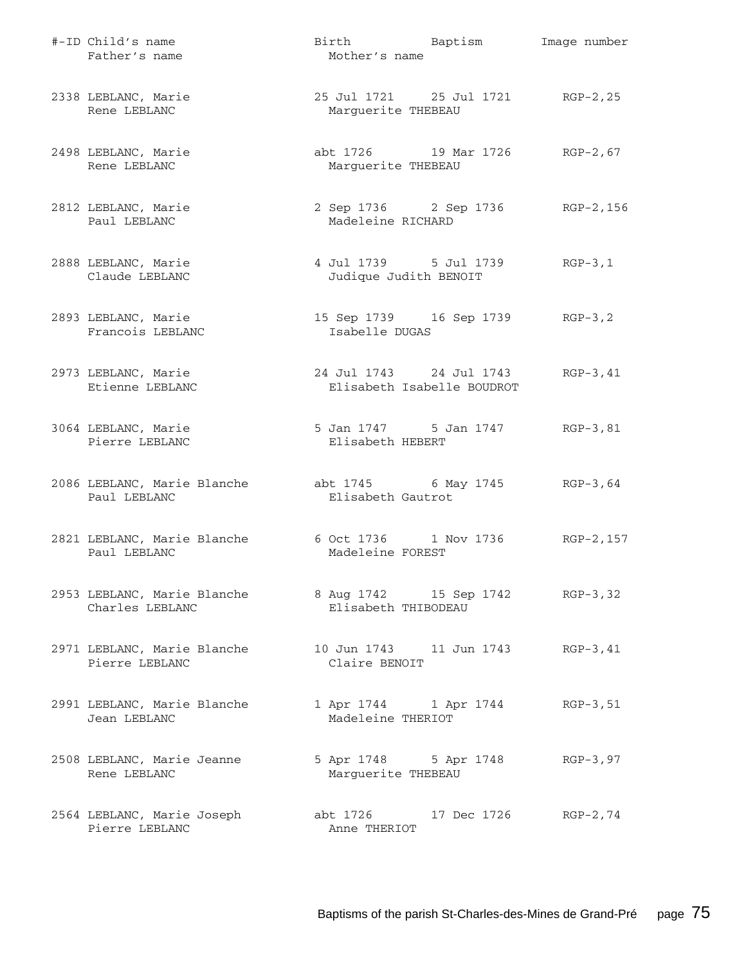| #-ID Child's name<br>Father's name             | Birth Baptism<br>Mother's name                          | Image number |
|------------------------------------------------|---------------------------------------------------------|--------------|
| 2338 LEBLANC, Marie<br>Rene LEBLANC            | 25 Jul 1721 25 Jul 1721 RGP-2, 25<br>Marguerite THEBEAU |              |
| 2498 LEBLANC, Marie<br>Rene LEBLANC            | abt 1726 19 Mar 1726<br>Marguerite THEBEAU              | $RGP-2, 67$  |
| 2812 LEBLANC, Marie<br>Paul LEBLANC            | 2 Sep 1736 2 Sep 1736 RGP-2, 156<br>Madeleine RICHARD   |              |
| 2888 LEBLANC, Marie<br>Claude LEBLANC          | 4 Jul 1739 5 Jul 1739<br>Judique Judith BENOIT          | $RGB-3,1$    |
| 2893 LEBLANC, Marie<br>Francois LEBLANC        | 15 Sep 1739 16 Sep 1739 RGP-3,2<br>Isabelle DUGAS       |              |
| 2973 LEBLANC, Marie<br>Etienne LEBLANC         | 24 Jul 1743 24 Jul 1743<br>Elisabeth Isabelle BOUDROT   | $RGP-3, 41$  |
| 3064 LEBLANC, Marie<br>Pierre LEBLANC          | 5 Jan 1747 5 Jan 1747<br>Elisabeth HEBERT               | $RGB-3,81$   |
| 2086 LEBLANC, Marie Blanche<br>Paul LEBLANC    | abt 1745 6 May 1745 RGP-3,64<br>Elisabeth Gautrot       |              |
| 2821 LEBLANC, Marie Blanche<br>Paul LEBLANC    | 6 Oct 1736 1 Nov 1736<br>Madeleine FOREST               | RGP-2, 157   |
| 2953 LEBLANC, Marie Blanche<br>Charles LEBLANC | 8 Aug 1742 15 Sep 1742 RGP-3,32<br>Elisabeth THIBODEAU  |              |
| 2971 LEBLANC, Marie Blanche<br>Pierre LEBLANC  | 10 Jun 1743    11 Jun 1743<br>Claire BENOIT             | $RGP-3, 41$  |
| 2991 LEBLANC, Marie Blanche<br>Jean LEBLANC    | 1 Apr 1744 1 Apr 1744<br>Madeleine THERIOT              | $RGP-3, 51$  |
| 2508 LEBLANC, Marie Jeanne<br>Rene LEBLANC     | 5 Apr 1748 5 Apr 1748<br>Marguerite THEBEAU             | $RGP-3, 97$  |
| 2564 LEBLANC, Marie Joseph<br>Pierre LEBLANC   | abt 1726 17 Dec 1726<br>Anne THERIOT                    | $RGP-2, 74$  |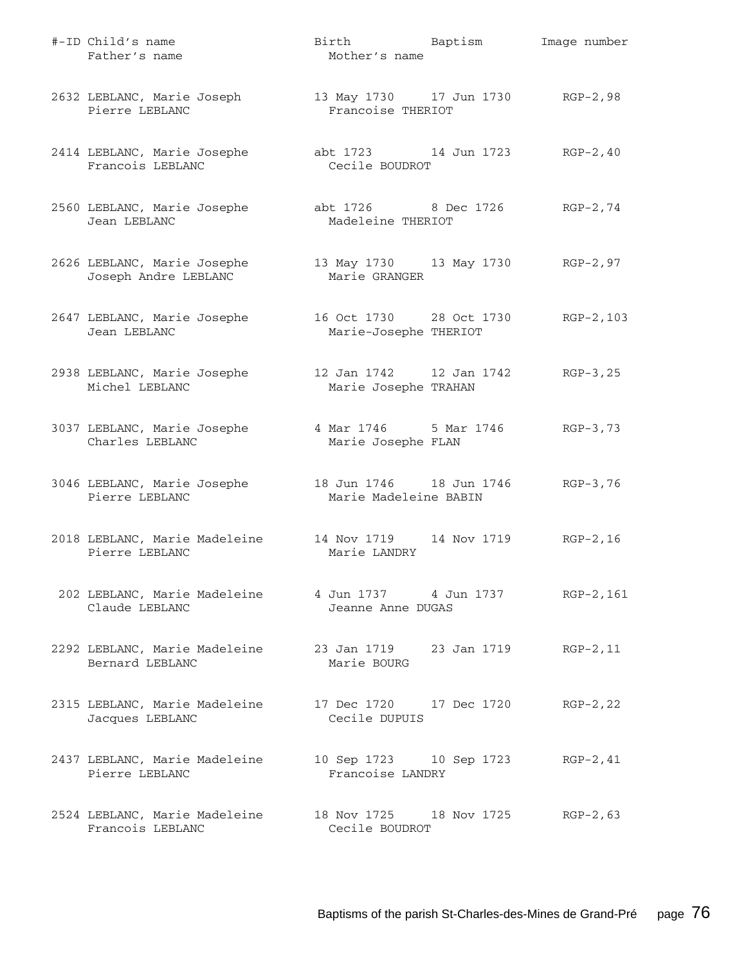| #-ID Child's name<br>Father's name                                       | Birth Baptism<br>Mother's name                                | Image number |
|--------------------------------------------------------------------------|---------------------------------------------------------------|--------------|
| 2632 LEBLANC, Marie Joseph<br>Pierre LEBLANC                             | 13 May 1730 17 Jun 1730 RGP-2,98<br>Francoise THERIOT         |              |
| 2414 LEBLANC, Marie Josephe<br>Francois LEBLANC                          | abt 1723 14 Jun 1723 RGP-2,40<br>Cecile BOUDROT               |              |
| 2560 LEBLANC, Marie Josephe<br>Jean LEBLANC                              | abt 1726 8 Dec 1726<br>Madeleine THERIOT                      | RGP-2,74     |
| 2626 LEBLANC, Marie Josephe<br>Joseph Andre LEBLANC                      | 13 May 1730 13 May 1730 RGP-2,97<br>Marie GRANGER             |              |
| 2647 LEBLANC, Marie Josephe<br>Jean LEBLANC                              | 16 Oct 1730 28 Oct 1730<br>Marie-Josephe THERIOT              | $RGP-2, 103$ |
| 2938 LEBLANC, Marie Josephe<br>Michel LEBLANC                            | 12 Jan 1742   12 Jan 1742<br>Marie Josephe TRAHAN             | $RGP-3, 25$  |
| 3037 LEBLANC, Marie Josephe<br>Charles LEBLANC                           | 4 Mar 1746 5 Mar 1746<br>Marie Josephe FLAN                   | $RGB-3,73$   |
| 3046 LEBLANC, Marie Josephe<br>Pierre LEBLANC                            | 18 Jun 1746   18 Jun 1746   RGP-3,76<br>Marie Madeleine BABIN |              |
| 2018 LEBLANC, Marie Madeleine<br>Pierre LEBLANC                          | 14 Nov 1719 14 Nov 1719<br>Marie LANDRY                       | $RGP-2, 16$  |
| 202 LEBLANC, Marie Madeleine<br>Claude LEBLANC                           | Jeanne Anne DUGAS                                             | RGP-2,161    |
| 2292 LEBLANC, Marie Madeleine 23 Jan 1719 23 Jan 1719<br>Bernard LEBLANC | Marie BOURG                                                   | $RGP-2, 11$  |
| 2315 LEBLANC, Marie Madeleine<br>Jacques LEBLANC                         | 17 Dec 1720 17 Dec 1720<br>Cecile DUPUIS                      | $RGP-2, 22$  |
| 2437 LEBLANC, Marie Madeleine<br>Pierre LEBLANC                          | 10 Sep 1723 10 Sep 1723<br>Francoise LANDRY                   | $RGP-2, 41$  |
| 2524 LEBLANC, Marie Madeleine<br>Francois LEBLANC                        | 18 Nov 1725 18 Nov 1725<br>Cecile BOUDROT                     | $RGP-2, 63$  |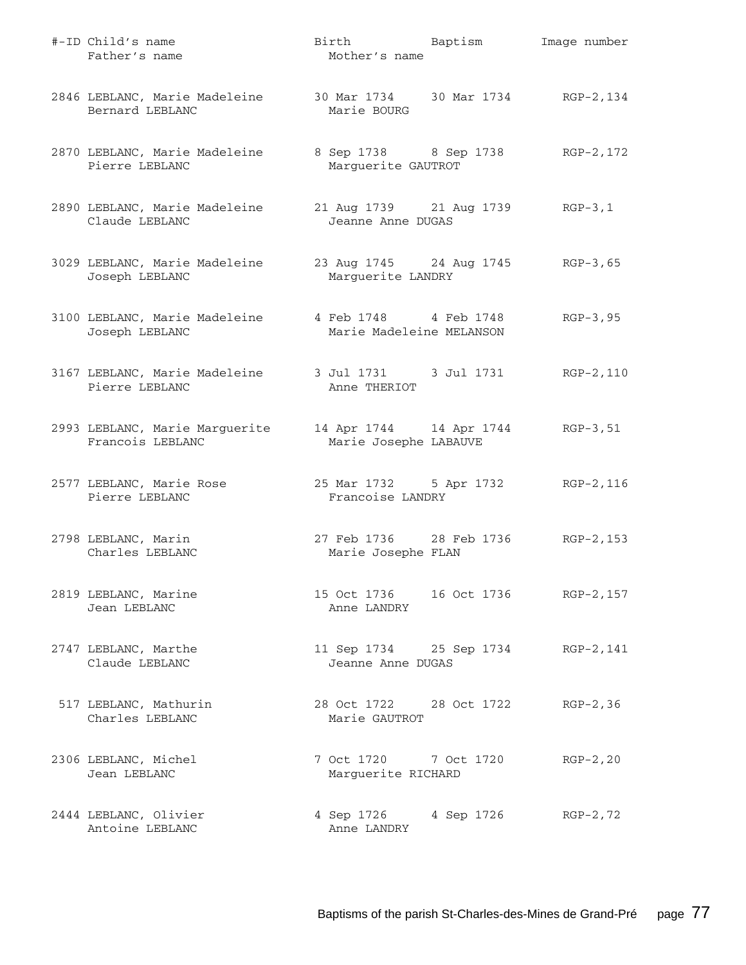| #-ID Child's name<br>Father's name                                    | Birth Baptism<br>Mother's name                        | Image number |
|-----------------------------------------------------------------------|-------------------------------------------------------|--------------|
| 2846 LEBLANC, Marie Madeleine<br>Bernard LEBLANC                      | 30 Mar 1734 30 Mar 1734 RGP-2, 134<br>Marie BOURG     |              |
| 2870 LEBLANC, Marie Madeleine<br>Pierre LEBLANC                       | 8 Sep 1738 8 Sep 1738<br>Marguerite GAUTROT           | RGP-2,172    |
| 2890 LEBLANC, Marie Madeleine<br>Claude LEBLANC                       | 21 Aug 1739 21 Aug 1739 RGP-3,1<br>Jeanne Anne DUGAS  |              |
| 3029 LEBLANC, Marie Madeleine<br>Joseph LEBLANC                       | 23 Aug 1745 24 Aug 1745 RGP-3,65<br>Marguerite LANDRY |              |
| 3100 LEBLANC, Marie Madeleine<br>Joseph LEBLANC                       | 4 Feb 1748 4 Feb 1748<br>Marie Madeleine MELANSON     | $RGP-3, 95$  |
| 3167 LEBLANC, Marie Madeleine 3 Jul 1731 3 Jul 1731<br>Pierre LEBLANC | Anne THERIOT                                          | RGP-2,110    |
| 2993 LEBLANC, Marie Marguerite<br>Francois LEBLANC                    | 14 Apr 1744 14 Apr 1744<br>Marie Josephe LABAUVE      | RGP-3,51     |
| 2577 LEBLANC, Marie Rose<br>Pierre LEBLANC                            | 25 Mar 1732 5 Apr 1732<br>Francoise LANDRY            | RGP-2,116    |
| 2798 LEBLANC, Marin<br>Charles LEBLANC                                | 27 Feb 1736 28 Feb 1736<br>Marie Josephe FLAN         | RGP-2,153    |
| 2819 LEBLANC, Marine<br>Jean LEBLANC                                  | 15 Oct 1736   16 Oct 1736   RGP-2, 157<br>Anne LANDRY |              |
| 2747 LEBLANC, Marthe<br>Claude LEBLANC                                | 11 Sep 1734 25 Sep 1734<br>Jeanne Anne DUGAS          | RGP-2,141    |
| 517 LEBLANC, Mathurin<br>Charles LEBLANC                              | 28 Oct 1722 28 Oct 1722<br>Marie GAUTROT              | $RGP-2, 36$  |
| 2306 LEBLANC, Michel<br>Jean LEBLANC                                  | 7 Oct 1720 7 Oct 1720<br>Marguerite RICHARD           | $RGP-2, 20$  |
| 2444 LEBLANC, Olivier<br>Antoine LEBLANC                              | 4 Sep 1726 4 Sep 1726<br>Anne LANDRY                  | $RGP-2, 72$  |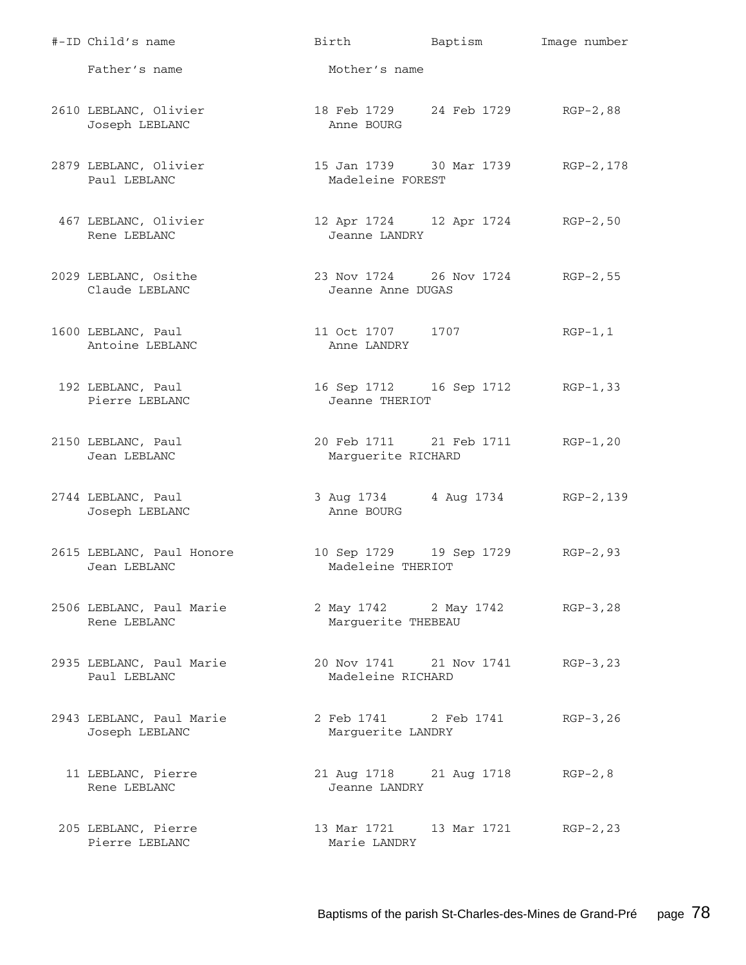| #-ID Child's name                          | Birth Baptism                                          |                                   | Image number |
|--------------------------------------------|--------------------------------------------------------|-----------------------------------|--------------|
| Father's name                              | Mother's name                                          |                                   |              |
| 2610 LEBLANC, Olivier<br>Joseph LEBLANC    | 18 Feb 1729 24 Feb 1729 RGP-2,88<br>Anne BOURG         |                                   |              |
| 2879 LEBLANC, Olivier<br>Paul LEBLANC      | 15 Jan 1739 30 Mar 1739 RGP-2,178<br>Madeleine FOREST  |                                   |              |
| 467 LEBLANC, Olivier<br>Rene LEBLANC       | 12 Apr 1724 12 Apr 1724 RGP-2,50<br>Jeanne LANDRY      |                                   |              |
| 2029 LEBLANC, Osithe<br>Claude LEBLANC     | 23 Nov 1724 26 Nov 1724 RGP-2,55<br>Jeanne Anne DUGAS  |                                   |              |
| 1600 LEBLANC, Paul<br>Antoine LEBLANC      | 11 Oct 1707 1707<br>Anne LANDRY                        |                                   | RGP-1,1      |
| 192 LEBLANC, Paul<br>Pierre LEBLANC        | 16 Sep 1712 16 Sep 1712<br>Jeanne THERIOT              |                                   | RGP-1,33     |
| 2150 LEBLANC, Paul<br>Jean LEBLANC         | 20 Feb 1711 21 Feb 1711 RGP-1,20<br>Marguerite RICHARD |                                   |              |
| 2744 LEBLANC, Paul<br>Joseph LEBLANC       | 3 Aug 1734 4 Aug 1734 RGP-2, 139<br>Anne BOURG         |                                   |              |
| 2615 LEBLANC, Paul Honore<br>Jean LEBLANC  | 10 Sep 1729 19 Sep 1729<br>Madeleine THERIOT           |                                   | $RGP-2,93$   |
| 2506 LEBLANC, Paul Marie<br>Rene LEBLANC   | 2 May 1742 2 May 1742 RGP-3, 28<br>Marguerite THEBEAU  |                                   |              |
| 2935 LEBLANC, Paul Marie<br>Paul LEBLANC   | 20 Nov 1741 21 Nov 1741 RGP-3, 23<br>Madeleine RICHARD |                                   |              |
| 2943 LEBLANC, Paul Marie<br>Joseph LEBLANC | 2 Feb 1741 2 Feb 1741<br>Marguerite LANDRY             |                                   | RGP-3,26     |
| 11 LEBLANC, Pierre<br>Rene LEBLANC         | 21 Aug 1718 21 Aug 1718 RGP-2,8<br>Jeanne LANDRY       |                                   |              |
| 205 LEBLANC, Pierre<br>Pierre LEBLANC      | Marie LANDRY                                           | 13 Mar 1721 13 Mar 1721 RGP-2, 23 |              |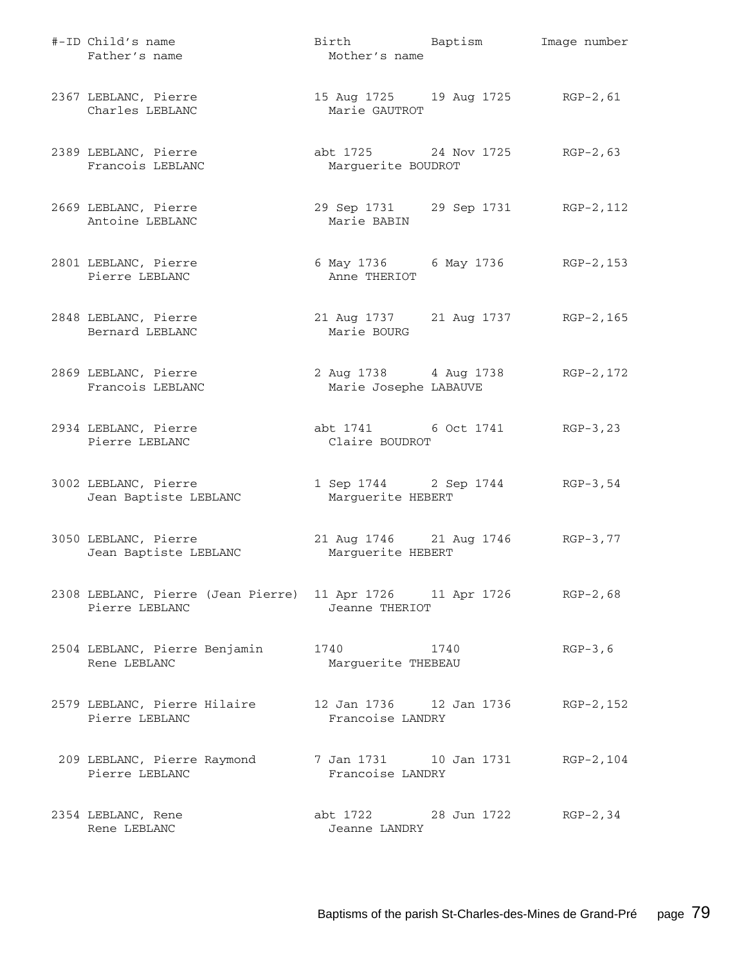| #-ID Child's name<br>Father's name                                                    | Birth Baptism<br>Mother's name                        | Image number |
|---------------------------------------------------------------------------------------|-------------------------------------------------------|--------------|
| 2367 LEBLANC, Pierre<br>Charles LEBLANC                                               | 15 Aug 1725 19 Aug 1725 RGP-2, 61<br>Marie GAUTROT    |              |
| 2389 LEBLANC, Pierre<br>Francois LEBLANC                                              | abt 1725 24 Nov 1725<br>Marguerite BOUDROT            | $RGP-2, 63$  |
| 2669 LEBLANC, Pierre<br>Antoine LEBLANC                                               | 29 Sep 1731 29 Sep 1731 RGP-2, 112<br>Marie BABIN     |              |
| 2801 LEBLANC, Pierre<br>Pierre LEBLANC                                                | 6 May 1736 6 May 1736 RGP-2, 153<br>Anne THERIOT      |              |
| 2848 LEBLANC, Pierre<br>Bernard LEBLANC                                               | 21 Aug 1737 21 Aug 1737 RGP-2, 165<br>Marie BOURG     |              |
| 2869 LEBLANC, Pierre<br>Francois LEBLANC                                              | 2 Aug 1738 4 Aug 1738<br>Marie Josephe LABAUVE        | RGP-2, 172   |
| 2934 LEBLANC, Pierre<br>Pierre LEBLANC                                                | abt 1741 6 Oct 1741 RGP-3,23<br>Claire BOUDROT        |              |
| 3002 LEBLANC, Pierre<br>Jean Baptiste LEBLANC                                         | 1 Sep 1744 2 Sep 1744 RGP-3,54<br>Marguerite HEBERT   |              |
| 3050 LEBLANC, Pierre<br>Jean Baptiste LEBLANC                                         | 21 Aug 1746 21 Aug 1746 RGP-3,77<br>Marguerite HEBERT |              |
| 2308 LEBLANC, Pierre (Jean Pierre) 11 Apr 1726 11 Apr 1726 RGP-2,68<br>Pierre LEBLANC | Jeanne THERIOT                                        |              |
| 2504 LEBLANC, Pierre Benjamin<br>Rene LEBLANC                                         | 1740 1740<br>Marguerite THEBEAU                       | $RGP-3, 6$   |
| 2579 LEBLANC, Pierre Hilaire<br>Pierre LEBLANC                                        | Francoise LANDRY                                      | RGP-2, 152   |
| 209 LEBLANC, Pierre Raymond<br>Pierre LEBLANC                                         | 7 Jan 1731 10 Jan 1731<br>Francoise LANDRY            | RGP-2,104    |
| 2354 LEBLANC, Rene<br>Rene LEBLANC                                                    | abt 1722 28 Jun 1722<br>Jeanne LANDRY                 | $RGP-2, 34$  |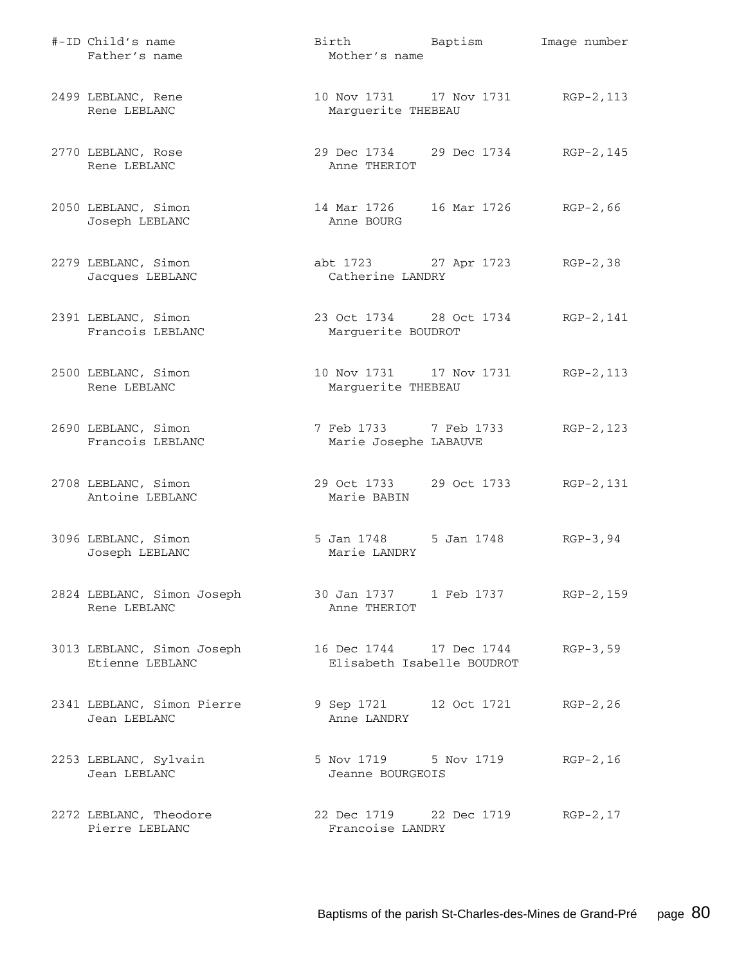| #-ID Child's name<br>Father's name            | Birth Baptism<br>Mother's name                 |                                      | Image number |
|-----------------------------------------------|------------------------------------------------|--------------------------------------|--------------|
| 2499 LEBLANC, Rene<br>Rene LEBLANC            | 10 Nov 1731 17 Nov 1731<br>Marguerite THEBEAU  |                                      | $RGP-2, 113$ |
| 2770 LEBLANC, Rose<br>Rene LEBLANC            | Anne THERIOT                                   | 29 Dec 1734 29 Dec 1734              | RGP-2,145    |
| 2050 LEBLANC, Simon<br>Joseph LEBLANC         | Anne BOURG                                     | 14 Mar 1726   16 Mar 1726   RGP-2,66 |              |
| 2279 LEBLANC, Simon<br>Jacques LEBLANC        | Catherine LANDRY                               | abt 1723 27 Apr 1723 RGP-2,38        |              |
| 2391 LEBLANC, Simon<br>Francois LEBLANC       | 23 Oct 1734 28 Oct 1734<br>Marguerite BOUDROT  |                                      | RGP-2,141    |
| 2500 LEBLANC, Simon<br>Rene LEBLANC           | 10 Nov 1731 17 Nov 1731<br>Marguerite THEBEAU  |                                      | RGP-2,113    |
| 2690 LEBLANC, Simon<br>Francois LEBLANC       | 7 Feb 1733 7 Feb 1733<br>Marie Josephe LABAUVE |                                      | RGP-2,123    |
| 2708 LEBLANC, Simon<br>Antoine LEBLANC        | 29 Oct 1733 29 Oct 1733<br>Marie BABIN         |                                      | RGP-2,131    |
| 3096 LEBLANC, Simon<br>Joseph LEBLANC         | 5 Jan 1748 5 Jan 1748<br>Marie LANDRY          |                                      | $RGB-3, 94$  |
| 2824 LEBLANC, Simon Joseph<br>Rene LEBLANC    | Anne THERIOT                                   | 30 Jan 1737 1 Feb 1737               | RGP-2,159    |
| 3013 LEBLANC, Simon Joseph<br>Etienne LEBLANC | Elisabeth Isabelle BOUDROT                     | 16 Dec 1744 17 Dec 1744              | $RGP-3, 59$  |
| 2341 LEBLANC, Simon Pierre<br>Jean LEBLANC    | 9 Sep 1721 12 Oct 1721<br>Anne LANDRY          |                                      | $RGP-2, 26$  |
| 2253 LEBLANC, Sylvain<br>Jean LEBLANC         | 5 Nov 1719 5 Nov 1719<br>Jeanne BOURGEOIS      |                                      | $RGP-2, 16$  |
| 2272 LEBLANC, Theodore<br>Pierre LEBLANC      | Francoise LANDRY                               | 22 Dec 1719 22 Dec 1719 RGP-2,17     |              |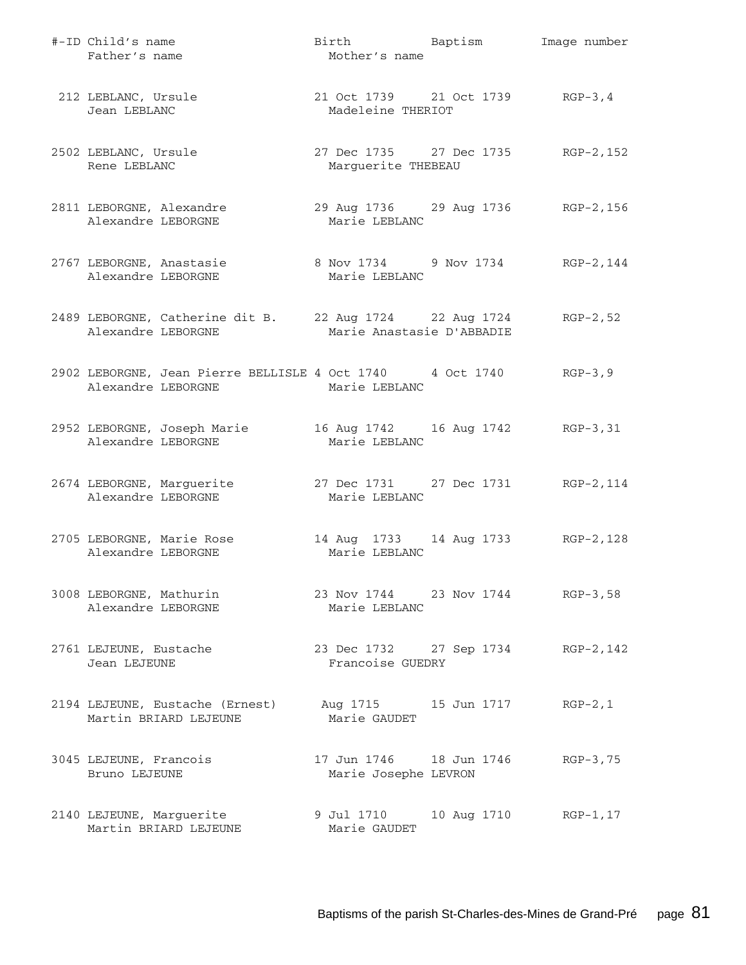| #-ID Child's name<br>Father's name                                                      | Birth Baptism<br>Mother's name                         |             | Image number |
|-----------------------------------------------------------------------------------------|--------------------------------------------------------|-------------|--------------|
| 212 LEBLANC, Ursule<br>Jean LEBLANC                                                     | 21 Oct 1739 21 Oct 1739 RGP-3,4<br>Madeleine THERIOT   |             |              |
| 2502 LEBLANC, Ursule<br>Rene LEBLANC                                                    | 27 Dec 1735 27 Dec 1735<br>Marguerite THEBEAU          |             | RGP-2,152    |
| 2811 LEBORGNE, Alexandre<br>Alexandre LEBORGNE                                          | 29 Aug 1736 29 Aug 1736 RGP-2, 156<br>Marie LEBLANC    |             |              |
| 2767 LEBORGNE, Anastasie<br>Alexandre LEBORGNE                                          | 8 Nov 1734 9 Nov 1734 RGP-2, 144<br>Marie LEBLANC      |             |              |
| 2489 LEBORGNE, Catherine dit B. 22 Aug 1724 22 Aug 1724<br>Alexandre LEBORGNE           | Marie Anastasie D'ABBADIE                              |             | $RGP-2, 52$  |
| 2902 LEBORGNE, Jean Pierre BELLISLE 4 Oct 1740 4 Oct 1740 RGP-3,9<br>Alexandre LEBORGNE | Marie LEBLANC                                          |             |              |
| 2952 LEBORGNE, Joseph Marie<br>Alexandre LEBORGNE                                       | 16 Aug 1742   16 Aug 1742   RGP-3,31<br>Marie LEBLANC  |             |              |
| 2674 LEBORGNE, Marguerite<br>Alexandre LEBORGNE                                         | 27 Dec 1731 27 Dec 1731 RGP-2, 114<br>Marie LEBLANC    |             |              |
| 2705 LEBORGNE, Marie Rose<br>Alexandre LEBORGNE                                         | 14 Aug 1733 14 Aug 1733 RGP-2, 128<br>Marie LEBLANC    |             |              |
| 3008 LEBORGNE, Mathurin<br>Alexandre LEBORGNE                                           | 23 Nov 1744 23 Nov 1744 RGP-3,58<br>Marie LEBLANC      |             |              |
| 2761 LEJEUNE, Eustache<br>Jean LEJEUNE                                                  | 23 Dec 1732 27 Sep 1734 RGP-2, 142<br>Francoise GUEDRY |             |              |
| 2194 LEJEUNE, Eustache (Ernest)<br>Martin BRIARD LEJEUNE                                | Aug 1715 15 Jun 1717<br>Marie GAUDET                   |             | $RGP-2, 1$   |
| 3045 LEJEUNE, Francois<br>Bruno LEJEUNE                                                 | Marie Josephe LEVRON                                   |             | $RGP-3, 75$  |
| 2140 LEJEUNE, Marguerite<br>Martin BRIARD LEJEUNE                                       | 9 Jul 1710<br>Marie GAUDET                             | 10 Aug 1710 | RGP-1,17     |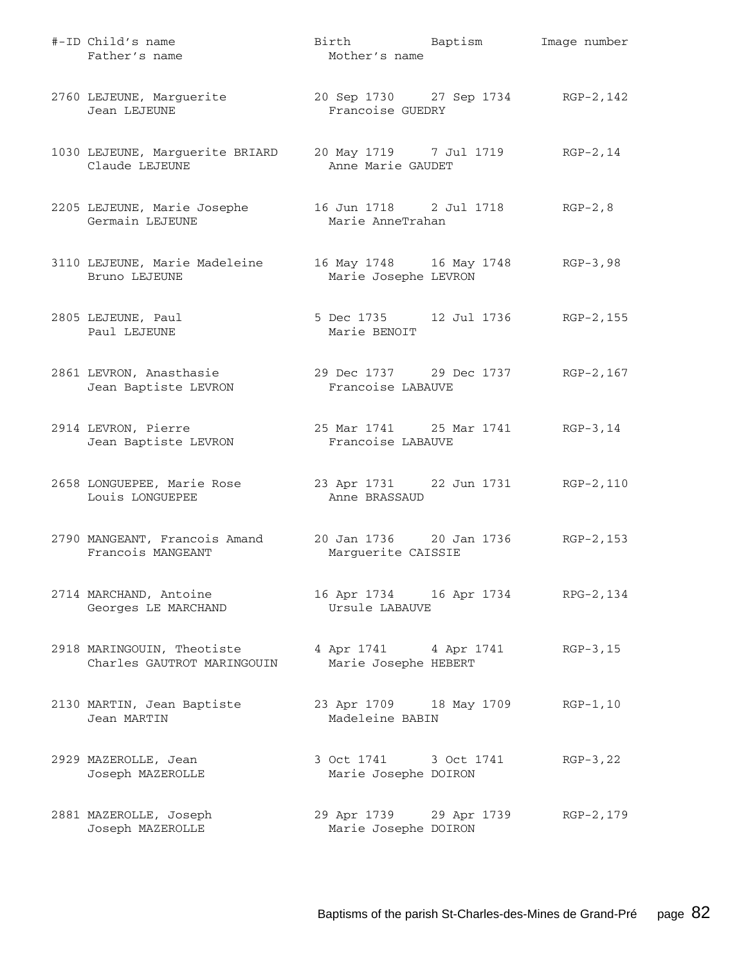| #-ID Child's name<br>Father's name                       | Birth Baptism<br>Mother's name                           | Image number |
|----------------------------------------------------------|----------------------------------------------------------|--------------|
| 2760 LEJEUNE, Marguerite<br>Jean LEJEUNE                 | 20 Sep 1730 27 Sep 1734 RGP-2, 142<br>Francoise GUEDRY   |              |
| 1030 LEJEUNE, Marguerite BRIARD<br>Claude LEJEUNE        | 20 May 1719 7 Jul 1719<br>Anne Marie GAUDET              | RGP-2,14     |
| 2205 LEJEUNE, Marie Josephe<br>Germain LEJEUNE           | 16 Jun 1718 2 Jul 1718<br>Marie AnneTrahan               | $RGP-2, 8$   |
| 3110 LEJEUNE, Marie Madeleine<br>Bruno LEJEUNE           | 16 May 1748 16 May 1748 RGP-3,98<br>Marie Josephe LEVRON |              |
| 2805 LEJEUNE, Paul<br>Paul LEJEUNE                       | 5 Dec 1735 12 Jul 1736 RGP-2, 155<br>Marie BENOIT        |              |
| 2861 LEVRON, Anasthasie<br>Jean Baptiste LEVRON          | 29 Dec 1737 29 Dec 1737 RGP-2,167<br>Francoise LABAUVE   |              |
| 2914 LEVRON, Pierre<br>Jean Baptiste LEVRON              | 25 Mar 1741 25 Mar 1741 RGP-3, 14<br>Francoise LABAUVE   |              |
| 2658 LONGUEPEE, Marie Rose<br>Louis LONGUEPEE            | 23 Apr 1731 22 Jun 1731 RGP-2, 110<br>Anne BRASSAUD      |              |
| 2790 MANGEANT, Francois Amand<br>Francois MANGEANT       | 20 Jan 1736 20 Jan 1736 RGP-2, 153<br>Marguerite CAISSIE |              |
| 2714 MARCHAND, Antoine<br>Georges LE MARCHAND            | 16 Apr 1734   16 Apr 1734   RPG-2, 134<br>Ursule LABAUVE |              |
| 2918 MARINGOUIN, Theotiste<br>Charles GAUTROT MARINGOUIN | 4 Apr 1741 4 Apr 1741<br>Marie Josephe HEBERT            | $RGP-3, 15$  |
| 2130 MARTIN, Jean Baptiste<br>Jean MARTIN                | 23 Apr 1709 18 May 1709<br>Madeleine BABIN               | $RGP-1, 10$  |
| 2929 MAZEROLLE, Jean<br>Joseph MAZEROLLE                 | 3 Oct 1741 3 Oct 1741<br>Marie Josephe DOIRON            | $RGP-3, 22$  |
| 2881 MAZEROLLE, Joseph<br>Joseph MAZEROLLE               | 29 Apr 1739 29 Apr 1739<br>Marie Josephe DOIRON          | RGP-2, 179   |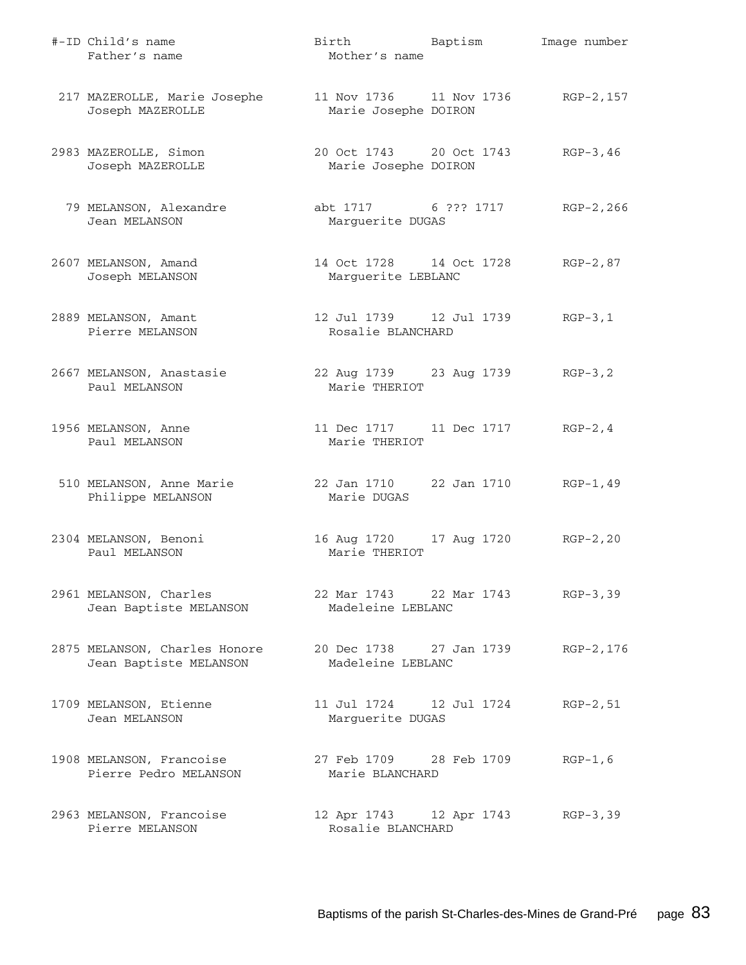| #-ID Child's name<br>Father's name                                              | Birth Baptism<br>Mother's name                             | Image number |
|---------------------------------------------------------------------------------|------------------------------------------------------------|--------------|
| 217 MAZEROLLE, Marie Josephe<br>Joseph MAZEROLLE                                | 11 Nov 1736 11 Nov 1736 RGP-2, 157<br>Marie Josephe DOIRON |              |
| 2983 MAZEROLLE, Simon<br>Joseph MAZEROLLE                                       | 20 Oct 1743 20 Oct 1743<br>Marie Josephe DOIRON            | $RGP-3, 46$  |
| 79 MELANSON, Alexandre<br>Jean MELANSON                                         | abt 1717 6 ??? 1717<br>Marguerite DUGAS                    | RGP-2,266    |
| 2607 MELANSON, Amand<br>Joseph MELANSON                                         | 14 Oct 1728 14 Oct 1728<br>Marguerite LEBLANC              | RGP-2,87     |
| 2889 MELANSON, Amant<br>Pierre MELANSON                                         | 12 Jul 1739    12 Jul 1739<br>Rosalie BLANCHARD            | $RGP-3, 1$   |
| 2667 MELANSON, Anastasie<br>Paul MELANSON                                       | 22 Aug 1739 23 Aug 1739<br>Marie THERIOT                   | $RGP-3, 2$   |
| 1956 MELANSON, Anne<br>Paul MELANSON                                            | 11 Dec 1717 11 Dec 1717<br>Marie THERIOT                   | $RGP-2, 4$   |
| 510 MELANSON, Anne Marie<br>Philippe MELANSON                                   | 22 Jan 1710 22 Jan 1710<br>Marie DUGAS                     | $RGP-1, 49$  |
| 2304 MELANSON, Benoni<br>Paul MELANSON                                          | 16 Aug 1720 17 Aug 1720<br>Marie THERIOT                   | $RGP-2, 20$  |
| 2961 MELANSON, Charles<br>Jean Baptiste MELANSON                                | 22 Mar 1743 22 Mar 1743<br>Madeleine LEBLANC               | $RGP-3, 39$  |
| 2875 MELANSON, Charles Honore 20 Dec 1738 27 Jan 1739<br>Jean Baptiste MELANSON | Madeleine LEBLANC                                          | RGP-2,176    |
| 1709 MELANSON, Etienne<br>Jean MELANSON                                         | 11 Jul 1724    12 Jul 1724<br>Marguerite DUGAS             | $RGP-2, 51$  |
| 1908 MELANSON, Francoise<br>Pierre Pedro MELANSON                               | 27 Feb 1709 28 Feb 1709<br>Marie BLANCHARD                 | $RGP-1, 6$   |
| 2963 MELANSON, Francoise<br>Pierre MELANSON                                     | 12 Apr 1743 12 Apr 1743<br>Rosalie BLANCHARD               | $RGP-3, 39$  |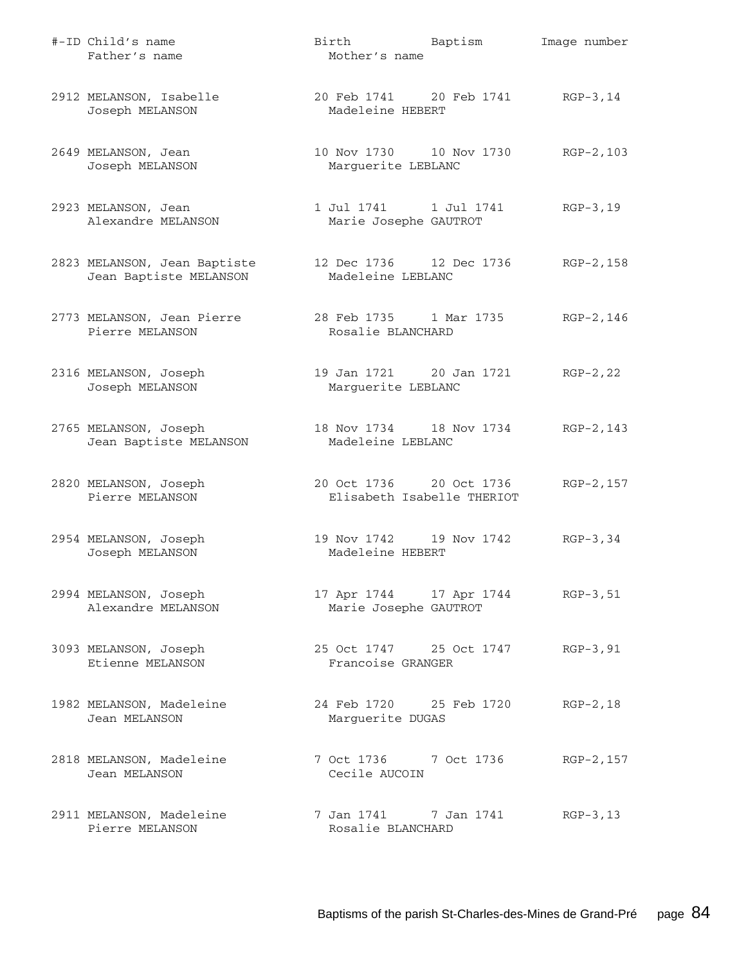| #-ID Child's name<br>Father's name                     | Birth Baptism<br>Mother's name                        | Image number |
|--------------------------------------------------------|-------------------------------------------------------|--------------|
| 2912 MELANSON, Isabelle<br>Joseph MELANSON             | 20 Feb 1741 20 Feb 1741<br>Madeleine HEBERT           | $RGP-3, 14$  |
| 2649 MELANSON, Jean<br>Joseph MELANSON                 | 10 Nov 1730   10 Nov 1730<br>Marguerite LEBLANC       | $RGP-2, 103$ |
| 2923 MELANSON, Jean<br>Alexandre MELANSON              | 1 Jul 1741 1 Jul 1741<br>Marie Josephe GAUTROT        | $RGP-3, 19$  |
| 2823 MELANSON, Jean Baptiste<br>Jean Baptiste MELANSON | 12 Dec 1736 12 Dec 1736<br>Madeleine LEBLANC          | RGP-2,158    |
| 2773 MELANSON, Jean Pierre<br>Pierre MELANSON          | 28 Feb 1735 1 Mar 1735<br>Rosalie BLANCHARD           | RGP-2,146    |
| 2316 MELANSON, Joseph<br>Joseph MELANSON               | 19 Jan 1721 20 Jan 1721<br>Marguerite LEBLANC         | $RGP-2, 22$  |
| 2765 MELANSON, Joseph<br>Jean Baptiste MELANSON        | 18 Nov 1734 18 Nov 1734<br>Madeleine LEBLANC          | RGP-2, 143   |
| 2820 MELANSON, Joseph<br>Pierre MELANSON               | 20 Oct 1736 20 Oct 1736<br>Elisabeth Isabelle THERIOT | RGP-2, 157   |
| 2954 MELANSON, Joseph<br>Joseph MELANSON               | 19 Nov 1742 19 Nov 1742<br>Madeleine HEBERT           | $RGP-3, 34$  |
| 2994 MELANSON, Joseph<br>Alexandre MELANSON            | 17 Apr 1744 17 Apr 1744<br>Marie Josephe GAUTROT      | $RGP-3, 51$  |
| 3093 MELANSON, Joseph<br>Etienne MELANSON              | 25 Oct 1747 25 Oct 1747<br>Francoise GRANGER          | $RGP-3, 91$  |
| 1982 MELANSON, Madeleine<br>Jean MELANSON              | 24 Feb 1720 25 Feb 1720<br>Marguerite DUGAS           | $RGP-2, 18$  |
| 2818 MELANSON, Madeleine<br>Jean MELANSON              | 7 Oct 1736 7 Oct 1736<br>Cecile AUCOIN                | RGP-2, 157   |
| 2911 MELANSON, Madeleine<br>Pierre MELANSON            | 7 Jan 1741 7 Jan 1741<br>Rosalie BLANCHARD            | $RGB-3, 13$  |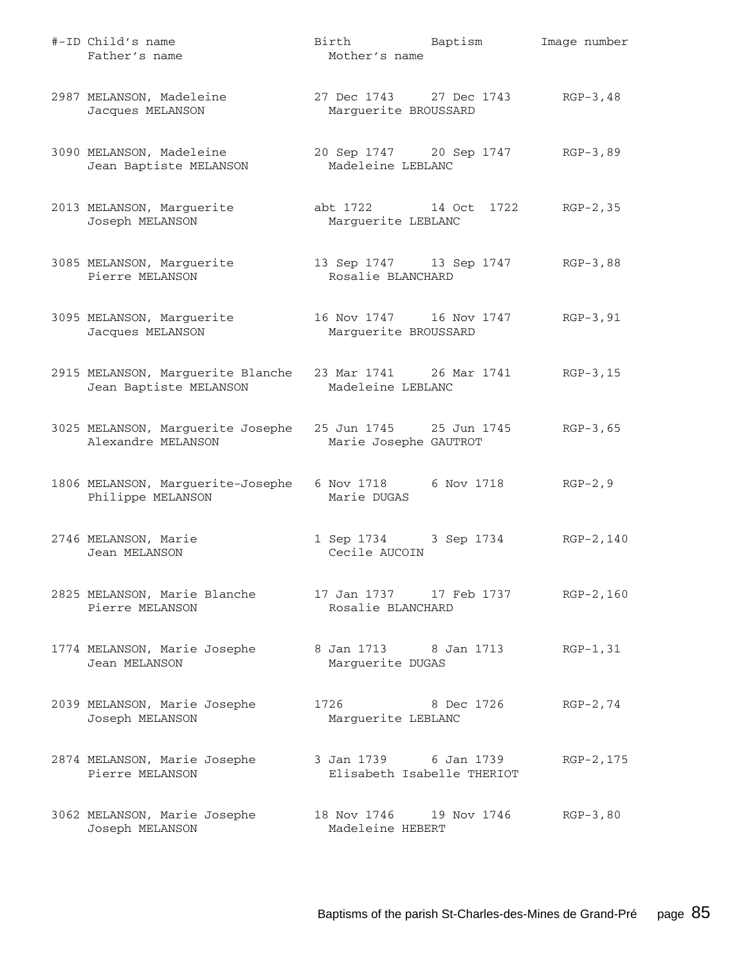| #-ID Child's name<br>Father's name                          | Birth Baptism<br>Mother's name                      | Image number |
|-------------------------------------------------------------|-----------------------------------------------------|--------------|
| 2987 MELANSON, Madeleine<br>Jacques MELANSON                | 27 Dec 1743 27 Dec 1743<br>Marguerite BROUSSARD     | $RGP-3, 48$  |
| 3090 MELANSON, Madeleine<br>Jean Baptiste MELANSON          | 20 Sep 1747 20 Sep 1747<br>Madeleine LEBLANC        | $RGB-3,89$   |
| 2013 MELANSON, Marguerite<br>Joseph MELANSON                | abt 1722 14 Oct 1722<br>Marguerite LEBLANC          | $RGP-2, 35$  |
| 3085 MELANSON, Marguerite<br>Pierre MELANSON                | 13 Sep 1747 13 Sep 1747<br>Rosalie BLANCHARD        | $RGB-3,88$   |
| 3095 MELANSON, Marguerite<br>Jacques MELANSON               | 16 Nov 1747 16 Nov 1747<br>Marguerite BROUSSARD     | $RGP-3, 91$  |
| 2915 MELANSON, Marguerite Blanche<br>Jean Baptiste MELANSON | 23 Mar 1741 26 Mar 1741<br>Madeleine LEBLANC        | $RGB-3,15$   |
| 3025 MELANSON, Marguerite Josephe<br>Alexandre MELANSON     | 25 Jun 1745 25 Jun 1745<br>Marie Josephe GAUTROT    | $RGP-3, 65$  |
| 1806 MELANSON, Marguerite-Josephe<br>Philippe MELANSON      | 6 Nov 1718 6 Nov 1718<br>Marie DUGAS                | $RGP-2, 9$   |
| 2746 MELANSON, Marie<br>Jean MELANSON                       | 1 Sep 1734 3 Sep 1734<br>Cecile AUCOIN              | $RGP-2, 140$ |
| 2825 MELANSON, Marie Blanche<br>Pierre MELANSON             | Rosalie BLANCHARD                                   | RGP-2,160    |
| 1774 MELANSON, Marie Josephe<br>Jean MELANSON               | 8 Jan 1713 8 Jan 1713<br>Marguerite DUGAS           | RGP-1,31     |
| 2039 MELANSON, Marie Josephe<br>Joseph MELANSON             | 1726<br>8 Dec 1726<br>Marguerite LEBLANC            | $RGP-2, 74$  |
| 2874 MELANSON, Marie Josephe<br>Pierre MELANSON             | 3 Jan 1739 6 Jan 1739<br>Elisabeth Isabelle THERIOT | RGP-2, 175   |
| 3062 MELANSON, Marie Josephe<br>Joseph MELANSON             | 18 Nov 1746 19 Nov 1746<br>Madeleine HEBERT         | $RGP-3, 80$  |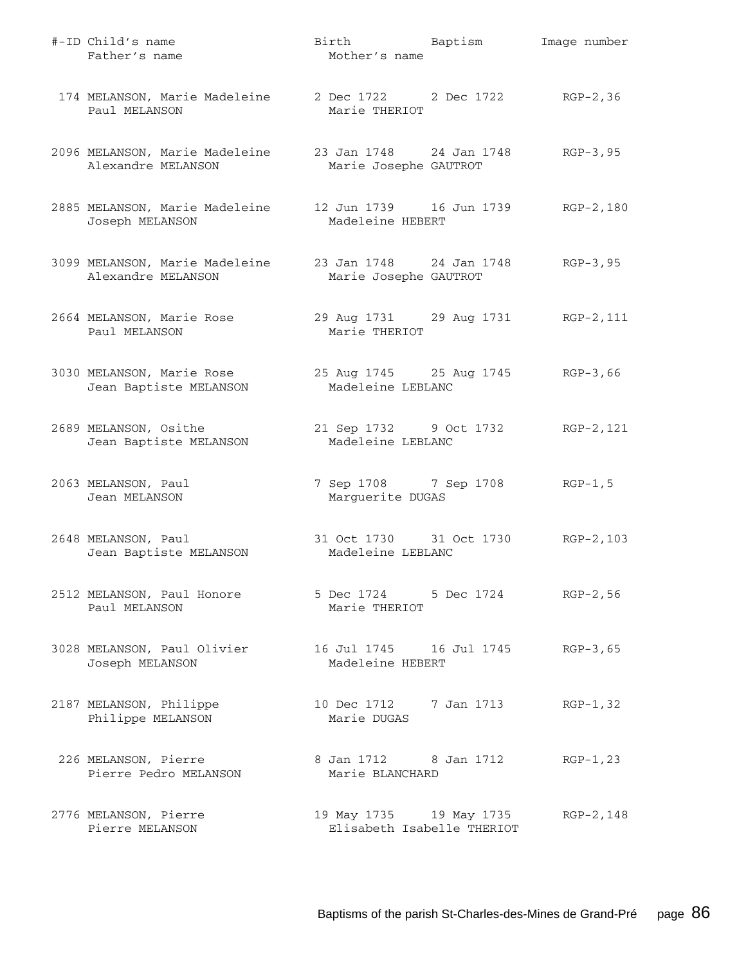| #-ID Child's name<br>Father's name                   | Birth Baptism<br>Mother's name                        | Image number |
|------------------------------------------------------|-------------------------------------------------------|--------------|
| 174 MELANSON, Marie Madeleine<br>Paul MELANSON       | 2 Dec 1722 2 Dec 1722 RGP-2,36<br>Marie THERIOT       |              |
| 2096 MELANSON, Marie Madeleine<br>Alexandre MELANSON | 23 Jan 1748 24 Jan 1748<br>Marie Josephe GAUTROT      | $RGP-3, 95$  |
| 2885 MELANSON, Marie Madeleine<br>Joseph MELANSON    | Madeleine HEBERT                                      | RGP-2,180    |
| 3099 MELANSON, Marie Madeleine<br>Alexandre MELANSON | 23 Jan 1748 24 Jan 1748<br>Marie Josephe GAUTROT      | $RGP-3, 95$  |
| 2664 MELANSON, Marie Rose<br>Paul MELANSON           | 29 Aug 1731 29 Aug 1731 RGP-2, 111<br>Marie THERIOT   |              |
| 3030 MELANSON, Marie Rose<br>Jean Baptiste MELANSON  | 25 Aug 1745 25 Aug 1745<br>Madeleine LEBLANC          | $RGB-3,66$   |
| 2689 MELANSON, Osithe<br>Jean Baptiste MELANSON      | 21 Sep 1732 9 Oct 1732<br>Madeleine LEBLANC           | RGP-2,121    |
| 2063 MELANSON, Paul<br>Jean MELANSON                 | 7 Sep 1708 7 Sep 1708<br>Marguerite DUGAS             | $RGP-1, 5$   |
| 2648 MELANSON, Paul<br>Jean Baptiste MELANSON        | 31 Oct 1730 31 Oct 1730<br>Madeleine LEBLANC          | $RGP-2, 103$ |
| 2512 MELANSON, Paul Honore<br>Paul MELANSON          | 5 Dec 1724 5 Dec 1724<br>Marie THERIOT                | $RGP-2, 56$  |
| 3028 MELANSON, Paul Olivier<br>Joseph MELANSON       | 16 Jul 1745    16 Jul 1745<br>Madeleine HEBERT        | $RGB-3,65$   |
| 2187 MELANSON, Philippe<br>Philippe MELANSON         | 10 Dec 1712 7 Jan 1713<br>Marie DUGAS                 | $RGP-1, 32$  |
| 226 MELANSON, Pierre<br>Pierre Pedro MELANSON        | 8 Jan 1712 8 Jan 1712<br>Marie BLANCHARD              | $RGP-1, 23$  |
| 2776 MELANSON, Pierre<br>Pierre MELANSON             | 19 May 1735 19 May 1735<br>Elisabeth Isabelle THERIOT | RGP-2,148    |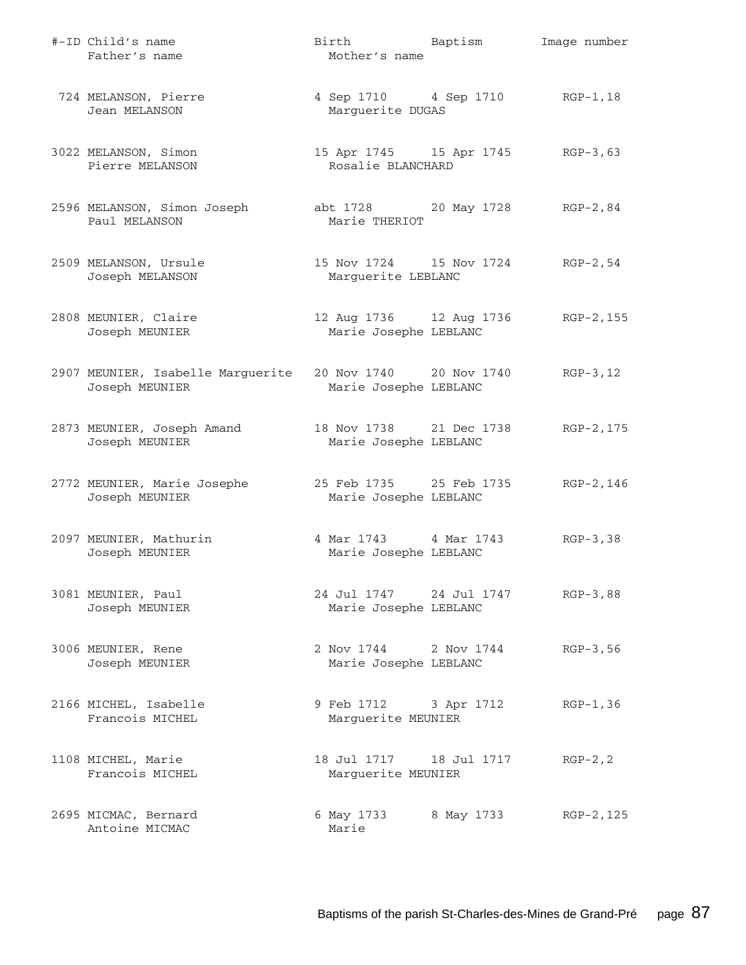| #-ID Child's name<br>Father's name                  | Birth Baptism<br>Mother's name                      |            | Image number |
|-----------------------------------------------------|-----------------------------------------------------|------------|--------------|
| 724 MELANSON, Pierre<br>Jean MELANSON               | 4 Sep 1710 4 Sep 1710 RGP-1, 18<br>Marguerite DUGAS |            |              |
| 3022 MELANSON, Simon<br>Pierre MELANSON             | 15 Apr 1745 15 Apr 1745<br>Rosalie BLANCHARD        |            | $RGB-3,63$   |
| 2596 MELANSON, Simon Joseph<br>Paul MELANSON        | abt 1728 20 May 1728 RGP-2,84<br>Marie THERIOT      |            |              |
| 2509 MELANSON, Ursule<br>Joseph MELANSON            | 15 Nov 1724   15 Nov 1724<br>Marguerite LEBLANC     |            | RGP-2,54     |
| 2808 MEUNIER, Claire<br>Joseph MEUNIER              | 12 Aug 1736 12 Aug 1736<br>Marie Josephe LEBLANC    |            | RGP-2,155    |
| 2907 MEUNIER, Isabelle Marguerite<br>Joseph MEUNIER | 20 Nov 1740 20 Nov 1740<br>Marie Josephe LEBLANC    |            | $RGP-3, 12$  |
| 2873 MEUNIER, Joseph Amand<br>Joseph MEUNIER        | 18 Nov 1738 21 Dec 1738<br>Marie Josephe LEBLANC    |            | RGP-2,175    |
| 2772 MEUNIER, Marie Josephe<br>Joseph MEUNIER       | 25 Feb 1735 25 Feb 1735<br>Marie Josephe LEBLANC    |            | RGP-2,146    |
| 2097 MEUNIER, Mathurin<br>Joseph MEUNIER            | 4 Mar 1743 4 Mar 1743<br>Marie Josephe LEBLANC      |            | $RGB-3, 38$  |
| 3081 MEUNIER, Paul<br>Joseph MEUNIER                | 24 Jul 1747 24 Jul 1747<br>Marie Josephe LEBLANC    |            | $RGB-3,88$   |
| 3006 MEUNIER, Rene<br>Joseph MEUNIER                | 2 Nov 1744 2 Nov 1744<br>Marie Josephe LEBLANC      |            | $RGP-3, 56$  |
| 2166 MICHEL, Isabelle<br>Francois MICHEL            | 9 Feb 1712 3 Apr 1712<br>Marguerite MEUNIER         |            | $RGP-1, 36$  |
| 1108 MICHEL, Marie<br>Francois MICHEL               | 18 Jul 1717 18 Jul 1717<br>Marguerite MEUNIER       |            | $RGP-2, 2$   |
| 2695 MICMAC, Bernard<br>Antoine MICMAC              | 6 May 1733<br>Marie                                 | 8 May 1733 | RGP-2, 125   |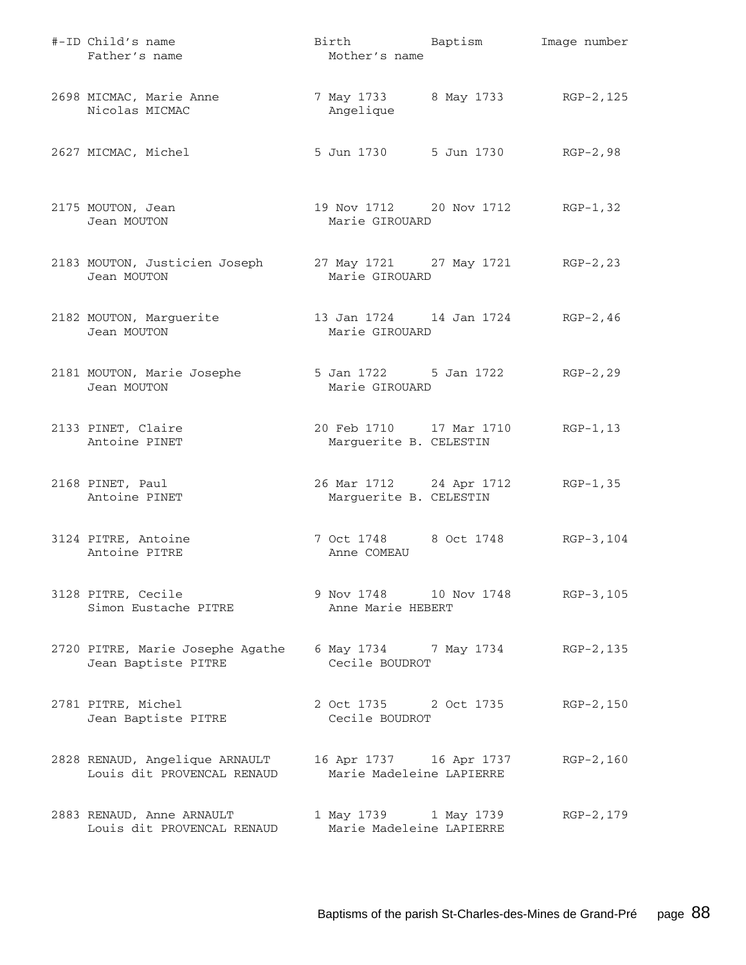| #-ID Child's name<br>Father's name                           | Birth Baptism<br>Mother's name                         | Image number |
|--------------------------------------------------------------|--------------------------------------------------------|--------------|
| 2698 MICMAC, Marie Anne<br>Nicolas MICMAC                    | 7 May 1733 8 May 1733 RGP-2, 125<br>Angelique          |              |
| 2627 MICMAC, Michel                                          | 5 Jun 1730 5 Jun 1730                                  | RGP-2,98     |
| 2175 MOUTON, Jean<br>Jean MOUTON                             | 19 Nov 1712 20 Nov 1712<br>Marie GIROUARD              | $RGP-1, 32$  |
| 2183 MOUTON, Justicien Joseph<br>Jean MOUTON                 | 27 May 1721 27 May 1721 RGP-2, 23<br>Marie GIROUARD    |              |
| 2182 MOUTON, Marguerite<br>Jean MOUTON                       | 13 Jan 1724   14 Jan 1724   RGP-2,46<br>Marie GIROUARD |              |
| 2181 MOUTON, Marie Josephe<br>Jean MOUTON                    | 5 Jan 1722 5 Jan 1722<br>Marie GIROUARD                | $RGP-2, 29$  |
| 2133 PINET, Claire<br>Antoine PINET                          | 20 Feb 1710 17 Mar 1710<br>Marguerite B. CELESTIN      | $RGP-1, 13$  |
| 2168 PINET, Paul<br>Antoine PINET                            | 26 Mar 1712 24 Apr 1712<br>Marguerite B. CELESTIN      | $RGP-1, 35$  |
| 3124 PITRE, Antoine<br>Antoine PITRE                         | 7 Oct 1748 8 Oct 1748<br>Anne COMEAU                   | RGP-3,104    |
| 3128 PITRE, Cecile<br>Simon Eustache PITRE                   | 9 Nov 1748 10 Nov 1748 RGP-3, 105<br>Anne Marie HEBERT |              |
| 2720 PITRE, Marie Josephe Agathe<br>Jean Baptiste PITRE      | 6 May 1734 7 May 1734 RGP-2, 135<br>Cecile BOUDROT     |              |
| 2781 PITRE, Michel<br>Jean Baptiste PITRE                    | 2 Oct 1735 2 Oct 1735<br>Cecile BOUDROT                | RGP-2,150    |
| 2828 RENAUD, Angelique ARNAULT<br>Louis dit PROVENCAL RENAUD | 16 Apr 1737 16 Apr 1737<br>Marie Madeleine LAPIERRE    | $RGP-2, 160$ |
| 2883 RENAUD, Anne ARNAULT<br>Louis dit PROVENCAL RENAUD      | 1 May 1739 1 May 1739<br>Marie Madeleine LAPIERRE      | RGP-2, 179   |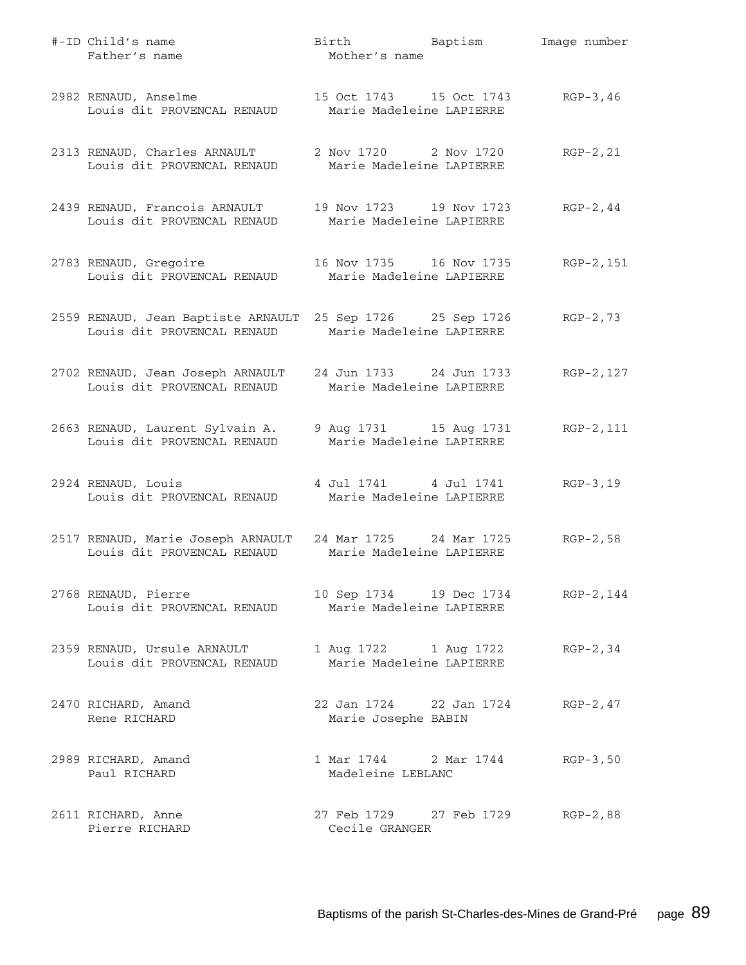| #-ID Child's name<br>Father's name                                                                                | Birth Baptism Image number<br>Mother's name                   |             |
|-------------------------------------------------------------------------------------------------------------------|---------------------------------------------------------------|-------------|
| 2982 RENAUD, Anselme<br>Louis dit PROVENCAL RENAUD                                                                | 15 Oct 1743 15 Oct 1743 RGP-3,46<br>Marie Madeleine LAPIERRE  |             |
| 2313 RENAUD, Charles ARNAULT<br>Louis dit PROVENCAL RENAUD                                                        | 2 Nov 1720 2 Nov 1720<br>Marie Madeleine LAPIERRE             | $RGP-2, 21$ |
| 2439 RENAUD, Francois ARNAULT<br>Louis dit PROVENCAL RENAUD                                                       | 19 Nov 1723 19 Nov 1723<br>Marie Madeleine LAPIERRE           | $RGP-2, 44$ |
| 2783 RENAUD, Gregoire<br>Louis dit PROVENCAL RENAUD                                                               | 16 Nov 1735 16 Nov 1735<br>Marie Madeleine LAPIERRE           | RGP-2,151   |
| 2559 RENAUD, Jean Baptiste ARNAULT 25 Sep 1726 25 Sep 1726<br>Louis dit PROVENCAL RENAUD Marie Madeleine LAPIERRE |                                                               | $RGP-2, 73$ |
| 2702 RENAUD, Jean Joseph ARNAULT<br>Louis dit PROVENCAL RENAUD                                                    | 24 Jun 1733 24 Jun 1733<br>Marie Madeleine LAPIERRE           | RGP-2, 127  |
| 2663 RENAUD, Laurent Sylvain A.<br>Louis dit PROVENCAL RENAUD                                                     | 9 Aug 1731 15 Aug 1731 RGP-2, 111<br>Marie Madeleine LAPIERRE |             |
| 2924 RENAUD, Louis<br>Louis dit PROVENCAL RENAUD                                                                  | 4 Jul 1741 4 Jul 1741<br>Marie Madeleine LAPIERRE             | $RGB-3,19$  |
| 2517 RENAUD, Marie Joseph ARNAULT 24 Mar 1725 24 Mar 1725<br>Louis dit PROVENCAL RENAUD                           | Marie Madeleine LAPIERRE                                      | $RGP-2, 58$ |
| 2768 RENAUD, Pierre<br>Louis dit PROVENCAL RENAUD                                                                 | 10 Sep 1734   19 Dec 1734<br>Marie Madeleine LAPIERRE         | RGP-2,144   |
| 2359 RENAUD, Ursule ARNAULT<br>Louis dit PROVENCAL RENAUD                                                         | 1 Aug 1722 1 Aug 1722<br>Marie Madeleine LAPIERRE             | $RGP-2, 34$ |
| 2470 RICHARD, Amand<br>Rene RICHARD                                                                               | 22 Jan 1724 22 Jan 1724<br>Marie Josephe BABIN                | $RGP-2, 47$ |
| 2989 RICHARD, Amand<br>Paul RICHARD                                                                               | 1 Mar 1744 2 Mar 1744<br>Madeleine LEBLANC                    | $RGP-3, 50$ |
| 2611 RICHARD, Anne<br>Pierre RICHARD                                                                              | 27 Feb 1729 27 Feb 1729<br>Cecile GRANGER                     | $RGP-2, 88$ |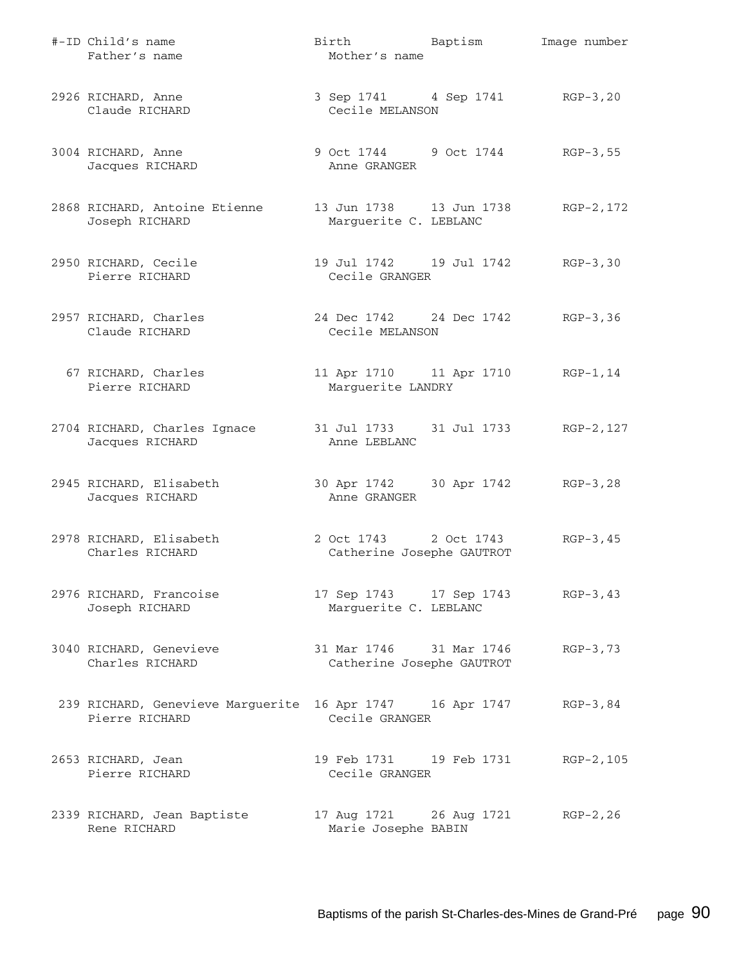| #-ID Child's name<br>Father's name                                          | Birth Baptism<br>Mother's name                           | Image number |
|-----------------------------------------------------------------------------|----------------------------------------------------------|--------------|
| 2926 RICHARD, Anne<br>Claude RICHARD                                        | 3 Sep 1741 4 Sep 1741 RGP-3, 20<br>Cecile MELANSON       |              |
| 3004 RICHARD, Anne<br>Jacques RICHARD                                       | 9 Oct 1744 9 Oct 1744 RGP-3,55<br>Anne GRANGER           |              |
| 2868 RICHARD, Antoine Etienne<br>Joseph RICHARD                             | Marguerite C. LEBLANC                                    | RGP-2,172    |
| 2950 RICHARD, Cecile<br>Pierre RICHARD                                      | 19 Jul 1742 19 Jul 1742 RGP-3,30<br>Cecile GRANGER       |              |
| 2957 RICHARD, Charles<br>Claude RICHARD                                     | 24 Dec 1742 24 Dec 1742 RGP-3,36<br>Cecile MELANSON      |              |
| 67 RICHARD, Charles<br>Pierre RICHARD                                       | 11 Apr 1710 11 Apr 1710 RGP-1,14<br>Marguerite LANDRY    |              |
| 2704 RICHARD, Charles Ignace<br>Jacques RICHARD                             | 31 Jul 1733 31 Jul 1733 RGP-2, 127<br>Anne LEBLANC       |              |
| 2945 RICHARD, Elisabeth<br>Jacques RICHARD                                  | 30 Apr 1742 30 Apr 1742 RGP-3,28<br>Anne GRANGER         |              |
| 2978 RICHARD, Elisabeth<br>Charles RICHARD                                  | 2 Oct 1743 2 Oct 1743<br>Catherine Josephe GAUTROT       | $RGP-3, 45$  |
| 2976 RICHARD, Francoise<br>Joseph RICHARD                                   | 17 Sep 1743 17 Sep 1743<br>Marguerite C. LEBLANC         | $RGP-3, 43$  |
| 3040 RICHARD, Genevieve<br>Charles RICHARD                                  | 31 Mar 1746 31 Mar 1746<br>Catherine Josephe GAUTROT     | $RGP-3, 73$  |
| 239 RICHARD, Genevieve Marguerite 16 Apr 1747 16 Apr 1747<br>Pierre RICHARD | Cecile GRANGER                                           | $RGP-3, 84$  |
| 2653 RICHARD, Jean<br>Pierre RICHARD                                        | 19 Feb 1731 19 Feb 1731<br>Cecile GRANGER                | RGP-2,105    |
| 2339 RICHARD, Jean Baptiste<br>Rene RICHARD                                 | 17 Aug 1721 26 Aug 1721 RGP-2, 26<br>Marie Josephe BABIN |              |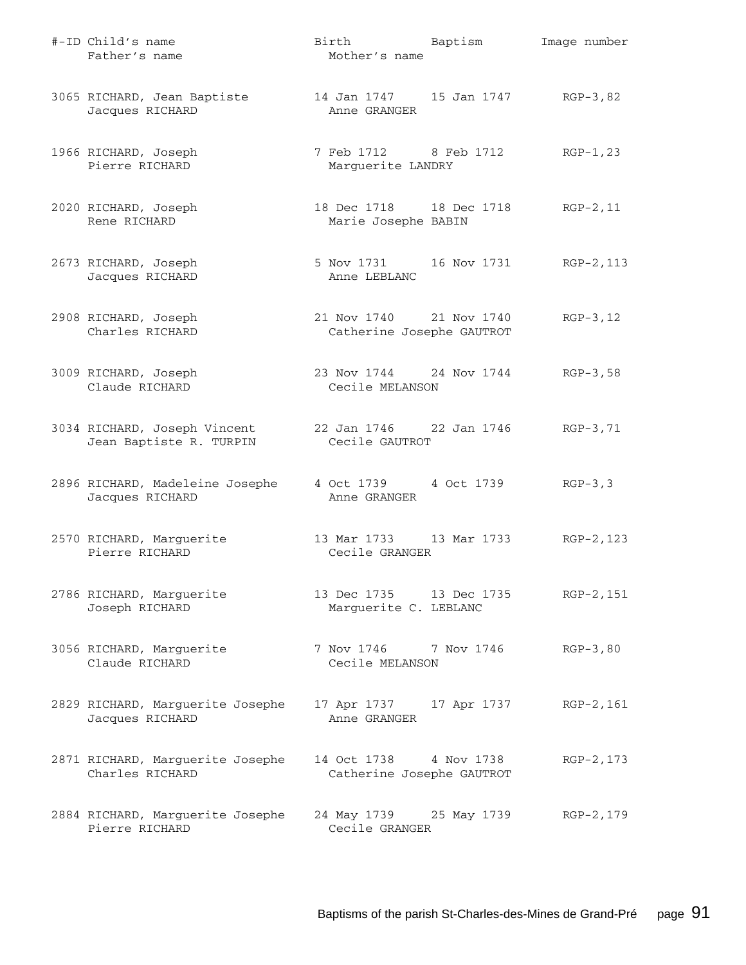| #-ID Child's name<br>Father's name                                       | Birth Baptism<br>Mother's name                       |             | Image number |
|--------------------------------------------------------------------------|------------------------------------------------------|-------------|--------------|
| 3065 RICHARD, Jean Baptiste<br>Jacques RICHARD                           | 14 Jan 1747 15 Jan 1747 RGP-3,82<br>Anne GRANGER     |             |              |
| 1966 RICHARD, Joseph<br>Pierre RICHARD                                   | 7 Feb 1712 8 Feb 1712<br>Marguerite LANDRY           |             | RGP-1,23     |
| 2020 RICHARD, Joseph<br>Rene RICHARD                                     | 18 Dec 1718 18 Dec 1718<br>Marie Josephe BABIN       |             | $RGP-2, 11$  |
| 2673 RICHARD, Joseph<br>Jacques RICHARD                                  | 5 Nov 1731 16 Nov 1731 RGP-2, 113<br>Anne LEBLANC    |             |              |
| 2908 RICHARD, Joseph<br>Charles RICHARD                                  | 21 Nov 1740 21 Nov 1740<br>Catherine Josephe GAUTROT |             | $RGP-3, 12$  |
| 3009 RICHARD, Joseph<br>Claude RICHARD                                   | 23 Nov 1744 24 Nov 1744<br>Cecile MELANSON           |             | $RGP-3, 58$  |
| 3034 RICHARD, Joseph Vincent<br>Jean Baptiste R. TURPIN                  | 22 Jan 1746 22 Jan 1746 RGP-3,71<br>Cecile GAUTROT   |             |              |
| 2896 RICHARD, Madeleine Josephe 4 Oct 1739 4 Oct 1739<br>Jacques RICHARD | Anne GRANGER                                         |             | $RGP-3, 3$   |
| 2570 RICHARD, Marguerite<br>Pierre RICHARD                               | 13 Mar 1733 13 Mar 1733 RGP-2, 123<br>Cecile GRANGER |             |              |
| 2786 RICHARD, Marguerite<br>Joseph RICHARD                               | 13 Dec 1735 13 Dec 1735<br>Marguerite C. LEBLANC     |             | RGP-2,151    |
| 3056 RICHARD, Marguerite<br>Claude RICHARD                               | 7 Nov 1746 7 Nov 1746<br>Cecile MELANSON             |             | $RGP-3, 80$  |
| 2829 RICHARD, Marguerite Josephe<br>Jacques RICHARD                      | 17 Apr 1737<br>Anne GRANGER                          | 17 Apr 1737 | RGP-2,161    |
| 2871 RICHARD, Marguerite Josephe<br>Charles RICHARD                      | 14 Oct 1738 4 Nov 1738<br>Catherine Josephe GAUTROT  |             | RGP-2, 173   |
| 2884 RICHARD, Marguerite Josephe<br>Pierre RICHARD                       | 24 May 1739 25 May 1739<br>Cecile GRANGER            |             | RGP-2,179    |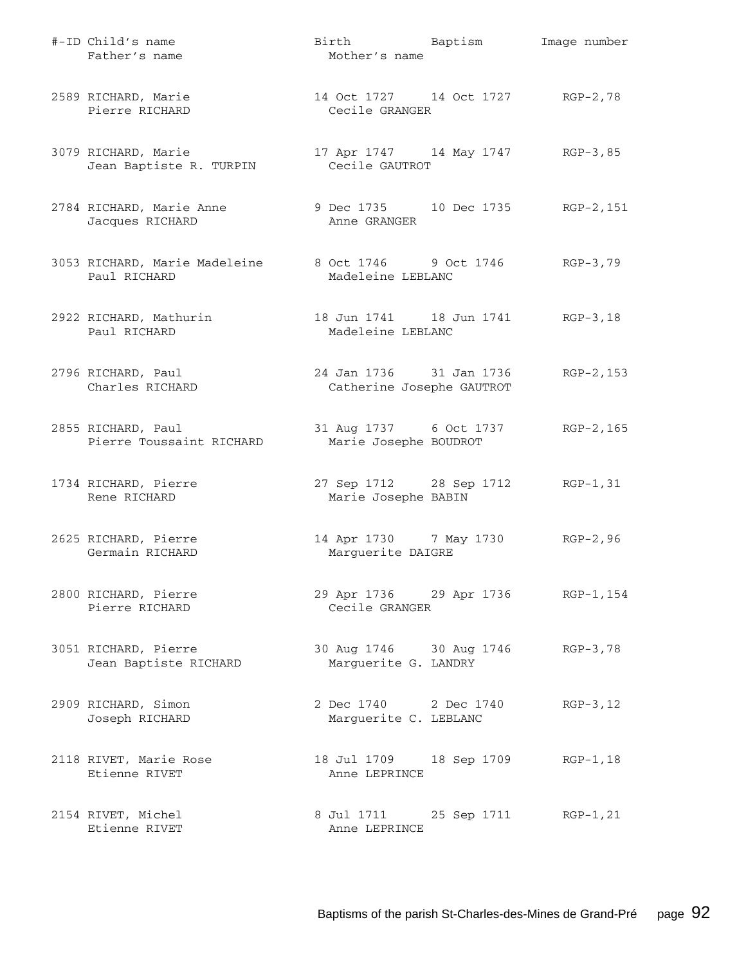| #-ID Child's name<br>Father's name                                           | Birth Baptism<br>Mother's name                             | Image number |
|------------------------------------------------------------------------------|------------------------------------------------------------|--------------|
| 2589 RICHARD, Marie<br>Pierre RICHARD                                        | 14 Oct 1727 14 Oct 1727 RGP-2,78<br>Cecile GRANGER         |              |
| 3079 RICHARD, Marie<br>Jean Baptiste R. TURPIN                               | 17 Apr 1747 14 May 1747 RGP-3,85<br>Cecile GAUTROT         |              |
| 2784 RICHARD, Marie Anne<br>Jacques RICHARD                                  | 9 Dec 1735 10 Dec 1735 RGP-2, 151<br>Anne GRANGER          |              |
| 3053 RICHARD, Marie Madeleine 8 Oct 1746 9 Oct 1746 RGP-3,79<br>Paul RICHARD | Madeleine LEBLANC                                          |              |
| 2922 RICHARD, Mathurin<br>Paul RICHARD                                       | 18 Jun 1741   18 Jun 1741   RGP-3, 18<br>Madeleine LEBLANC |              |
| 2796 RICHARD, Paul<br>Charles RICHARD                                        | 24 Jan 1736 31 Jan 1736<br>Catherine Josephe GAUTROT       | RGP-2,153    |
| 2855 RICHARD, Paul<br>Pierre Toussaint RICHARD                               | 31 Aug 1737 6 Oct 1737<br>Marie Josephe BOUDROT            | RGP-2,165    |
| 1734 RICHARD, Pierre<br>Rene RICHARD                                         | 27 Sep 1712 28 Sep 1712 RGP-1, 31<br>Marie Josephe BABIN   |              |
| 2625 RICHARD, Pierre<br>Germain RICHARD                                      | 14 Apr 1730 7 May 1730 RGP-2,96<br>Marguerite DAIGRE       |              |
| 2800 RICHARD, Pierre<br>Pierre RICHARD                                       | 29 Apr 1736 29 Apr 1736 RGP-1, 154<br>Cecile GRANGER       |              |
| 3051 RICHARD, Pierre<br>Jean Baptiste RICHARD                                | 30 Aug 1746 30 Aug 1746<br>Marguerite G. LANDRY            | $RGP-3,78$   |
| 2909 RICHARD, Simon<br>Joseph RICHARD                                        | 2 Dec 1740 2 Dec 1740<br>Marguerite C. LEBLANC             | $RGP-3, 12$  |
| 2118 RIVET, Marie Rose<br>Etienne RIVET                                      | 18 Jul 1709 18 Sep 1709<br>Anne LEPRINCE                   | $RGP-1, 18$  |
| 2154 RIVET, Michel<br>Etienne RIVET                                          | 8 Jul 1711 25 Sep 1711<br>Anne LEPRINCE                    | $RGP-1, 21$  |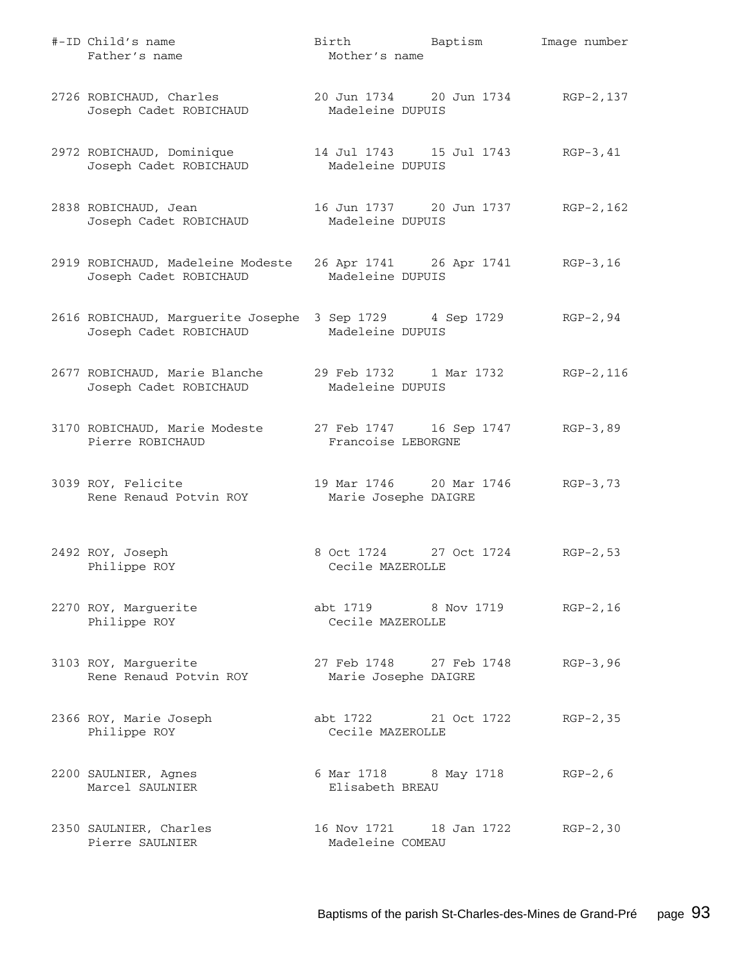| #-ID Child's name<br>Father's name                                                 | Birth Baptism<br>Mother's name                         | Image number |
|------------------------------------------------------------------------------------|--------------------------------------------------------|--------------|
| 2726 ROBICHAUD, Charles<br>Joseph Cadet ROBICHAUD                                  | 20 Jun 1734 20 Jun 1734 RGP-2, 137<br>Madeleine DUPUIS |              |
| 2972 ROBICHAUD, Dominique<br>Joseph Cadet ROBICHAUD                                | 14 Jul 1743 15 Jul 1743 RGP-3,41<br>Madeleine DUPUIS   |              |
| 2838 ROBICHAUD, Jean<br>Joseph Cadet ROBICHAUD                                     | Madeleine DUPUIS                                       | RGP-2,162    |
| 2919 ROBICHAUD, Madeleine Modeste<br>Joseph Cadet ROBICHAUD                        | 26 Apr 1741 26 Apr 1741 RGP-3,16<br>Madeleine DUPUIS   |              |
| 2616 ROBICHAUD, Marguerite Josephe 3 Sep 1729 4 Sep 1729<br>Joseph Cadet ROBICHAUD | Madeleine DUPUIS                                       | $RGP-2, 94$  |
| 2677 ROBICHAUD, Marie Blanche<br>Joseph Cadet ROBICHAUD                            | 29 Feb 1732     1 Mar 1732<br>Madeleine DUPUIS         | RGP-2,116    |
| 3170 ROBICHAUD, Marie Modeste<br>Pierre ROBICHAUD                                  | 27 Feb 1747 16 Sep 1747<br>Francoise LEBORGNE          | RGP-3,89     |
| 3039 ROY, Felicite<br>Rene Renaud Potvin ROY                                       | 19 Mar 1746 20 Mar 1746<br>Marie Josephe DAIGRE        | $RGB-3,73$   |
| 2492 ROY, Joseph<br>Philippe ROY                                                   | 8 Oct 1724 27 Oct 1724<br>Cecile MAZEROLLE             | $RGP-2, 53$  |
| 2270 ROY, Marguerite<br>Philippe ROY                                               | abt 1719 8 Nov 1719 RGP-2,16<br>Cecile MAZEROLLE       |              |
| 3103 ROY, Marquerite<br>Rene Renaud Potvin ROY                                     | 27 Feb 1748 27 Feb 1748<br>Marie Josephe DAIGRE        | $RGB-3, 96$  |
| 2366 ROY, Marie Joseph<br>Philippe ROY                                             | abt 1722 21 Oct 1722<br>Cecile MAZEROLLE               | $RGP-2, 35$  |
| 2200 SAULNIER, Agnes<br>Marcel SAULNIER                                            | 6 Mar 1718 8 May 1718 RGP-2, 6<br>Elisabeth BREAU      |              |
| 2350 SAULNIER, Charles<br>Pierre SAULNIER                                          | 16 Nov 1721 18 Jan 1722 RGP-2,30<br>Madeleine COMEAU   |              |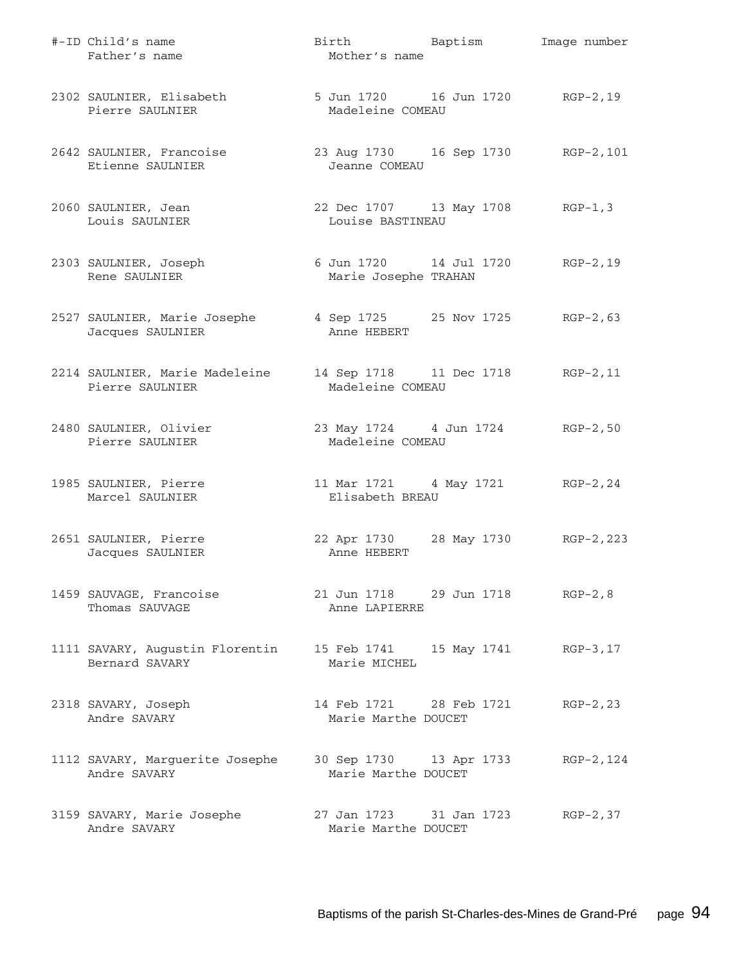| #-ID Child's name<br>Father's name                                             | Birth Baptism<br>Mother's name                               | Image number |
|--------------------------------------------------------------------------------|--------------------------------------------------------------|--------------|
| 2302 SAULNIER, Elisabeth<br>Pierre SAULNIER                                    | 5 Jun 1720 16 Jun 1720 RGP-2, 19<br>Madeleine COMEAU         |              |
| 2642 SAULNIER, Francoise 23 Aug 1730 16 Sep 1730 RGP-2,101<br>Etienne SAULNIER | Jeanne COMEAU                                                |              |
| 2060 SAULNIER, Jean<br>Louis SAULNIER                                          | 22 Dec 1707 13 May 1708 RGP-1,3<br>Louise BASTINEAU          |              |
| 2303 SAULNIER, Joseph<br>Rene SAULNIER                                         | 6 Jun 1720   14 Jul 1720   RGP-2, 19<br>Marie Josephe TRAHAN |              |
| 2527 SAULNIER, Marie Josephe<br>Jacques SAULNIER                               | 4 Sep 1725 25 Nov 1725 RGP-2,63<br>Anne HEBERT               |              |
| 2214 SAULNIER, Marie Madeleine<br>Pierre SAULNIER                              | 14 Sep 1718 11 Dec 1718 RGP-2, 11<br>Madeleine COMEAU        |              |
| 2480 SAULNIER, Olivier<br>Pierre SAULNIER                                      | 23 May 1724 4 Jun 1724 RGP-2,50<br>Madeleine COMEAU          |              |
| 1985 SAULNIER, Pierre<br>Marcel SAULNIER                                       | 11 Mar 1721 4 May 1721 RGP-2, 24<br>Elisabeth BREAU          |              |
| 2651 SAULNIER, Pierre<br>Jacques SAULNIER                                      | 22 Apr 1730 28 May 1730 RGP-2, 223<br>Anne HEBERT            |              |
| 1459 SAUVAGE, Francoise<br>Thomas SAUVAGE                                      | 21 Jun 1718 29 Jun 1718 RGP-2,8<br>Anne LAPIERRE             |              |
| 1111 SAVARY, Augustin Florentin<br>Bernard SAVARY                              | 15 Feb 1741 15 May 1741 RGP-3,17<br>Marie MICHEL             |              |
| 2318 SAVARY, Joseph<br>Andre SAVARY                                            | 14 Feb 1721 28 Feb 1721<br>Marie Marthe DOUCET               | $RGP-2, 23$  |
| 1112 SAVARY, Marguerite Josephe<br>Andre SAVARY                                | 30 Sep 1730 13 Apr 1733<br>Marie Marthe DOUCET               | RGP-2, 124   |
| 3159 SAVARY, Marie Josephe<br>Andre SAVARY                                     | 27 Jan 1723 31 Jan 1723<br>Marie Marthe DOUCET               | $RGP-2, 37$  |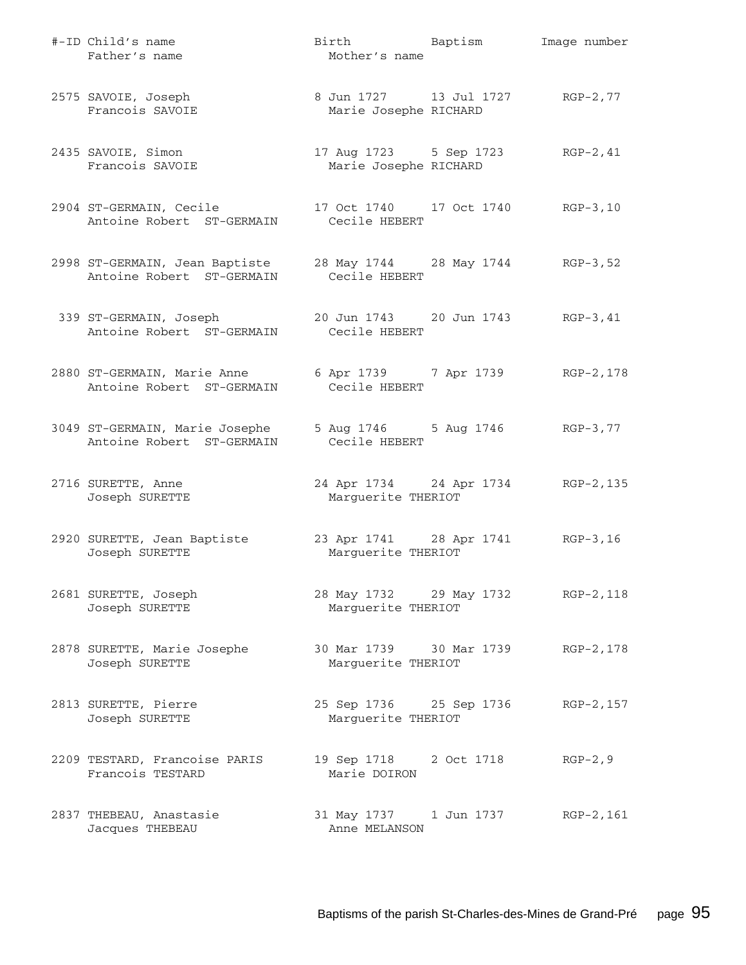| #-ID Child's name<br>Father's name                                                                         | Birth Baptism<br>Mother's name                           | Image number |
|------------------------------------------------------------------------------------------------------------|----------------------------------------------------------|--------------|
| 2575 SAVOIE, Joseph<br>Francois SAVOIE                                                                     | 8 Jun 1727 13 Jul 1727 RGP-2,77<br>Marie Josephe RICHARD |              |
| 2435 SAVOIE, Simon<br>Francois SAVOIE                                                                      | 17 Aug 1723 5 Sep 1723<br>Marie Josephe RICHARD          | $RGP-2, 41$  |
| 2904 ST-GERMAIN, Cecile<br>Antoine Robert ST-GERMAIN Cecile HEBERT                                         | 17 Oct 1740   17 Oct 1740   RGP-3,10                     |              |
| 2998 ST-GERMAIN, Jean Baptiste 28 May 1744 28 May 1744 RGP-3,52<br>Antoine Robert ST-GERMAIN Cecile HEBERT |                                                          |              |
| 339 ST-GERMAIN, Joseph<br>Antoine Robert ST-GERMAIN                                                        | 20 Jun 1743 20 Jun 1743 RGP-3,41<br>Cecile HEBERT        |              |
| 2880 ST-GERMAIN, Marie Anne 6 Apr 1739 7 Apr 1739 RGP-2,178<br>Antoine Robert ST-GERMAIN                   | Cecile HEBERT                                            |              |
| 3049 ST-GERMAIN, Marie Josephe<br>Antoine Robert ST-GERMAIN                                                | 5 Aug 1746 5 Aug 1746 RGP-3,77<br>Cecile HEBERT          |              |
| 2716 SURETTE, Anne<br>Joseph SURETTE                                                                       | 24 Apr 1734 24 Apr 1734 RGP-2, 135<br>Marguerite THERIOT |              |
| 2920 SURETTE, Jean Baptiste 23 Apr 1741 28 Apr 1741 RGP-3,16<br>Joseph SURETTE                             | Marguerite THERIOT                                       |              |
| 2681 SURETTE, Joseph<br>Joseph SURETTE                                                                     | 28 May 1732 29 May 1732 RGP-2, 118<br>Marguerite THERIOT |              |
| 2878 SURETTE, Marie Josephe<br>Joseph SURETTE                                                              | 30 Mar 1739 30 Mar 1739<br>Marguerite THERIOT            | RGP-2,178    |
| 2813 SURETTE, Pierre<br>Joseph SURETTE                                                                     | 25 Sep 1736 25 Sep 1736<br>Marguerite THERIOT            | RGP-2, 157   |
| 2209 TESTARD, Francoise PARIS<br>Francois TESTARD                                                          | 19 Sep 1718 2 Oct 1718<br>Marie DOIRON                   | $RGP-2, 9$   |
| 2837 THEBEAU, Anastasie<br>Jacques THEBEAU                                                                 | 31 May 1737   1 Jun 1737<br>Anne MELANSON                | RGP-2,161    |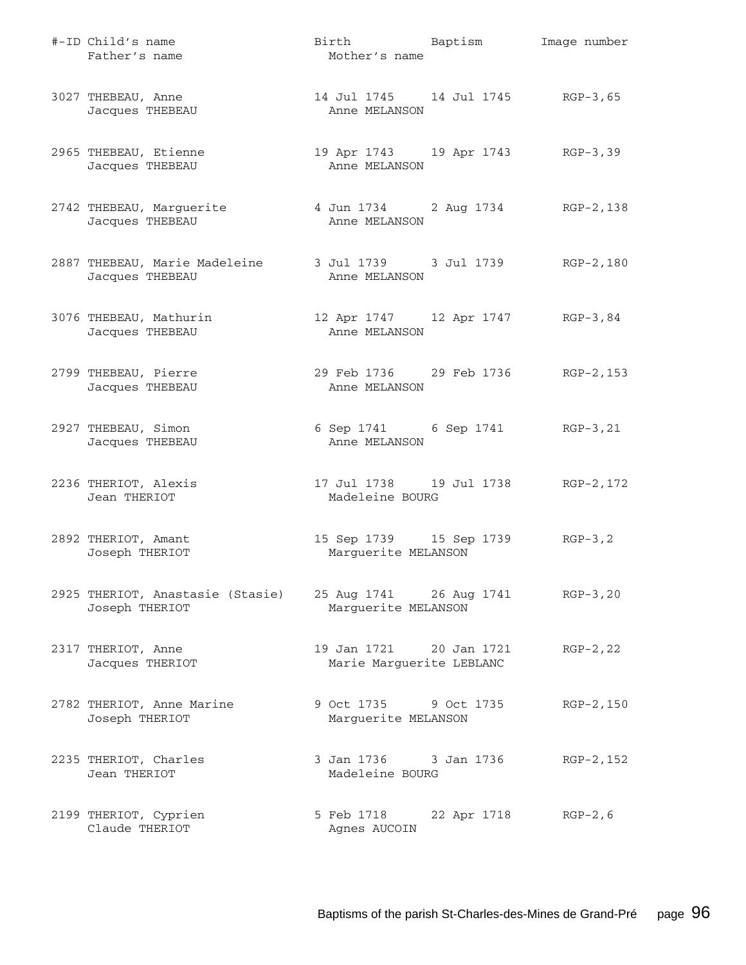| #-ID Child's name<br>Father's name                                               | Birth Baptism<br>Mother's name                            |             | Image number |
|----------------------------------------------------------------------------------|-----------------------------------------------------------|-------------|--------------|
| 3027 THEBEAU, Anne<br>Jacques THEBEAU                                            | 14 Jul 1745 14 Jul 1745 RGP-3,65<br>Anne MELANSON         |             |              |
| 2965 THEBEAU, Etienne<br>Jacques THEBEAU                                         | 19 Apr 1743 19 Apr 1743 RGP-3,39<br>Anne MELANSON         |             |              |
| 2742 THEBEAU, Marguerite<br>Jacques THEBEAU                                      | 4 Jun 1734 2 Aug 1734 RGP-2, 138<br>Anne MELANSON         |             |              |
| 2887 THEBEAU, Marie Madeleine 3 Jul 1739 3 Jul 1739 RGP-2,180<br>Jacques THEBEAU | Anne MELANSON                                             |             |              |
| 3076 THEBEAU, Mathurin<br>Jacques THEBEAU                                        | 12 Apr 1747 12 Apr 1747 RGP-3,84<br>Anne MELANSON         |             |              |
| 2799 THEBEAU, Pierre<br>Jacques THEBEAU                                          | 29 Feb 1736 29 Feb 1736 RGP-2, 153<br>Anne MELANSON       |             |              |
| 2927 THEBEAU, Simon<br>Jacques THEBEAU                                           | 6 Sep 1741 6 Sep 1741 RGP-3, 21<br>Anne MELANSON          |             |              |
| 2236 THERIOT, Alexis<br>Jean THERIOT                                             | 17 Jul 1738   19 Jul 1738   RGP-2, 172<br>Madeleine BOURG |             |              |
| 2892 THERIOT, Amant<br>Joseph THERIOT                                            | 15 Sep 1739 15 Sep 1739 RGP-3, 2<br>Marguerite MELANSON   |             |              |
| 2925 THERIOT, Anastasie (Stasie)<br>Joseph THERIOT                               | 25 Aug 1741 26 Aug 1741<br>Marguerite MELANSON            |             | $RGB-3, 20$  |
| 2317 THERIOT, Anne<br>Jacques THERIOT                                            | 19 Jan 1721 20 Jan 1721<br>Marie Marguerite LEBLANC       |             | $RGP-2, 22$  |
| 2782 THERIOT, Anne Marine<br>Joseph THERIOT                                      | 9 Oct 1735 9 Oct 1735<br>Marguerite MELANSON              |             | RGP-2,150    |
| 2235 THERIOT, Charles<br>Jean THERIOT                                            | 3 Jan 1736 3 Jan 1736<br>Madeleine BOURG                  |             | RGP-2,152    |
| 2199 THERIOT, Cyprien<br>Claude THERIOT                                          | 5 Feb 1718<br>Agnes AUCOIN                                | 22 Apr 1718 | $RGP-2, 6$   |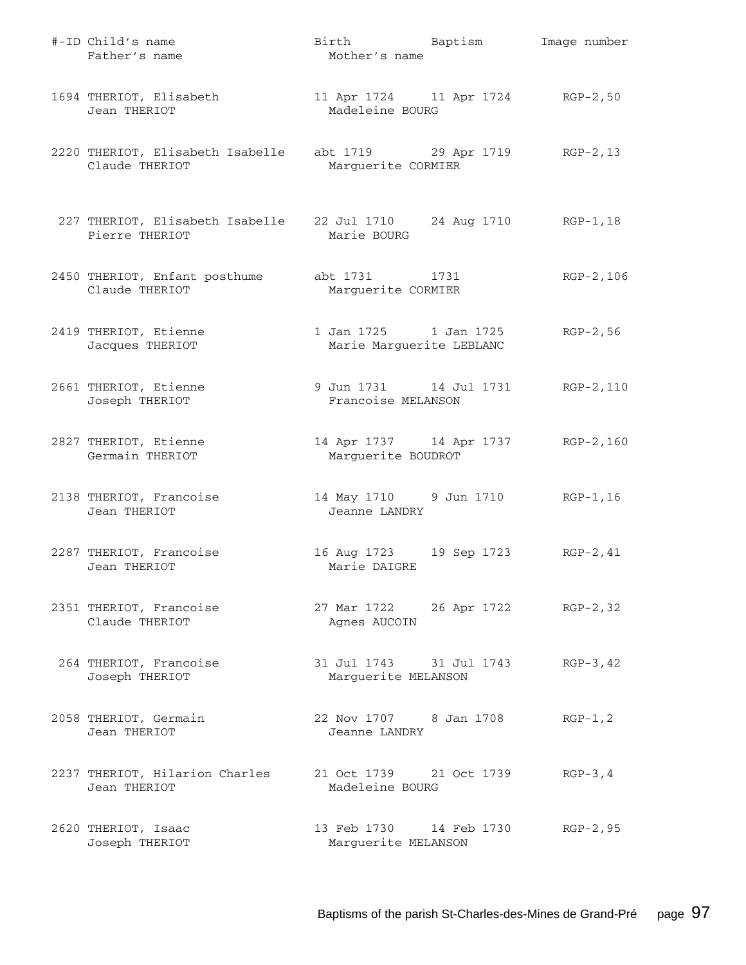| #-ID Child's name<br>Father's name                                               | Birth Baptism<br>Mother's name                          |             | Image number |
|----------------------------------------------------------------------------------|---------------------------------------------------------|-------------|--------------|
| 1694 THERIOT, Elisabeth<br>Jean THERIOT                                          | 11 Apr 1724 11 Apr 1724 RGP-2,50<br>Madeleine BOURG     |             |              |
| 2220 THERIOT, Elisabeth Isabelle abt 1719 29 Apr 1719 RGP-2,13<br>Claude THERIOT | Marguerite CORMIER                                      |             |              |
| 227 THERIOT, Elisabeth Isabelle<br>Pierre THERIOT                                | 22 Jul 1710 24 Aug 1710 RGP-1,18<br>Marie BOURG         |             |              |
| 2450 THERIOT, Enfant posthume abt 1731 1731<br>Claude THERIOT                    | Marguerite CORMIER                                      |             | RGP-2,106    |
| 2419 THERIOT, Etienne<br>Jacques THERIOT                                         | 1 Jan 1725 1 Jan 1725<br>Marie Marguerite LEBLANC       |             | $RGP-2, 56$  |
| 2661 THERIOT, Etienne<br>Joseph THERIOT                                          | 9 Jun 1731 14 Jul 1731<br>Francoise MELANSON            |             | RGP-2,110    |
| 2827 THERIOT, Etienne<br>Germain THERIOT                                         | 14 Apr 1737 14 Apr 1737 RGP-2,160<br>Marguerite BOUDROT |             |              |
| 2138 THERIOT, Francoise<br>Jean THERIOT                                          | 14 May 1710 9 Jun 1710 RGP-1, 16<br>Jeanne LANDRY       |             |              |
| 2287 THERIOT, Francoise<br>Jean THERIOT                                          | 16 Aug 1723<br>Marie DAIGRE                             | 19 Sep 1723 | $RGP-2, 41$  |
| 2351 THERIOT, Francoise<br>Claude THERIOT                                        | 27 Mar 1722 26 Apr 1722 RGP-2,32<br>Agnes AUCOIN        |             |              |
| 264 THERIOT, Francoise<br>Joseph THERIOT                                         | 31 Jul 1743 31 Jul 1743<br>Marguerite MELANSON          |             | $RGP-3, 42$  |
| 2058 THERIOT, Germain<br>Jean THERIOT                                            | 22 Nov 1707 8 Jan 1708<br>Jeanne LANDRY                 |             | $RGP-1, 2$   |
| 2237 THERIOT, Hilarion Charles<br>Jean THERIOT                                   | 21 Oct 1739 21 Oct 1739<br>Madeleine BOURG              |             | $RGP-3, 4$   |
| 2620 THERIOT, Isaac<br>Joseph THERIOT                                            | Marguerite MELANSON                                     |             | RGP-2,95     |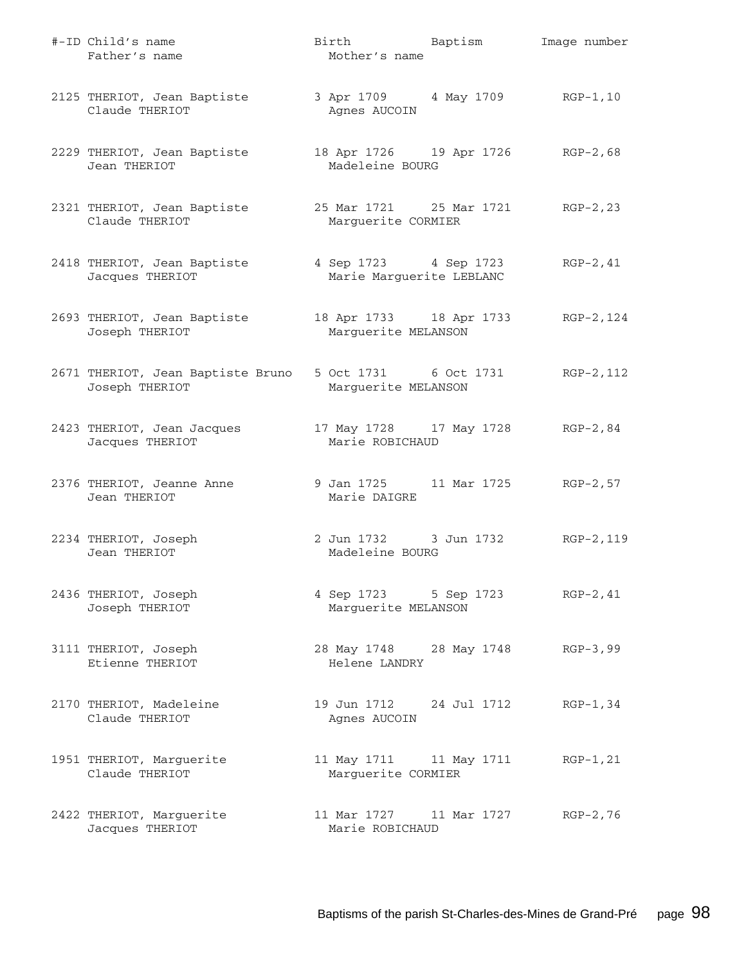| #-ID Child's name<br>Father's name                  | Birth Baptism<br>Mother's name                            |             | Image number |
|-----------------------------------------------------|-----------------------------------------------------------|-------------|--------------|
| 2125 THERIOT, Jean Baptiste<br>Claude THERIOT       | 3 Apr 1709 4 May 1709 RGP-1, 10<br>Agnes AUCOIN           |             |              |
| 2229 THERIOT, Jean Baptiste<br>Jean THERIOT         | 18 Apr 1726 19 Apr 1726 RGP-2,68<br>Madeleine BOURG       |             |              |
| 2321 THERIOT, Jean Baptiste<br>Claude THERIOT       | 25 Mar 1721 25 Mar 1721 RGP-2, 23<br>Marguerite CORMIER   |             |              |
| 2418 THERIOT, Jean Baptiste<br>Jacques THERIOT      | 4 Sep 1723 4 Sep 1723<br>Marie Marguerite LEBLANC         |             | RGP-2,41     |
| 2693 THERIOT, Jean Baptiste<br>Joseph THERIOT       | 18 Apr 1733 18 Apr 1733 RGP-2, 124<br>Marguerite MELANSON |             |              |
| 2671 THERIOT, Jean Baptiste Bruno<br>Joseph THERIOT | 5 Oct 1731 6 Oct 1731<br>Marguerite MELANSON              |             | RGP-2,112    |
| 2423 THERIOT, Jean Jacques<br>Jacques THERIOT       | 17 May 1728 17 May 1728 RGP-2,84<br>Marie ROBICHAUD       |             |              |
| 2376 THERIOT, Jeanne Anne<br>Jean THERIOT           | 9 Jan 1725 11 Mar 1725 RGP-2,57<br>Marie DAIGRE           |             |              |
| 2234 THERIOT, Joseph<br>Jean THERIOT                | 2 Jun 1732 3 Jun 1732 RGP-2, 119<br>Madeleine BOURG       |             |              |
| 2436 THERIOT, Joseph<br>Joseph THERIOT              | 4 Sep 1723 5 Sep 1723<br>Marguerite MELANSON              |             | $RGP-2, 41$  |
| 3111 THERIOT, Joseph<br>Etienne THERIOT             | 28 May 1748 28 May 1748<br>Helene LANDRY                  |             | $RGP-3, 99$  |
| 2170 THERIOT, Madeleine<br>Claude THERIOT           | 19 Jun 1712 24 Jul 1712<br>Agnes AUCOIN                   |             | $RGP-1, 34$  |
| 1951 THERIOT, Marguerite<br>Claude THERIOT          | 11 May 1711 11 May 1711<br>Marguerite CORMIER             |             | $RGP-1, 21$  |
| 2422 THERIOT, Marguerite<br>Jacques THERIOT         | 11 Mar 1727<br>Marie ROBICHAUD                            | 11 Mar 1727 | $RGP-2, 76$  |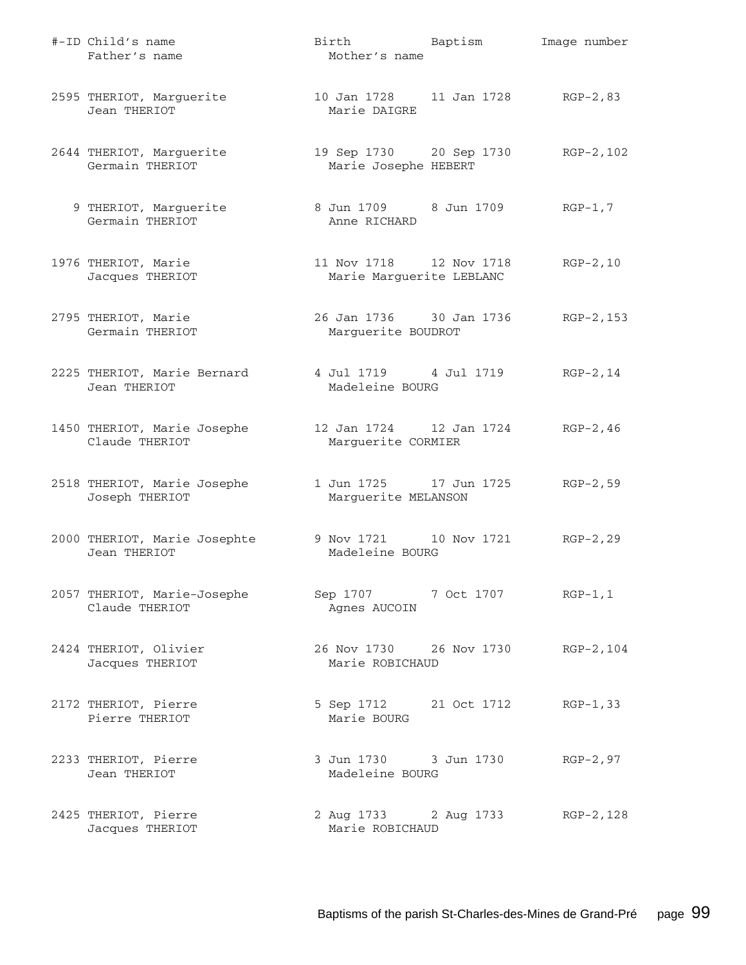| #-ID Child's name<br>Father's name            | Birth Baptism<br>Mother's name                      | Image number |
|-----------------------------------------------|-----------------------------------------------------|--------------|
| 2595 THERIOT, Marguerite<br>Jean THERIOT      | 10 Jan 1728 11 Jan 1728 RGP-2,83<br>Marie DAIGRE    |              |
| 2644 THERIOT, Marguerite<br>Germain THERIOT   | 19 Sep 1730 20 Sep 1730<br>Marie Josephe HEBERT     | RGP-2,102    |
| 9 THERIOT, Marguerite<br>Germain THERIOT      | 8 Jun 1709 8 Jun 1709<br>Anne RICHARD               | $RGP-1, 7$   |
| 1976 THERIOT, Marie<br>Jacques THERIOT        | 11 Nov 1718 12 Nov 1718<br>Marie Marguerite LEBLANC | $RGP-2, 10$  |
| 2795 THERIOT, Marie<br>Germain THERIOT        | 26 Jan 1736 30 Jan 1736<br>Marguerite BOUDROT       | RGP-2,153    |
| 2225 THERIOT, Marie Bernard<br>Jean THERIOT   | 4 Jul 1719 4 Jul 1719<br>Madeleine BOURG            | $RGP-2, 14$  |
| 1450 THERIOT, Marie Josephe<br>Claude THERIOT | 12 Jan 1724   12 Jan 1724<br>Marguerite CORMIER     | $RGP-2, 46$  |
| 2518 THERIOT, Marie Josephe<br>Joseph THERIOT | 1 Jun 1725 17 Jun 1725<br>Marguerite MELANSON       | $RGP-2, 59$  |
| 2000 THERIOT, Marie Josephte<br>Jean THERIOT  | 9 Nov 1721 10 Nov 1721<br>Madeleine BOURG           | $RGP-2, 29$  |
| 2057 THERIOT, Marie-Josephe<br>Claude THERIOT | Sep 1707 7 Oct 1707 RGP-1,1<br>Agnes AUCOIN         |              |
| 2424 THERIOT, Olivier<br>Jacques THERIOT      | 26 Nov 1730 26 Nov 1730<br>Marie ROBICHAUD          | $RGP-2, 104$ |
| 2172 THERIOT, Pierre<br>Pierre THERIOT        | 5 Sep 1712 21 Oct 1712<br>Marie BOURG               | $RGP-1, 33$  |
| 2233 THERIOT, Pierre<br>Jean THERIOT          | 3 Jun 1730 3 Jun 1730<br>Madeleine BOURG            | $RGP-2, 97$  |
| 2425 THERIOT, Pierre<br>Jacques THERIOT       | 2 Aug 1733 2 Aug 1733<br>Marie ROBICHAUD            | RGP-2,128    |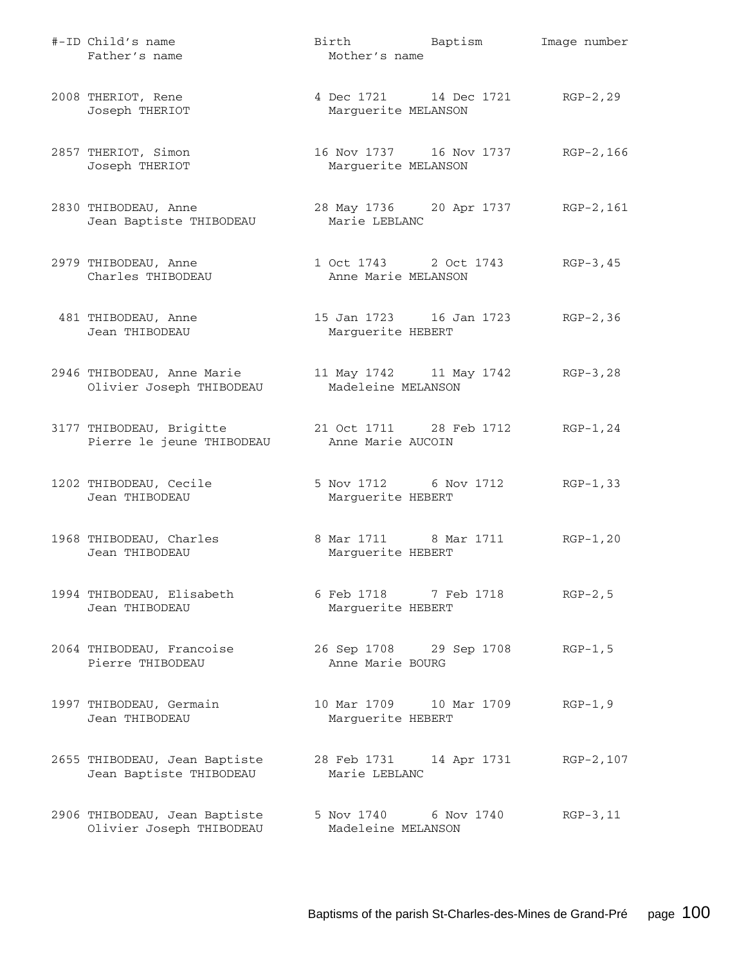| #-ID Child's name<br>Father's name                        | Birth Baptism<br>Mother's name                  | Image number |
|-----------------------------------------------------------|-------------------------------------------------|--------------|
| 2008 THERIOT, Rene<br>Joseph THERIOT                      | 4 Dec 1721 14 Dec 1721<br>Marguerite MELANSON   | $RGP-2, 29$  |
| 2857 THERIOT, Simon<br>Joseph THERIOT                     | 16 Nov 1737 16 Nov 1737<br>Marguerite MELANSON  | RGP-2,166    |
| 2830 THIBODEAU, Anne<br>Jean Baptiste THIBODEAU           | 28 May 1736 20 Apr 1737<br>Marie LEBLANC        | RGP-2,161    |
| 2979 THIBODEAU, Anne<br>Charles THIBODEAU                 | 1 Oct 1743 2 Oct 1743<br>Anne Marie MELANSON    | $RGP-3, 45$  |
| 481 THIBODEAU, Anne<br>Jean THIBODEAU                     | 15 Jan 1723   16 Jan 1723<br>Marguerite HEBERT  | $RGP-2, 36$  |
| 2946 THIBODEAU, Anne Marie<br>Olivier Joseph THIBODEAU    | 11 May 1742 11 May 1742<br>Madeleine MELANSON   | $RGP-3, 28$  |
| 3177 THIBODEAU, Brigitte<br>Pierre le jeune THIBODEAU     | 21 Oct 1711 28 Feb 1712<br>Anne Marie AUCOIN    | $RGP-1, 24$  |
| 1202 THIBODEAU, Cecile<br>Jean THIBODEAU                  | 5 Nov 1712 6 Nov 1712<br>Marguerite HEBERT      | $RGP-1, 33$  |
| 1968 THIBODEAU, Charles<br>Jean THIBODEAU                 | 8 Mar 1711 8 Mar 1711<br>Marguerite HEBERT      | $RGP-1, 20$  |
| 1994 THIBODEAU, Elisabeth<br>Jean THIBODEAU               | 6 Feb 1718 7 Feb 1718<br>Marguerite HEBERT      | $RGP-2, 5$   |
| 2064 THIBODEAU, Francoise<br>Pierre THIBODEAU             | 26 Sep 1708 29 Sep 1708<br>Anne Marie BOURG     | $RGP-1, 5$   |
| 1997 THIBODEAU, Germain<br>Jean THIBODEAU                 | 10 Mar 1709    10 Mar 1709<br>Marguerite HEBERT | $RGP-1, 9$   |
| 2655 THIBODEAU, Jean Baptiste<br>Jean Baptiste THIBODEAU  | 28 Feb 1731 14 Apr 1731<br>Marie LEBLANC        | RGP-2,107    |
| 2906 THIBODEAU, Jean Baptiste<br>Olivier Joseph THIBODEAU | 5 Nov 1740 6 Nov 1740<br>Madeleine MELANSON     | $RGP-3, 11$  |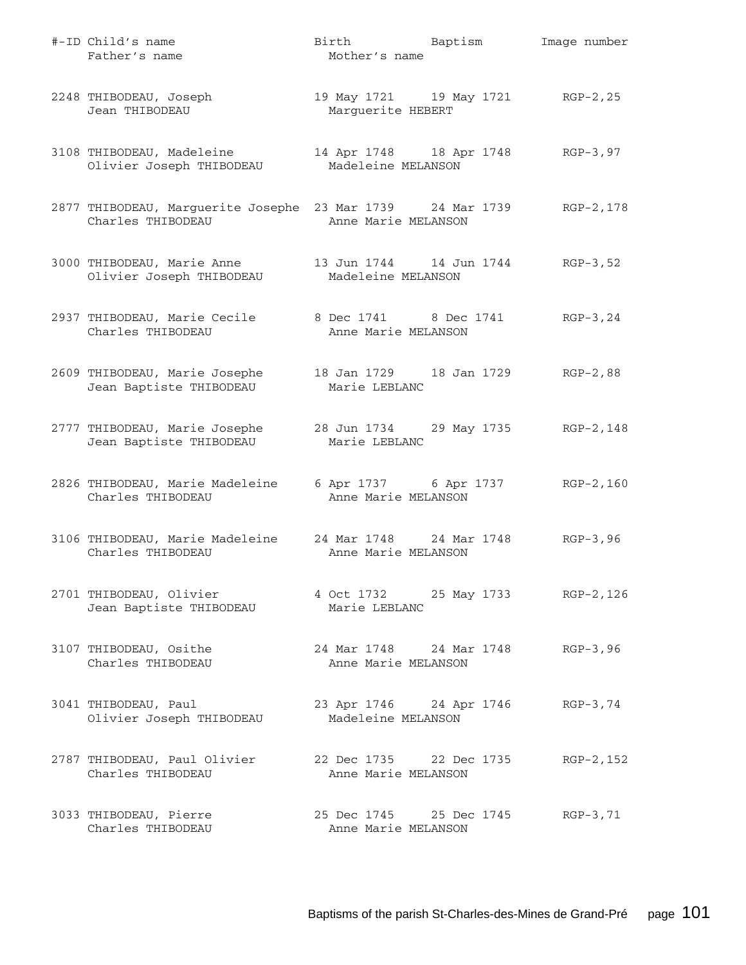| #-ID Child's name<br>Father's name                                                                         | Birth Baptism<br>Mother's name                          | Image number |
|------------------------------------------------------------------------------------------------------------|---------------------------------------------------------|--------------|
| 2248 THIBODEAU, Joseph<br>Jean THIBODEAU                                                                   | 19 May 1721 19 May 1721 RGP-2, 25<br>Marguerite HEBERT  |              |
| 3108 THIBODEAU, Madeleine<br>Olivier Joseph THIBODEAU                                                      | 14 Apr 1748 18 Apr 1748 RGP-3,97<br>Madeleine MELANSON  |              |
| 2877 THIBODEAU, Marguerite Josephe 23 Mar 1739 24 Mar 1739<br>Charles THIBODEAU                            | Anne Marie MELANSON                                     | RGP-2,178    |
| 3000 THIBODEAU, Marie Anne 13 Jun 1744 14 Jun 1744 RGP-3,52<br>Olivier Joseph THIBODEAU Madeleine MELANSON |                                                         |              |
| 2937 THIBODEAU, Marie Cecile 8 Dec 1741 8 Dec 1741 RGP-3,24<br>Charles THIBODEAU                           | Anne Marie MELANSON                                     |              |
| 2609 THIBODEAU, Marie Josephe<br>Jean Baptiste THIBODEAU                                                   | 18 Jan 1729 18 Jan 1729 RGP-2,88<br>Marie LEBLANC       |              |
| 2777 THIBODEAU, Marie Josephe 28 Jun 1734 29 May 1735 RGP-2,148<br>Jean Baptiste THIBODEAU                 | Marie LEBLANC                                           |              |
| 2826 THIBODEAU, Marie Madeleine<br>Charles THIBODEAU                                                       | 6 Apr 1737 6 Apr 1737<br>Anne Marie MELANSON            | RGP-2,160    |
| 3106 THIBODEAU, Marie Madeleine 24 Mar 1748 24 Mar 1748 RGP-3,96<br>Charles THIBODEAU                      | Anne Marie MELANSON                                     |              |
| 2701 THIBODEAU, Olivier<br>Jean Baptiste THIBODEAU                                                         | 4 Oct 1732 25 May 1733 RGP-2, 126<br>Marie LEBLANC      |              |
| 3107 THIBODEAU, Osithe<br>Charles THIBODEAU                                                                | 24 Mar 1748 24 Mar 1748 RGP-3,96<br>Anne Marie MELANSON |              |
| 3041 THIBODEAU, Paul<br>Olivier Joseph THIBODEAU                                                           | 23 Apr 1746 24 Apr 1746 RGP-3,74<br>Madeleine MELANSON  |              |
| 2787 THIBODEAU, Paul Olivier<br>Charles THIBODEAU                                                          | 22 Dec 1735 22 Dec 1735<br>Anne Marie MELANSON          | RGP-2,152    |
| 3033 THIBODEAU, Pierre<br>Charles THIBODEAU                                                                | 25 Dec 1745 25 Dec 1745<br>Anne Marie MELANSON          | $RGP-3, 71$  |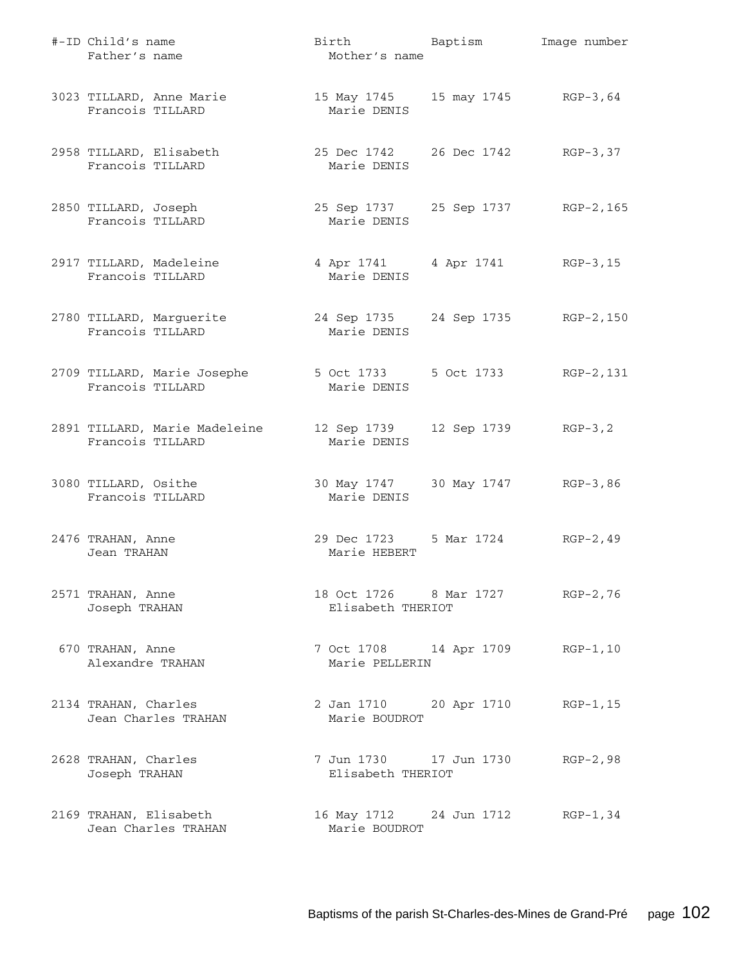| #-ID Child's name<br>Father's name                | Birth Baptism<br>Mother's name                    | Image number |
|---------------------------------------------------|---------------------------------------------------|--------------|
| 3023 TILLARD, Anne Marie<br>Francois TILLARD      | 15 May 1745 15 may 1745 RGP-3,64<br>Marie DENIS   |              |
| 2958 TILLARD, Elisabeth<br>Francois TILLARD       | 25 Dec 1742 26 Dec 1742 RGP-3,37<br>Marie DENIS   |              |
| 2850 TILLARD, Joseph<br>Francois TILLARD          | 25 Sep 1737 25 Sep 1737 RGP-2, 165<br>Marie DENIS |              |
| 2917 TILLARD, Madeleine<br>Francois TILLARD       | 4 Apr 1741 4 Apr 1741 RGP-3, 15<br>Marie DENIS    |              |
| 2780 TILLARD, Marguerite<br>Francois TILLARD      | 24 Sep 1735 24 Sep 1735 RGP-2,150<br>Marie DENIS  |              |
| 2709 TILLARD, Marie Josephe<br>Francois TILLARD   | 5 Oct 1733 5 Oct 1733<br>Marie DENIS              | RGP-2,131    |
| 2891 TILLARD, Marie Madeleine<br>Francois TILLARD | 12 Sep 1739 12 Sep 1739 RGP-3,2<br>Marie DENIS    |              |
| 3080 TILLARD, Osithe<br>Francois TILLARD          | 30 May 1747 30 May 1747 RGP-3,86<br>Marie DENIS   |              |
| 2476 TRAHAN, Anne<br>Jean TRAHAN                  | 29 Dec 1723 5 Mar 1724 RGP-2, 49<br>Marie HEBERT  |              |
| 2571 TRAHAN, Anne<br>Joseph TRAHAN                | 18 Oct 1726 8 Mar 1727<br>Elisabeth THERIOT       | $RGP-2,76$   |
| 670 TRAHAN, Anne<br>Alexandre TRAHAN              | 7 Oct 1708 14 Apr 1709<br>Marie PELLERIN          | $RGP-1, 10$  |
| 2134 TRAHAN, Charles<br>Jean Charles TRAHAN       | 2 Jan 1710 20 Apr 1710<br>Marie BOUDROT           | $RGP-1, 15$  |
| 2628 TRAHAN, Charles<br>Joseph TRAHAN             | Elisabeth THERIOT                                 | $RGP-2,98$   |
| 2169 TRAHAN, Elisabeth<br>Jean Charles TRAHAN     | 16 May 1712 24 Jun 1712<br>Marie BOUDROT          | $RGP-1, 34$  |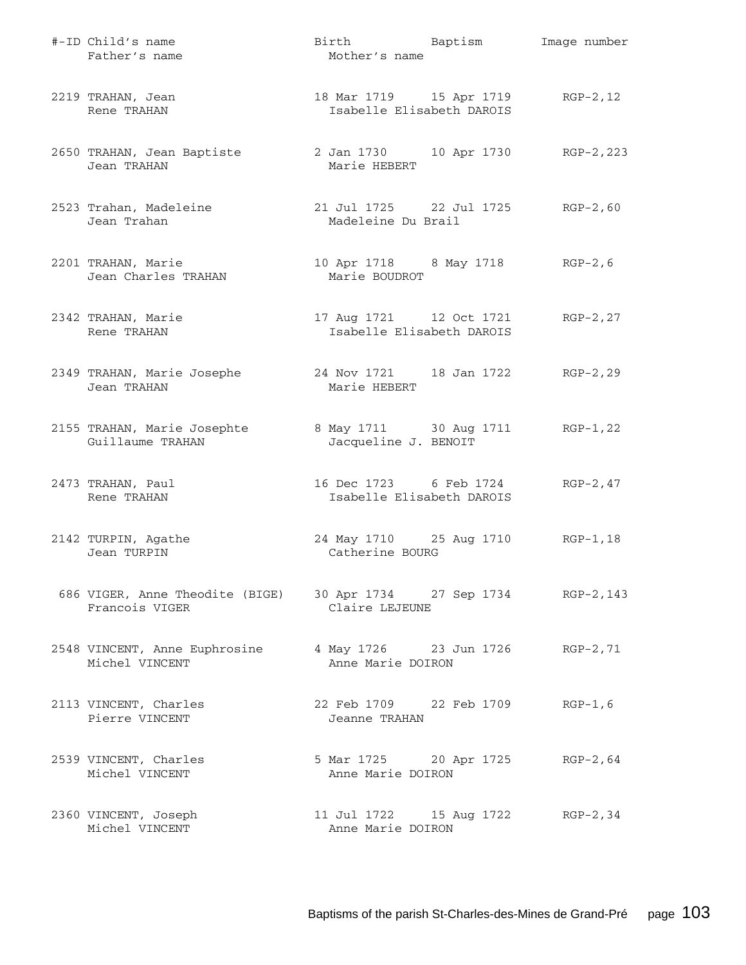| #-ID Child's name<br>Father's name                                                  | Birth Baptism<br>Mother's name                           | Image number |
|-------------------------------------------------------------------------------------|----------------------------------------------------------|--------------|
| 2219 TRAHAN, Jean<br>Rene TRAHAN                                                    | 18 Mar 1719    15 Apr 1719<br>Isabelle Elisabeth DAROIS  | $RGP-2, 12$  |
| 2650 TRAHAN, Jean Baptiste<br>Jean TRAHAN                                           | 2 Jan 1730 10 Apr 1730 RGP-2, 223<br>Marie HEBERT        |              |
| 2523 Trahan, Madeleine<br>Jean Trahan                                               | 21 Jul 1725 22 Jul 1725 RGP-2,60<br>Madeleine Du Brail   |              |
| 2201 TRAHAN, Marie<br>Jean Charles TRAHAN                                           | 10 Apr 1718 8 May 1718 RGP-2, 6<br>Marie BOUDROT         |              |
| 2342 TRAHAN, Marie<br>Rene TRAHAN                                                   | 17 Aug 1721 12 Oct 1721<br>Isabelle Elisabeth DAROIS     | $RGP-2, 27$  |
| 2349 TRAHAN, Marie Josephe<br>Jean TRAHAN                                           | 24 Nov 1721 18 Jan 1722<br>Marie HEBERT                  | $RGP-2, 29$  |
| 2155 TRAHAN, Marie Josephte<br>Guillaume TRAHAN                                     | 8 May 1711 30 Aug 1711 RGP-1, 22<br>Jacqueline J. BENOIT |              |
| 2473 TRAHAN, Paul<br>Rene TRAHAN                                                    | 16 Dec 1723 6 Feb 1724<br>Isabelle Elisabeth DAROIS      | $RGP-2, 47$  |
| 2142 TURPIN, Agathe<br>Jean TURPIN                                                  | 24 May 1710 25 Aug 1710<br>Catherine BOURG               | RGP-1,18     |
| 686 VIGER, Anne Theodite (BIGE) 30 Apr 1734 27 Sep 1734 RGP-2,143<br>Francois VIGER | Claire LEJEUNE                                           |              |
| 2548 VINCENT, Anne Euphrosine 4 May 1726 23 Jun 1726 RGP-2,71<br>Michel VINCENT     | Anne Marie DOIRON                                        |              |
| 2113 VINCENT, Charles<br>Pierre VINCENT                                             | 22 Feb 1709 22 Feb 1709<br>Jeanne TRAHAN                 | $RGP-1, 6$   |
| 2539 VINCENT, Charles<br>Michel VINCENT                                             | 5 Mar 1725 20 Apr 1725 RGP-2,64<br>Anne Marie DOIRON     |              |
| 2360 VINCENT, Joseph<br>Michel VINCENT                                              | 11 Jul 1722 15 Aug 1722 RGP-2,34<br>Anne Marie DOIRON    |              |